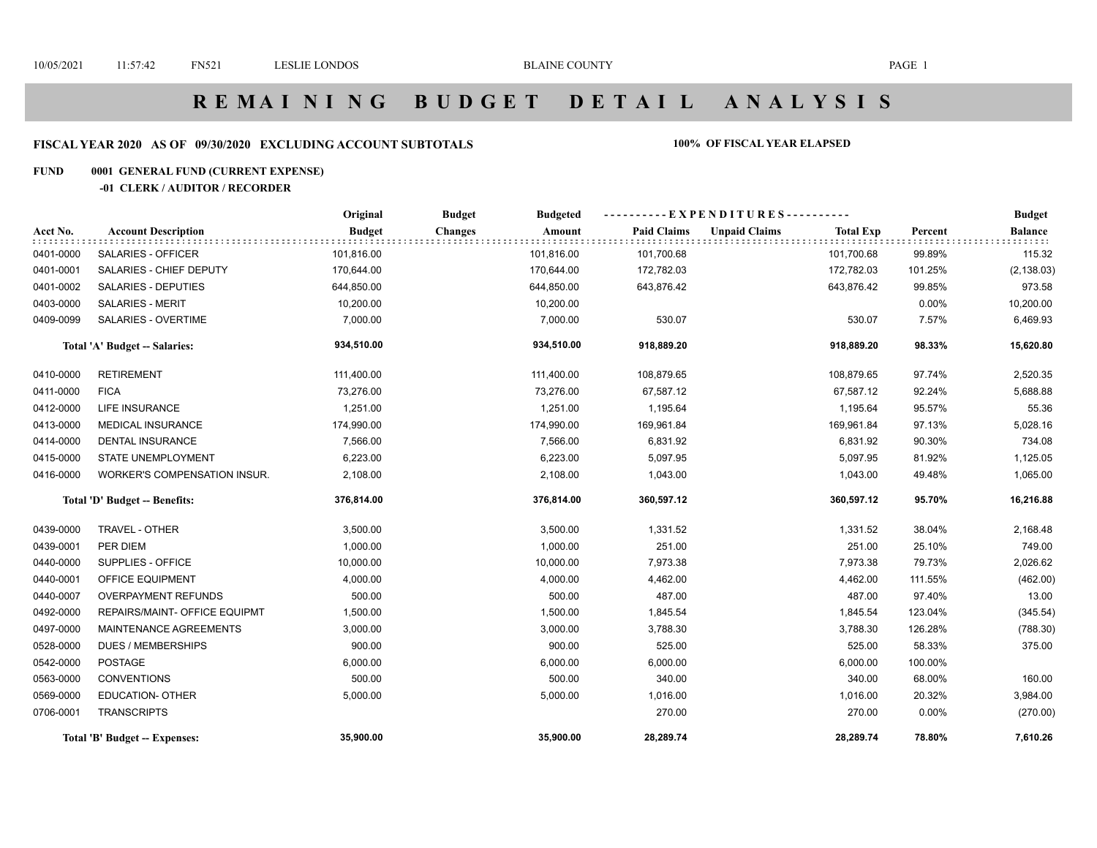# **R E M A I N I N G B U D G E T D E T A I L A N A L Y S I S**

## **FISCAL YEAR 2020 AS OF 09/30/2020 EXCLUDING ACCOUNT SUBTOTALS 100% OF FISCAL YEAR ELAPSED**

#### **FUND 0001 GENERAL FUND (CURRENT EXPENSE)**

#### **-01 CLERK / AUDITOR / RECORDER**

|           |                               | Original      | <b>Budget</b><br><b>Budgeted</b> |                    | ----------EXPENDITURES---------- |                  |          | <b>Budget</b>             |
|-----------|-------------------------------|---------------|----------------------------------|--------------------|----------------------------------|------------------|----------|---------------------------|
| Acct No.  | <b>Account Description</b>    | <b>Budget</b> | <b>Changes</b><br>Amount         | <b>Paid Claims</b> | <b>Unpaid Claims</b>             | <b>Total Exp</b> | Percent  | <b>Balance</b><br>: : : . |
| 0401-0000 | SALARIES - OFFICER            | 101,816.00    | 101,816.00                       | 101,700.68         |                                  | 101,700.68       | 99.89%   | 115.32                    |
| 0401-0001 | SALARIES - CHIEF DEPUTY       | 170,644.00    | 170,644.00                       | 172,782.03         |                                  | 172,782.03       | 101.25%  | (2, 138.03)               |
| 0401-0002 | <b>SALARIES - DEPUTIES</b>    | 644,850.00    | 644,850.00                       | 643,876.42         |                                  | 643,876.42       | 99.85%   | 973.58                    |
| 0403-0000 | <b>SALARIES - MERIT</b>       | 10,200.00     | 10,200.00                        |                    |                                  |                  | $0.00\%$ | 10,200.00                 |
| 0409-0099 | <b>SALARIES - OVERTIME</b>    | 7,000.00      | 7,000.00                         | 530.07             |                                  | 530.07           | 7.57%    | 6,469.93                  |
|           | Total 'A' Budget -- Salaries: | 934,510.00    | 934,510.00                       | 918,889.20         |                                  | 918,889.20       | 98.33%   | 15,620.80                 |
| 0410-0000 | <b>RETIREMENT</b>             | 111,400.00    | 111,400.00                       | 108,879.65         |                                  | 108,879.65       | 97.74%   | 2,520.35                  |
| 0411-0000 | <b>FICA</b>                   | 73,276.00     | 73,276.00                        | 67,587.12          |                                  | 67,587.12        | 92.24%   | 5,688.88                  |
| 0412-0000 | <b>LIFE INSURANCE</b>         | 1,251.00      | 1,251.00                         | 1,195.64           |                                  | 1,195.64         | 95.57%   | 55.36                     |
| 0413-0000 | <b>MEDICAL INSURANCE</b>      | 174,990.00    | 174,990.00                       | 169,961.84         |                                  | 169,961.84       | 97.13%   | 5,028.16                  |
| 0414-0000 | <b>DENTAL INSURANCE</b>       | 7,566.00      | 7,566.00                         | 6,831.92           |                                  | 6,831.92         | 90.30%   | 734.08                    |
| 0415-0000 | <b>STATE UNEMPLOYMENT</b>     | 6,223.00      | 6,223.00                         | 5,097.95           |                                  | 5,097.95         | 81.92%   | 1,125.05                  |
| 0416-0000 | WORKER'S COMPENSATION INSUR.  | 2,108.00      | 2,108.00                         | 1,043.00           |                                  | 1,043.00         | 49.48%   | 1,065.00                  |
|           | Total 'D' Budget -- Benefits: | 376,814.00    | 376,814.00                       | 360,597.12         |                                  | 360,597.12       | 95.70%   | 16,216.88                 |
| 0439-0000 | TRAVEL - OTHER                | 3,500.00      | 3,500.00                         | 1,331.52           |                                  | 1,331.52         | 38.04%   | 2,168.48                  |
| 0439-0001 | PER DIEM                      | 1,000.00      | 1,000.00                         | 251.00             |                                  | 251.00           | 25.10%   | 749.00                    |
| 0440-0000 | SUPPLIES - OFFICE             | 10,000.00     | 10,000.00                        | 7,973.38           |                                  | 7,973.38         | 79.73%   | 2,026.62                  |
| 0440-0001 | OFFICE EQUIPMENT              | 4,000.00      | 4,000.00                         | 4,462.00           |                                  | 4,462.00         | 111.55%  | (462.00)                  |
| 0440-0007 | <b>OVERPAYMENT REFUNDS</b>    | 500.00        | 500.00                           | 487.00             |                                  | 487.00           | 97.40%   | 13.00                     |
| 0492-0000 | REPAIRS/MAINT- OFFICE EQUIPMT | 1,500.00      | 1,500.00                         | 1,845.54           |                                  | 1,845.54         | 123.04%  | (345.54)                  |
| 0497-0000 | <b>MAINTENANCE AGREEMENTS</b> | 3,000.00      | 3,000.00                         | 3,788.30           |                                  | 3,788.30         | 126.28%  | (788.30)                  |
| 0528-0000 | <b>DUES / MEMBERSHIPS</b>     | 900.00        | 900.00                           | 525.00             |                                  | 525.00           | 58.33%   | 375.00                    |
| 0542-0000 | <b>POSTAGE</b>                | 6,000.00      | 6,000.00                         | 6,000.00           |                                  | 6,000.00         | 100.00%  |                           |
| 0563-0000 | <b>CONVENTIONS</b>            | 500.00        | 500.00                           | 340.00             |                                  | 340.00           | 68.00%   | 160.00                    |
| 0569-0000 | <b>EDUCATION- OTHER</b>       | 5,000.00      | 5,000.00                         | 1,016.00           |                                  | 1,016.00         | 20.32%   | 3,984.00                  |
| 0706-0001 | <b>TRANSCRIPTS</b>            |               |                                  | 270.00             |                                  | 270.00           | $0.00\%$ | (270.00)                  |
|           | Total 'B' Budget -- Expenses: | 35,900.00     | 35,900.00                        | 28,289.74          |                                  | 28,289.74        | 78.80%   | 7,610.26                  |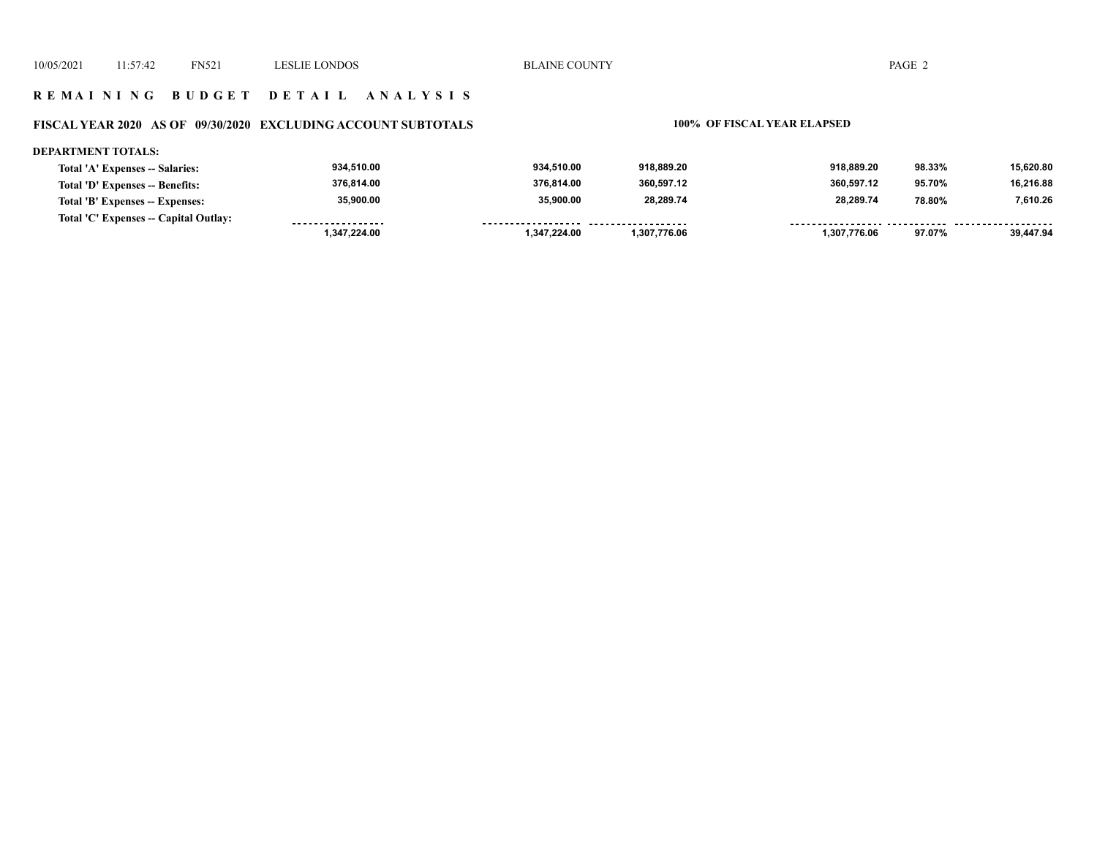## **R E M A I N I N G B U D G E T D E T A I L A N A L Y S I S**

# **FISCAL YEAR 2020 AS OF 09/30/2020 EXCLUDING ACCOUNT SUBTOTALS 100% OF FISCAL YEAR ELAPSED**

#### **DEPARTMENT TOTALS:**

| Total 'A' Expenses -- Salaries:       | 934,510.00        | 934.510.00         | 918.889.20          | 918.889.20   | 98.33% | 15,620.80 |
|---------------------------------------|-------------------|--------------------|---------------------|--------------|--------|-----------|
| Total 'D' Expenses -- Benefits:       | 376,814.00        | 376.814.00         | 360,597.12          | 360.597.12   | 95.70% | 16,216.88 |
| Total 'B' Expenses -- Expenses:       | 35,900.00         | 35.900.00          | 28,289.74           | 28,289.74    | 78.80% | 7,610.26  |
| Total 'C' Expenses -- Capital Outlay: | ----------------- | ------------------ | ------------------- |              |        |           |
|                                       | 1,347,224.00      | 1,347,224.00       | 1.307.776.06        | 1.307.776.06 | 97.07% | 39.447.94 |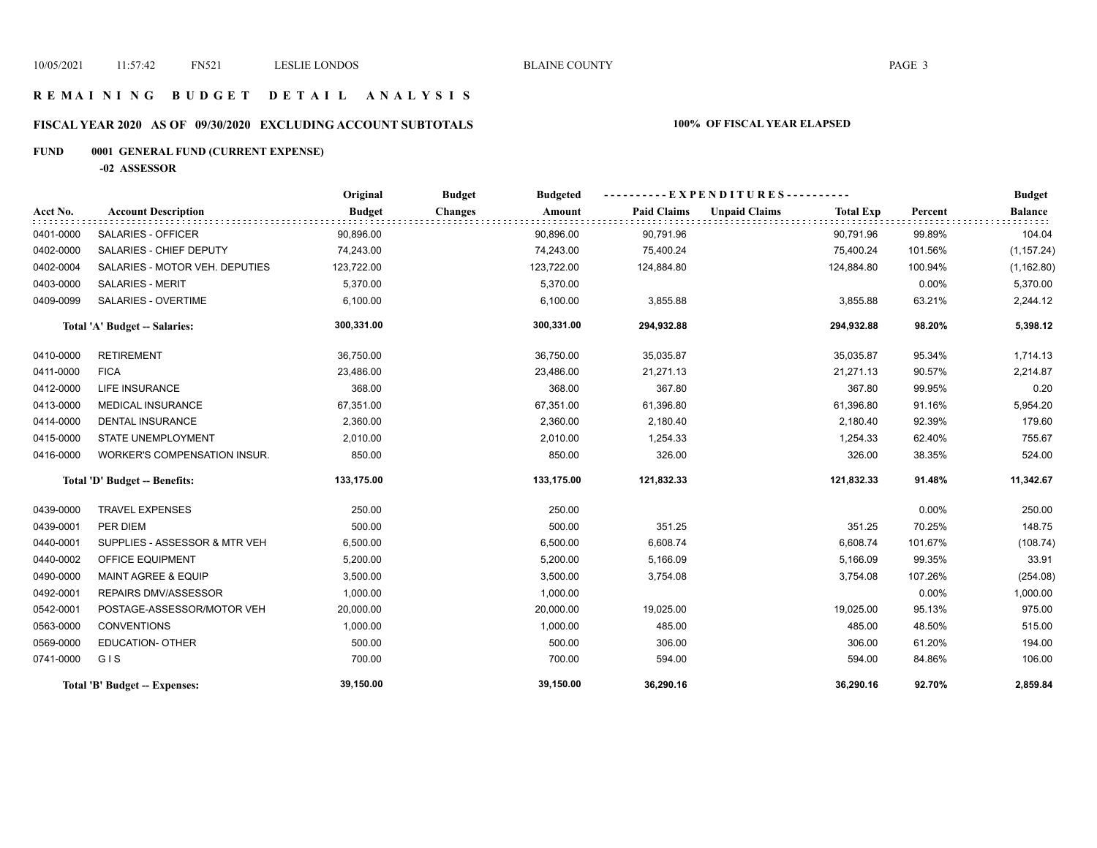## **R E M A I N I N G B U D G E T D E T A I L A N A L Y S I S**

# **FISCAL YEAR 2020 AS OF 09/30/2020 EXCLUDING ACCOUNT SUBTOTALS 100% OF FISCAL YEAR ELAPSED**

# **FUND 0001 GENERAL FUND (CURRENT EXPENSE)**

**-02 ASSESSOR**

|           |                                     | Original      | <b>Budget</b>  | <b>Budgeted</b> |                    | $-EXPENDITURES$ --------- |                  |         | <b>Budget</b>  |
|-----------|-------------------------------------|---------------|----------------|-----------------|--------------------|---------------------------|------------------|---------|----------------|
| Acct No.  | <b>Account Description</b>          | <b>Budget</b> | <b>Changes</b> | Amount          | <b>Paid Claims</b> | <b>Unpaid Claims</b>      | <b>Total Exp</b> | Percent | <b>Balance</b> |
| 0401-0000 | SALARIES - OFFICER                  | 90,896.00     |                | 90,896.00       | 90,791.96          |                           | 90,791.96        | 99.89%  | 104.04         |
| 0402-0000 | SALARIES - CHIEF DEPUTY             | 74,243.00     |                | 74,243.00       | 75,400.24          |                           | 75,400.24        | 101.56% | (1, 157.24)    |
| 0402-0004 | SALARIES - MOTOR VEH. DEPUTIES      | 123,722.00    |                | 123,722.00      | 124,884.80         |                           | 124,884.80       | 100.94% | (1, 162.80)    |
| 0403-0000 | <b>SALARIES - MERIT</b>             | 5,370.00      |                | 5,370.00        |                    |                           |                  | 0.00%   | 5,370.00       |
| 0409-0099 | SALARIES - OVERTIME                 | 6,100.00      |                | 6,100.00        | 3,855.88           |                           | 3,855.88         | 63.21%  | 2,244.12       |
|           | Total 'A' Budget -- Salaries:       | 300,331.00    |                | 300,331.00      | 294,932.88         |                           | 294,932.88       | 98.20%  | 5,398.12       |
| 0410-0000 | <b>RETIREMENT</b>                   | 36,750.00     |                | 36,750.00       | 35,035.87          |                           | 35,035.87        | 95.34%  | 1,714.13       |
| 0411-0000 | <b>FICA</b>                         | 23,486.00     |                | 23,486.00       | 21,271.13          |                           | 21,271.13        | 90.57%  | 2,214.87       |
| 0412-0000 | <b>LIFE INSURANCE</b>               | 368.00        |                | 368.00          | 367.80             |                           | 367.80           | 99.95%  | 0.20           |
| 0413-0000 | <b>MEDICAL INSURANCE</b>            | 67,351.00     |                | 67,351.00       | 61,396.80          |                           | 61,396.80        | 91.16%  | 5,954.20       |
| 0414-0000 | <b>DENTAL INSURANCE</b>             | 2,360.00      |                | 2,360.00        | 2,180.40           |                           | 2,180.40         | 92.39%  | 179.60         |
| 0415-0000 | STATE UNEMPLOYMENT                  | 2,010.00      |                | 2,010.00        | 1,254.33           |                           | 1,254.33         | 62.40%  | 755.67         |
| 0416-0000 | <b>WORKER'S COMPENSATION INSUR.</b> | 850.00        |                | 850.00          | 326.00             |                           | 326.00           | 38.35%  | 524.00         |
|           | Total 'D' Budget -- Benefits:       | 133,175.00    |                | 133,175.00      | 121,832.33         |                           | 121,832.33       | 91.48%  | 11,342.67      |
| 0439-0000 | <b>TRAVEL EXPENSES</b>              | 250.00        |                | 250.00          |                    |                           |                  | 0.00%   | 250.00         |
| 0439-0001 | PER DIEM                            | 500.00        |                | 500.00          | 351.25             |                           | 351.25           | 70.25%  | 148.75         |
| 0440-0001 | SUPPLIES - ASSESSOR & MTR VEH       | 6,500.00      |                | 6,500.00        | 6,608.74           |                           | 6,608.74         | 101.67% | (108.74)       |
| 0440-0002 | OFFICE EQUIPMENT                    | 5,200.00      |                | 5,200.00        | 5,166.09           |                           | 5,166.09         | 99.35%  | 33.91          |
| 0490-0000 | <b>MAINT AGREE &amp; EQUIP</b>      | 3,500.00      |                | 3,500.00        | 3,754.08           |                           | 3,754.08         | 107.26% | (254.08)       |
| 0492-0001 | REPAIRS DMV/ASSESSOR                | 1,000.00      |                | 1,000.00        |                    |                           |                  | 0.00%   | 1,000.00       |
| 0542-0001 | POSTAGE-ASSESSOR/MOTOR VEH          | 20,000.00     |                | 20,000.00       | 19,025.00          |                           | 19,025.00        | 95.13%  | 975.00         |
| 0563-0000 | <b>CONVENTIONS</b>                  | 1,000.00      |                | 1,000.00        | 485.00             |                           | 485.00           | 48.50%  | 515.00         |
| 0569-0000 | <b>EDUCATION- OTHER</b>             | 500.00        |                | 500.00          | 306.00             |                           | 306.00           | 61.20%  | 194.00         |
| 0741-0000 | GIS                                 | 700.00        |                | 700.00          | 594.00             |                           | 594.00           | 84.86%  | 106.00         |
|           | Total 'B' Budget -- Expenses:       | 39,150.00     |                | 39,150.00       | 36,290.16          |                           | 36,290.16        | 92.70%  | 2,859.84       |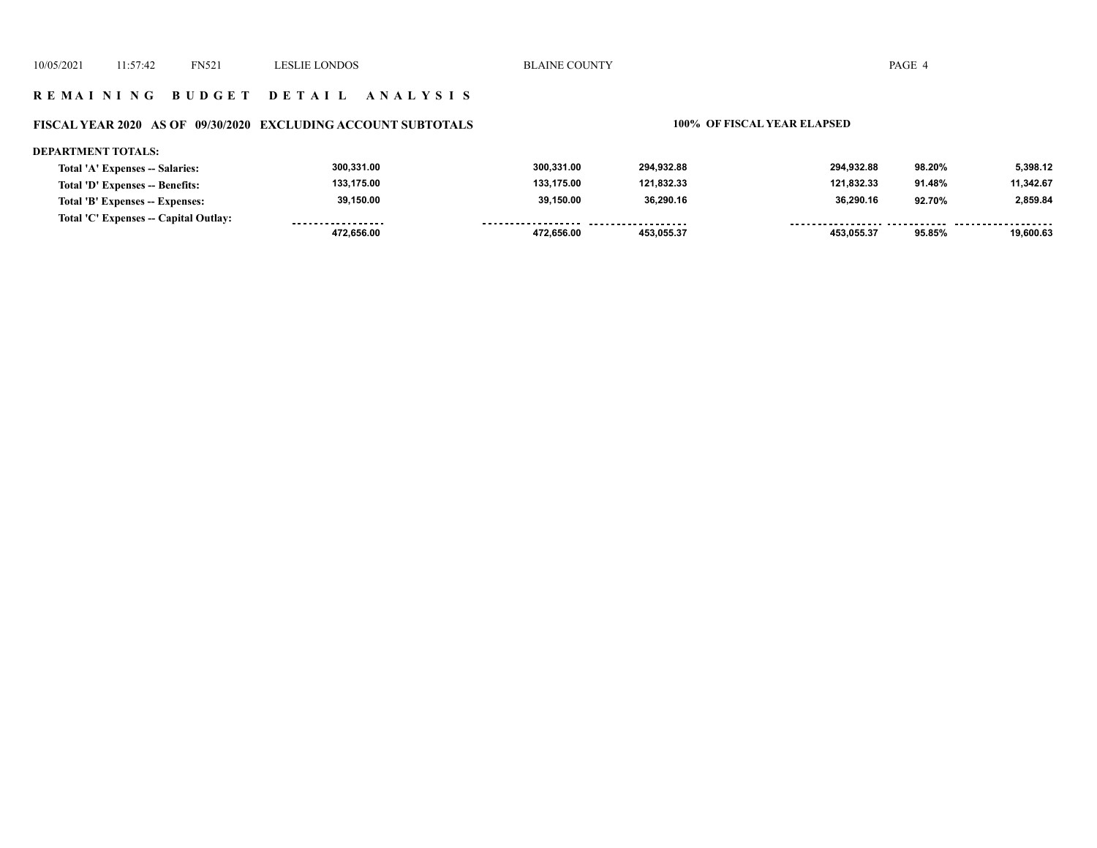## **R E M A I N I N G B U D G E T D E T A I L A N A L Y S I S**

# **FISCAL YEAR 2020 AS OF 09/30/2020 EXCLUDING ACCOUNT SUBTOTALS 100% OF FISCAL YEAR ELAPSED**

#### **DEPARTMENT TOTALS:**

|                                       | 472.656.00        | 472.656.00 | 453.055.37          | 453.055.37 | 95.85% | 19.600.63 |
|---------------------------------------|-------------------|------------|---------------------|------------|--------|-----------|
| Total 'C' Expenses -- Capital Outlay: | ----------------- | .          | ------------------- |            |        |           |
| Total 'B' Expenses -- Expenses:       | 39,150.00         | 39,150.00  | 36.290.16           | 36.290.16  | 92.70% | 2,859.84  |
| Total 'D' Expenses -- Benefits:       | 133.175.00        | 133.175.00 | 121.832.33          | 121.832.33 | 91.48% | 11,342.67 |
| Total 'A' Expenses -- Salaries:       | 300,331.00        | 300.331.00 | 294.932.88          | 294.932.88 | 98.20% | 5.398.12  |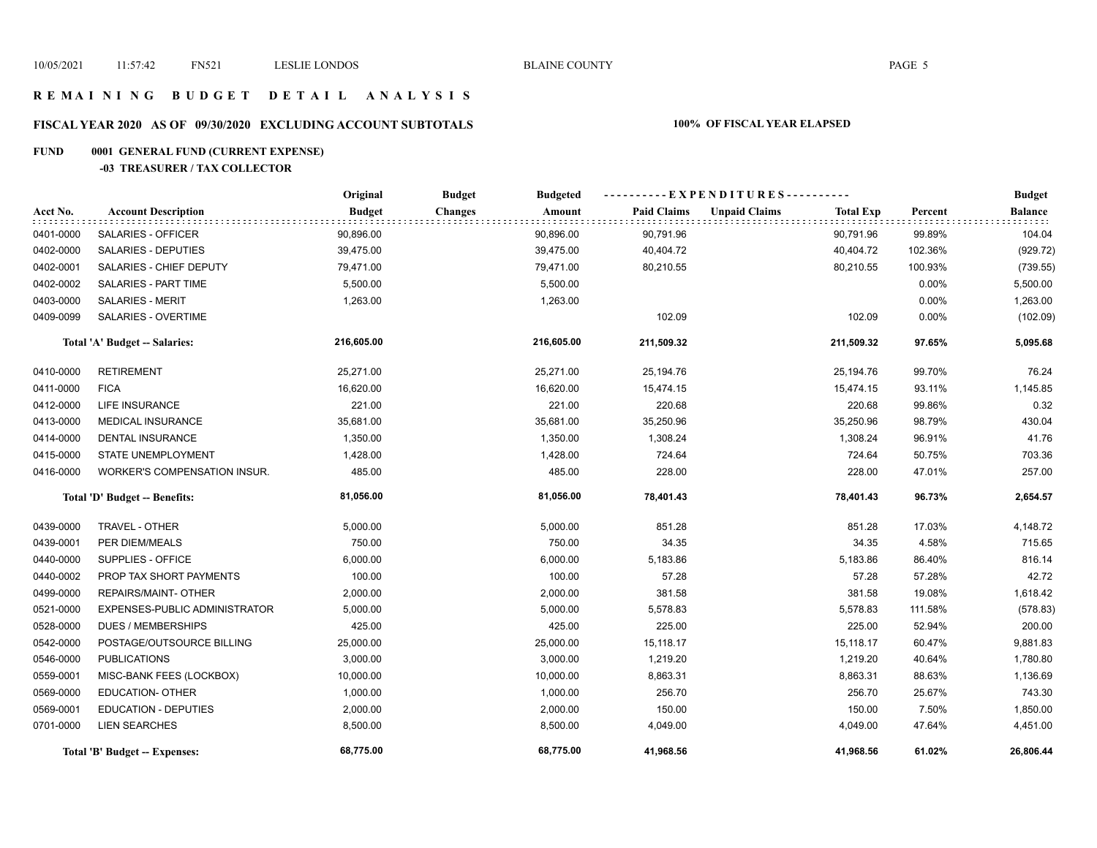## **R E M A I N I N G B U D G E T D E T A I L A N A L Y S I S**

# **FISCAL YEAR 2020 AS OF 09/30/2020 EXCLUDING ACCOUNT SUBTOTALS 100% OF FISCAL YEAR ELAPSED**

# **FUND 0001 GENERAL FUND (CURRENT EXPENSE)**

#### **-03 TREASURER / TAX COLLECTOR**

|           |                               | Original      | <b>Budget</b><br><b>Budgeted</b> |                    |                                          |          | <b>Budget</b> |
|-----------|-------------------------------|---------------|----------------------------------|--------------------|------------------------------------------|----------|---------------|
| Acct No.  | <b>Account Description</b>    | <b>Budget</b> | Amount<br><b>Changes</b>         | <b>Paid Claims</b> | <b>Unpaid Claims</b><br><b>Total Exp</b> | Percent  | Balance       |
| 0401-0000 | SALARIES - OFFICER            | 90,896.00     | 90,896.00                        | 90,791.96          | 90,791.96                                | 99.89%   | 104.04        |
| 0402-0000 | SALARIES - DEPUTIES           | 39,475.00     | 39,475.00                        | 40,404.72          | 40,404.72                                | 102.36%  | (929.72)      |
| 0402-0001 | SALARIES - CHIEF DEPUTY       | 79,471.00     | 79,471.00                        | 80,210.55          | 80,210.55                                | 100.93%  | (739.55)      |
| 0402-0002 | SALARIES - PART TIME          | 5,500.00      | 5,500.00                         |                    |                                          | 0.00%    | 5,500.00      |
| 0403-0000 | <b>SALARIES - MERIT</b>       | 1,263.00      | 1,263.00                         |                    |                                          | 0.00%    | 1,263.00      |
| 0409-0099 | SALARIES - OVERTIME           |               |                                  | 102.09             | 102.09                                   | $0.00\%$ | (102.09)      |
|           | Total 'A' Budget -- Salaries: | 216,605.00    | 216,605.00                       | 211,509.32         | 211,509.32                               | 97.65%   | 5,095.68      |
| 0410-0000 | <b>RETIREMENT</b>             | 25,271.00     | 25,271.00                        | 25,194.76          | 25,194.76                                | 99.70%   | 76.24         |
| 0411-0000 | <b>FICA</b>                   | 16,620.00     | 16,620.00                        | 15,474.15          | 15,474.15                                | 93.11%   | 1,145.85      |
| 0412-0000 | <b>LIFE INSURANCE</b>         | 221.00        | 221.00                           | 220.68             | 220.68                                   | 99.86%   | 0.32          |
| 0413-0000 | <b>MEDICAL INSURANCE</b>      | 35,681.00     | 35,681.00                        | 35,250.96          | 35,250.96                                | 98.79%   | 430.04        |
| 0414-0000 | DENTAL INSURANCE              | 1,350.00      | 1,350.00                         | 1,308.24           | 1,308.24                                 | 96.91%   | 41.76         |
| 0415-0000 | STATE UNEMPLOYMENT            | 1,428.00      | 1,428.00                         | 724.64             | 724.64                                   | 50.75%   | 703.36        |
| 0416-0000 | WORKER'S COMPENSATION INSUR.  | 485.00        | 485.00                           | 228.00             | 228.00                                   | 47.01%   | 257.00        |
|           | Total 'D' Budget -- Benefits: | 81,056.00     | 81,056.00                        | 78,401.43          | 78,401.43                                | 96.73%   | 2,654.57      |
| 0439-0000 | TRAVEL - OTHER                | 5,000.00      | 5,000.00                         | 851.28             | 851.28                                   | 17.03%   | 4,148.72      |
| 0439-0001 | PER DIEM/MEALS                | 750.00        | 750.00                           | 34.35              | 34.35                                    | 4.58%    | 715.65        |
| 0440-0000 | SUPPLIES - OFFICE             | 6,000.00      | 6,000.00                         | 5,183.86           | 5,183.86                                 | 86.40%   | 816.14        |
| 0440-0002 | PROP TAX SHORT PAYMENTS       | 100.00        | 100.00                           | 57.28              | 57.28                                    | 57.28%   | 42.72         |
| 0499-0000 | REPAIRS/MAINT- OTHER          | 2,000.00      | 2,000.00                         | 381.58             | 381.58                                   | 19.08%   | 1,618.42      |
| 0521-0000 | EXPENSES-PUBLIC ADMINISTRATOR | 5,000.00      | 5,000.00                         | 5,578.83           | 5,578.83                                 | 111.58%  | (578.83)      |
| 0528-0000 | <b>DUES / MEMBERSHIPS</b>     | 425.00        | 425.00                           | 225.00             | 225.00                                   | 52.94%   | 200.00        |
| 0542-0000 | POSTAGE/OUTSOURCE BILLING     | 25,000.00     | 25,000.00                        | 15,118.17          | 15,118.17                                | 60.47%   | 9,881.83      |
| 0546-0000 | <b>PUBLICATIONS</b>           | 3,000.00      | 3,000.00                         | 1,219.20           | 1,219.20                                 | 40.64%   | 1,780.80      |
| 0559-0001 | MISC-BANK FEES (LOCKBOX)      | 10,000.00     | 10,000.00                        | 8,863.31           | 8,863.31                                 | 88.63%   | 1,136.69      |
| 0569-0000 | <b>EDUCATION- OTHER</b>       | 1,000.00      | 1,000.00                         | 256.70             | 256.70                                   | 25.67%   | 743.30        |
| 0569-0001 | <b>EDUCATION - DEPUTIES</b>   | 2,000.00      | 2,000.00                         | 150.00             | 150.00                                   | 7.50%    | 1,850.00      |
| 0701-0000 | <b>LIEN SEARCHES</b>          | 8,500.00      | 8,500.00                         | 4,049.00           | 4,049.00                                 | 47.64%   | 4,451.00      |
|           | Total 'B' Budget -- Expenses: | 68,775.00     | 68,775.00                        | 41,968.56          | 41,968.56                                | 61.02%   | 26,806.44     |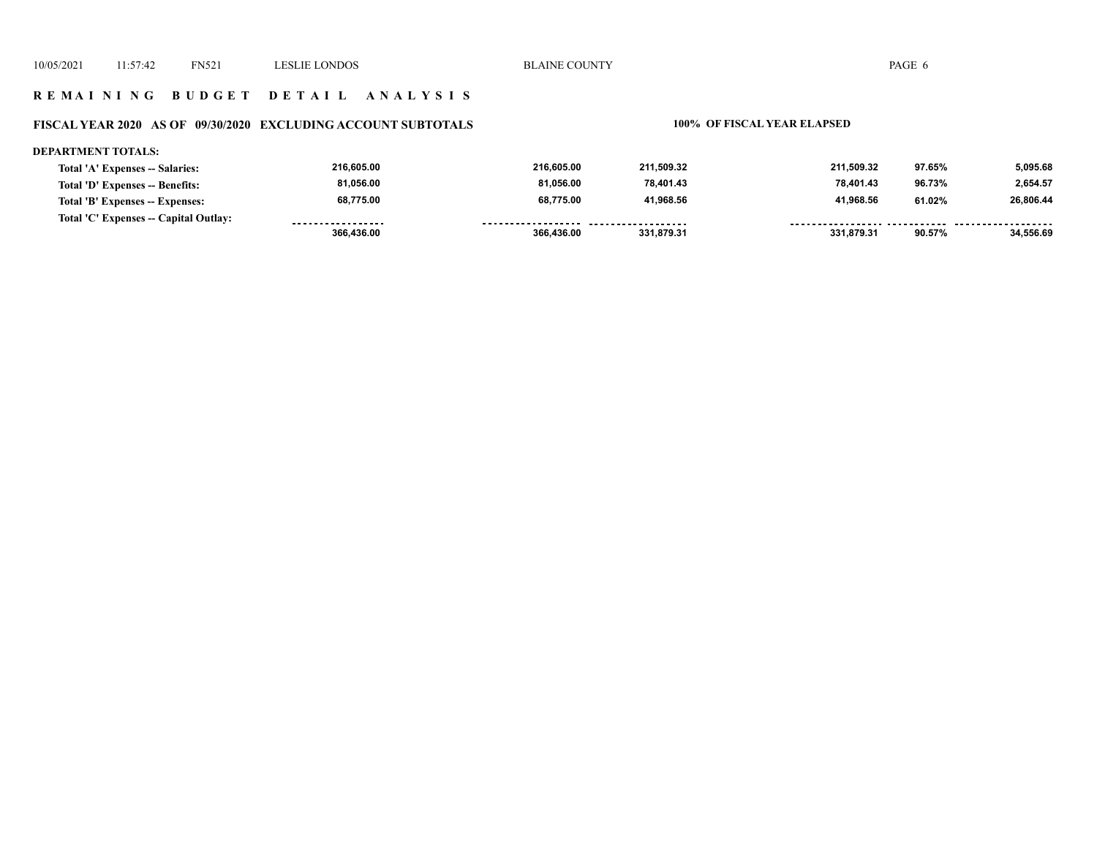## **R E M A I N I N G B U D G E T D E T A I L A N A L Y S I S**

# **FISCAL YEAR 2020 AS OF 09/30/2020 EXCLUDING ACCOUNT SUBTOTALS 100% OF FISCAL YEAR ELAPSED**

#### **DEPARTMENT TOTALS:**

| Total 'A' Expenses -- Salaries:       | 216.605.00        | 216,605.00         | 211.509.32 | 211.509.32 | 97.65% | 5.095.68  |
|---------------------------------------|-------------------|--------------------|------------|------------|--------|-----------|
| Total 'D' Expenses -- Benefits:       | 81,056.00         | 81,056.00          | 78,401.43  | 78.401.43  | 96.73% | 2,654.57  |
| Total 'B' Expenses -- Expenses:       | 68,775.00         | 68,775.00          | 41,968.56  | 41.968.56  | 61.02% | 26,806.44 |
| Total 'C' Expenses -- Capital Outlay: | ----------------- | ------------------ | .          |            |        |           |
|                                       | 366.436.00        | 366,436.00         | 331.879.31 | 331.879.31 | 90.57% | 34.556.69 |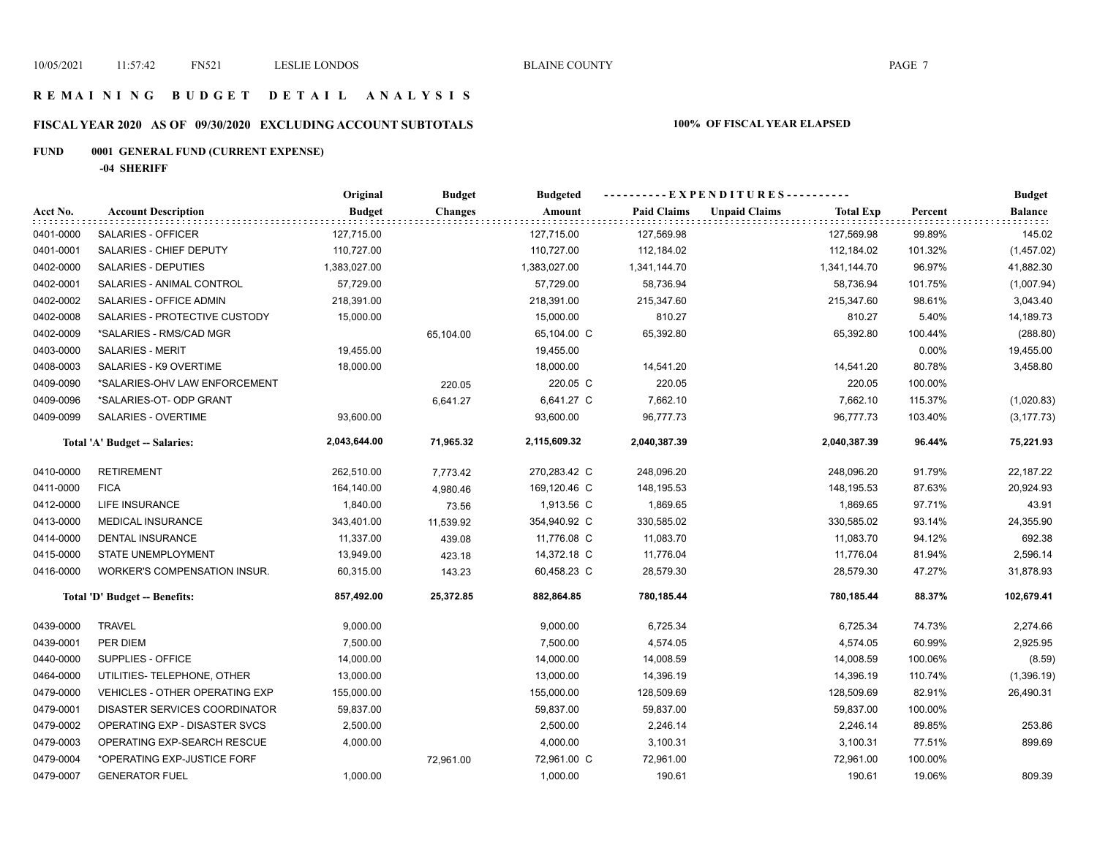## **R E M A I N I N G B U D G E T D E T A I L A N A L Y S I S**

# **FISCAL YEAR 2020 AS OF 09/30/2020 EXCLUDING ACCOUNT SUBTOTALS 100% OF FISCAL YEAR ELAPSED**

# **FUND 0001 GENERAL FUND (CURRENT EXPENSE)**

**-04 SHERIFF**

|           |                                       | Original      | <b>Budget</b>  | <b>Budgeted</b> |                    | ----------EXPENDITURES----------         |         | <b>Budget</b>  |
|-----------|---------------------------------------|---------------|----------------|-----------------|--------------------|------------------------------------------|---------|----------------|
| Acct No.  | <b>Account Description</b>            | <b>Budget</b> | <b>Changes</b> | Amount          | <b>Paid Claims</b> | <b>Unpaid Claims</b><br><b>Total Exp</b> | Percent | <b>Balance</b> |
| 0401-0000 | SALARIES - OFFICER                    | 127,715.00    |                | 127,715.00      | 127,569.98         | 127,569.98                               | 99.89%  | 145.02         |
| 0401-0001 | SALARIES - CHIEF DEPUTY               | 110,727.00    |                | 110,727.00      | 112,184.02         | 112,184.02                               | 101.32% | (1,457.02)     |
| 0402-0000 | <b>SALARIES - DEPUTIES</b>            | 1,383,027.00  |                | 1,383,027.00    | 1,341,144.70       | 1,341,144.70                             | 96.97%  | 41,882.30      |
| 0402-0001 | SALARIES - ANIMAL CONTROL             | 57,729.00     |                | 57,729.00       | 58,736.94          | 58,736.94                                | 101.75% | (1,007.94)     |
| 0402-0002 | SALARIES - OFFICE ADMIN               | 218,391.00    |                | 218,391.00      | 215,347.60         | 215,347.60                               | 98.61%  | 3,043.40       |
| 0402-0008 | SALARIES - PROTECTIVE CUSTODY         | 15,000.00     |                | 15,000.00       | 810.27             | 810.27                                   | 5.40%   | 14,189.73      |
| 0402-0009 | *SALARIES - RMS/CAD MGR               |               | 65,104.00      | 65,104.00 C     | 65,392.80          | 65,392.80                                | 100.44% | (288.80)       |
| 0403-0000 | SALARIES - MERIT                      | 19,455.00     |                | 19,455.00       |                    |                                          | 0.00%   | 19,455.00      |
| 0408-0003 | SALARIES - K9 OVERTIME                | 18,000.00     |                | 18,000.00       | 14,541.20          | 14,541.20                                | 80.78%  | 3,458.80       |
| 0409-0090 | *SALARIES-OHV LAW ENFORCEMENT         |               | 220.05         | 220.05 C        | 220.05             | 220.05                                   | 100.00% |                |
| 0409-0096 | *SALARIES-OT- ODP GRANT               |               | 6,641.27       | 6,641.27 C      | 7,662.10           | 7,662.10                                 | 115.37% | (1,020.83)     |
| 0409-0099 | <b>SALARIES - OVERTIME</b>            | 93,600.00     |                | 93,600.00       | 96,777.73          | 96,777.73                                | 103.40% | (3, 177.73)    |
|           | Total 'A' Budget -- Salaries:         | 2,043,644.00  | 71,965.32      | 2,115,609.32    | 2,040,387.39       | 2,040,387.39                             | 96.44%  | 75,221.93      |
| 0410-0000 | <b>RETIREMENT</b>                     | 262,510.00    | 7,773.42       | 270,283.42 C    | 248,096.20         | 248,096.20                               | 91.79%  | 22,187.22      |
| 0411-0000 | <b>FICA</b>                           | 164,140.00    | 4,980.46       | 169,120.46 C    | 148,195.53         | 148,195.53                               | 87.63%  | 20,924.93      |
| 0412-0000 | LIFE INSURANCE                        | 1,840.00      | 73.56          | 1,913.56 C      | 1,869.65           | 1,869.65                                 | 97.71%  | 43.91          |
| 0413-0000 | MEDICAL INSURANCE                     | 343,401.00    | 11,539.92      | 354,940.92 C    | 330,585.02         | 330,585.02                               | 93.14%  | 24,355.90      |
| 0414-0000 | <b>DENTAL INSURANCE</b>               | 11,337.00     | 439.08         | 11,776.08 C     | 11,083.70          | 11,083.70                                | 94.12%  | 692.38         |
| 0415-0000 | STATE UNEMPLOYMENT                    | 13,949.00     | 423.18         | 14,372.18 C     | 11,776.04          | 11,776.04                                | 81.94%  | 2,596.14       |
| 0416-0000 | <b>WORKER'S COMPENSATION INSUR.</b>   | 60,315.00     | 143.23         | 60,458.23 C     | 28,579.30          | 28,579.30                                | 47.27%  | 31,878.93      |
|           | Total 'D' Budget -- Benefits:         | 857,492.00    | 25,372.85      | 882,864.85      | 780,185.44         | 780,185.44                               | 88.37%  | 102,679.41     |
| 0439-0000 | <b>TRAVEL</b>                         | 9,000.00      |                | 9,000.00        | 6,725.34           | 6,725.34                                 | 74.73%  | 2,274.66       |
| 0439-0001 | PER DIEM                              | 7,500.00      |                | 7,500.00        | 4,574.05           | 4,574.05                                 | 60.99%  | 2,925.95       |
| 0440-0000 | SUPPLIES - OFFICE                     | 14,000.00     |                | 14,000.00       | 14,008.59          | 14,008.59                                | 100.06% | (8.59)         |
| 0464-0000 | UTILITIES- TELEPHONE, OTHER           | 13,000.00     |                | 13,000.00       | 14,396.19          | 14,396.19                                | 110.74% | (1,396.19)     |
| 0479-0000 | <b>VEHICLES - OTHER OPERATING EXP</b> | 155,000.00    |                | 155,000.00      | 128,509.69         | 128,509.69                               | 82.91%  | 26,490.31      |
| 0479-0001 | DISASTER SERVICES COORDINATOR         | 59,837.00     |                | 59,837.00       | 59,837.00          | 59,837.00                                | 100.00% |                |
| 0479-0002 | OPERATING EXP - DISASTER SVCS         | 2,500.00      |                | 2,500.00        | 2,246.14           | 2,246.14                                 | 89.85%  | 253.86         |
| 0479-0003 | OPERATING EXP-SEARCH RESCUE           | 4,000.00      |                | 4,000.00        | 3,100.31           | 3,100.31                                 | 77.51%  | 899.69         |
| 0479-0004 | *OPERATING EXP-JUSTICE FORF           |               | 72,961.00      | 72,961.00 C     | 72,961.00          | 72,961.00                                | 100.00% |                |
| 0479-0007 | <b>GENERATOR FUEL</b>                 | 1,000.00      |                | 1,000.00        | 190.61             | 190.61                                   | 19.06%  | 809.39         |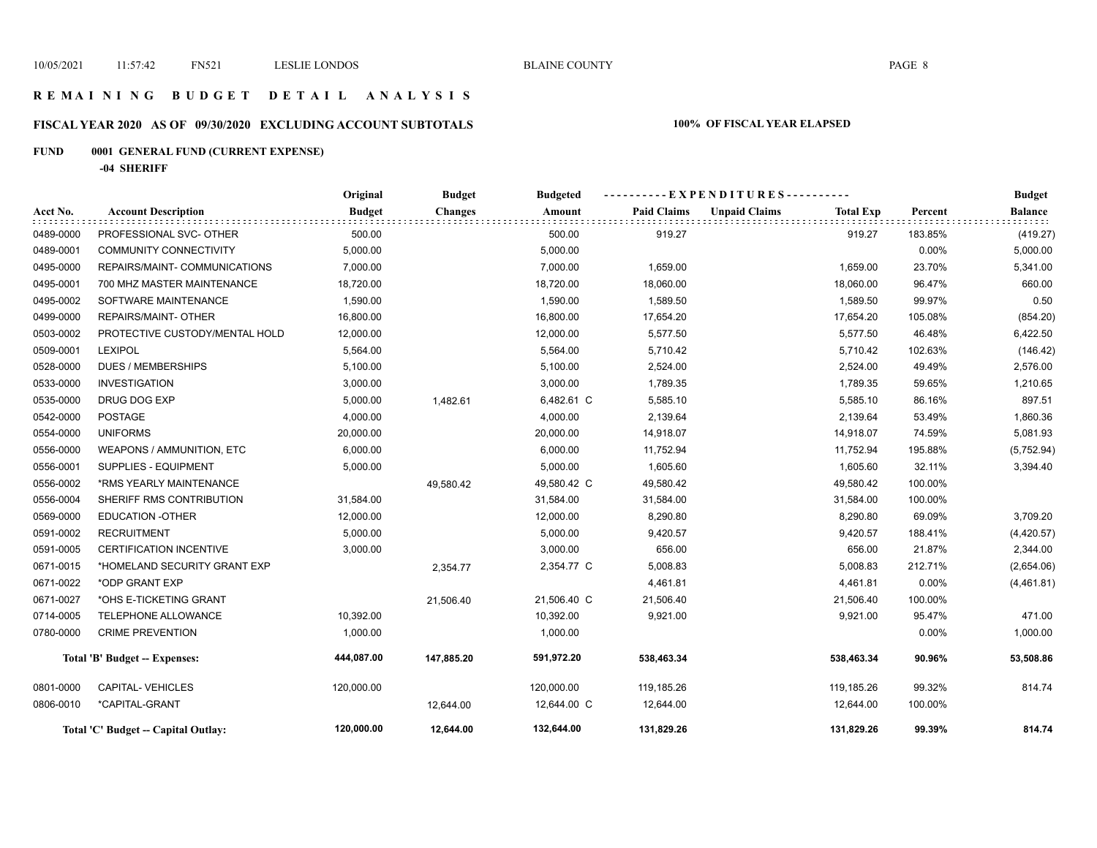## **R E M A I N I N G B U D G E T D E T A I L A N A L Y S I S**

# **FISCAL YEAR 2020 AS OF 09/30/2020 EXCLUDING ACCOUNT SUBTOTALS 100% OF FISCAL YEAR ELAPSED**

# **FUND 0001 GENERAL FUND (CURRENT EXPENSE)**

**-04 SHERIFF**

|           |                                     | Original      | <b>Budget</b><br><b>Budgeted</b> |             | ----------EXPENDITURES---------- |                      |                  |         | <b>Budget</b>  |
|-----------|-------------------------------------|---------------|----------------------------------|-------------|----------------------------------|----------------------|------------------|---------|----------------|
| Acct No.  | <b>Account Description</b>          | <b>Budget</b> | <b>Changes</b>                   | Amount      | <b>Paid Claims</b>               | <b>Unpaid Claims</b> | <b>Total Exp</b> | Percent | <b>Balance</b> |
| 0489-0000 | PROFESSIONAL SVC- OTHER             | 500.00        |                                  | 500.00      | 919.27                           |                      | 919.27           | 183.85% | (419.27)       |
| 0489-0001 | <b>COMMUNITY CONNECTIVITY</b>       | 5,000.00      |                                  | 5,000.00    |                                  |                      |                  | 0.00%   | 5,000.00       |
| 0495-0000 | REPAIRS/MAINT- COMMUNICATIONS       | 7,000.00      |                                  | 7,000.00    | 1,659.00                         |                      | 1,659.00         | 23.70%  | 5,341.00       |
| 0495-0001 | 700 MHZ MASTER MAINTENANCE          | 18,720.00     |                                  | 18,720.00   | 18,060.00                        |                      | 18,060.00        | 96.47%  | 660.00         |
| 0495-0002 | SOFTWARE MAINTENANCE                | 1,590.00      |                                  | 1,590.00    | 1,589.50                         |                      | 1,589.50         | 99.97%  | 0.50           |
| 0499-0000 | REPAIRS/MAINT- OTHER                | 16,800.00     |                                  | 16,800.00   | 17,654.20                        |                      | 17,654.20        | 105.08% | (854.20)       |
| 0503-0002 | PROTECTIVE CUSTODY/MENTAL HOLD      | 12,000.00     |                                  | 12,000.00   | 5,577.50                         |                      | 5,577.50         | 46.48%  | 6,422.50       |
| 0509-0001 | <b>LEXIPOL</b>                      | 5,564.00      |                                  | 5,564.00    | 5,710.42                         |                      | 5,710.42         | 102.63% | (146.42)       |
| 0528-0000 | <b>DUES / MEMBERSHIPS</b>           | 5,100.00      |                                  | 5,100.00    | 2,524.00                         |                      | 2,524.00         | 49.49%  | 2,576.00       |
| 0533-0000 | <b>INVESTIGATION</b>                | 3,000.00      |                                  | 3,000.00    | 1,789.35                         |                      | 1,789.35         | 59.65%  | 1,210.65       |
| 0535-0000 | DRUG DOG EXP                        | 5,000.00      | 1,482.61                         | 6,482.61 C  | 5,585.10                         |                      | 5,585.10         | 86.16%  | 897.51         |
| 0542-0000 | <b>POSTAGE</b>                      | 4,000.00      |                                  | 4,000.00    | 2,139.64                         |                      | 2,139.64         | 53.49%  | 1,860.36       |
| 0554-0000 | <b>UNIFORMS</b>                     | 20,000.00     |                                  | 20,000.00   | 14,918.07                        |                      | 14,918.07        | 74.59%  | 5,081.93       |
| 0556-0000 | <b>WEAPONS / AMMUNITION, ETC</b>    | 6,000.00      |                                  | 6,000.00    | 11,752.94                        |                      | 11,752.94        | 195.88% | (5,752.94)     |
| 0556-0001 | <b>SUPPLIES - EQUIPMENT</b>         | 5,000.00      |                                  | 5,000.00    | 1,605.60                         |                      | 1,605.60         | 32.11%  | 3,394.40       |
| 0556-0002 | *RMS YEARLY MAINTENANCE             |               | 49,580.42                        | 49,580.42 C | 49,580.42                        |                      | 49,580.42        | 100.00% |                |
| 0556-0004 | SHERIFF RMS CONTRIBUTION            | 31,584.00     |                                  | 31,584.00   | 31,584.00                        |                      | 31,584.00        | 100.00% |                |
| 0569-0000 | <b>EDUCATION -OTHER</b>             | 12,000.00     |                                  | 12,000.00   | 8,290.80                         |                      | 8,290.80         | 69.09%  | 3,709.20       |
| 0591-0002 | <b>RECRUITMENT</b>                  | 5,000.00      |                                  | 5,000.00    | 9,420.57                         |                      | 9,420.57         | 188.41% | (4,420.57)     |
| 0591-0005 | <b>CERTIFICATION INCENTIVE</b>      | 3,000.00      |                                  | 3,000.00    | 656.00                           |                      | 656.00           | 21.87%  | 2,344.00       |
| 0671-0015 | *HOMELAND SECURITY GRANT EXP        |               | 2,354.77                         | 2,354.77 C  | 5,008.83                         |                      | 5,008.83         | 212.71% | (2,654.06)     |
| 0671-0022 | *ODP GRANT EXP                      |               |                                  |             | 4,461.81                         |                      | 4,461.81         | 0.00%   | (4,461.81)     |
| 0671-0027 | *OHS E-TICKETING GRANT              |               | 21,506.40                        | 21,506.40 C | 21,506.40                        |                      | 21,506.40        | 100.00% |                |
| 0714-0005 | TELEPHONE ALLOWANCE                 | 10,392.00     |                                  | 10,392.00   | 9,921.00                         |                      | 9,921.00         | 95.47%  | 471.00         |
| 0780-0000 | <b>CRIME PREVENTION</b>             | 1,000.00      |                                  | 1,000.00    |                                  |                      |                  | 0.00%   | 1,000.00       |
|           | Total 'B' Budget -- Expenses:       | 444,087.00    | 147,885.20                       | 591,972.20  | 538,463.34                       |                      | 538,463.34       | 90.96%  | 53,508.86      |
| 0801-0000 | CAPITAL-VEHICLES                    | 120,000.00    |                                  | 120,000.00  | 119,185.26                       |                      | 119,185.26       | 99.32%  | 814.74         |
| 0806-0010 | *CAPITAL-GRANT                      |               | 12,644.00                        | 12,644.00 C | 12,644.00                        |                      | 12,644.00        | 100.00% |                |
|           | Total 'C' Budget -- Capital Outlay: | 120,000.00    | 12,644.00                        | 132,644.00  | 131,829.26                       |                      | 131,829.26       | 99.39%  | 814.74         |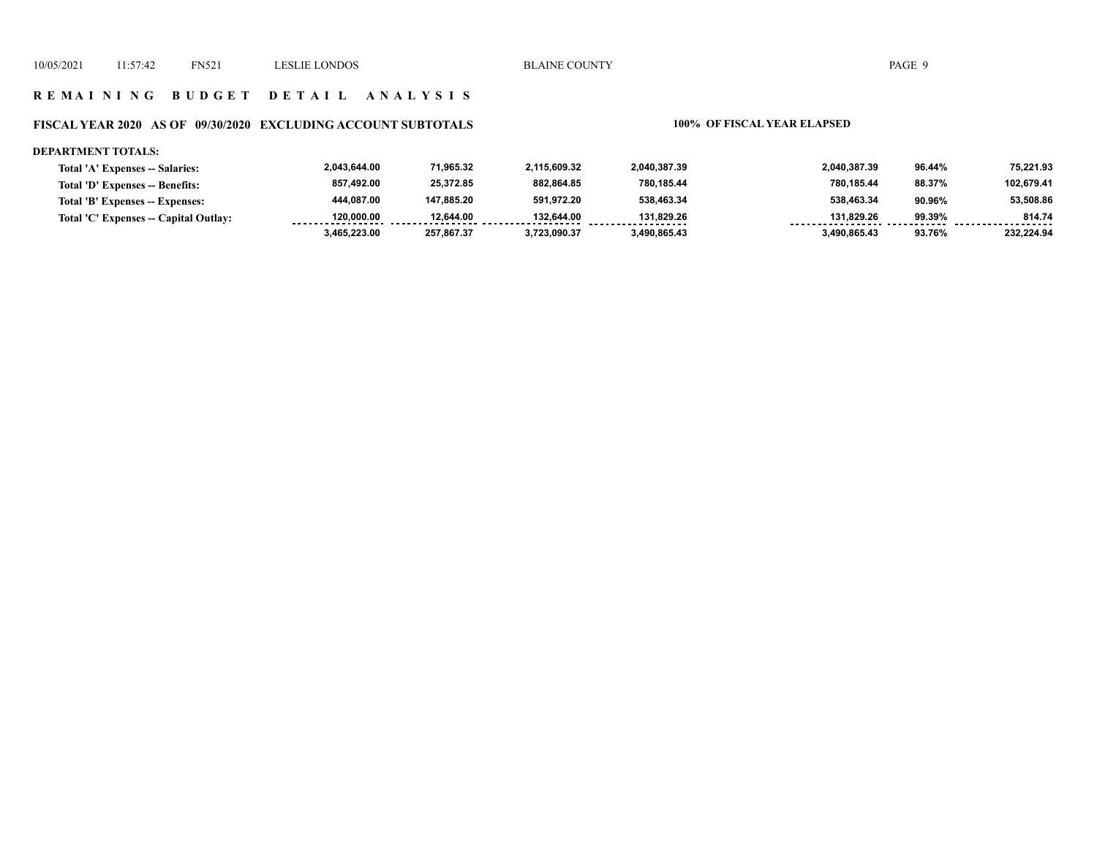## **R E M A I N I N G B U D G E T D E T A I L A N A L Y S I S**

# **FISCAL YEAR 2020 AS OF 09/30/2020 EXCLUDING ACCOUNT SUBTOTALS 100% OF FISCAL YEAR ELAPSED**

#### **DEPARTMENT TOTALS:**

| Total 'A' Expenses -- Salaries:       | 2.043.644.00 | 71,965.32  | 2.115.609.32 | 2.040.387.39 | 2,040,387.39 | 96.44% | 75,221.93  |
|---------------------------------------|--------------|------------|--------------|--------------|--------------|--------|------------|
| Total 'D' Expenses -- Benefits:       | 857.492.00   | 25.372.85  | 882,864.85   | 780.185.44   | 780,185.44   | 88.37% | 102.679.41 |
| Total 'B' Expenses -- Expenses:       | 444.087.00   | 147.885.20 | 591.972.20   | 538.463.34   | 538.463.34   | 90.96% | 53.508.86  |
| Total 'C' Expenses -- Capital Outlay: | 120.000.00   | 12.644.00  | 132.644.00   | 131.829.26   | 131.829.26   | 99.39% | 814.74     |
|                                       | 3.465.223.00 | 257.867.37 | 3.723.090.37 | 3.490.865.43 | 3,490,865.43 | 93.76% | 232.224.94 |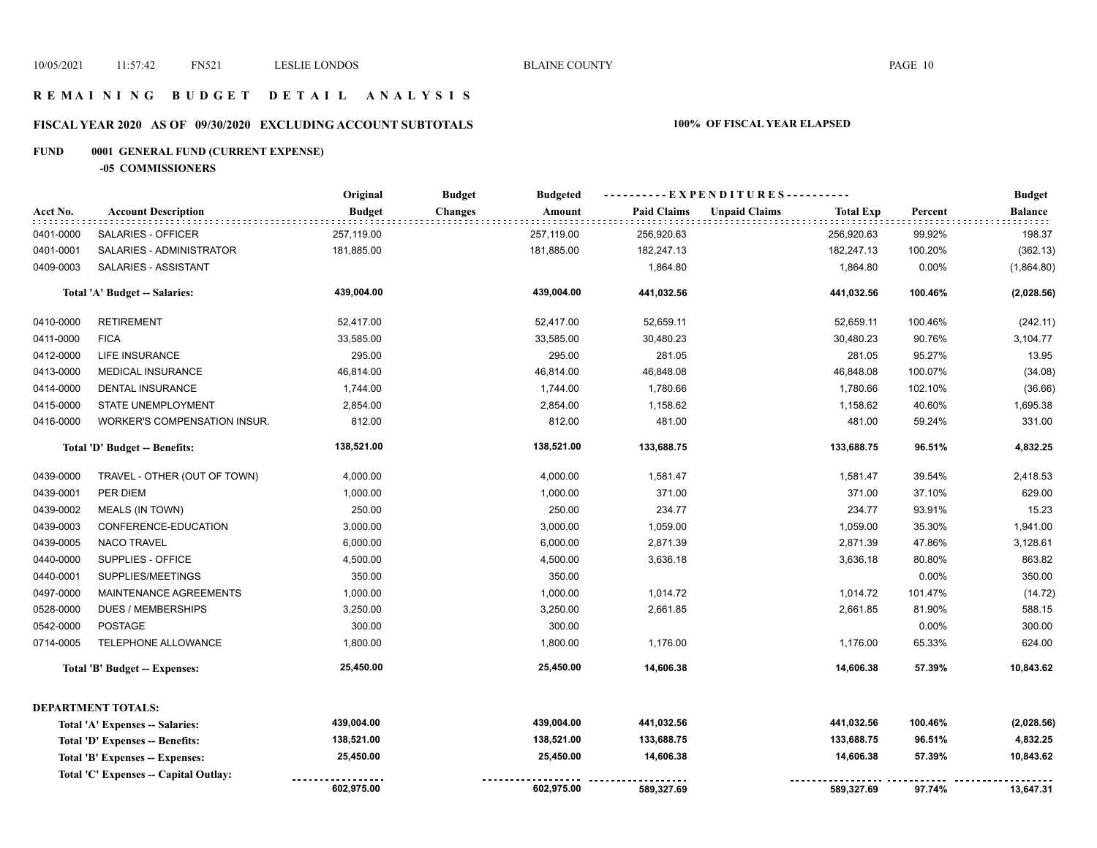## **R E M A I N I N G B U D G E T D E T A I L A N A L Y S I S**

# **FISCAL YEAR 2020 AS OF 09/30/2020 EXCLUDING ACCOUNT SUBTOTALS 100% OF FISCAL YEAR ELAPSED**

# **FUND 0001 GENERAL FUND (CURRENT EXPENSE)**

**-05 COMMISSIONERS**

|           |                                        | Original      | <b>Budget</b><br><b>Budgeted</b> |                    | ----------EXPENDITURES----------         |         | <b>Budget</b>               |
|-----------|----------------------------------------|---------------|----------------------------------|--------------------|------------------------------------------|---------|-----------------------------|
| Acct No.  | <b>Account Description</b><br>.        | <b>Budget</b> | <b>Changes</b><br>Amount         | <b>Paid Claims</b> | <b>Unpaid Claims</b><br><b>Total Exp</b> | Percent | <b>Balance</b><br>: : : : : |
| 0401-0000 | SALARIES - OFFICER                     | 257,119.00    | 257,119.00                       | 256,920.63         | 256,920.63                               | 99.92%  | 198.37                      |
| 0401-0001 | SALARIES - ADMINISTRATOR               | 181,885.00    | 181,885.00                       | 182,247.13         | 182,247.13                               | 100.20% | (362.13)                    |
| 0409-0003 | SALARIES - ASSISTANT                   |               |                                  | 1,864.80           | 1,864.80                                 | 0.00%   | (1,864.80)                  |
|           | Total 'A' Budget -- Salaries:          | 439,004.00    | 439,004.00                       | 441,032.56         | 441,032.56                               | 100.46% | (2,028.56)                  |
| 0410-0000 | <b>RETIREMENT</b>                      | 52,417.00     | 52,417.00                        | 52,659.11          | 52,659.11                                | 100.46% | (242.11)                    |
| 0411-0000 | <b>FICA</b>                            | 33,585.00     | 33,585.00                        | 30,480.23          | 30,480.23                                | 90.76%  | 3,104.77                    |
| 0412-0000 | <b>LIFE INSURANCE</b>                  | 295.00        | 295.00                           | 281.05             | 281.05                                   | 95.27%  | 13.95                       |
| 0413-0000 | <b>MEDICAL INSURANCE</b>               | 46,814.00     | 46,814.00                        | 46,848.08          | 46,848.08                                | 100.07% | (34.08)                     |
| 0414-0000 | <b>DENTAL INSURANCE</b>                | 1,744.00      | 1,744.00                         | 1,780.66           | 1,780.66                                 | 102.10% | (36.66)                     |
| 0415-0000 | STATE UNEMPLOYMENT                     | 2,854.00      | 2,854.00                         | 1,158.62           | 1,158.62                                 | 40.60%  | 1,695.38                    |
| 0416-0000 | <b>WORKER'S COMPENSATION INSUR.</b>    | 812.00        | 812.00                           | 481.00             | 481.00                                   | 59.24%  | 331.00                      |
|           | Total 'D' Budget -- Benefits:          | 138,521.00    | 138,521.00                       | 133,688.75         | 133,688.75                               | 96.51%  | 4,832.25                    |
| 0439-0000 | TRAVEL - OTHER (OUT OF TOWN)           | 4,000.00      | 4,000.00                         | 1,581.47           | 1,581.47                                 | 39.54%  | 2,418.53                    |
| 0439-0001 | PER DIEM                               | 1,000.00      | 1,000.00                         | 371.00             | 371.00                                   | 37.10%  | 629.00                      |
| 0439-0002 | MEALS (IN TOWN)                        | 250.00        | 250.00                           | 234.77             | 234.77                                   | 93.91%  | 15.23                       |
| 0439-0003 | CONFERENCE-EDUCATION                   | 3,000.00      | 3,000.00                         | 1,059.00           | 1,059.00                                 | 35.30%  | 1,941.00                    |
| 0439-0005 | <b>NACO TRAVEL</b>                     | 6,000.00      | 6,000.00                         | 2,871.39           | 2,871.39                                 | 47.86%  | 3,128.61                    |
| 0440-0000 | SUPPLIES - OFFICE                      | 4,500.00      | 4,500.00                         | 3,636.18           | 3,636.18                                 | 80.80%  | 863.82                      |
| 0440-0001 | SUPPLIES/MEETINGS                      | 350.00        | 350.00                           |                    |                                          | 0.00%   | 350.00                      |
| 0497-0000 | MAINTENANCE AGREEMENTS                 | 1,000.00      | 1,000.00                         | 1,014.72           | 1,014.72                                 | 101.47% | (14.72)                     |
| 0528-0000 | DUES / MEMBERSHIPS                     | 3,250.00      | 3,250.00                         | 2,661.85           | 2,661.85                                 | 81.90%  | 588.15                      |
| 0542-0000 | <b>POSTAGE</b>                         | 300.00        | 300.00                           |                    |                                          | 0.00%   | 300.00                      |
| 0714-0005 | TELEPHONE ALLOWANCE                    | 1,800.00      | 1,800.00                         | 1,176.00           | 1,176.00                                 | 65.33%  | 624.00                      |
|           | Total 'B' Budget -- Expenses:          | 25,450.00     | 25,450.00                        | 14,606.38          | 14,606.38                                | 57.39%  | 10,843.62                   |
|           | <b>DEPARTMENT TOTALS:</b>              |               |                                  |                    |                                          |         |                             |
|           | Total 'A' Expenses -- Salaries:        | 439,004.00    | 439,004.00                       | 441,032.56         | 441,032.56                               | 100.46% | (2,028.56)                  |
|           | <b>Total 'D' Expenses -- Benefits:</b> | 138,521.00    | 138,521.00                       | 133,688.75         | 133,688.75                               | 96.51%  | 4,832.25                    |
|           | Total 'B' Expenses -- Expenses:        | 25,450.00     | 25,450.00                        | 14,606.38          | 14,606.38                                | 57.39%  | 10,843.62                   |
|           | Total 'C' Expenses -- Capital Outlay:  |               |                                  |                    |                                          |         |                             |
|           |                                        | 602,975.00    | 602,975.00                       | 589,327.69         | 589,327.69                               | 97.74%  | 13,647.31                   |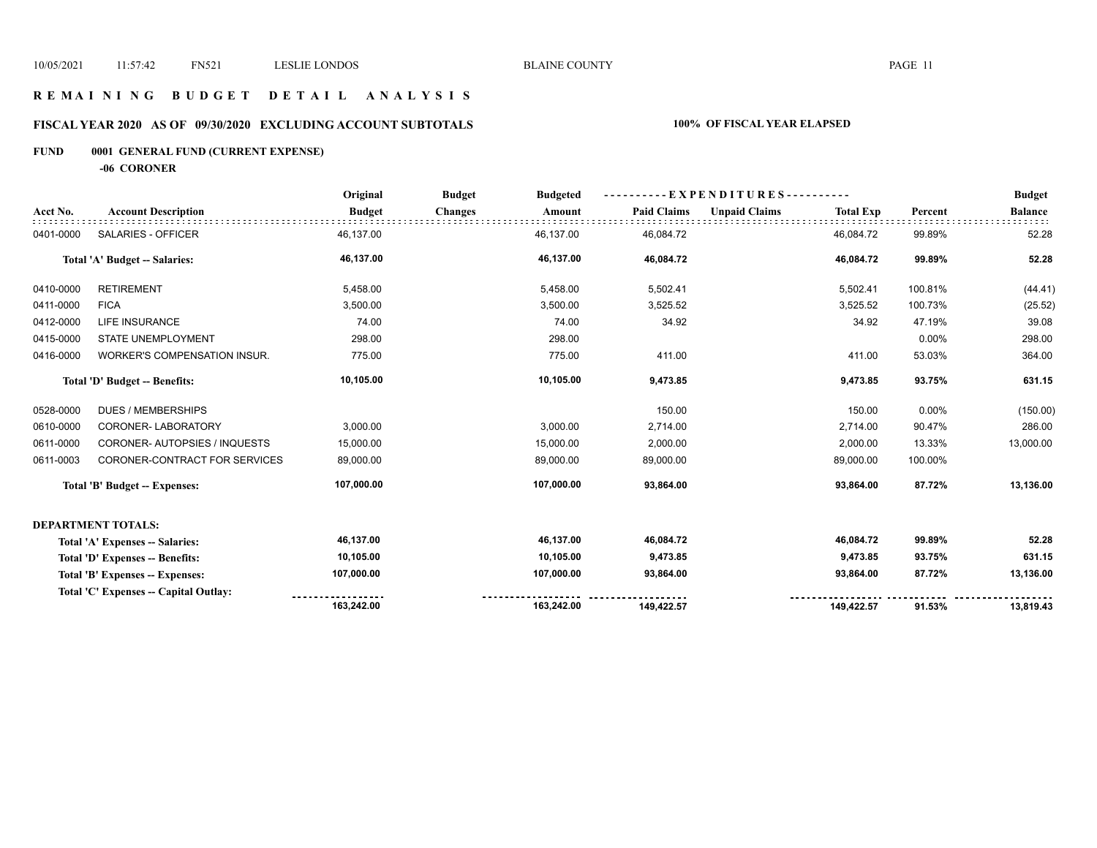## **R E M A I N I N G B U D G E T D E T A I L A N A L Y S I S**

# **FISCAL YEAR 2020 AS OF 09/30/2020 EXCLUDING ACCOUNT SUBTOTALS 100% OF FISCAL YEAR ELAPSED**

# **FUND 0001 GENERAL FUND (CURRENT EXPENSE)**

**-06 CORONER**

|           |                                       | Original      | <b>Budget</b>  | <b>Budgeted</b> | ----------EXPENDITURES---------- |                      |                  |         | <b>Budget</b>  |
|-----------|---------------------------------------|---------------|----------------|-----------------|----------------------------------|----------------------|------------------|---------|----------------|
| Acct No.  | <b>Account Description</b>            | <b>Budget</b> | <b>Changes</b> | Amount          | <b>Paid Claims</b>               | <b>Unpaid Claims</b> | <b>Total Exp</b> | Percent | <b>Balance</b> |
| 0401-0000 | SALARIES - OFFICER                    | 46,137.00     | 46,137.00      |                 | 46,084.72                        |                      | 46,084.72        | 99.89%  | 52.28          |
|           | Total 'A' Budget -- Salaries:         | 46,137.00     |                | 46,137.00       | 46,084.72                        |                      | 46,084.72        | 99.89%  | 52.28          |
| 0410-0000 | <b>RETIREMENT</b>                     | 5,458.00      |                | 5,458.00        | 5,502.41                         |                      | 5,502.41         | 100.81% | (44.41)        |
| 0411-0000 | <b>FICA</b>                           | 3,500.00      |                | 3,500.00        | 3,525.52                         |                      | 3,525.52         | 100.73% | (25.52)        |
| 0412-0000 | LIFE INSURANCE                        | 74.00         |                | 74.00           | 34.92                            |                      | 34.92            | 47.19%  | 39.08          |
| 0415-0000 | STATE UNEMPLOYMENT                    | 298.00        |                | 298.00          |                                  |                      |                  | 0.00%   | 298.00         |
| 0416-0000 | WORKER'S COMPENSATION INSUR.          | 775.00        |                | 775.00          | 411.00                           |                      | 411.00           | 53.03%  | 364.00         |
|           | Total 'D' Budget -- Benefits:         | 10,105.00     |                | 10,105.00       | 9,473.85                         |                      | 9,473.85         | 93.75%  | 631.15         |
| 0528-0000 | <b>DUES / MEMBERSHIPS</b>             |               |                |                 | 150.00                           |                      | 150.00           | 0.00%   | (150.00)       |
| 0610-0000 | CORONER-LABORATORY                    | 3,000.00      |                | 3,000.00        | 2,714.00                         |                      | 2,714.00         | 90.47%  | 286.00         |
| 0611-0000 | <b>CORONER-AUTOPSIES / INQUESTS</b>   | 15,000.00     | 15,000.00      |                 | 2,000.00                         |                      | 2,000.00         | 13.33%  | 13,000.00      |
| 0611-0003 | CORONER-CONTRACT FOR SERVICES         | 89,000.00     | 89,000.00      |                 | 89,000.00                        |                      | 89,000.00        | 100.00% |                |
|           | Total 'B' Budget -- Expenses:         | 107,000.00    | 107,000.00     |                 | 93,864.00                        |                      | 93,864.00        | 87.72%  | 13,136.00      |
|           | <b>DEPARTMENT TOTALS:</b>             |               |                |                 |                                  |                      |                  |         |                |
|           | Total 'A' Expenses -- Salaries:       | 46,137.00     |                | 46,137.00       | 46,084.72                        |                      | 46,084.72        | 99.89%  | 52.28          |
|           | Total 'D' Expenses -- Benefits:       | 10,105.00     |                | 10,105.00       | 9,473.85                         |                      | 9,473.85         | 93.75%  | 631.15         |
|           | Total 'B' Expenses -- Expenses:       | 107,000.00    | 107,000.00     |                 | 93,864.00                        |                      | 93,864.00        | 87.72%  | 13,136.00      |
|           | Total 'C' Expenses -- Capital Outlay: |               |                |                 |                                  |                      |                  |         |                |
|           |                                       | 163,242.00    | 163,242.00     |                 | 149,422.57                       |                      | 149,422.57       | 91.53%  | 13,819.43      |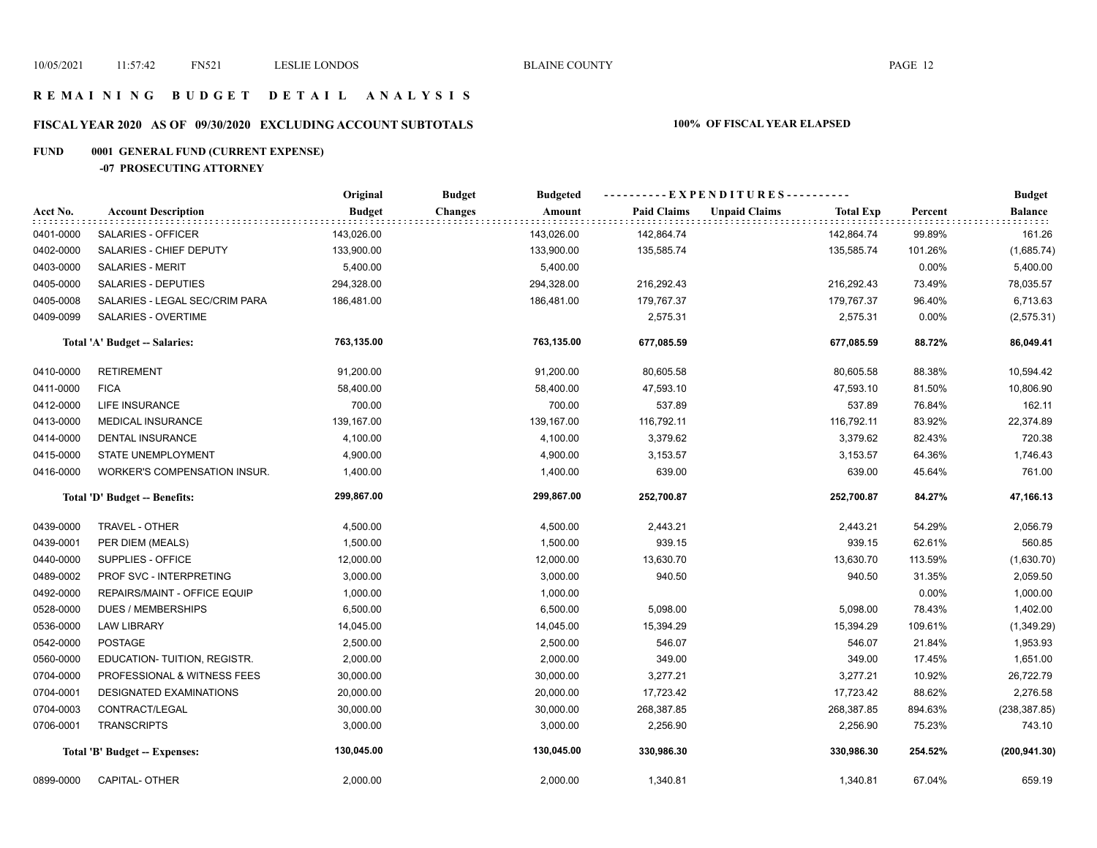## **R E M A I N I N G B U D G E T D E T A I L A N A L Y S I S**

# **FISCAL YEAR 2020 AS OF 09/30/2020 EXCLUDING ACCOUNT SUBTOTALS 100% OF FISCAL YEAR ELAPSED**

# **FUND 0001 GENERAL FUND (CURRENT EXPENSE)**

**-07 PROSECUTING ATTORNEY**

|           |                                     | Original      | <b>Budget</b><br><b>Budgeted</b> |                    | ----------EXPENDITURES----------         |          | <b>Budget</b>          |
|-----------|-------------------------------------|---------------|----------------------------------|--------------------|------------------------------------------|----------|------------------------|
| Acct No.  | <b>Account Description</b>          | <b>Budget</b> | <b>Changes</b><br>Amount         | <b>Paid Claims</b> | <b>Unpaid Claims</b><br><b>Total Exp</b> | Percent  | <b>Balance</b><br>111. |
| 0401-0000 | SALARIES - OFFICER                  | 143,026.00    | 143,026.00                       | 142,864.74         | 142,864.74                               | 99.89%   | 161.26                 |
| 0402-0000 | SALARIES - CHIEF DEPUTY             | 133,900.00    | 133,900.00                       | 135,585.74         | 135,585.74                               | 101.26%  | (1,685.74)             |
| 0403-0000 | <b>SALARIES - MERIT</b>             | 5,400.00      | 5,400.00                         |                    |                                          | 0.00%    | 5,400.00               |
| 0405-0000 | SALARIES - DEPUTIES                 | 294,328.00    | 294,328.00                       | 216,292.43         | 216,292.43                               | 73.49%   | 78,035.57              |
| 0405-0008 | SALARIES - LEGAL SEC/CRIM PARA      | 186,481.00    | 186,481.00                       | 179,767.37         | 179,767.37                               | 96.40%   | 6,713.63               |
| 0409-0099 | SALARIES - OVERTIME                 |               |                                  | 2,575.31           | 2,575.31                                 | $0.00\%$ | (2, 575.31)            |
|           | Total 'A' Budget -- Salaries:       | 763,135.00    | 763,135.00                       | 677,085.59         | 677,085.59                               | 88.72%   | 86,049.41              |
| 0410-0000 | <b>RETIREMENT</b>                   | 91,200.00     | 91,200.00                        | 80,605.58          | 80,605.58                                | 88.38%   | 10,594.42              |
| 0411-0000 | <b>FICA</b>                         | 58,400.00     | 58,400.00                        | 47,593.10          | 47,593.10                                | 81.50%   | 10,806.90              |
| 0412-0000 | LIFE INSURANCE                      | 700.00        | 700.00                           | 537.89             | 537.89                                   | 76.84%   | 162.11                 |
| 0413-0000 | <b>MEDICAL INSURANCE</b>            | 139,167.00    | 139,167.00                       | 116,792.11         | 116,792.11                               | 83.92%   | 22,374.89              |
| 0414-0000 | <b>DENTAL INSURANCE</b>             | 4,100.00      | 4,100.00                         | 3,379.62           | 3,379.62                                 | 82.43%   | 720.38                 |
| 0415-0000 | STATE UNEMPLOYMENT                  | 4,900.00      | 4,900.00                         | 3,153.57           | 3,153.57                                 | 64.36%   | 1,746.43               |
| 0416-0000 | <b>WORKER'S COMPENSATION INSUR.</b> | 1,400.00      | 1,400.00                         | 639.00             | 639.00                                   | 45.64%   | 761.00                 |
|           | Total 'D' Budget -- Benefits:       | 299,867.00    | 299,867.00                       | 252,700.87         | 252,700.87                               | 84.27%   | 47,166.13              |
| 0439-0000 | TRAVEL - OTHER                      | 4,500.00      | 4,500.00                         | 2,443.21           | 2,443.21                                 | 54.29%   | 2,056.79               |
| 0439-0001 | PER DIEM (MEALS)                    | 1,500.00      | 1,500.00                         | 939.15             | 939.15                                   | 62.61%   | 560.85                 |
| 0440-0000 | SUPPLIES - OFFICE                   | 12,000.00     | 12,000.00                        | 13,630.70          | 13,630.70                                | 113.59%  | (1,630.70)             |
| 0489-0002 | PROF SVC - INTERPRETING             | 3,000.00      | 3,000.00                         | 940.50             | 940.50                                   | 31.35%   | 2,059.50               |
| 0492-0000 | REPAIRS/MAINT - OFFICE EQUIP        | 1,000.00      | 1,000.00                         |                    |                                          | 0.00%    | 1,000.00               |
| 0528-0000 | <b>DUES / MEMBERSHIPS</b>           | 6,500.00      | 6,500.00                         | 5,098.00           | 5,098.00                                 | 78.43%   | 1,402.00               |
| 0536-0000 | <b>LAW LIBRARY</b>                  | 14,045.00     | 14,045.00                        | 15,394.29          | 15,394.29                                | 109.61%  | (1,349.29)             |
| 0542-0000 | <b>POSTAGE</b>                      | 2,500.00      | 2,500.00                         | 546.07             | 546.07                                   | 21.84%   | 1,953.93               |
| 0560-0000 | EDUCATION-TUITION, REGISTR.         | 2,000.00      | 2,000.00                         | 349.00             | 349.00                                   | 17.45%   | 1,651.00               |
| 0704-0000 | PROFESSIONAL & WITNESS FEES         | 30,000.00     | 30,000.00                        | 3,277.21           | 3,277.21                                 | 10.92%   | 26,722.79              |
| 0704-0001 | <b>DESIGNATED EXAMINATIONS</b>      | 20,000.00     | 20,000.00                        | 17,723.42          | 17,723.42                                | 88.62%   | 2,276.58               |
| 0704-0003 | CONTRACT/LEGAL                      | 30,000.00     | 30,000.00                        | 268,387.85         | 268,387.85                               | 894.63%  | (238, 387.85)          |
| 0706-0001 | <b>TRANSCRIPTS</b>                  | 3,000.00      | 3,000.00                         | 2,256.90           | 2,256.90                                 | 75.23%   | 743.10                 |
|           | Total 'B' Budget -- Expenses:       | 130,045.00    | 130,045.00                       | 330,986.30         | 330,986.30                               | 254.52%  | (200, 941.30)          |
| 0899-0000 | CAPITAL- OTHER                      | 2,000.00      | 2,000.00                         | 1,340.81           | 1,340.81                                 | 67.04%   | 659.19                 |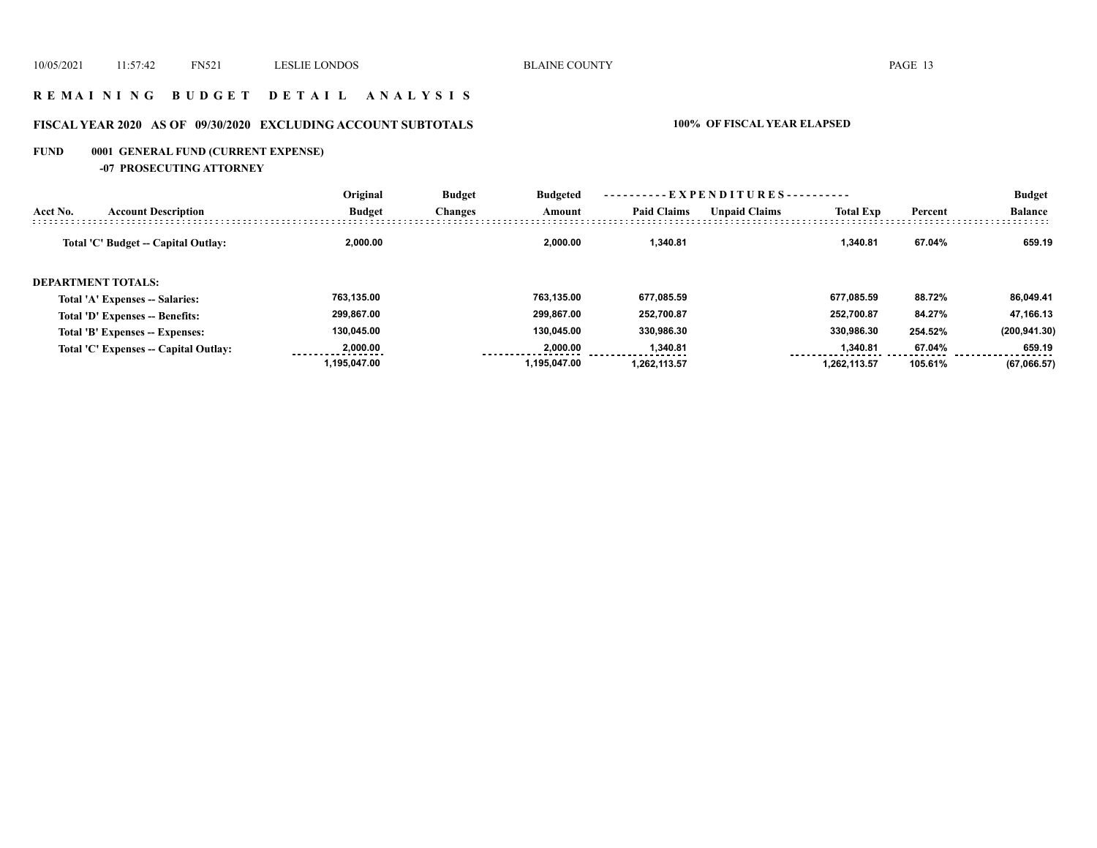## **R E M A I N I N G B U D G E T D E T A I L A N A L Y S I S**

# **FISCAL YEAR 2020 AS OF 09/30/2020 EXCLUDING ACCOUNT SUBTOTALS 100% OF FISCAL YEAR ELAPSED**

# **FUND 0001 GENERAL FUND (CURRENT EXPENSE)**

**-07 PROSECUTING ATTORNEY**

|          |                                       | Original      | <b>Budget</b>  | <b>Budgeted</b> |                    |                      |                  |         | <b>Budget</b>  |
|----------|---------------------------------------|---------------|----------------|-----------------|--------------------|----------------------|------------------|---------|----------------|
| Acct No. | <b>Account Description</b>            | <b>Budget</b> | <b>Changes</b> | Amount          | <b>Paid Claims</b> | <b>Unpaid Claims</b> | <b>Total Exp</b> | Percent | <b>Balance</b> |
|          | Total 'C' Budget -- Capital Outlay:   | 2,000.00      |                | 2.000.00        | 1.340.81           |                      | 1.340.81         | 67.04%  | 659.19         |
|          | <b>DEPARTMENT TOTALS:</b>             |               |                |                 |                    |                      |                  |         |                |
|          | Total 'A' Expenses -- Salaries:       | 763,135.00    |                | 763.135.00      | 677,085.59         |                      | 677.085.59       | 88.72%  | 86,049.41      |
|          | Total 'D' Expenses -- Benefits:       | 299,867.00    |                | 299.867.00      | 252,700.87         |                      | 252.700.87       | 84.27%  | 47,166.13      |
|          | Total 'B' Expenses -- Expenses:       | 130,045.00    |                | 130.045.00      | 330,986.30         |                      | 330,986.30       | 254.52% | (200, 941.30)  |
|          | Total 'C' Expenses -- Capital Outlay: | 2.000.00      |                | 2.000.00        | 1,340.81           |                      | 1.340.81         | 67.04%  | 659.19         |
|          |                                       | 1.195.047.00  |                | 1.195.047.00    | 1.262.113.57       |                      | 1.262.113.57     | 105.61% | (67,066.57)    |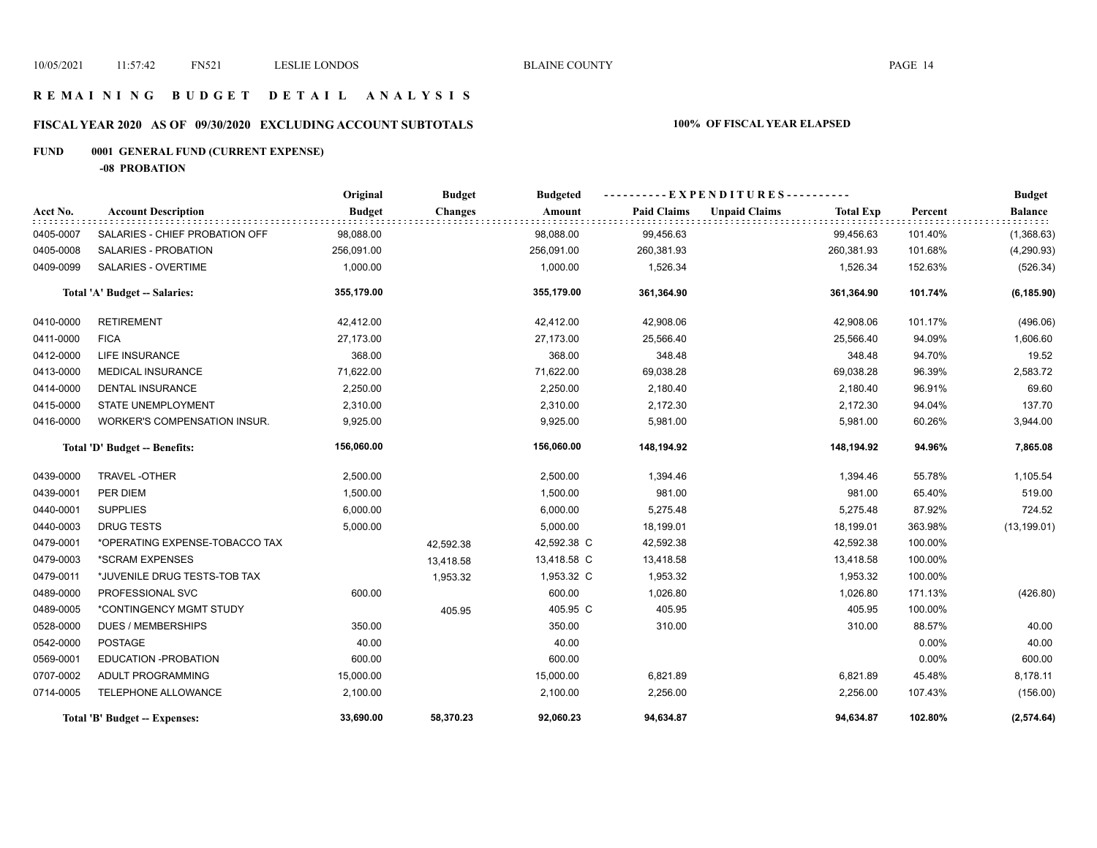## **R E M A I N I N G B U D G E T D E T A I L A N A L Y S I S**

# **FISCAL YEAR 2020 AS OF 09/30/2020 EXCLUDING ACCOUNT SUBTOTALS 100% OF FISCAL YEAR ELAPSED**

# **FUND 0001 GENERAL FUND (CURRENT EXPENSE)**

**-08 PROBATION**

|           |                                | Original      | <b>Budget</b>  | <b>Budgeted</b> |                    | ----------EXPENDITURES---------- |                  |         | <b>Budget</b>  |
|-----------|--------------------------------|---------------|----------------|-----------------|--------------------|----------------------------------|------------------|---------|----------------|
| Acct No.  | <b>Account Description</b>     | <b>Budget</b> | <b>Changes</b> | Amount          | <b>Paid Claims</b> | <b>Unpaid Claims</b>             | <b>Total Exp</b> | Percent | <b>Balance</b> |
| 0405-0007 | SALARIES - CHIEF PROBATION OFF | 98,088.00     |                | 98,088.00       | 99,456.63          |                                  | 99,456.63        | 101.40% | (1,368.63)     |
| 0405-0008 | <b>SALARIES - PROBATION</b>    | 256,091.00    |                | 256,091.00      | 260,381.93         |                                  | 260,381.93       | 101.68% | (4,290.93)     |
| 0409-0099 | SALARIES - OVERTIME            | 1,000.00      |                | 1,000.00        | 1,526.34           |                                  | 1,526.34         | 152.63% | (526.34)       |
|           | Total 'A' Budget -- Salaries:  | 355,179.00    |                | 355,179.00      | 361,364.90         |                                  | 361,364.90       | 101.74% | (6, 185.90)    |
| 0410-0000 | <b>RETIREMENT</b>              | 42,412.00     |                | 42,412.00       | 42,908.06          |                                  | 42,908.06        | 101.17% | (496.06)       |
| 0411-0000 | <b>FICA</b>                    | 27,173.00     |                | 27,173.00       | 25,566.40          |                                  | 25,566.40        | 94.09%  | 1,606.60       |
| 0412-0000 | <b>LIFE INSURANCE</b>          | 368.00        |                | 368.00          | 348.48             |                                  | 348.48           | 94.70%  | 19.52          |
| 0413-0000 | <b>MEDICAL INSURANCE</b>       | 71,622.00     |                | 71,622.00       | 69,038.28          |                                  | 69,038.28        | 96.39%  | 2,583.72       |
| 0414-0000 | <b>DENTAL INSURANCE</b>        | 2,250.00      |                | 2,250.00        | 2,180.40           |                                  | 2,180.40         | 96.91%  | 69.60          |
| 0415-0000 | STATE UNEMPLOYMENT             | 2,310.00      |                | 2,310.00        | 2,172.30           |                                  | 2,172.30         | 94.04%  | 137.70         |
| 0416-0000 | WORKER'S COMPENSATION INSUR.   | 9,925.00      |                | 9,925.00        | 5,981.00           |                                  | 5,981.00         | 60.26%  | 3,944.00       |
|           | Total 'D' Budget -- Benefits:  | 156,060.00    |                | 156,060.00      | 148,194.92         |                                  | 148,194.92       | 94.96%  | 7,865.08       |
| 0439-0000 | TRAVEL-OTHER                   | 2,500.00      |                | 2,500.00        | 1,394.46           |                                  | 1,394.46         | 55.78%  | 1,105.54       |
| 0439-0001 | PER DIEM                       | 1,500.00      |                | 1,500.00        | 981.00             |                                  | 981.00           | 65.40%  | 519.00         |
| 0440-0001 | <b>SUPPLIES</b>                | 6,000.00      |                | 6,000.00        | 5,275.48           |                                  | 5,275.48         | 87.92%  | 724.52         |
| 0440-0003 | <b>DRUG TESTS</b>              | 5,000.00      |                | 5,000.00        | 18,199.01          |                                  | 18,199.01        | 363.98% | (13, 199.01)   |
| 0479-0001 | *OPERATING EXPENSE-TOBACCO TAX |               | 42,592.38      | 42,592.38 C     | 42,592.38          |                                  | 42,592.38        | 100.00% |                |
| 0479-0003 | *SCRAM EXPENSES                |               | 13,418.58      | 13,418.58 C     | 13,418.58          |                                  | 13,418.58        | 100.00% |                |
| 0479-0011 | *JUVENILE DRUG TESTS-TOB TAX   |               | 1,953.32       | 1,953.32 C      | 1,953.32           |                                  | 1,953.32         | 100.00% |                |
| 0489-0000 | PROFESSIONAL SVC               | 600.00        |                | 600.00          | 1,026.80           |                                  | 1,026.80         | 171.13% | (426.80)       |
| 0489-0005 | *CONTINGENCY MGMT STUDY        |               | 405.95         | 405.95 C        | 405.95             |                                  | 405.95           | 100.00% |                |
| 0528-0000 | <b>DUES / MEMBERSHIPS</b>      | 350.00        |                | 350.00          | 310.00             |                                  | 310.00           | 88.57%  | 40.00          |
| 0542-0000 | <b>POSTAGE</b>                 | 40.00         |                | 40.00           |                    |                                  |                  | 0.00%   | 40.00          |
| 0569-0001 | EDUCATION - PROBATION          | 600.00        |                | 600.00          |                    |                                  |                  | 0.00%   | 600.00         |
| 0707-0002 | ADULT PROGRAMMING              | 15,000.00     |                | 15,000.00       | 6,821.89           |                                  | 6,821.89         | 45.48%  | 8,178.11       |
| 0714-0005 | TELEPHONE ALLOWANCE            | 2,100.00      |                | 2,100.00        | 2,256.00           |                                  | 2,256.00         | 107.43% | (156.00)       |
|           | Total 'B' Budget -- Expenses:  | 33,690.00     | 58,370.23      | 92,060.23       | 94,634.87          |                                  | 94,634.87        | 102.80% | (2, 574.64)    |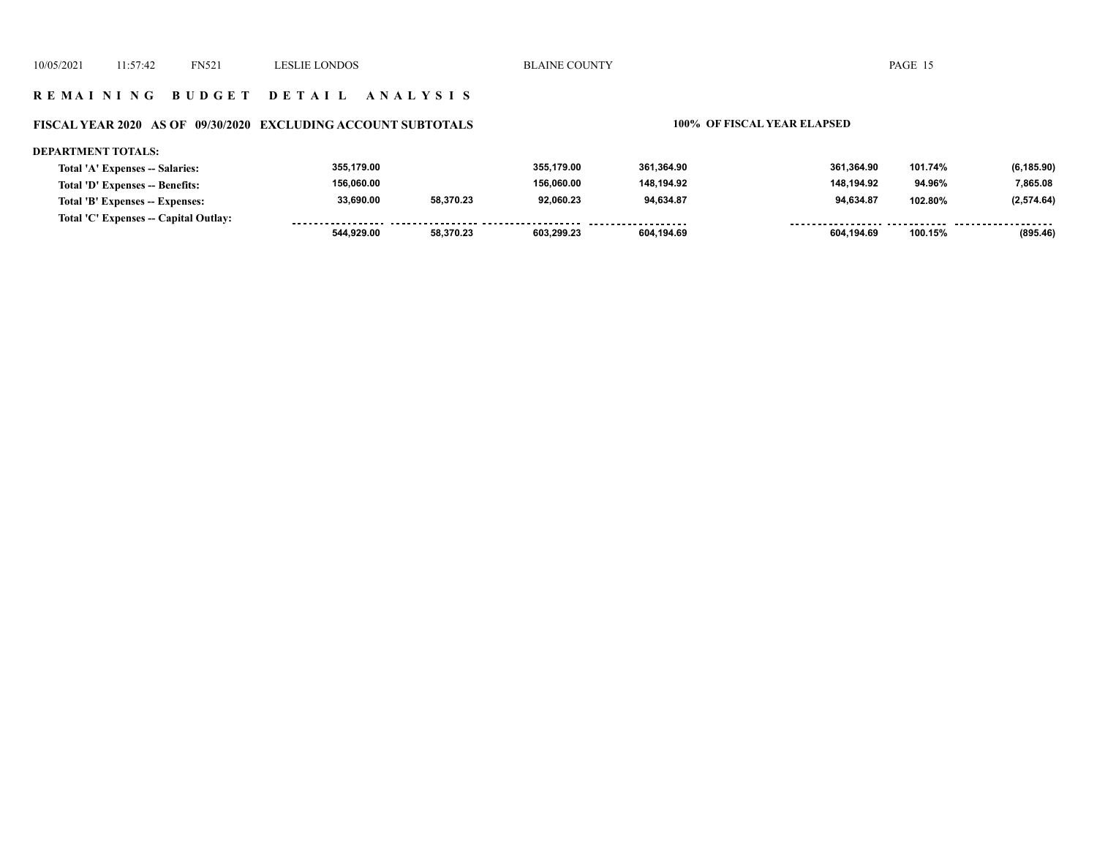#### **R E M A I N I N G B U D G E T D E T A I L A N A L Y S I S**

#### **FISCAL YEAR 2020 AS OF 09/30/2020 EXCLUDING ACCOUNT SUBTOTALS 100% OF FISCAL YEAR ELAPSED**

#### **DEPARTMENT TOTALS: 355,179.00 355,179.00 361,364.90 361,364.90 101.74% (6,185.90) Total 'A' Expenses -- Salaries: 156,060.00 156,060.00 148,194.92 148,194.92 7,865.08 Total 'D' Expenses -- Benefits: 94.96% 33,690.00 58,370.23 92,060.23 94,634.87 94,634.87 102.80% (2,574.64) Total 'B' Expenses -- Expenses: Total 'C' Expenses -- Capital Outlay:** ................. -----------------*-*. . . . . . . . <u>.......... .......</u> . . . . . . . . . . . . . . . . . .  **544,929.00 58,370.23 603,299.23 604,194.69 604,194.69 100.15% (895.46)**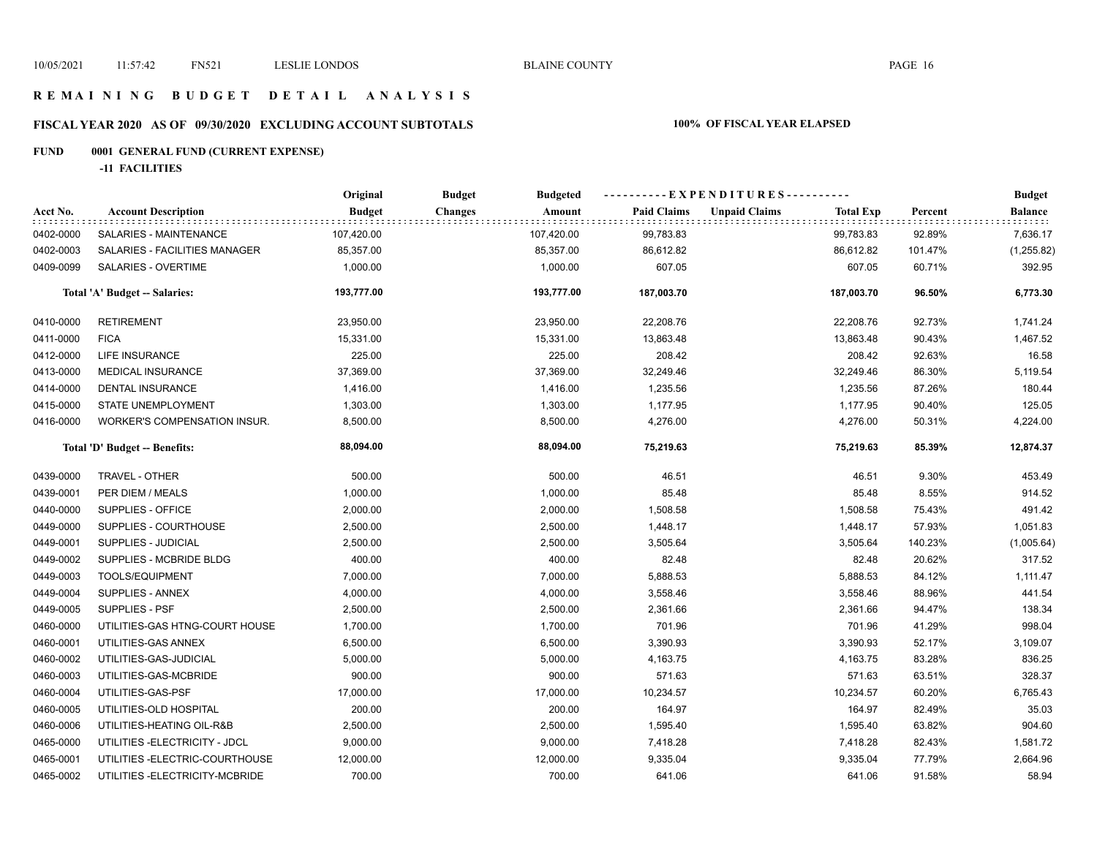## **R E M A I N I N G B U D G E T D E T A I L A N A L Y S I S**

# **FISCAL YEAR 2020 AS OF 09/30/2020 EXCLUDING ACCOUNT SUBTOTALS 100% OF FISCAL YEAR ELAPSED**

# **FUND 0001 GENERAL FUND (CURRENT EXPENSE)**

**-11 FACILITIES**

|           |                                 | Original      | <b>Budget</b><br><b>Budgeted</b> |                    | ----------EXPENDITURES----------         |         |                |
|-----------|---------------------------------|---------------|----------------------------------|--------------------|------------------------------------------|---------|----------------|
| Acct No.  | <b>Account Description</b>      | <b>Budget</b> | <b>Changes</b><br>Amount         | <b>Paid Claims</b> | <b>Unpaid Claims</b><br><b>Total Exp</b> | Percent | <b>Balance</b> |
| 0402-0000 | SALARIES - MAINTENANCE          | 107,420.00    | 107,420.00                       | 99,783.83          | 99,783.83                                | 92.89%  | 7,636.17       |
| 0402-0003 | SALARIES - FACILITIES MANAGER   | 85,357.00     | 85,357.00                        | 86,612.82          | 86,612.82                                | 101.47% | (1,255.82)     |
| 0409-0099 | SALARIES - OVERTIME             | 1,000.00      | 1,000.00                         | 607.05             | 607.05                                   | 60.71%  | 392.95         |
|           | Total 'A' Budget -- Salaries:   | 193,777.00    | 193,777.00                       | 187,003.70         | 187,003.70                               | 96.50%  | 6,773.30       |
| 0410-0000 | <b>RETIREMENT</b>               | 23,950.00     | 23,950.00                        | 22,208.76          | 22,208.76                                | 92.73%  | 1,741.24       |
| 0411-0000 | <b>FICA</b>                     | 15,331.00     | 15,331.00                        | 13,863.48          | 13,863.48                                | 90.43%  | 1,467.52       |
| 0412-0000 | LIFE INSURANCE                  | 225.00        | 225.00                           | 208.42             | 208.42                                   | 92.63%  | 16.58          |
| 0413-0000 | MEDICAL INSURANCE               | 37,369.00     | 37,369.00                        | 32,249.46          | 32,249.46                                | 86.30%  | 5,119.54       |
| 0414-0000 | DENTAL INSURANCE                | 1,416.00      | 1,416.00                         | 1,235.56           | 1,235.56                                 | 87.26%  | 180.44         |
| 0415-0000 | STATE UNEMPLOYMENT              | 1,303.00      | 1,303.00                         | 1,177.95           | 1,177.95                                 | 90.40%  | 125.05         |
| 0416-0000 | WORKER'S COMPENSATION INSUR.    | 8,500.00      | 8,500.00                         | 4,276.00           | 4,276.00                                 | 50.31%  | 4,224.00       |
|           | Total 'D' Budget -- Benefits:   | 88,094.00     | 88,094.00                        | 75,219.63          | 75,219.63                                | 85.39%  | 12,874.37      |
| 0439-0000 | TRAVEL - OTHER                  | 500.00        | 500.00                           | 46.51              | 46.51                                    | 9.30%   | 453.49         |
| 0439-0001 | PER DIEM / MEALS                | 1,000.00      | 1,000.00                         | 85.48              | 85.48                                    | 8.55%   | 914.52         |
| 0440-0000 | SUPPLIES - OFFICE               | 2,000.00      | 2,000.00                         | 1,508.58           | 1,508.58                                 | 75.43%  | 491.42         |
| 0449-0000 | SUPPLIES - COURTHOUSE           | 2,500.00      | 2,500.00                         | 1,448.17           | 1,448.17                                 | 57.93%  | 1,051.83       |
| 0449-0001 | SUPPLIES - JUDICIAL             | 2,500.00      | 2,500.00                         | 3,505.64           | 3,505.64                                 | 140.23% | (1,005.64)     |
| 0449-0002 | SUPPLIES - MCBRIDE BLDG         | 400.00        | 400.00                           | 82.48              | 82.48                                    | 20.62%  | 317.52         |
| 0449-0003 | <b>TOOLS/EQUIPMENT</b>          | 7,000.00      | 7,000.00                         | 5,888.53           | 5,888.53                                 | 84.12%  | 1,111.47       |
| 0449-0004 | SUPPLIES - ANNEX                | 4,000.00      | 4,000.00                         | 3,558.46           | 3,558.46                                 | 88.96%  | 441.54         |
| 0449-0005 | SUPPLIES - PSF                  | 2,500.00      | 2,500.00                         | 2,361.66           | 2,361.66                                 | 94.47%  | 138.34         |
| 0460-0000 | UTILITIES-GAS HTNG-COURT HOUSE  | 1,700.00      | 1,700.00                         | 701.96             | 701.96                                   | 41.29%  | 998.04         |
| 0460-0001 | UTILITIES-GAS ANNEX             | 6,500.00      | 6,500.00                         | 3,390.93           | 3,390.93                                 | 52.17%  | 3,109.07       |
| 0460-0002 | UTILITIES-GAS-JUDICIAL          | 5,000.00      | 5,000.00                         | 4,163.75           | 4,163.75                                 | 83.28%  | 836.25         |
| 0460-0003 | UTILITIES-GAS-MCBRIDE           | 900.00        | 900.00                           | 571.63             | 571.63                                   | 63.51%  | 328.37         |
| 0460-0004 | UTILITIES-GAS-PSF               | 17,000.00     | 17,000.00                        | 10,234.57          | 10,234.57                                | 60.20%  | 6,765.43       |
| 0460-0005 | UTILITIES-OLD HOSPITAL          | 200.00        | 200.00                           | 164.97             | 164.97                                   | 82.49%  | 35.03          |
| 0460-0006 | UTILITIES-HEATING OIL-R&B       | 2,500.00      | 2,500.00                         | 1,595.40           | 1,595.40                                 | 63.82%  | 904.60         |
| 0465-0000 | UTILITIES - ELECTRICITY - JDCL  | 9,000.00      | 9,000.00                         | 7,418.28           | 7,418.28                                 | 82.43%  | 1,581.72       |
| 0465-0001 | UTILITIES-ELECTRIC-COURTHOUSE   | 12,000.00     | 12,000.00                        | 9,335.04           | 9,335.04                                 | 77.79%  | 2,664.96       |
| 0465-0002 | UTILITIES - ELECTRICITY-MCBRIDE | 700.00        | 700.00                           | 641.06             | 641.06                                   | 91.58%  | 58.94          |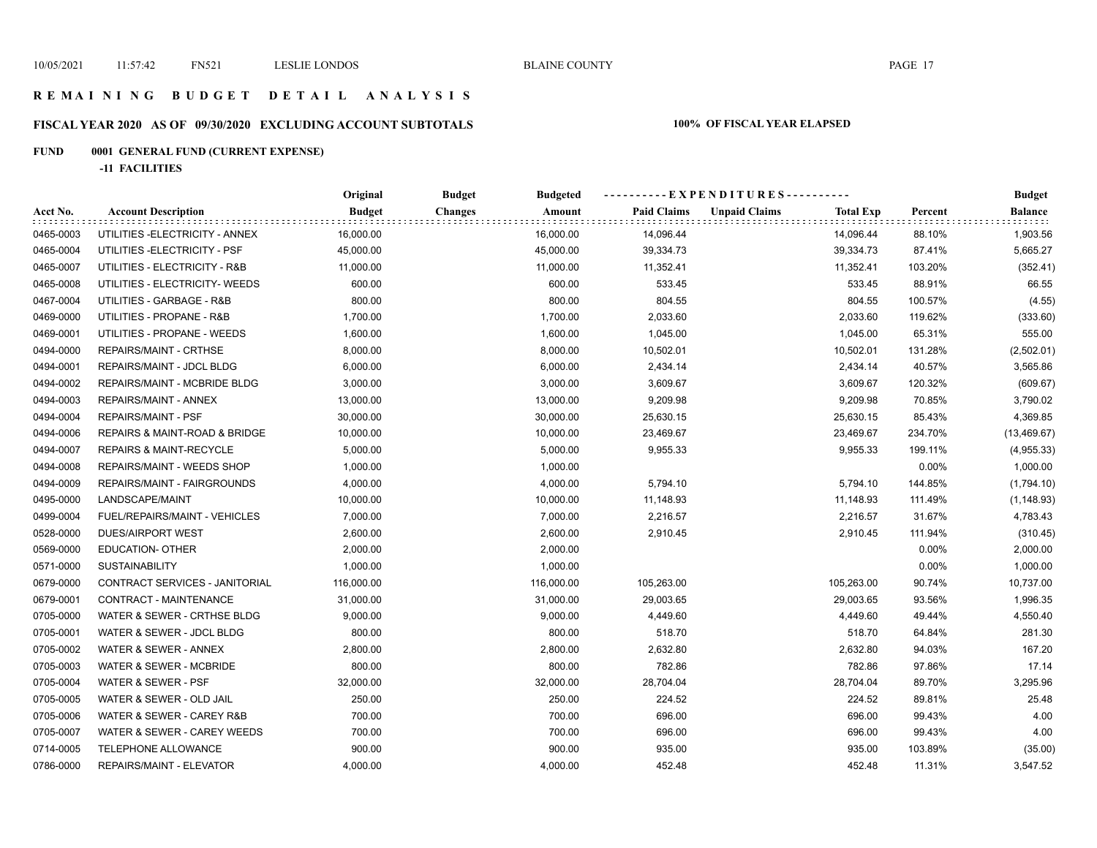## **R E M A I N I N G B U D G E T D E T A I L A N A L Y S I S**

# **FISCAL YEAR 2020 AS OF 09/30/2020 EXCLUDING ACCOUNT SUBTOTALS 100% OF FISCAL YEAR ELAPSED**

# **FUND 0001 GENERAL FUND (CURRENT EXPENSE)**

**-11 FACILITIES**

|           |                                    | Original      | <b>Budget</b><br><b>Budgeted</b> | ----------EXPENDITURES---------- |                                          | <b>Budget</b> |                |
|-----------|------------------------------------|---------------|----------------------------------|----------------------------------|------------------------------------------|---------------|----------------|
| Acct No.  | <b>Account Description</b>         | <b>Budget</b> | <b>Changes</b><br>Amount         | <b>Paid Claims</b>               | <b>Unpaid Claims</b><br><b>Total Exp</b> | Percent       | <b>Balance</b> |
| 0465-0003 | UTILITIES - ELECTRICITY - ANNEX    | 16,000.00     | 16,000.00                        | 14,096.44                        | 14,096.44                                | 88.10%        | 1,903.56       |
| 0465-0004 | UTILITIES - ELECTRICITY - PSF      | 45,000.00     | 45,000.00                        | 39,334.73                        | 39,334.73                                | 87.41%        | 5,665.27       |
| 0465-0007 | UTILITIES - ELECTRICITY - R&B      | 11,000.00     | 11,000.00                        | 11,352.41                        | 11,352.41                                | 103.20%       | (352.41)       |
| 0465-0008 | UTILITIES - ELECTRICITY- WEEDS     | 600.00        | 600.00                           | 533.45                           | 533.45                                   | 88.91%        | 66.55          |
| 0467-0004 | UTILITIES - GARBAGE - R&B          | 800.00        | 800.00                           | 804.55                           | 804.55                                   | 100.57%       | (4.55)         |
| 0469-0000 | UTILITIES - PROPANE - R&B          | 1,700.00      | 1,700.00                         | 2,033.60                         | 2,033.60                                 | 119.62%       | (333.60)       |
| 0469-0001 | UTILITIES - PROPANE - WEEDS        | 1,600.00      | 1,600.00                         | 1,045.00                         | 1,045.00                                 | 65.31%        | 555.00         |
| 0494-0000 | REPAIRS/MAINT - CRTHSE             | 8,000.00      | 8,000.00                         | 10,502.01                        | 10,502.01                                | 131.28%       | (2,502.01)     |
| 0494-0001 | REPAIRS/MAINT - JDCL BLDG          | 6,000.00      | 6,000.00                         | 2,434.14                         | 2,434.14                                 | 40.57%        | 3,565.86       |
| 0494-0002 | REPAIRS/MAINT - MCBRIDE BLDG       | 3,000.00      | 3,000.00                         | 3,609.67                         | 3,609.67                                 | 120.32%       | (609.67)       |
| 0494-0003 | REPAIRS/MAINT - ANNEX              | 13,000.00     | 13,000.00                        | 9,209.98                         | 9,209.98                                 | 70.85%        | 3,790.02       |
| 0494-0004 | REPAIRS/MAINT - PSF                | 30,000.00     | 30,000.00                        | 25,630.15                        | 25,630.15                                | 85.43%        | 4,369.85       |
| 0494-0006 | REPAIRS & MAINT-ROAD & BRIDGE      | 10,000.00     | 10,000.00                        | 23,469.67                        | 23,469.67                                | 234.70%       | (13, 469.67)   |
| 0494-0007 | <b>REPAIRS &amp; MAINT-RECYCLE</b> | 5,000.00      | 5,000.00                         | 9,955.33                         | 9,955.33                                 | 199.11%       | (4,955.33)     |
| 0494-0008 | REPAIRS/MAINT - WEEDS SHOP         | 1,000.00      | 1,000.00                         |                                  |                                          | 0.00%         | 1,000.00       |
| 0494-0009 | REPAIRS/MAINT - FAIRGROUNDS        | 4,000.00      | 4,000.00                         | 5,794.10                         | 5,794.10                                 | 144.85%       | (1,794.10)     |
| 0495-0000 | LANDSCAPE/MAINT                    | 10,000.00     | 10,000.00                        | 11,148.93                        | 11,148.93                                | 111.49%       | (1, 148.93)    |
| 0499-0004 | FUEL/REPAIRS/MAINT - VEHICLES      | 7,000.00      | 7,000.00                         | 2,216.57                         | 2,216.57                                 | 31.67%        | 4,783.43       |
| 0528-0000 | <b>DUES/AIRPORT WEST</b>           | 2,600.00      | 2,600.00                         | 2,910.45                         | 2,910.45                                 | 111.94%       | (310.45)       |
| 0569-0000 | EDUCATION- OTHER                   | 2,000.00      | 2,000.00                         |                                  |                                          | 0.00%         | 2,000.00       |
| 0571-0000 | <b>SUSTAINABILITY</b>              | 1,000.00      | 1,000.00                         |                                  |                                          | 0.00%         | 1,000.00       |
| 0679-0000 | CONTRACT SERVICES - JANITORIAL     | 116,000.00    | 116,000.00                       | 105,263.00                       | 105,263.00                               | 90.74%        | 10,737.00      |
| 0679-0001 | CONTRACT - MAINTENANCE             | 31,000.00     | 31,000.00                        | 29,003.65                        | 29,003.65                                | 93.56%        | 1,996.35       |
| 0705-0000 | WATER & SEWER - CRTHSE BLDG        | 9,000.00      | 9,000.00                         | 4,449.60                         | 4,449.60                                 | 49.44%        | 4,550.40       |
| 0705-0001 | WATER & SEWER - JDCL BLDG          | 800.00        | 800.00                           | 518.70                           | 518.70                                   | 64.84%        | 281.30         |
| 0705-0002 | WATER & SEWER - ANNEX              | 2,800.00      | 2,800.00                         | 2,632.80                         | 2,632.80                                 | 94.03%        | 167.20         |
| 0705-0003 | WATER & SEWER - MCBRIDE            | 800.00        | 800.00                           | 782.86                           | 782.86                                   | 97.86%        | 17.14          |
| 0705-0004 | WATER & SEWER - PSF                | 32,000.00     | 32,000.00                        | 28,704.04                        | 28,704.04                                | 89.70%        | 3,295.96       |
| 0705-0005 | WATER & SEWER - OLD JAIL           | 250.00        | 250.00                           | 224.52                           | 224.52                                   | 89.81%        | 25.48          |
| 0705-0006 | WATER & SEWER - CAREY R&B          | 700.00        | 700.00                           | 696.00                           | 696.00                                   | 99.43%        | 4.00           |
| 0705-0007 | WATER & SEWER - CAREY WEEDS        | 700.00        | 700.00                           | 696.00                           | 696.00                                   | 99.43%        | 4.00           |
| 0714-0005 | TELEPHONE ALLOWANCE                | 900.00        | 900.00                           | 935.00                           | 935.00                                   | 103.89%       | (35.00)        |
| 0786-0000 | REPAIRS/MAINT - ELEVATOR           | 4,000.00      | 4,000.00                         | 452.48                           | 452.48                                   | 11.31%        | 3,547.52       |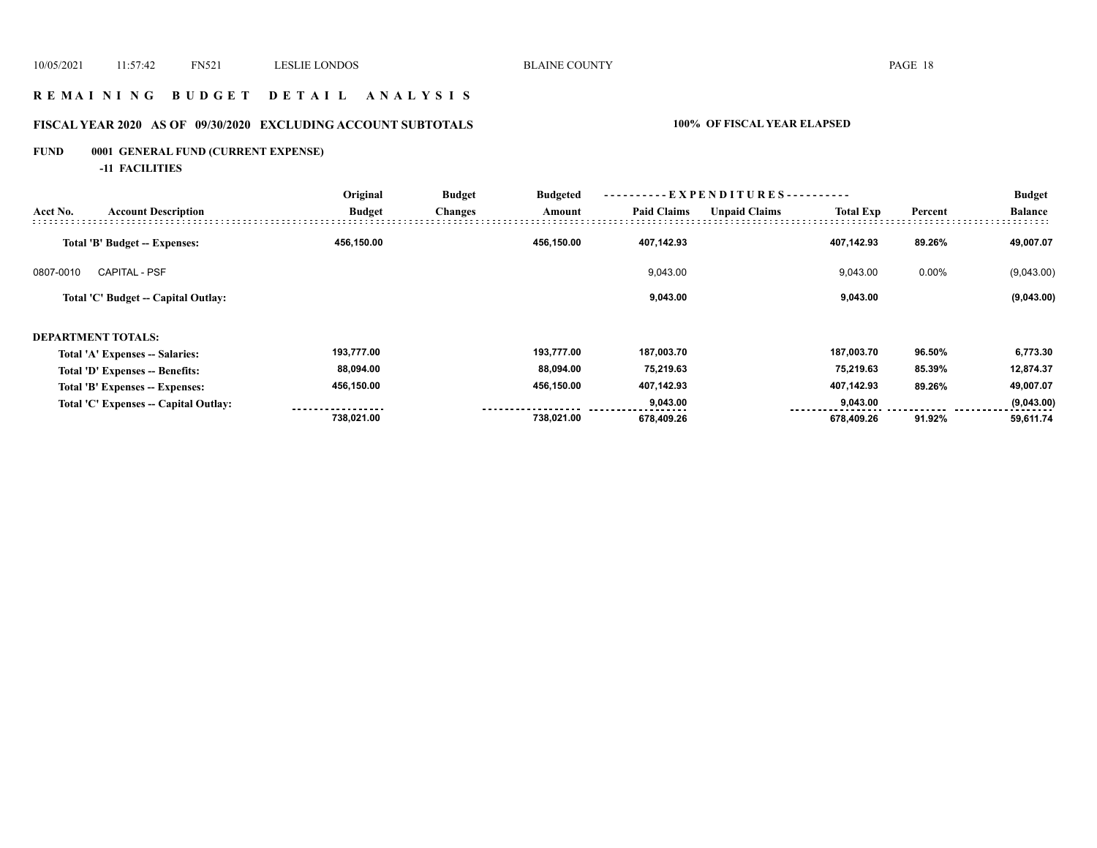## **R E M A I N I N G B U D G E T D E T A I L A N A L Y S I S**

# **FISCAL YEAR 2020 AS OF 09/30/2020 EXCLUDING ACCOUNT SUBTOTALS 100% OF FISCAL YEAR ELAPSED**

# **FUND 0001 GENERAL FUND (CURRENT EXPENSE)**

**-11 FACILITIES**

|           |                                       | Original      | -EXPENDITURES-<br><b>Budget</b><br><b>Budgeted</b> |            |                    |                      |                  |         | <b>Budget</b>  |  |
|-----------|---------------------------------------|---------------|----------------------------------------------------|------------|--------------------|----------------------|------------------|---------|----------------|--|
| Acct No.  | <b>Account Description</b>            | <b>Budget</b> | <b>Changes</b>                                     | Amount     | <b>Paid Claims</b> | <b>Unpaid Claims</b> | <b>Total Exp</b> | Percent | <b>Balance</b> |  |
|           | Total 'B' Budget -- Expenses:         | 456,150.00    |                                                    | 456,150.00 | 407,142.93         |                      | 407,142.93       | 89.26%  | 49,007.07      |  |
| 0807-0010 | <b>CAPITAL - PSF</b>                  |               |                                                    |            | 9,043.00           |                      | 9,043.00         | 0.00%   | (9,043.00)     |  |
|           | Total 'C' Budget -- Capital Outlay:   |               |                                                    |            | 9,043.00           |                      | 9,043.00         |         | (9,043.00)     |  |
|           | <b>DEPARTMENT TOTALS:</b>             |               |                                                    |            |                    |                      |                  |         |                |  |
|           | Total 'A' Expenses -- Salaries:       | 193,777.00    |                                                    | 193,777.00 | 187,003.70         |                      | 187,003.70       | 96.50%  | 6,773.30       |  |
|           | Total 'D' Expenses -- Benefits:       | 88,094.00     |                                                    | 88,094.00  | 75,219.63          |                      | 75,219.63        | 85.39%  | 12,874.37      |  |
|           | Total 'B' Expenses -- Expenses:       | 456,150.00    |                                                    | 456,150.00 | 407,142.93         |                      | 407,142.93       | 89.26%  | 49,007.07      |  |
|           | Total 'C' Expenses -- Capital Outlay: |               |                                                    |            | 9,043.00           |                      | 9,043.00         |         | (9,043.00)     |  |
|           |                                       | 738,021.00    |                                                    | 738,021.00 | 678,409.26         |                      | 678,409.26       | 91.92%  | 59,611.74      |  |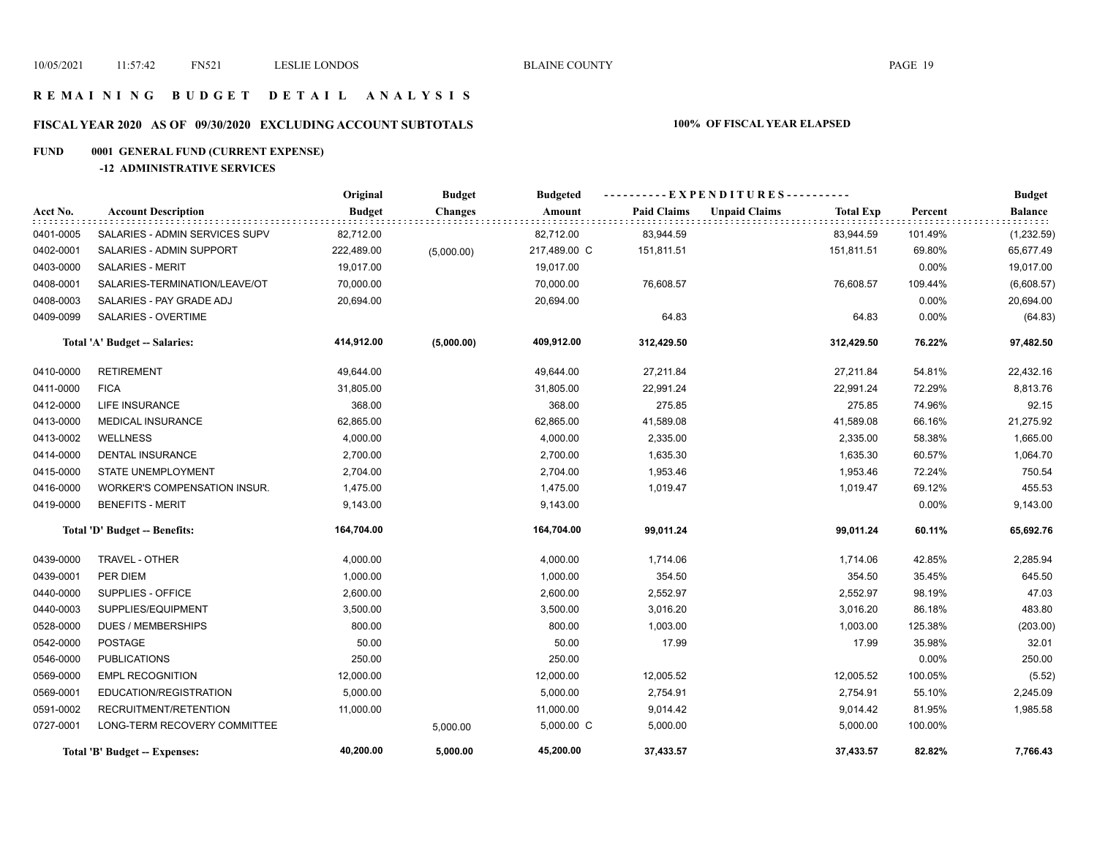## **R E M A I N I N G B U D G E T D E T A I L A N A L Y S I S**

# **FISCAL YEAR 2020 AS OF 09/30/2020 EXCLUDING ACCOUNT SUBTOTALS 100% OF FISCAL YEAR ELAPSED**

# **FUND 0001 GENERAL FUND (CURRENT EXPENSE)**

#### **-12 ADMINISTRATIVE SERVICES**

|           |                                     | Original      | <b>Budget</b>  | <b>Budgeted</b> |                    | ----------EXPENDITURES---------- |                  |          | <b>Budget</b>  |
|-----------|-------------------------------------|---------------|----------------|-----------------|--------------------|----------------------------------|------------------|----------|----------------|
| Acct No.  | <b>Account Description</b>          | <b>Budget</b> | <b>Changes</b> | Amount          | <b>Paid Claims</b> | <b>Unpaid Claims</b>             | <b>Total Exp</b> | Percent  | <b>Balance</b> |
| 0401-0005 | SALARIES - ADMIN SERVICES SUPV      | 82,712.00     |                | 82,712.00       | 83,944.59          |                                  | 83,944.59        | 101.49%  | (1,232.59)     |
| 0402-0001 | SALARIES - ADMIN SUPPORT            | 222,489.00    | (5,000.00)     | 217,489.00 C    | 151,811.51         |                                  | 151,811.51       | 69.80%   | 65,677.49      |
| 0403-0000 | <b>SALARIES - MERIT</b>             | 19,017.00     |                | 19,017.00       |                    |                                  |                  | 0.00%    | 19,017.00      |
| 0408-0001 | SALARIES-TERMINATION/LEAVE/OT       | 70,000.00     |                | 70,000.00       | 76,608.57          |                                  | 76,608.57        | 109.44%  | (6,608.57)     |
| 0408-0003 | SALARIES - PAY GRADE ADJ            | 20,694.00     |                | 20,694.00       |                    |                                  |                  | 0.00%    | 20,694.00      |
| 0409-0099 | SALARIES - OVERTIME                 |               |                |                 | 64.83              |                                  | 64.83            | 0.00%    | (64.83)        |
|           | Total 'A' Budget -- Salaries:       | 414,912.00    | (5,000.00)     | 409,912.00      | 312,429.50         |                                  | 312,429.50       | 76.22%   | 97,482.50      |
| 0410-0000 | <b>RETIREMENT</b>                   | 49,644.00     |                | 49,644.00       | 27,211.84          |                                  | 27,211.84        | 54.81%   | 22,432.16      |
| 0411-0000 | <b>FICA</b>                         | 31,805.00     |                | 31,805.00       | 22,991.24          |                                  | 22,991.24        | 72.29%   | 8,813.76       |
| 0412-0000 | LIFE INSURANCE                      | 368.00        |                | 368.00          | 275.85             |                                  | 275.85           | 74.96%   | 92.15          |
| 0413-0000 | MEDICAL INSURANCE                   | 62,865.00     |                | 62,865.00       | 41,589.08          |                                  | 41,589.08        | 66.16%   | 21,275.92      |
| 0413-0002 | <b>WELLNESS</b>                     | 4,000.00      |                | 4,000.00        | 2,335.00           |                                  | 2,335.00         | 58.38%   | 1,665.00       |
| 0414-0000 | <b>DENTAL INSURANCE</b>             | 2,700.00      |                | 2,700.00        | 1,635.30           |                                  | 1,635.30         | 60.57%   | 1,064.70       |
| 0415-0000 | STATE UNEMPLOYMENT                  | 2,704.00      |                | 2,704.00        | 1,953.46           |                                  | 1,953.46         | 72.24%   | 750.54         |
| 0416-0000 | <b>WORKER'S COMPENSATION INSUR.</b> | 1,475.00      |                | 1,475.00        | 1,019.47           |                                  | 1,019.47         | 69.12%   | 455.53         |
| 0419-0000 | <b>BENEFITS - MERIT</b>             | 9,143.00      |                | 9,143.00        |                    |                                  |                  | $0.00\%$ | 9,143.00       |
|           | Total 'D' Budget -- Benefits:       | 164,704.00    |                | 164,704.00      | 99,011.24          |                                  | 99,011.24        | 60.11%   | 65,692.76      |
| 0439-0000 | TRAVEL - OTHER                      | 4,000.00      |                | 4,000.00        | 1,714.06           |                                  | 1,714.06         | 42.85%   | 2,285.94       |
| 0439-0001 | PER DIEM                            | 1,000.00      |                | 1,000.00        | 354.50             |                                  | 354.50           | 35.45%   | 645.50         |
| 0440-0000 | SUPPLIES - OFFICE                   | 2,600.00      |                | 2,600.00        | 2,552.97           |                                  | 2,552.97         | 98.19%   | 47.03          |
| 0440-0003 | SUPPLIES/EQUIPMENT                  | 3,500.00      |                | 3,500.00        | 3,016.20           |                                  | 3,016.20         | 86.18%   | 483.80         |
| 0528-0000 | <b>DUES / MEMBERSHIPS</b>           | 800.00        |                | 800.00          | 1,003.00           |                                  | 1,003.00         | 125.38%  | (203.00)       |
| 0542-0000 | <b>POSTAGE</b>                      | 50.00         |                | 50.00           | 17.99              |                                  | 17.99            | 35.98%   | 32.01          |
| 0546-0000 | <b>PUBLICATIONS</b>                 | 250.00        |                | 250.00          |                    |                                  |                  | 0.00%    | 250.00         |
| 0569-0000 | <b>EMPL RECOGNITION</b>             | 12,000.00     |                | 12,000.00       | 12,005.52          |                                  | 12,005.52        | 100.05%  | (5.52)         |
| 0569-0001 | EDUCATION/REGISTRATION              | 5,000.00      |                | 5,000.00        | 2,754.91           |                                  | 2,754.91         | 55.10%   | 2,245.09       |
| 0591-0002 | RECRUITMENT/RETENTION               | 11,000.00     |                | 11,000.00       | 9,014.42           |                                  | 9,014.42         | 81.95%   | 1,985.58       |
| 0727-0001 | LONG-TERM RECOVERY COMMITTEE        |               | 5,000.00       | 5,000.00 C      | 5,000.00           |                                  | 5,000.00         | 100.00%  |                |
|           | Total 'B' Budget -- Expenses:       | 40,200.00     | 5,000.00       | 45,200.00       | 37,433.57          |                                  | 37,433.57        | 82.82%   | 7,766.43       |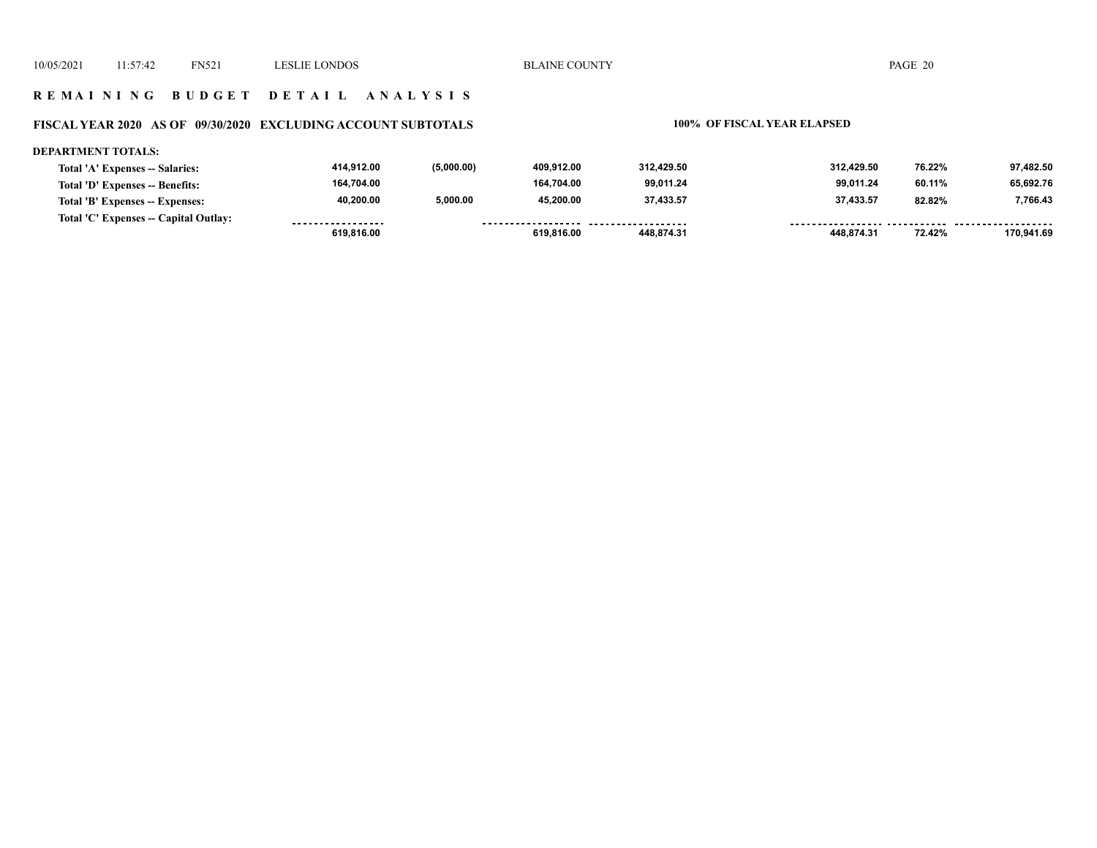## **R E M A I N I N G B U D G E T D E T A I L A N A L Y S I S**

# **FISCAL YEAR 2020 AS OF 09/30/2020 EXCLUDING ACCOUNT SUBTOTALS 100% OF FISCAL YEAR ELAPSED**

#### **DEPARTMENT TOTALS:**

| Total 'A' Expenses -- Salaries:       | 414.912.00        | (5,000.00) | 409.912.00         | 312.429.50 | 312.429.50 | 76.22% | 97.482.50  |
|---------------------------------------|-------------------|------------|--------------------|------------|------------|--------|------------|
| Total 'D' Expenses -- Benefits:       | 164.704.00        |            | 164.704.00         | 99.011.24  | 99.011.24  | 60.11% | 65,692.76  |
| Total 'B' Expenses -- Expenses:       | 40.200.00         | 5,000.00   | 45.200.00          | 37.433.57  | 37.433.57  | 82.82% | 7,766.43   |
| Total 'C' Expenses -- Capital Outlay: | ----------------- |            | ------------------ | .          |            |        |            |
|                                       | 619.816.00        |            | 619,816.00         | 448.874.31 | 448.874.31 | 72.42% | 170.941.69 |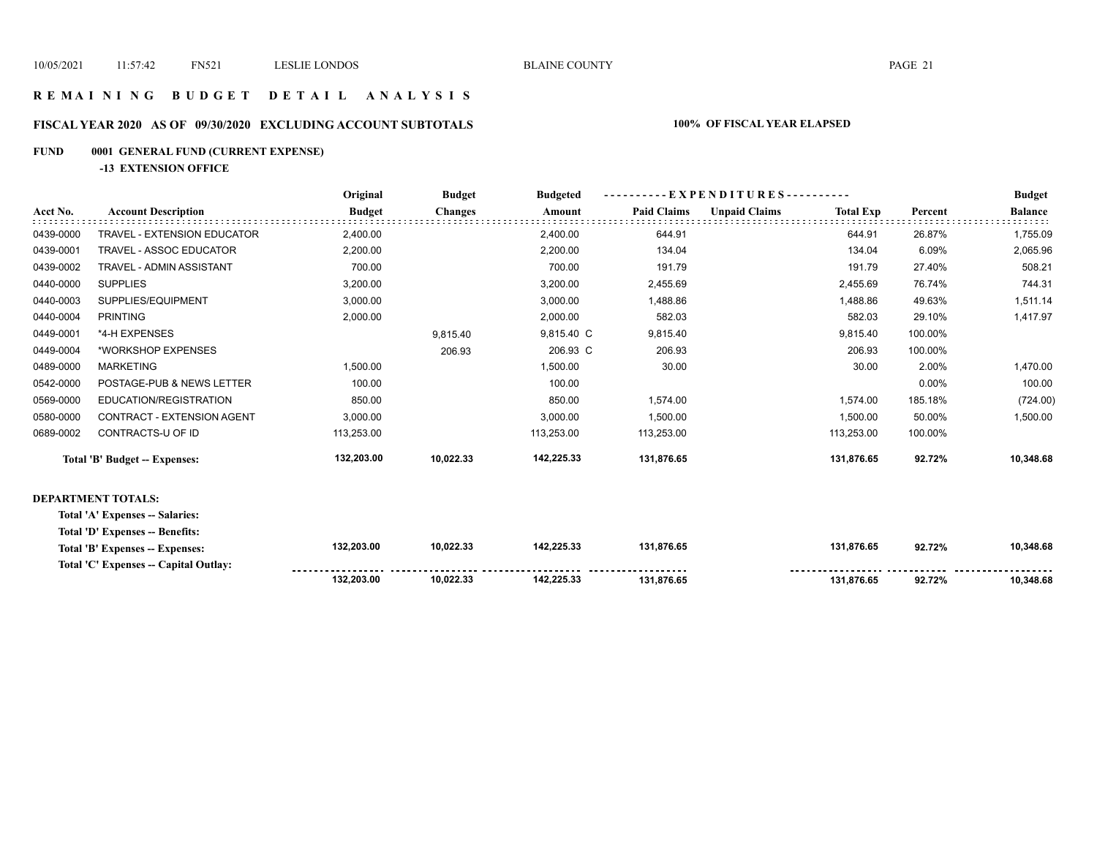## **R E M A I N I N G B U D G E T D E T A I L A N A L Y S I S**

## **FISCAL YEAR 2020 AS OF 09/30/2020 EXCLUDING ACCOUNT SUBTOTALS 100% OF FISCAL YEAR ELAPSED**

## **FUND 0001 GENERAL FUND (CURRENT EXPENSE)**

**-13 EXTENSION OFFICE**

|           |                                       | Original      | <b>Budget</b>  | <b>Budgeted</b> |                    | $-$ EXPENDITURES---------- |                  |         | <b>Budget</b>  |
|-----------|---------------------------------------|---------------|----------------|-----------------|--------------------|----------------------------|------------------|---------|----------------|
| Acct No.  | <b>Account Description</b>            | <b>Budget</b> | <b>Changes</b> | Amount          | <b>Paid Claims</b> | <b>Unpaid Claims</b>       | <b>Total Exp</b> | Percent | <b>Balance</b> |
| 0439-0000 | <b>TRAVEL - EXTENSION EDUCATOR</b>    | 2,400.00      |                | 2,400.00        | 644.91             |                            | 644.91           | 26.87%  | 1,755.09       |
| 0439-0001 | <b>TRAVEL - ASSOC EDUCATOR</b>        | 2,200.00      |                | 2,200.00        | 134.04             |                            | 134.04           | 6.09%   | 2,065.96       |
| 0439-0002 | TRAVEL - ADMIN ASSISTANT              | 700.00        |                | 700.00          | 191.79             |                            | 191.79           | 27.40%  | 508.21         |
| 0440-0000 | <b>SUPPLIES</b>                       | 3,200.00      |                | 3,200.00        | 2,455.69           |                            | 2,455.69         | 76.74%  | 744.31         |
| 0440-0003 | SUPPLIES/EQUIPMENT                    | 3,000.00      |                | 3,000.00        | 1,488.86           |                            | 1,488.86         | 49.63%  | 1,511.14       |
| 0440-0004 | <b>PRINTING</b>                       | 2,000.00      |                | 2,000.00        | 582.03             |                            | 582.03           | 29.10%  | 1,417.97       |
| 0449-0001 | *4-H EXPENSES                         |               | 9,815.40       | 9,815.40 C      | 9,815.40           |                            | 9,815.40         | 100.00% |                |
| 0449-0004 | *WORKSHOP EXPENSES                    |               | 206.93         | 206.93 C        | 206.93             |                            | 206.93           | 100.00% |                |
| 0489-0000 | <b>MARKETING</b>                      | 1,500.00      |                | 1,500.00        | 30.00              |                            | 30.00            | 2.00%   | 1,470.00       |
| 0542-0000 | POSTAGE-PUB & NEWS LETTER             | 100.00        |                | 100.00          |                    |                            |                  | 0.00%   | 100.00         |
| 0569-0000 | EDUCATION/REGISTRATION                | 850.00        |                | 850.00          | 1,574.00           |                            | 1,574.00         | 185.18% | (724.00)       |
| 0580-0000 | CONTRACT - EXTENSION AGENT            | 3,000.00      |                | 3,000.00        | 1,500.00           |                            | 1,500.00         | 50.00%  | 1,500.00       |
| 0689-0002 | CONTRACTS-U OF ID                     | 113,253.00    |                | 113,253.00      | 113,253.00         |                            | 113,253.00       | 100.00% |                |
|           | Total 'B' Budget -- Expenses:         | 132,203.00    | 10,022.33      | 142,225.33      | 131,876.65         |                            | 131,876.65       | 92.72%  | 10,348.68      |
|           | <b>DEPARTMENT TOTALS:</b>             |               |                |                 |                    |                            |                  |         |                |
|           | Total 'A' Expenses -- Salaries:       |               |                |                 |                    |                            |                  |         |                |
|           | Total 'D' Expenses -- Benefits:       |               |                |                 |                    |                            |                  |         |                |
|           | Total 'B' Expenses -- Expenses:       | 132,203.00    | 10,022.33      | 142,225.33      | 131,876.65         |                            | 131,876.65       | 92.72%  | 10,348.68      |
|           | Total 'C' Expenses -- Capital Outlay: |               |                |                 |                    |                            |                  |         |                |
|           |                                       | 132,203.00    | 10,022.33      | 142,225.33      | 131.876.65         |                            | 131.876.65       | 92.72%  | 10.348.68      |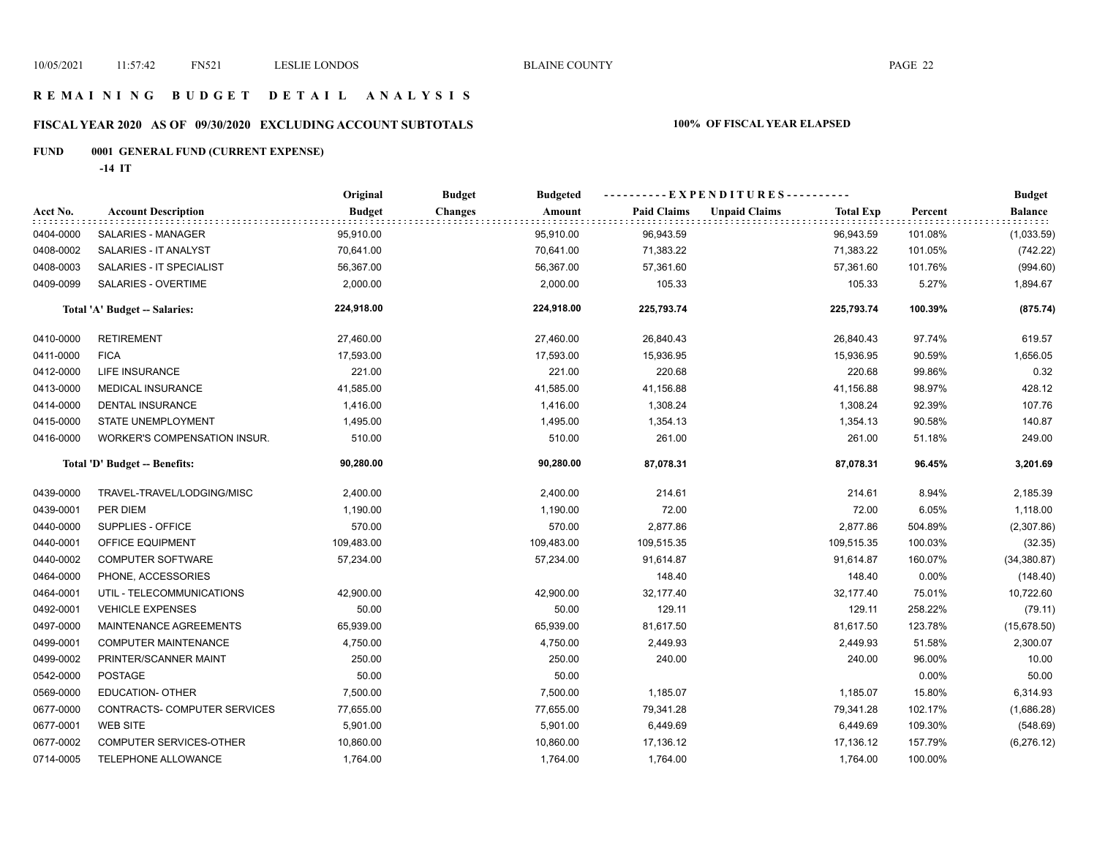# **R E M A I N I N G B U D G E T D E T A I L A N A L Y S I S**

# **FISCAL YEAR 2020 AS OF 09/30/2020 EXCLUDING ACCOUNT SUBTOTALS 100% OF FISCAL YEAR ELAPSED**

# **FUND 0001 GENERAL FUND (CURRENT EXPENSE)**

**-14 IT**

|           |                                      | Original      | <b>Budget</b><br><b>Budgeted</b> |                    | ----------EXPENDITURES----------         |         | <b>Budget</b>            |
|-----------|--------------------------------------|---------------|----------------------------------|--------------------|------------------------------------------|---------|--------------------------|
| Acct No.  | <b>Account Description</b>           | <b>Budget</b> | Amount<br><b>Changes</b>         | <b>Paid Claims</b> | <b>Unpaid Claims</b><br><b>Total Exp</b> | Percent | <b>Balance</b><br>t t ti |
| 0404-0000 | SALARIES - MANAGER                   | 95,910.00     | 95,910.00                        | 96,943.59          | 96,943.59                                | 101.08% | (1,033.59)               |
| 0408-0002 | SALARIES - IT ANALYST                | 70,641.00     | 70,641.00                        | 71,383.22          | 71,383.22                                | 101.05% | (742.22)                 |
| 0408-0003 | SALARIES - IT SPECIALIST             | 56,367.00     | 56,367.00                        | 57,361.60          | 57,361.60                                | 101.76% | (994.60)                 |
| 0409-0099 | SALARIES - OVERTIME                  | 2,000.00      | 2,000.00                         | 105.33             | 105.33                                   | 5.27%   | 1,894.67                 |
|           | <b>Total 'A' Budget -- Salaries:</b> | 224,918.00    | 224,918.00                       | 225,793.74         | 225,793.74                               | 100.39% | (875.74)                 |
| 0410-0000 | <b>RETIREMENT</b>                    | 27,460.00     | 27,460.00                        | 26,840.43          | 26,840.43                                | 97.74%  | 619.57                   |
| 0411-0000 | <b>FICA</b>                          | 17,593.00     | 17,593.00                        | 15,936.95          | 15,936.95                                | 90.59%  | 1,656.05                 |
| 0412-0000 | <b>LIFE INSURANCE</b>                | 221.00        | 221.00                           | 220.68             | 220.68                                   | 99.86%  | 0.32                     |
| 0413-0000 | <b>MEDICAL INSURANCE</b>             | 41,585.00     | 41,585.00                        | 41,156.88          | 41,156.88                                | 98.97%  | 428.12                   |
| 0414-0000 | DENTAL INSURANCE                     | 1,416.00      | 1,416.00                         | 1,308.24           | 1,308.24                                 | 92.39%  | 107.76                   |
| 0415-0000 | STATE UNEMPLOYMENT                   | 1,495.00      | 1,495.00                         | 1,354.13           | 1,354.13                                 | 90.58%  | 140.87                   |
| 0416-0000 | <b>WORKER'S COMPENSATION INSUR.</b>  | 510.00        | 510.00                           | 261.00             | 261.00                                   | 51.18%  | 249.00                   |
|           | Total 'D' Budget -- Benefits:        | 90,280.00     | 90,280.00                        | 87,078.31          | 87,078.31                                | 96.45%  | 3,201.69                 |
| 0439-0000 | TRAVEL-TRAVEL/LODGING/MISC           | 2,400.00      | 2,400.00                         | 214.61             | 214.61                                   | 8.94%   | 2,185.39                 |
| 0439-0001 | PER DIEM                             | 1,190.00      | 1,190.00                         | 72.00              | 72.00                                    | 6.05%   | 1,118.00                 |
| 0440-0000 | SUPPLIES - OFFICE                    | 570.00        | 570.00                           | 2,877.86           | 2,877.86                                 | 504.89% | (2,307.86)               |
| 0440-0001 | <b>OFFICE EQUIPMENT</b>              | 109,483.00    | 109,483.00                       | 109,515.35         | 109,515.35                               | 100.03% | (32.35)                  |
| 0440-0002 | <b>COMPUTER SOFTWARE</b>             | 57,234.00     | 57,234.00                        | 91,614.87          | 91,614.87                                | 160.07% | (34, 380.87)             |
| 0464-0000 | PHONE, ACCESSORIES                   |               |                                  | 148.40             | 148.40                                   | 0.00%   | (148.40)                 |
| 0464-0001 | UTIL - TELECOMMUNICATIONS            | 42,900.00     | 42,900.00                        | 32,177.40          | 32,177.40                                | 75.01%  | 10,722.60                |
| 0492-0001 | <b>VEHICLE EXPENSES</b>              | 50.00         | 50.00                            | 129.11             | 129.11                                   | 258.22% | (79.11)                  |
| 0497-0000 | MAINTENANCE AGREEMENTS               | 65,939.00     | 65,939.00                        | 81,617.50          | 81,617.50                                | 123.78% | (15,678.50)              |
| 0499-0001 | COMPUTER MAINTENANCE                 | 4,750.00      | 4,750.00                         | 2,449.93           | 2,449.93                                 | 51.58%  | 2,300.07                 |
| 0499-0002 | PRINTER/SCANNER MAINT                | 250.00        | 250.00                           | 240.00             | 240.00                                   | 96.00%  | 10.00                    |
| 0542-0000 | <b>POSTAGE</b>                       | 50.00         | 50.00                            |                    |                                          | 0.00%   | 50.00                    |
| 0569-0000 | EDUCATION- OTHER                     | 7,500.00      | 7,500.00                         | 1,185.07           | 1,185.07                                 | 15.80%  | 6,314.93                 |
| 0677-0000 | CONTRACTS- COMPUTER SERVICES         | 77,655.00     | 77,655.00                        | 79,341.28          | 79,341.28                                | 102.17% | (1,686.28)               |
| 0677-0001 | <b>WEB SITE</b>                      | 5,901.00      | 5,901.00                         | 6,449.69           | 6,449.69                                 | 109.30% | (548.69)                 |
| 0677-0002 | COMPUTER SERVICES-OTHER              | 10,860.00     | 10,860.00                        | 17,136.12          | 17,136.12                                | 157.79% | (6, 276.12)              |
| 0714-0005 | TELEPHONE ALLOWANCE                  | 1,764.00      | 1,764.00                         | 1,764.00           | 1,764.00                                 | 100.00% |                          |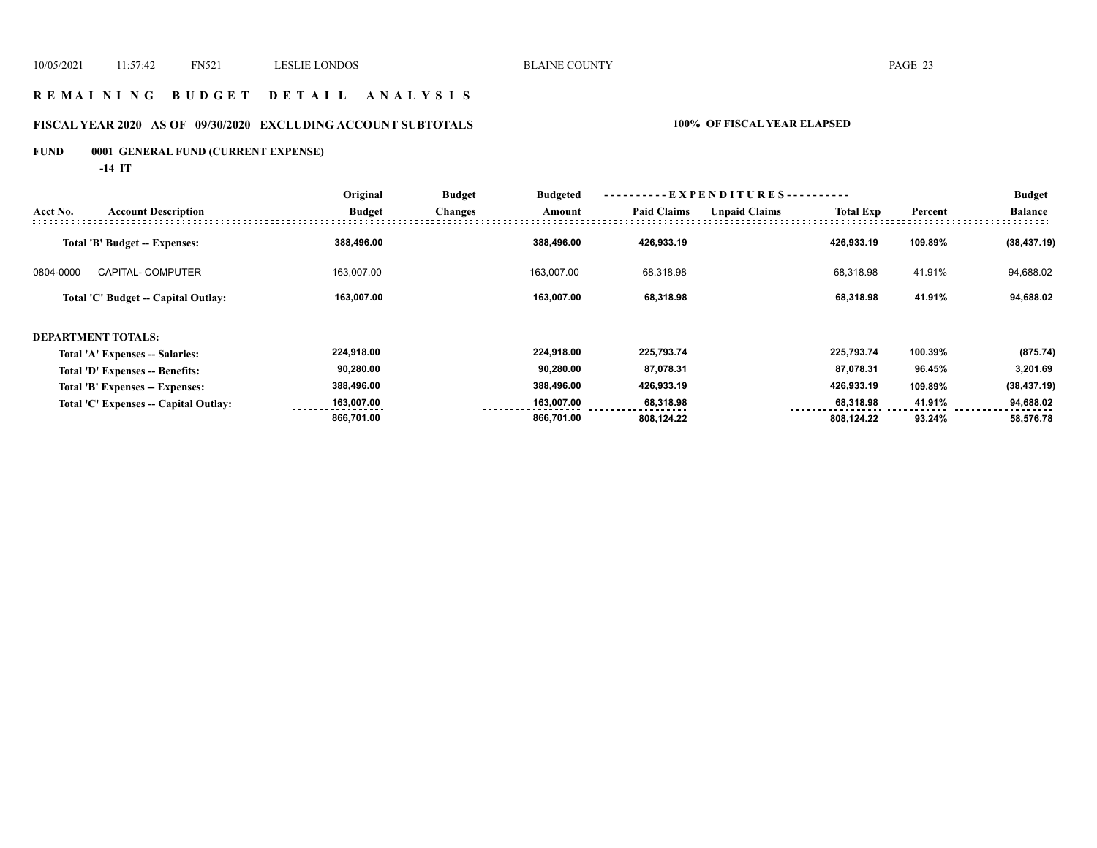## **R E M A I N I N G B U D G E T D E T A I L A N A L Y S I S**

# **FISCAL YEAR 2020 AS OF 09/30/2020 EXCLUDING ACCOUNT SUBTOTALS 100% OF FISCAL YEAR ELAPSED**

# **FUND 0001 GENERAL FUND (CURRENT EXPENSE)**

**-14 IT**

|                                       | Original      | <b>Budget</b><br><b>Budgeted</b> |            |                    |                      |                  |                                  | <b>Budget</b>  |
|---------------------------------------|---------------|----------------------------------|------------|--------------------|----------------------|------------------|----------------------------------|----------------|
| <b>Account Description</b>            | <b>Budget</b> | <b>Changes</b>                   | Amount     | <b>Paid Claims</b> | <b>Unpaid Claims</b> | <b>Total Exp</b> | Percent                          | <b>Balance</b> |
| Total 'B' Budget -- Expenses:         | 388,496.00    |                                  | 388,496.00 | 426,933.19         |                      | 426,933.19       | 109.89%                          | (38, 437.19)   |
| <b>CAPITAL- COMPUTER</b>              | 163.007.00    |                                  | 163.007.00 | 68,318.98          |                      | 68,318.98        | 41.91%                           | 94,688.02      |
| Total 'C' Budget -- Capital Outlay:   | 163,007.00    |                                  | 163,007.00 | 68,318.98          |                      | 68,318.98        | 41.91%                           | 94,688.02      |
| <b>DEPARTMENT TOTALS:</b>             |               |                                  |            |                    |                      |                  |                                  |                |
| Total 'A' Expenses -- Salaries:       | 224,918.00    |                                  | 224,918.00 | 225,793.74         |                      | 225,793.74       | 100.39%                          | (875.74)       |
| Total 'D' Expenses -- Benefits:       | 90,280.00     |                                  | 90,280.00  | 87,078.31          |                      | 87,078.31        | 96.45%                           | 3,201.69       |
| Total 'B' Expenses -- Expenses:       | 388,496.00    |                                  | 388,496.00 | 426,933.19         |                      | 426,933.19       | 109.89%                          | (38, 437.19)   |
| Total 'C' Expenses -- Capital Outlay: | 163,007.00    |                                  | 163,007.00 | 68,318.98          |                      | 68,318.98        | 41.91%                           | 94,688.02      |
|                                       | 866,701.00    |                                  | 866,701.00 | 808,124.22         |                      | 808,124.22       | 93.24%                           | 58,576.78      |
|                                       |               |                                  |            |                    |                      |                  | ----------EXPENDITURES---------- |                |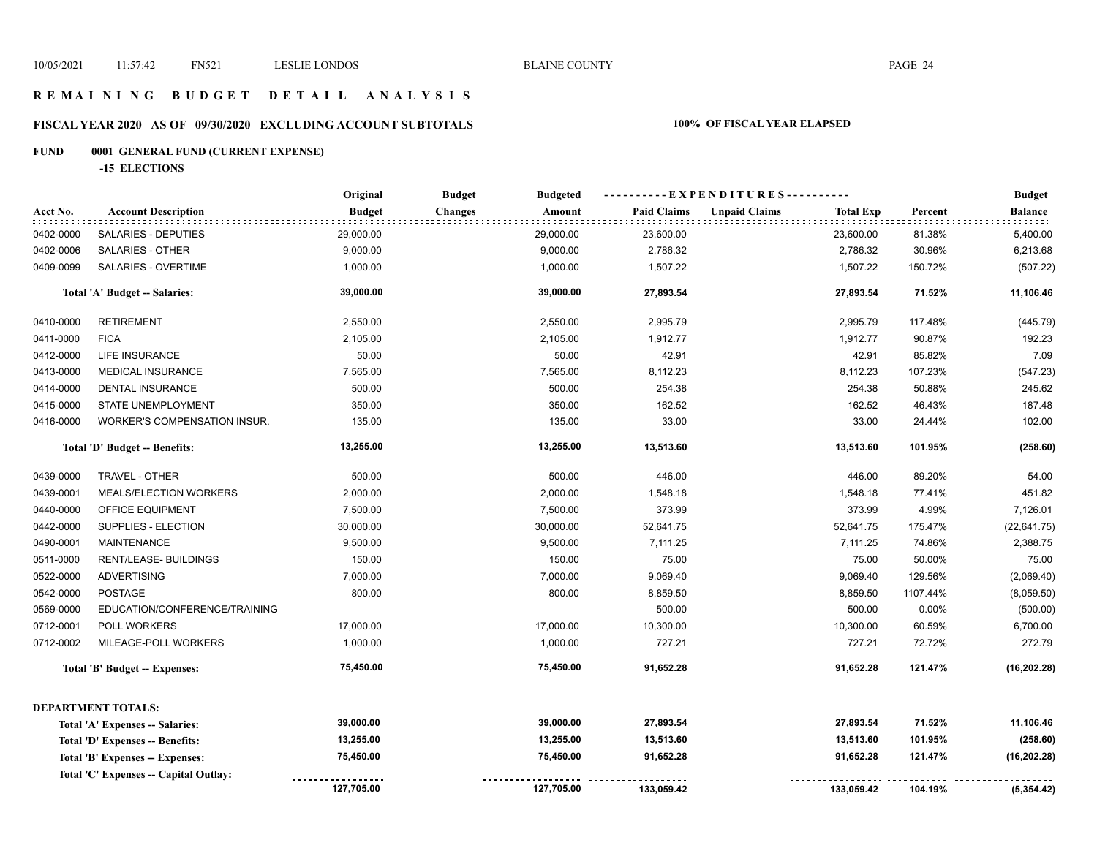## **R E M A I N I N G B U D G E T D E T A I L A N A L Y S I S**

# **FISCAL YEAR 2020 AS OF 09/30/2020 EXCLUDING ACCOUNT SUBTOTALS 100% OF FISCAL YEAR ELAPSED**

# **FUND 0001 GENERAL FUND (CURRENT EXPENSE)**

**-15 ELECTIONS**

|           |                                      | Original      | <b>Budget</b><br><b>Budgeted</b> |                    | ----------EXPENDITURES----------         |          | <b>Budget</b>  |
|-----------|--------------------------------------|---------------|----------------------------------|--------------------|------------------------------------------|----------|----------------|
| Acct No.  | <b>Account Description</b>           | <b>Budget</b> | <b>Changes</b><br>Amount         | <b>Paid Claims</b> | <b>Unpaid Claims</b><br><b>Total Exp</b> | Percent  | <b>Balance</b> |
| 0402-0000 | <b>SALARIES - DEPUTIES</b>           | 29,000.00     | 29,000.00                        | 23,600.00          | 23,600.00                                | 81.38%   | 5,400.00       |
| 0402-0006 | <b>SALARIES - OTHER</b>              | 9,000.00      | 9,000.00                         | 2,786.32           | 2,786.32                                 | 30.96%   | 6,213.68       |
| 0409-0099 | <b>SALARIES - OVERTIME</b>           | 1,000.00      | 1,000.00                         | 1,507.22           | 1,507.22                                 | 150.72%  | (507.22)       |
|           | Total 'A' Budget -- Salaries:        | 39,000.00     | 39,000.00                        | 27,893.54          | 27,893.54                                | 71.52%   | 11,106.46      |
| 0410-0000 | <b>RETIREMENT</b>                    | 2,550.00      | 2,550.00                         | 2,995.79           | 2,995.79                                 | 117.48%  | (445.79)       |
| 0411-0000 | <b>FICA</b>                          | 2,105.00      | 2,105.00                         | 1,912.77           | 1,912.77                                 | 90.87%   | 192.23         |
| 0412-0000 | LIFE INSURANCE                       | 50.00         | 50.00                            | 42.91              | 42.91                                    | 85.82%   | 7.09           |
| 0413-0000 | MEDICAL INSURANCE                    | 7,565.00      | 7,565.00                         | 8,112.23           | 8,112.23                                 | 107.23%  | (547.23)       |
| 0414-0000 | <b>DENTAL INSURANCE</b>              | 500.00        | 500.00                           | 254.38             | 254.38                                   | 50.88%   | 245.62         |
| 0415-0000 | STATE UNEMPLOYMENT                   | 350.00        | 350.00                           | 162.52             | 162.52                                   | 46.43%   | 187.48         |
| 0416-0000 | WORKER'S COMPENSATION INSUR.         | 135.00        | 135.00                           | 33.00              | 33.00                                    | 24.44%   | 102.00         |
|           | Total 'D' Budget -- Benefits:        | 13,255.00     | 13,255.00                        | 13,513.60          | 13,513.60                                | 101.95%  | (258.60)       |
| 0439-0000 | TRAVEL - OTHER                       | 500.00        | 500.00                           | 446.00             | 446.00                                   | 89.20%   | 54.00          |
| 0439-0001 | MEALS/ELECTION WORKERS               | 2,000.00      | 2,000.00                         | 1,548.18           | 1,548.18                                 | 77.41%   | 451.82         |
| 0440-0000 | OFFICE EQUIPMENT                     | 7,500.00      | 7,500.00                         | 373.99             | 373.99                                   | 4.99%    | 7,126.01       |
| 0442-0000 | SUPPLIES - ELECTION                  | 30,000.00     | 30,000.00                        | 52,641.75          | 52,641.75                                | 175.47%  | (22, 641.75)   |
| 0490-0001 | <b>MAINTENANCE</b>                   | 9,500.00      | 9,500.00                         | 7,111.25           | 7,111.25                                 | 74.86%   | 2,388.75       |
| 0511-0000 | RENT/LEASE- BUILDINGS                | 150.00        | 150.00                           | 75.00              | 75.00                                    | 50.00%   | 75.00          |
| 0522-0000 | <b>ADVERTISING</b>                   | 7,000.00      | 7,000.00                         | 9,069.40           | 9,069.40                                 | 129.56%  | (2,069.40)     |
| 0542-0000 | POSTAGE                              | 800.00        | 800.00                           | 8,859.50           | 8,859.50                                 | 1107.44% | (8,059.50)     |
| 0569-0000 | EDUCATION/CONFERENCE/TRAINING        |               |                                  | 500.00             | 500.00                                   | 0.00%    | (500.00)       |
| 0712-0001 | POLL WORKERS                         | 17,000.00     | 17,000.00                        | 10,300.00          | 10,300.00                                | 60.59%   | 6,700.00       |
| 0712-0002 | MILEAGE-POLL WORKERS                 | 1,000.00      | 1,000.00                         | 727.21             | 727.21                                   | 72.72%   | 272.79         |
|           | Total 'B' Budget -- Expenses:        | 75,450.00     | 75,450.00                        | 91,652.28          | 91,652.28                                | 121.47%  | (16, 202.28)   |
|           | <b>DEPARTMENT TOTALS:</b>            |               |                                  |                    |                                          |          |                |
|           | Total 'A' Expenses -- Salaries:      | 39,000.00     | 39,000.00                        | 27,893.54          | 27,893.54                                | 71.52%   | 11,106.46      |
|           | Total 'D' Expenses -- Benefits:      | 13,255.00     | 13,255.00                        | 13,513.60          | 13,513.60                                | 101.95%  | (258.60)       |
|           | Total 'B' Expenses -- Expenses:      | 75,450.00     | 75,450.00                        | 91,652.28          | 91,652.28                                | 121.47%  | (16, 202.28)   |
|           | Total 'C' Expenses - Capital Outlay: |               |                                  |                    |                                          |          |                |
|           |                                      | 127,705.00    | 127,705.00                       | 133,059.42         | 133,059.42                               | 104.19%  | (5, 354.42)    |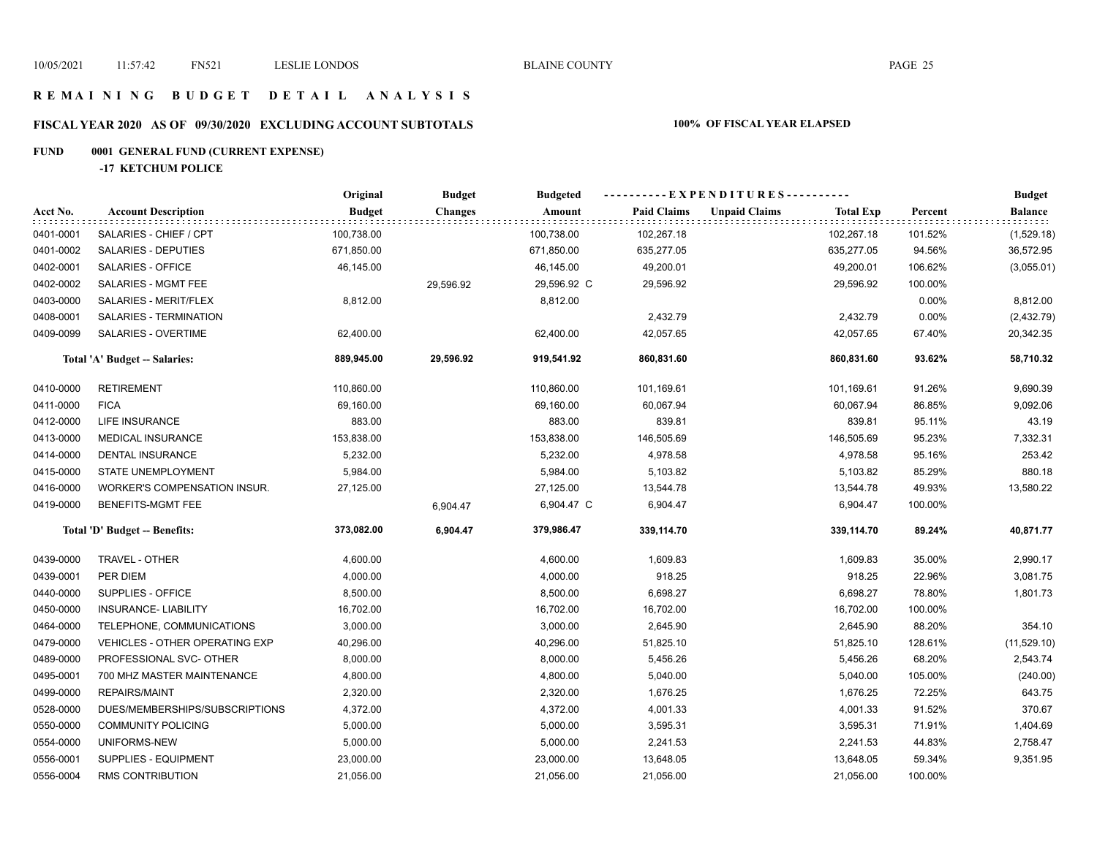## **R E M A I N I N G B U D G E T D E T A I L A N A L Y S I S**

# **FISCAL YEAR 2020 AS OF 09/30/2020 EXCLUDING ACCOUNT SUBTOTALS 100% OF FISCAL YEAR ELAPSED**

# **FUND 0001 GENERAL FUND (CURRENT EXPENSE)**

**-17 KETCHUM POLICE**

|           |                                     | Original      | <b>Budget</b>  | <b>Budgeted</b> |                    | ----------EXPENDITURES----------         |         | <b>Budget</b>  |
|-----------|-------------------------------------|---------------|----------------|-----------------|--------------------|------------------------------------------|---------|----------------|
| Acct No.  | <b>Account Description</b>          | <b>Budget</b> | <b>Changes</b> | Amount          | <b>Paid Claims</b> | <b>Unpaid Claims</b><br><b>Total Exp</b> | Percent | <b>Balance</b> |
| 0401-0001 | SALARIES - CHIEF / CPT              | 100,738.00    |                | 100,738.00      | 102,267.18         | 102,267.18                               | 101.52% | (1,529.18)     |
| 0401-0002 | SALARIES - DEPUTIES                 | 671,850.00    |                | 671,850.00      | 635,277.05         | 635,277.05                               | 94.56%  | 36,572.95      |
| 0402-0001 | SALARIES - OFFICE                   | 46,145.00     |                | 46,145.00       | 49,200.01          | 49,200.01                                | 106.62% | (3,055.01)     |
| 0402-0002 | SALARIES - MGMT FEE                 |               | 29,596.92      | 29,596.92 C     | 29,596.92          | 29,596.92                                | 100.00% |                |
| 0403-0000 | SALARIES - MERIT/FLEX               | 8,812.00      |                | 8,812.00        |                    |                                          | 0.00%   | 8,812.00       |
| 0408-0001 | SALARIES - TERMINATION              |               |                |                 | 2,432.79           | 2,432.79                                 | 0.00%   | (2,432.79)     |
| 0409-0099 | SALARIES - OVERTIME                 | 62,400.00     |                | 62,400.00       | 42,057.65          | 42,057.65                                | 67.40%  | 20,342.35      |
|           | Total 'A' Budget -- Salaries:       | 889,945.00    | 29,596.92      | 919,541.92      | 860,831.60         | 860,831.60                               | 93.62%  | 58,710.32      |
| 0410-0000 | <b>RETIREMENT</b>                   | 110,860.00    |                | 110,860.00      | 101,169.61         | 101,169.61                               | 91.26%  | 9,690.39       |
| 0411-0000 | <b>FICA</b>                         | 69,160.00     |                | 69,160.00       | 60,067.94          | 60,067.94                                | 86.85%  | 9,092.06       |
| 0412-0000 | LIFE INSURANCE                      | 883.00        |                | 883.00          | 839.81             | 839.81                                   | 95.11%  | 43.19          |
| 0413-0000 | MEDICAL INSURANCE                   | 153,838.00    |                | 153,838.00      | 146,505.69         | 146,505.69                               | 95.23%  | 7,332.31       |
| 0414-0000 | <b>DENTAL INSURANCE</b>             | 5,232.00      |                | 5,232.00        | 4,978.58           | 4,978.58                                 | 95.16%  | 253.42         |
| 0415-0000 | STATE UNEMPLOYMENT                  | 5,984.00      |                | 5,984.00        | 5,103.82           | 5,103.82                                 | 85.29%  | 880.18         |
| 0416-0000 | <b>WORKER'S COMPENSATION INSUR.</b> | 27,125.00     |                | 27,125.00       | 13,544.78          | 13,544.78                                | 49.93%  | 13,580.22      |
| 0419-0000 | <b>BENEFITS-MGMT FEE</b>            |               | 6,904.47       | 6,904.47 C      | 6,904.47           | 6,904.47                                 | 100.00% |                |
|           | Total 'D' Budget -- Benefits:       | 373,082.00    | 6,904.47       | 379,986.47      | 339,114.70         | 339,114.70                               | 89.24%  | 40,871.77      |
| 0439-0000 | TRAVEL - OTHER                      | 4,600.00      |                | 4,600.00        | 1,609.83           | 1,609.83                                 | 35.00%  | 2,990.17       |
| 0439-0001 | PER DIEM                            | 4,000.00      |                | 4,000.00        | 918.25             | 918.25                                   | 22.96%  | 3,081.75       |
| 0440-0000 | SUPPLIES - OFFICE                   | 8,500.00      |                | 8,500.00        | 6,698.27           | 6,698.27                                 | 78.80%  | 1,801.73       |
| 0450-0000 | <b>INSURANCE- LIABILITY</b>         | 16,702.00     |                | 16,702.00       | 16,702.00          | 16,702.00                                | 100.00% |                |
| 0464-0000 | TELEPHONE, COMMUNICATIONS           | 3,000.00      |                | 3,000.00        | 2,645.90           | 2,645.90                                 | 88.20%  | 354.10         |
| 0479-0000 | VEHICLES - OTHER OPERATING EXP      | 40,296.00     |                | 40,296.00       | 51,825.10          | 51,825.10                                | 128.61% | (11,529.10)    |
| 0489-0000 | PROFESSIONAL SVC- OTHER             | 8,000.00      |                | 8,000.00        | 5,456.26           | 5,456.26                                 | 68.20%  | 2,543.74       |
| 0495-0001 | 700 MHZ MASTER MAINTENANCE          | 4,800.00      |                | 4,800.00        | 5,040.00           | 5,040.00                                 | 105.00% | (240.00)       |
| 0499-0000 | <b>REPAIRS/MAINT</b>                | 2,320.00      |                | 2,320.00        | 1,676.25           | 1,676.25                                 | 72.25%  | 643.75         |
| 0528-0000 | DUES/MEMBERSHIPS/SUBSCRIPTIONS      | 4,372.00      |                | 4,372.00        | 4,001.33           | 4,001.33                                 | 91.52%  | 370.67         |
| 0550-0000 | <b>COMMUNITY POLICING</b>           | 5,000.00      |                | 5,000.00        | 3,595.31           | 3,595.31                                 | 71.91%  | 1,404.69       |
| 0554-0000 | UNIFORMS-NEW                        | 5,000.00      |                | 5,000.00        | 2,241.53           | 2,241.53                                 | 44.83%  | 2,758.47       |
| 0556-0001 | SUPPLIES - EQUIPMENT                | 23,000.00     |                | 23,000.00       | 13,648.05          | 13,648.05                                | 59.34%  | 9,351.95       |
| 0556-0004 | RMS CONTRIBUTION                    | 21,056.00     |                | 21,056.00       | 21,056.00          | 21,056.00                                | 100.00% |                |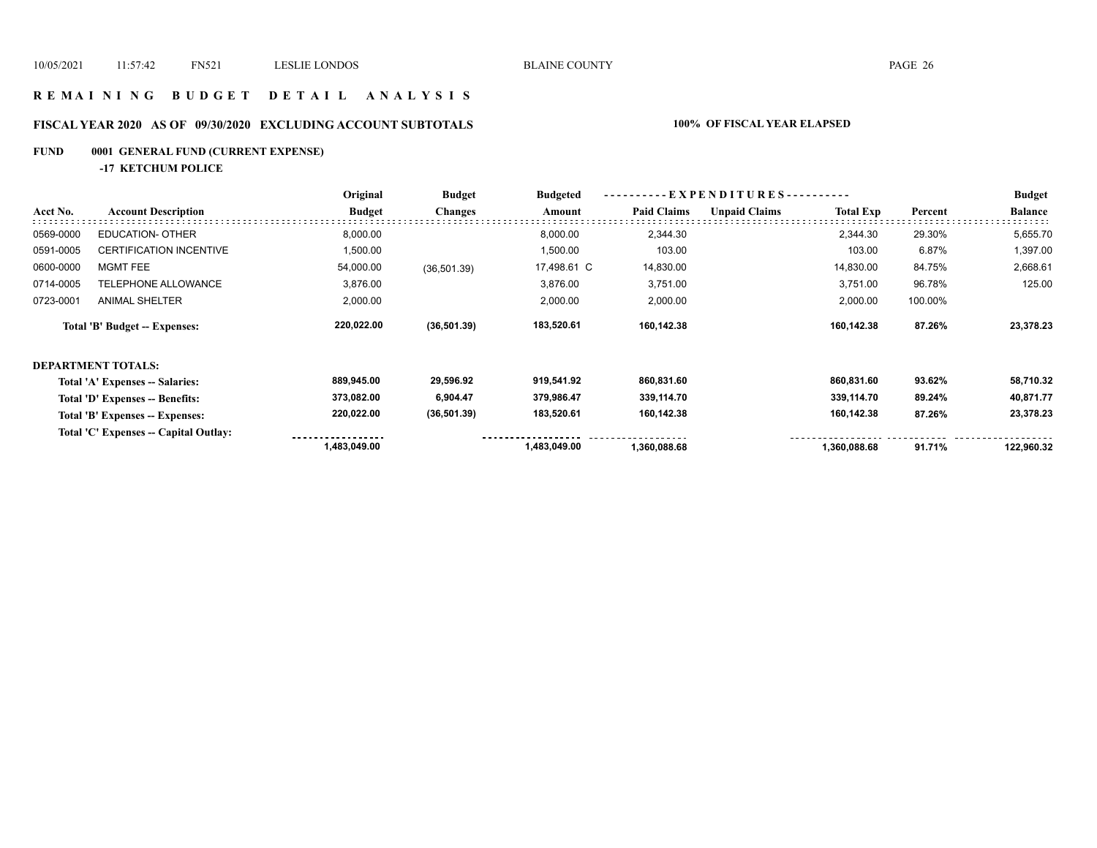## **R E M A I N I N G B U D G E T D E T A I L A N A L Y S I S**

# **FISCAL YEAR 2020 AS OF 09/30/2020 EXCLUDING ACCOUNT SUBTOTALS 100% OF FISCAL YEAR ELAPSED**

# **FUND 0001 GENERAL FUND (CURRENT EXPENSE)**

**-17 KETCHUM POLICE**

|           |                                       | Original      | <b>Budget</b>  | <b>Budgeted</b> | EXPENDITURES---------- |                      |                  | <b>Budget</b> |                |
|-----------|---------------------------------------|---------------|----------------|-----------------|------------------------|----------------------|------------------|---------------|----------------|
| Acct No.  | <b>Account Description</b>            | <b>Budget</b> | <b>Changes</b> | Amount          | <b>Paid Claims</b>     | <b>Unpaid Claims</b> | <b>Total Exp</b> | Percent       | <b>Balance</b> |
| 0569-0000 | <b>EDUCATION- OTHER</b>               | 8,000.00      |                | 8,000.00        | 2,344.30               |                      | 2,344.30         | 29.30%        | 5,655.70       |
| 0591-0005 | CERTIFICATION INCENTIVE               | 1,500.00      |                | 1,500.00        | 103.00                 |                      | 103.00           | 6.87%         | 1,397.00       |
| 0600-0000 | MGMT FEE                              | 54,000.00     | (36, 501.39)   | 17,498.61 C     | 14,830.00              |                      | 14,830.00        | 84.75%        | 2,668.61       |
| 0714-0005 | TELEPHONE ALLOWANCE                   | 3,876.00      |                | 3,876.00        | 3,751.00               |                      | 3,751.00         | 96.78%        | 125.00         |
| 0723-0001 | <b>ANIMAL SHELTER</b>                 | 2,000.00      |                | 2,000.00        | 2,000.00               |                      | 2,000.00         | 100.00%       |                |
|           | Total 'B' Budget -- Expenses:         | 220,022.00    | (36,501.39)    | 183,520.61      | 160,142.38             |                      | 160,142.38       | 87.26%        | 23,378.23      |
|           | <b>DEPARTMENT TOTALS:</b>             |               |                |                 |                        |                      |                  |               |                |
|           | Total 'A' Expenses -- Salaries:       | 889,945.00    | 29,596.92      | 919,541.92      | 860,831.60             |                      | 860,831.60       | 93.62%        | 58,710.32      |
|           | Total 'D' Expenses -- Benefits:       | 373,082.00    | 6,904.47       | 379,986.47      | 339,114.70             |                      | 339,114.70       | 89.24%        | 40,871.77      |
|           | Total 'B' Expenses -- Expenses:       | 220,022.00    | (36,501.39)    | 183,520.61      | 160,142.38             |                      | 160,142.38       | 87.26%        | 23,378.23      |
|           | Total 'C' Expenses -- Capital Outlay: |               |                |                 |                        |                      |                  |               |                |
|           |                                       | 1,483,049.00  |                | 1,483,049.00    | 1,360,088.68           |                      | 1,360,088.68     | 91.71%        | 122,960.32     |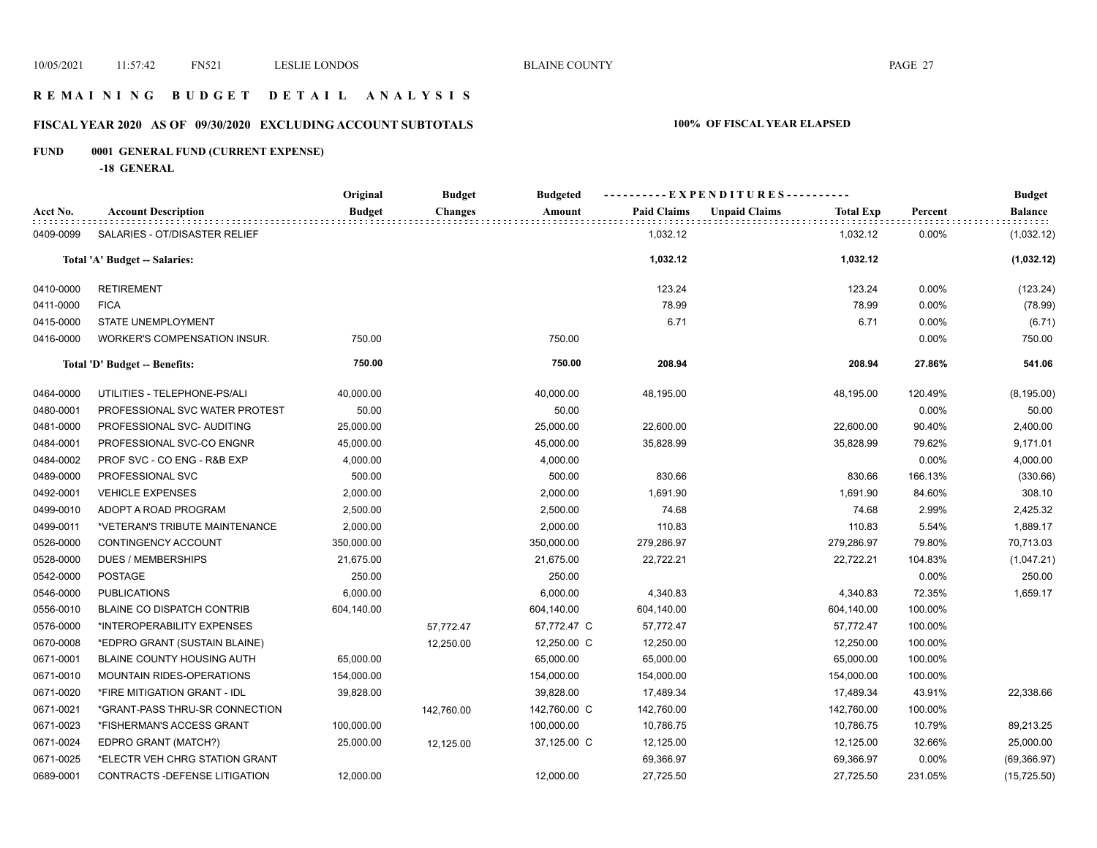## **R E M A I N I N G B U D G E T D E T A I L A N A L Y S I S**

# **FISCAL YEAR 2020 AS OF 09/30/2020 EXCLUDING ACCOUNT SUBTOTALS 100% OF FISCAL YEAR ELAPSED**

# **FUND 0001 GENERAL FUND (CURRENT EXPENSE)**

**-18 GENERAL**

|           |                                   | Original      | <b>Budget</b>  | <b>Budgeted</b> | -----EXPENDITURES---------- |                                          |          | <b>Budget</b>  |
|-----------|-----------------------------------|---------------|----------------|-----------------|-----------------------------|------------------------------------------|----------|----------------|
| Acct No.  | <b>Account Description</b>        | <b>Budget</b> | <b>Changes</b> | Amount          | <b>Paid Claims</b>          | <b>Unpaid Claims</b><br><b>Total Exp</b> | Percent  | <b>Balance</b> |
| 0409-0099 | SALARIES - OT/DISASTER RELIEF     |               |                |                 | 1,032.12                    | 1,032.12                                 | 0.00%    | (1,032.12)     |
|           | Total 'A' Budget -- Salaries:     |               |                |                 | 1,032.12                    | 1,032.12                                 |          | (1,032.12)     |
| 0410-0000 | <b>RETIREMENT</b>                 |               |                |                 | 123.24                      | 123.24                                   | 0.00%    | (123.24)       |
| 0411-0000 | <b>FICA</b>                       |               |                |                 | 78.99                       | 78.99                                    | $0.00\%$ | (78.99)        |
| 0415-0000 | STATE UNEMPLOYMENT                |               |                |                 | 6.71                        | 6.71                                     | 0.00%    | (6.71)         |
| 0416-0000 | WORKER'S COMPENSATION INSUR.      | 750.00        |                | 750.00          |                             |                                          | 0.00%    | 750.00         |
|           | Total 'D' Budget -- Benefits:     | 750.00        |                | 750.00          | 208.94                      | 208.94                                   | 27.86%   | 541.06         |
| 0464-0000 | UTILITIES - TELEPHONE-PS/ALI      | 40,000.00     |                | 40,000.00       | 48,195.00                   | 48,195.00                                | 120.49%  | (8, 195.00)    |
| 0480-0001 | PROFESSIONAL SVC WATER PROTEST    | 50.00         |                | 50.00           |                             |                                          | 0.00%    | 50.00          |
| 0481-0000 | PROFESSIONAL SVC- AUDITING        | 25,000.00     |                | 25,000.00       | 22,600.00                   | 22,600.00                                | 90.40%   | 2,400.00       |
| 0484-0001 | PROFESSIONAL SVC-CO ENGNR         | 45,000.00     |                | 45,000.00       | 35,828.99                   | 35,828.99                                | 79.62%   | 9,171.01       |
| 0484-0002 | PROF SVC - CO ENG - R&B EXP       | 4,000.00      |                | 4,000.00        |                             |                                          | 0.00%    | 4,000.00       |
| 0489-0000 | PROFESSIONAL SVC                  | 500.00        |                | 500.00          | 830.66                      | 830.66                                   | 166.13%  | (330.66)       |
| 0492-0001 | <b>VEHICLE EXPENSES</b>           | 2,000.00      |                | 2,000.00        | 1,691.90                    | 1,691.90                                 | 84.60%   | 308.10         |
| 0499-0010 | ADOPT A ROAD PROGRAM              | 2,500.00      |                | 2,500.00        | 74.68                       | 74.68                                    | 2.99%    | 2,425.32       |
| 0499-0011 | *VETERAN'S TRIBUTE MAINTENANCE    | 2,000.00      |                | 2,000.00        | 110.83                      | 110.83                                   | 5.54%    | 1,889.17       |
| 0526-0000 | CONTINGENCY ACCOUNT               | 350,000.00    |                | 350,000.00      | 279,286.97                  | 279,286.97                               | 79.80%   | 70,713.03      |
| 0528-0000 | <b>DUES / MEMBERSHIPS</b>         | 21,675.00     |                | 21,675.00       | 22,722.21                   | 22,722.21                                | 104.83%  | (1,047.21)     |
| 0542-0000 | <b>POSTAGE</b>                    | 250.00        |                | 250.00          |                             |                                          | 0.00%    | 250.00         |
| 0546-0000 | <b>PUBLICATIONS</b>               | 6,000.00      |                | 6,000.00        | 4,340.83                    | 4,340.83                                 | 72.35%   | 1,659.17       |
| 0556-0010 | <b>BLAINE CO DISPATCH CONTRIB</b> | 604,140.00    |                | 604,140.00      | 604,140.00                  | 604,140.00                               | 100.00%  |                |
| 0576-0000 | *INTEROPERABILITY EXPENSES        |               | 57,772.47      | 57,772.47 C     | 57,772.47                   | 57,772.47                                | 100.00%  |                |
| 0670-0008 | *EDPRO GRANT (SUSTAIN BLAINE)     |               | 12,250.00      | 12,250.00 C     | 12,250.00                   | 12,250.00                                | 100.00%  |                |
| 0671-0001 | BLAINE COUNTY HOUSING AUTH        | 65,000.00     |                | 65,000.00       | 65,000.00                   | 65,000.00                                | 100.00%  |                |
| 0671-0010 | <b>MOUNTAIN RIDES-OPERATIONS</b>  | 154,000.00    |                | 154,000.00      | 154,000.00                  | 154,000.00                               | 100.00%  |                |
| 0671-0020 | *FIRE MITIGATION GRANT - IDL      | 39,828.00     |                | 39,828.00       | 17,489.34                   | 17,489.34                                | 43.91%   | 22,338.66      |
| 0671-0021 | *GRANT-PASS THRU-SR CONNECTION    |               | 142,760.00     | 142,760.00 C    | 142,760.00                  | 142,760.00                               | 100.00%  |                |
| 0671-0023 | *FISHERMAN'S ACCESS GRANT         | 100,000.00    |                | 100,000.00      | 10,786.75                   | 10,786.75                                | 10.79%   | 89,213.25      |
| 0671-0024 | EDPRO GRANT (MATCH?)              | 25,000.00     | 12,125.00      | 37,125.00 C     | 12,125.00                   | 12,125.00                                | 32.66%   | 25,000.00      |
| 0671-0025 | *ELECTR VEH CHRG STATION GRANT    |               |                |                 | 69,366.97                   | 69,366.97                                | 0.00%    | (69, 366.97)   |
| 0689-0001 | CONTRACTS - DEFENSE LITIGATION    | 12,000.00     |                | 12,000.00       | 27,725.50                   | 27,725.50                                | 231.05%  | (15, 725.50)   |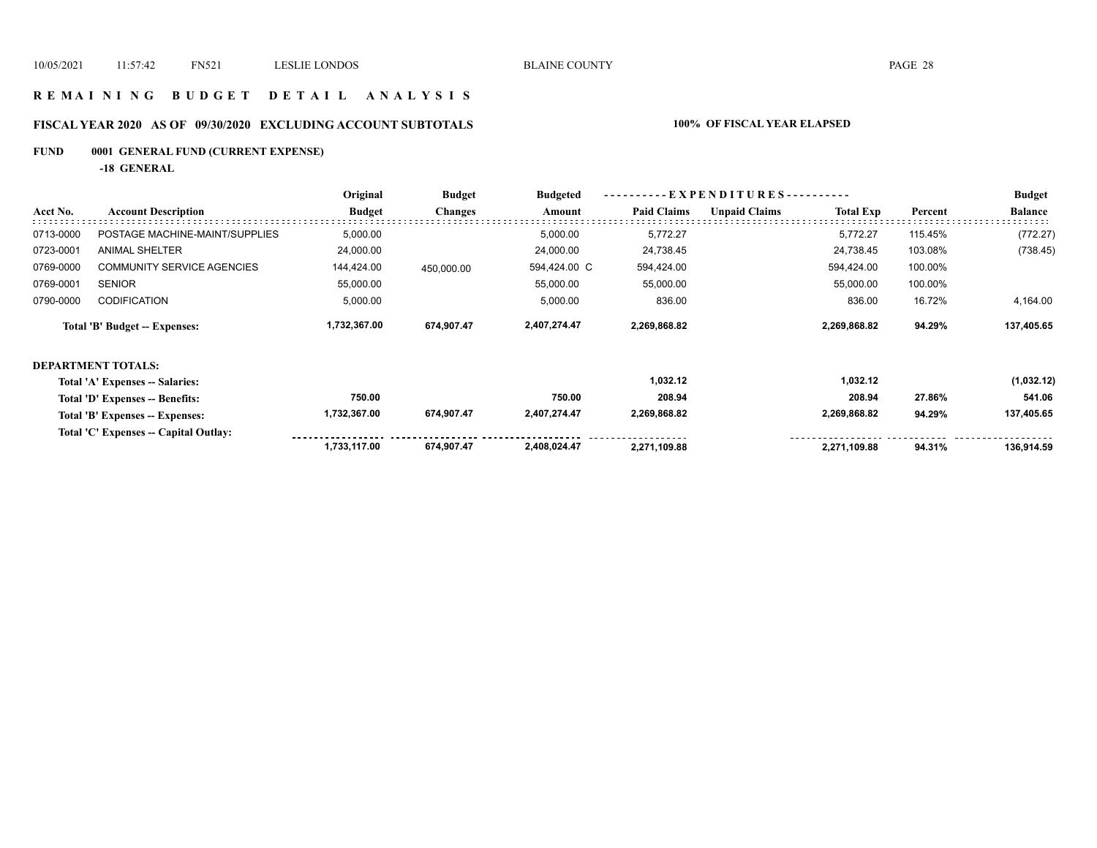## **R E M A I N I N G B U D G E T D E T A I L A N A L Y S I S**

# **FISCAL YEAR 2020 AS OF 09/30/2020 EXCLUDING ACCOUNT SUBTOTALS 100% OF FISCAL YEAR ELAPSED**

# **FUND 0001 GENERAL FUND (CURRENT EXPENSE)**

**-18 GENERAL**

|           |                                       | Original      | <b>Budget</b>  | <b>Budgeted</b> | ----------EXPENDITURES---------- |                      |                  |         | <b>Budget</b>  |
|-----------|---------------------------------------|---------------|----------------|-----------------|----------------------------------|----------------------|------------------|---------|----------------|
| Acct No.  | <b>Account Description</b>            | <b>Budget</b> | <b>Changes</b> | Amount          | <b>Paid Claims</b>               | <b>Unpaid Claims</b> | <b>Total Exp</b> | Percent | <b>Balance</b> |
| 0713-0000 | POSTAGE MACHINE-MAINT/SUPPLIES        | 5,000.00      |                | 5,000.00        | 5,772.27                         |                      | 5,772.27         | 115.45% | (772.27)       |
| 0723-0001 | <b>ANIMAL SHELTER</b>                 | 24,000.00     |                | 24,000.00       | 24,738.45                        |                      | 24,738.45        | 103.08% | (738.45)       |
| 0769-0000 | <b>COMMUNITY SERVICE AGENCIES</b>     | 144,424.00    | 450,000.00     | 594,424.00 C    | 594,424.00                       |                      | 594,424.00       | 100.00% |                |
| 0769-0001 | <b>SENIOR</b>                         | 55,000.00     |                | 55,000.00       | 55,000.00                        |                      | 55,000.00        | 100.00% |                |
| 0790-0000 | <b>CODIFICATION</b>                   | 5,000.00      |                | 5,000.00        | 836.00                           |                      | 836.00           | 16.72%  | 4,164.00       |
|           | Total 'B' Budget -- Expenses:         | 1,732,367.00  | 674,907.47     | 2,407,274.47    | 2,269,868.82                     |                      | 2,269,868.82     | 94.29%  | 137,405.65     |
|           | DEPARTMENT TOTALS:                    |               |                |                 |                                  |                      |                  |         |                |
|           | Total 'A' Expenses -- Salaries:       |               |                |                 | 1,032.12                         |                      | 1,032.12         |         | (1,032.12)     |
|           | Total 'D' Expenses -- Benefits:       | 750.00        |                | 750.00          | 208.94                           |                      | 208.94           | 27.86%  | 541.06         |
|           | Total 'B' Expenses -- Expenses:       | 1,732,367.00  | 674,907.47     | 2,407,274.47    | 2,269,868.82                     |                      | 2,269,868.82     | 94.29%  | 137,405.65     |
|           | Total 'C' Expenses -- Capital Outlay: |               |                |                 |                                  |                      |                  |         |                |
|           |                                       | 1,733,117.00  | 674,907.47     | 2,408,024.47    | 2,271,109.88                     |                      | 2,271,109.88     | 94.31%  | 136,914.59     |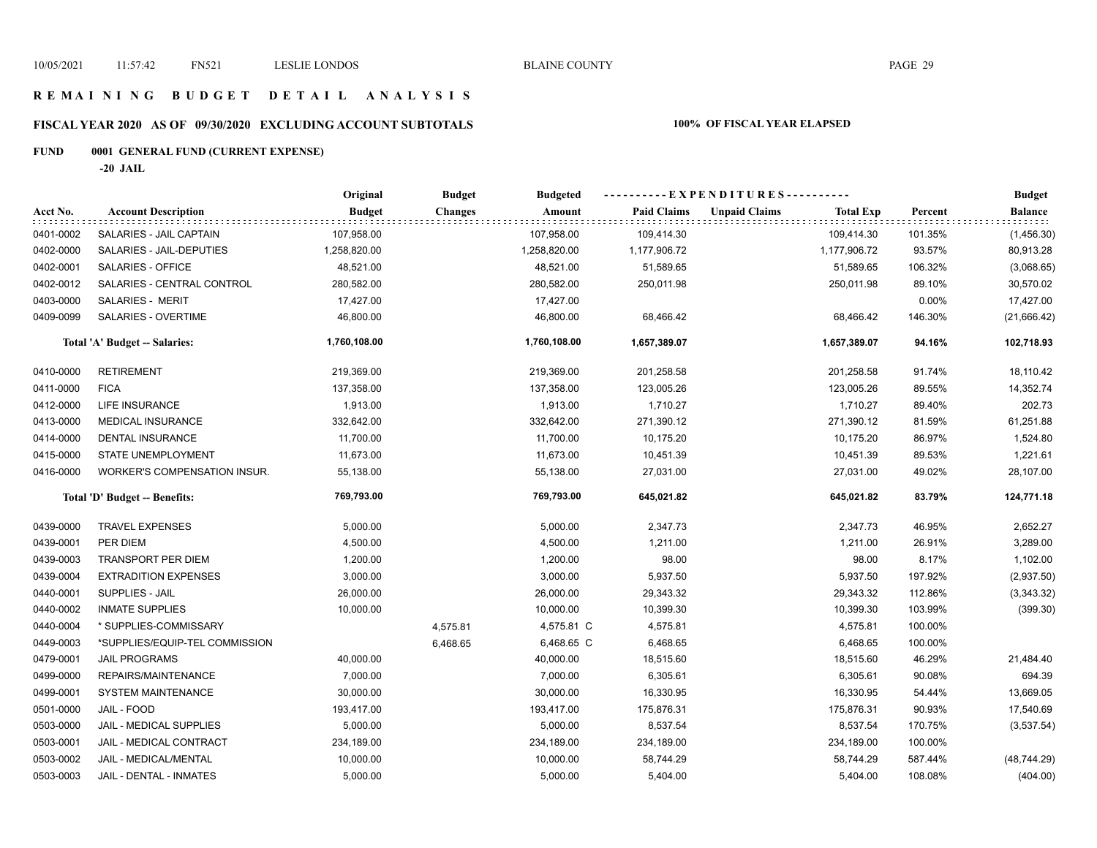## **R E M A I N I N G B U D G E T D E T A I L A N A L Y S I S**

# **FISCAL YEAR 2020 AS OF 09/30/2020 EXCLUDING ACCOUNT SUBTOTALS 100% OF FISCAL YEAR ELAPSED**

# **FUND 0001 GENERAL FUND (CURRENT EXPENSE)**

**-20 JAIL**

|           |                                | Original      | <b>Budget</b>  | <b>Budgeted</b> | ----------EXPENDITURES---------- |                      |                  |         | <b>Budget</b>  |
|-----------|--------------------------------|---------------|----------------|-----------------|----------------------------------|----------------------|------------------|---------|----------------|
| Acct No.  | <b>Account Description</b>     | <b>Budget</b> | <b>Changes</b> | Amount          | <b>Paid Claims</b>               | <b>Unpaid Claims</b> | <b>Total Exp</b> | Percent | <b>Balance</b> |
| 0401-0002 | SALARIES - JAIL CAPTAIN        | 107,958.00    |                | 107,958.00      | 109,414.30                       |                      | 109,414.30       | 101.35% | (1,456.30)     |
| 0402-0000 | SALARIES - JAIL-DEPUTIES       | 1,258,820.00  |                | 1,258,820.00    | 1,177,906.72                     |                      | 1,177,906.72     | 93.57%  | 80,913.28      |
| 0402-0001 | SALARIES - OFFICE              | 48,521.00     |                | 48,521.00       | 51,589.65                        |                      | 51,589.65        | 106.32% | (3,068.65)     |
| 0402-0012 | SALARIES - CENTRAL CONTROL     | 280,582.00    |                | 280,582.00      | 250,011.98                       |                      | 250,011.98       | 89.10%  | 30,570.02      |
| 0403-0000 | <b>SALARIES - MERIT</b>        | 17,427.00     |                | 17,427.00       |                                  |                      |                  | 0.00%   | 17,427.00      |
| 0409-0099 | SALARIES - OVERTIME            | 46,800.00     |                | 46,800.00       | 68,466.42                        |                      | 68,466.42        | 146.30% | (21,666.42)    |
|           | Total 'A' Budget -- Salaries:  | 1,760,108.00  |                | 1,760,108.00    | 1,657,389.07                     |                      | 1,657,389.07     | 94.16%  | 102,718.93     |
| 0410-0000 | <b>RETIREMENT</b>              | 219,369.00    |                | 219,369.00      | 201,258.58                       |                      | 201,258.58       | 91.74%  | 18,110.42      |
| 0411-0000 | <b>FICA</b>                    | 137,358.00    |                | 137,358.00      | 123,005.26                       |                      | 123,005.26       | 89.55%  | 14,352.74      |
| 0412-0000 | LIFE INSURANCE                 | 1,913.00      |                | 1,913.00        | 1,710.27                         |                      | 1,710.27         | 89.40%  | 202.73         |
| 0413-0000 | <b>MEDICAL INSURANCE</b>       | 332,642.00    |                | 332,642.00      | 271,390.12                       |                      | 271,390.12       | 81.59%  | 61,251.88      |
| 0414-0000 | DENTAL INSURANCE               | 11,700.00     |                | 11,700.00       | 10,175.20                        |                      | 10,175.20        | 86.97%  | 1,524.80       |
| 0415-0000 | STATE UNEMPLOYMENT             | 11,673.00     |                | 11,673.00       | 10,451.39                        |                      | 10,451.39        | 89.53%  | 1,221.61       |
| 0416-0000 | WORKER'S COMPENSATION INSUR.   | 55,138.00     |                | 55,138.00       | 27,031.00                        |                      | 27,031.00        | 49.02%  | 28,107.00      |
|           | Total 'D' Budget -- Benefits:  | 769,793.00    |                | 769,793.00      | 645,021.82                       |                      | 645,021.82       | 83.79%  | 124,771.18     |
| 0439-0000 | <b>TRAVEL EXPENSES</b>         | 5,000.00      |                | 5,000.00        | 2,347.73                         |                      | 2,347.73         | 46.95%  | 2,652.27       |
| 0439-0001 | PER DIEM                       | 4,500.00      |                | 4,500.00        | 1,211.00                         |                      | 1,211.00         | 26.91%  | 3,289.00       |
| 0439-0003 | <b>TRANSPORT PER DIEM</b>      | 1,200.00      |                | 1,200.00        | 98.00                            |                      | 98.00            | 8.17%   | 1,102.00       |
| 0439-0004 | <b>EXTRADITION EXPENSES</b>    | 3,000.00      |                | 3,000.00        | 5,937.50                         |                      | 5,937.50         | 197.92% | (2,937.50)     |
| 0440-0001 | <b>SUPPLIES - JAIL</b>         | 26,000.00     |                | 26,000.00       | 29,343.32                        |                      | 29,343.32        | 112.86% | (3,343.32)     |
| 0440-0002 | <b>INMATE SUPPLIES</b>         | 10,000.00     |                | 10,000.00       | 10,399.30                        |                      | 10,399.30        | 103.99% | (399.30)       |
| 0440-0004 | * SUPPLIES-COMMISSARY          |               | 4,575.81       | 4,575.81 C      | 4,575.81                         |                      | 4,575.81         | 100.00% |                |
| 0449-0003 | *SUPPLIES/EQUIP-TEL COMMISSION |               | 6,468.65       | 6,468.65 C      | 6,468.65                         |                      | 6,468.65         | 100.00% |                |
| 0479-0001 | <b>JAIL PROGRAMS</b>           | 40,000.00     |                | 40,000.00       | 18,515.60                        |                      | 18,515.60        | 46.29%  | 21,484.40      |
| 0499-0000 | REPAIRS/MAINTENANCE            | 7,000.00      |                | 7,000.00        | 6,305.61                         |                      | 6,305.61         | 90.08%  | 694.39         |
| 0499-0001 | <b>SYSTEM MAINTENANCE</b>      | 30,000.00     |                | 30,000.00       | 16,330.95                        |                      | 16,330.95        | 54.44%  | 13,669.05      |
| 0501-0000 | JAIL - FOOD                    | 193,417.00    |                | 193,417.00      | 175,876.31                       |                      | 175,876.31       | 90.93%  | 17,540.69      |
| 0503-0000 | JAIL - MEDICAL SUPPLIES        | 5,000.00      |                | 5,000.00        | 8,537.54                         |                      | 8,537.54         | 170.75% | (3,537.54)     |
| 0503-0001 | JAIL - MEDICAL CONTRACT        | 234,189.00    |                | 234,189.00      | 234,189.00                       |                      | 234,189.00       | 100.00% |                |
| 0503-0002 | JAIL - MEDICAL/MENTAL          | 10,000.00     |                | 10,000.00       | 58,744.29                        |                      | 58,744.29        | 587.44% | (48, 744.29)   |
| 0503-0003 | JAIL - DENTAL - INMATES        | 5,000.00      |                | 5,000.00        | 5,404.00                         |                      | 5,404.00         | 108.08% | (404.00)       |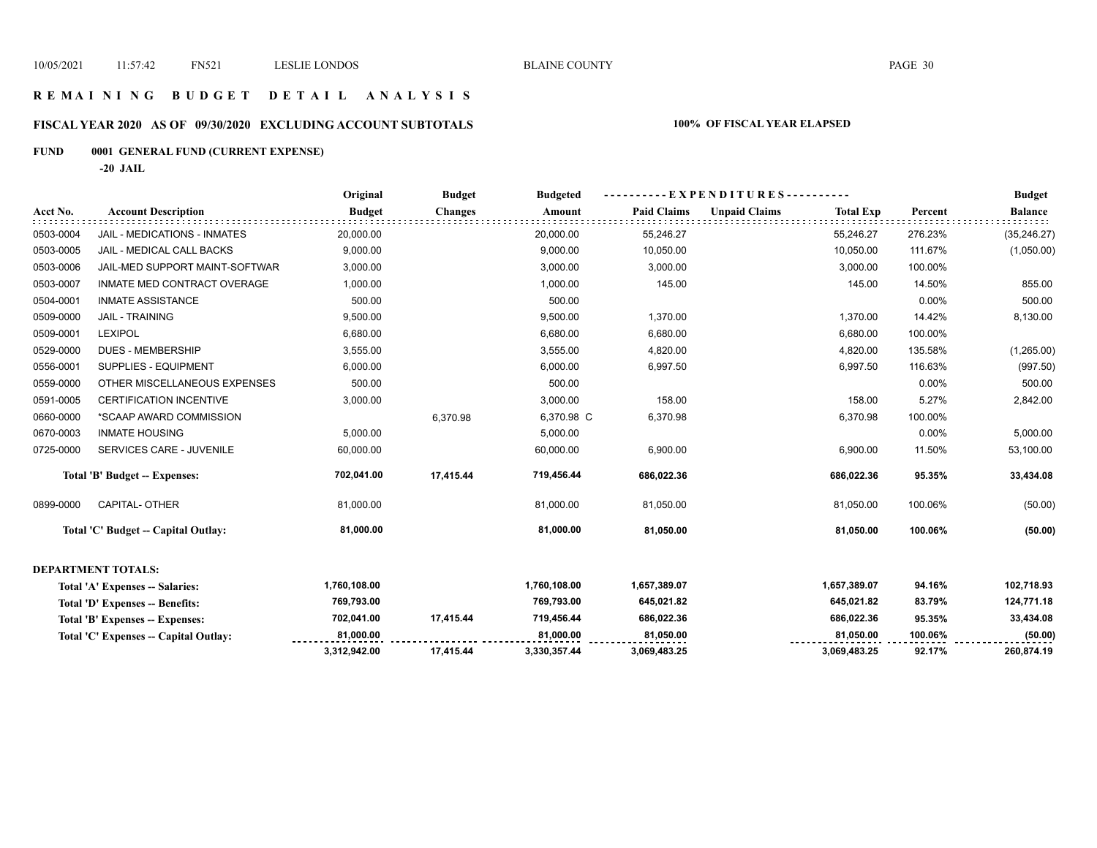# **R E M A I N I N G B U D G E T D E T A I L A N A L Y S I S**

# **FISCAL YEAR 2020 AS OF 09/30/2020 EXCLUDING ACCOUNT SUBTOTALS 100% OF FISCAL YEAR ELAPSED**

# **FUND 0001 GENERAL FUND (CURRENT EXPENSE)**

**-20 JAIL**

|           |                                       | Original      | <b>Budget</b>  | <b>Budgeted</b> |                    | - EXPENDITURES---------- |                  |          | <b>Budget</b>  |
|-----------|---------------------------------------|---------------|----------------|-----------------|--------------------|--------------------------|------------------|----------|----------------|
| Acct No.  | <b>Account Description</b>            | <b>Budget</b> | <b>Changes</b> | Amount          | <b>Paid Claims</b> | <b>Unpaid Claims</b>     | <b>Total Exp</b> | Percent  | <b>Balance</b> |
| 0503-0004 | JAIL - MEDICATIONS - INMATES          | 20,000.00     |                | 20,000.00       | 55,246.27          |                          | 55,246.27        | 276.23%  | (35, 246.27)   |
| 0503-0005 | <b>JAIL - MEDICAL CALL BACKS</b>      | 9,000.00      |                | 9,000.00        | 10,050.00          |                          | 10,050.00        | 111.67%  | (1,050.00)     |
| 0503-0006 | JAIL-MED SUPPORT MAINT-SOFTWAR        | 3,000.00      |                | 3,000.00        | 3,000.00           |                          | 3,000.00         | 100.00%  |                |
| 0503-0007 | INMATE MED CONTRACT OVERAGE           | 1,000.00      |                | 1,000.00        | 145.00             |                          | 145.00           | 14.50%   | 855.00         |
| 0504-0001 | <b>INMATE ASSISTANCE</b>              | 500.00        |                | 500.00          |                    |                          |                  | 0.00%    | 500.00         |
| 0509-0000 | <b>JAIL - TRAINING</b>                | 9,500.00      |                | 9,500.00        | 1,370.00           |                          | 1,370.00         | 14.42%   | 8,130.00       |
| 0509-0001 | <b>LEXIPOL</b>                        | 6,680.00      |                | 6,680.00        | 6,680.00           |                          | 6,680.00         | 100.00%  |                |
| 0529-0000 | <b>DUES - MEMBERSHIP</b>              | 3,555.00      |                | 3,555.00        | 4,820.00           |                          | 4,820.00         | 135.58%  | (1,265.00)     |
| 0556-0001 | SUPPLIES - EQUIPMENT                  | 6,000.00      |                | 6,000.00        | 6,997.50           |                          | 6,997.50         | 116.63%  | (997.50)       |
| 0559-0000 | OTHER MISCELLANEOUS EXPENSES          | 500.00        |                | 500.00          |                    |                          |                  | $0.00\%$ | 500.00         |
| 0591-0005 | <b>CERTIFICATION INCENTIVE</b>        | 3,000.00      |                | 3,000.00        | 158.00             |                          | 158.00           | 5.27%    | 2,842.00       |
| 0660-0000 | *SCAAP AWARD COMMISSION               |               | 6,370.98       | 6,370.98 C      | 6,370.98           |                          | 6,370.98         | 100.00%  |                |
| 0670-0003 | <b>INMATE HOUSING</b>                 | 5,000.00      |                | 5,000.00        |                    |                          |                  | $0.00\%$ | 5,000.00       |
| 0725-0000 | SERVICES CARE - JUVENILE              | 60,000.00     |                | 60,000.00       | 6,900.00           |                          | 6,900.00         | 11.50%   | 53,100.00      |
|           | Total 'B' Budget -- Expenses:         | 702,041.00    | 17,415.44      | 719,456.44      | 686,022.36         |                          | 686,022.36       | 95.35%   | 33,434.08      |
| 0899-0000 | <b>CAPITAL- OTHER</b>                 | 81,000.00     |                | 81,000.00       | 81,050.00          |                          | 81,050.00        | 100.06%  | (50.00)        |
|           | Total 'C' Budget -- Capital Outlay:   | 81,000.00     |                | 81,000.00       | 81,050.00          |                          | 81,050.00        | 100.06%  | (50.00)        |
|           | <b>DEPARTMENT TOTALS:</b>             |               |                |                 |                    |                          |                  |          |                |
|           | Total 'A' Expenses -- Salaries:       | 1,760,108.00  |                | 1,760,108.00    | 1,657,389.07       |                          | 1,657,389.07     | 94.16%   | 102,718.93     |
|           | Total 'D' Expenses -- Benefits:       | 769,793.00    |                | 769,793.00      | 645,021.82         |                          | 645,021.82       | 83.79%   | 124,771.18     |
|           | Total 'B' Expenses -- Expenses:       | 702,041.00    | 17,415.44      | 719,456.44      | 686,022.36         |                          | 686,022.36       | 95.35%   | 33,434.08      |
|           | Total 'C' Expenses -- Capital Outlay: | 81,000.00     |                | 81,000.00       | 81,050.00          |                          | 81,050.00        | 100.06%  | (50.00)        |
|           |                                       | 3,312,942.00  | 17,415.44      | 3,330,357.44    | 3,069,483.25       |                          | 3,069,483.25     | 92.17%   | 260,874.19     |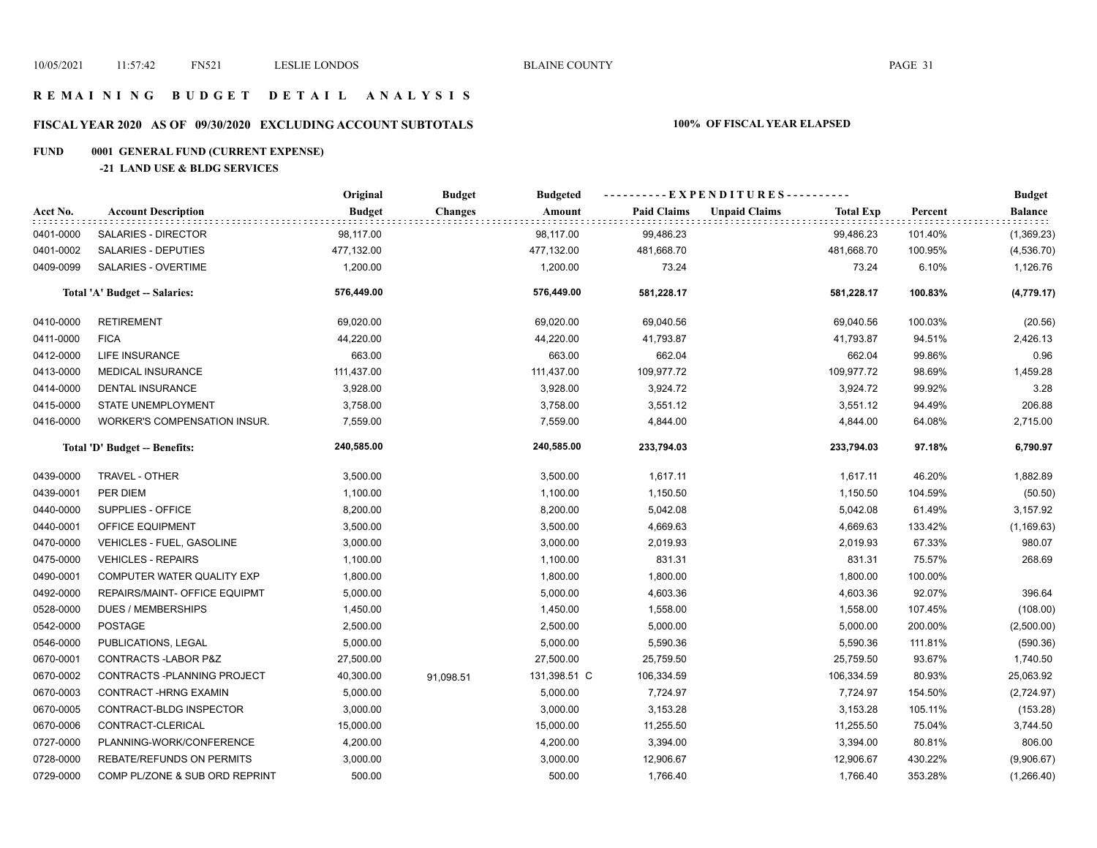## **R E M A I N I N G B U D G E T D E T A I L A N A L Y S I S**

# **FISCAL YEAR 2020 AS OF 09/30/2020 EXCLUDING ACCOUNT SUBTOTALS 100% OF FISCAL YEAR ELAPSED**

# **FUND 0001 GENERAL FUND (CURRENT EXPENSE)**

#### **-21 LAND USE & BLDG SERVICES**

|           |                                     | Original      | <b>Budget</b>  | <b>Budgeted</b> | ----------EXPENDITURES---------- |                      |                  |         | <b>Budget</b>           |
|-----------|-------------------------------------|---------------|----------------|-----------------|----------------------------------|----------------------|------------------|---------|-------------------------|
| Acct No.  | <b>Account Description</b>          | <b>Budget</b> | <b>Changes</b> | Amount          | <b>Paid Claims</b>               | <b>Unpaid Claims</b> | <b>Total Exp</b> | Percent | <b>Balance</b><br>11111 |
| 0401-0000 | SALARIES - DIRECTOR                 | 98,117.00     |                | 98,117.00       | 99,486.23                        |                      | 99,486.23        | 101.40% | (1,369.23)              |
| 0401-0002 | SALARIES - DEPUTIES                 | 477,132.00    |                | 477,132.00      | 481,668.70                       |                      | 481,668.70       | 100.95% | (4,536.70)              |
| 0409-0099 | SALARIES - OVERTIME                 | 1,200.00      |                | 1,200.00        | 73.24                            |                      | 73.24            | 6.10%   | 1,126.76                |
|           | Total 'A' Budget -- Salaries:       | 576,449.00    |                | 576,449.00      | 581,228.17                       |                      | 581,228.17       | 100.83% | (4,779.17)              |
| 0410-0000 | <b>RETIREMENT</b>                   | 69,020.00     |                | 69,020.00       | 69,040.56                        |                      | 69,040.56        | 100.03% | (20.56)                 |
| 0411-0000 | <b>FICA</b>                         | 44,220.00     |                | 44,220.00       | 41,793.87                        |                      | 41,793.87        | 94.51%  | 2,426.13                |
| 0412-0000 | <b>LIFE INSURANCE</b>               | 663.00        |                | 663.00          | 662.04                           |                      | 662.04           | 99.86%  | 0.96                    |
| 0413-0000 | MEDICAL INSURANCE                   | 111,437.00    |                | 111,437.00      | 109,977.72                       |                      | 109,977.72       | 98.69%  | 1,459.28                |
| 0414-0000 | <b>DENTAL INSURANCE</b>             | 3,928.00      |                | 3,928.00        | 3,924.72                         |                      | 3,924.72         | 99.92%  | 3.28                    |
| 0415-0000 | STATE UNEMPLOYMENT                  | 3,758.00      |                | 3,758.00        | 3,551.12                         |                      | 3,551.12         | 94.49%  | 206.88                  |
| 0416-0000 | <b>WORKER'S COMPENSATION INSUR.</b> | 7,559.00      |                | 7,559.00        | 4,844.00                         |                      | 4,844.00         | 64.08%  | 2,715.00                |
|           | Total 'D' Budget -- Benefits:       | 240,585.00    |                | 240,585.00      | 233,794.03                       |                      | 233,794.03       | 97.18%  | 6,790.97                |
| 0439-0000 | TRAVEL - OTHER                      | 3,500.00      |                | 3,500.00        | 1,617.11                         |                      | 1,617.11         | 46.20%  | 1,882.89                |
| 0439-0001 | PER DIEM                            | 1,100.00      |                | 1,100.00        | 1,150.50                         |                      | 1,150.50         | 104.59% | (50.50)                 |
| 0440-0000 | SUPPLIES - OFFICE                   | 8,200.00      |                | 8,200.00        | 5,042.08                         |                      | 5,042.08         | 61.49%  | 3,157.92                |
| 0440-0001 | OFFICE EQUIPMENT                    | 3,500.00      |                | 3,500.00        | 4,669.63                         |                      | 4,669.63         | 133.42% | (1, 169.63)             |
| 0470-0000 | VEHICLES - FUEL, GASOLINE           | 3,000.00      |                | 3,000.00        | 2,019.93                         |                      | 2,019.93         | 67.33%  | 980.07                  |
| 0475-0000 | <b>VEHICLES - REPAIRS</b>           | 1,100.00      |                | 1,100.00        | 831.31                           |                      | 831.31           | 75.57%  | 268.69                  |
| 0490-0001 | COMPUTER WATER QUALITY EXP          | 1,800.00      |                | 1,800.00        | 1,800.00                         |                      | 1,800.00         | 100.00% |                         |
| 0492-0000 | REPAIRS/MAINT- OFFICE EQUIPMT       | 5,000.00      |                | 5,000.00        | 4,603.36                         |                      | 4,603.36         | 92.07%  | 396.64                  |
| 0528-0000 | <b>DUES / MEMBERSHIPS</b>           | 1,450.00      |                | 1,450.00        | 1,558.00                         |                      | 1,558.00         | 107.45% | (108.00)                |
| 0542-0000 | POSTAGE                             | 2,500.00      |                | 2,500.00        | 5,000.00                         |                      | 5,000.00         | 200.00% | (2,500.00)              |
| 0546-0000 | PUBLICATIONS, LEGAL                 | 5,000.00      |                | 5,000.00        | 5,590.36                         |                      | 5,590.36         | 111.81% | (590.36)                |
| 0670-0001 | CONTRACTS-LABOR P&Z                 | 27,500.00     |                | 27,500.00       | 25,759.50                        |                      | 25,759.50        | 93.67%  | 1,740.50                |
| 0670-0002 | CONTRACTS - PLANNING PROJECT        | 40,300.00     | 91,098.51      | 131,398.51 C    | 106,334.59                       |                      | 106,334.59       | 80.93%  | 25,063.92               |
| 0670-0003 | CONTRACT-HRNG EXAMIN                | 5,000.00      |                | 5,000.00        | 7,724.97                         |                      | 7,724.97         | 154.50% | (2,724.97)              |
| 0670-0005 | CONTRACT-BLDG INSPECTOR             | 3,000.00      |                | 3,000.00        | 3,153.28                         |                      | 3,153.28         | 105.11% | (153.28)                |
| 0670-0006 | CONTRACT-CLERICAL                   | 15,000.00     |                | 15,000.00       | 11,255.50                        |                      | 11,255.50        | 75.04%  | 3,744.50                |
| 0727-0000 | PLANNING-WORK/CONFERENCE            | 4,200.00      |                | 4,200.00        | 3,394.00                         |                      | 3,394.00         | 80.81%  | 806.00                  |
| 0728-0000 | REBATE/REFUNDS ON PERMITS           | 3,000.00      |                | 3,000.00        | 12,906.67                        |                      | 12,906.67        | 430.22% | (9,906.67)              |
| 0729-0000 | COMP PL/ZONE & SUB ORD REPRINT      | 500.00        |                | 500.00          | 1,766.40                         |                      | 1,766.40         | 353.28% | (1,266.40)              |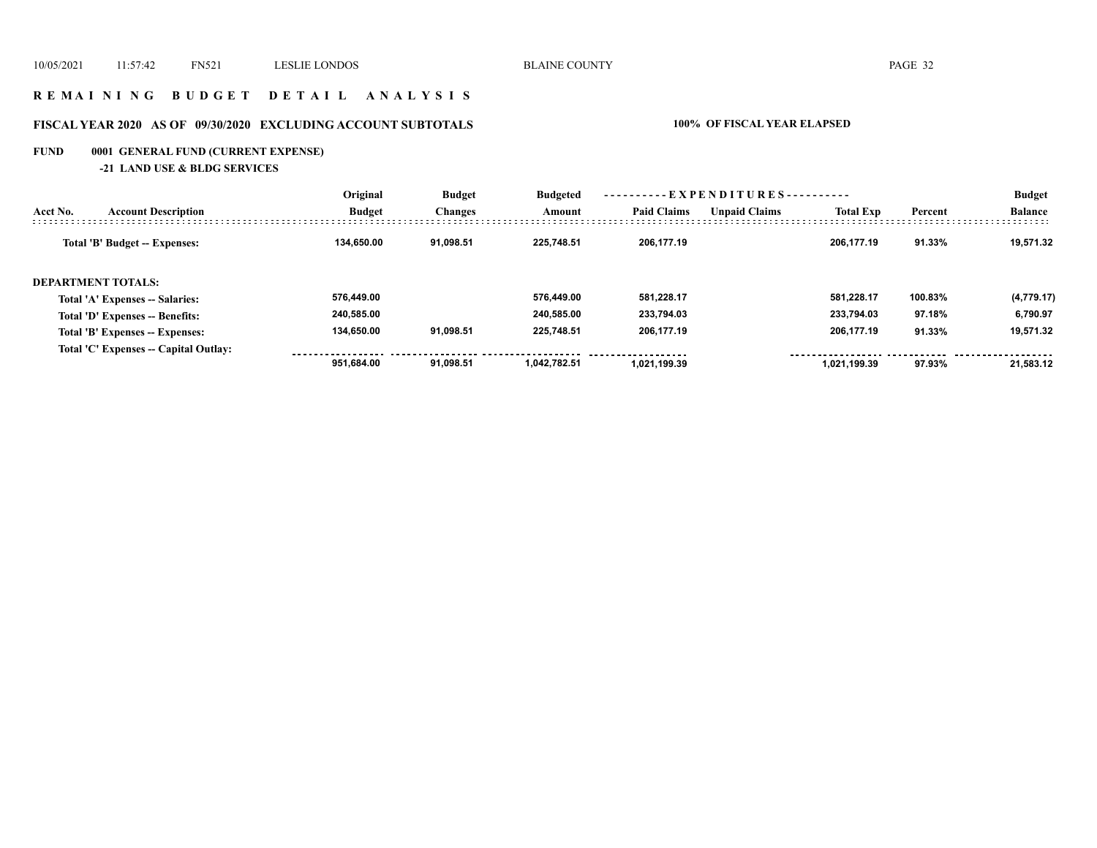## **R E M A I N I N G B U D G E T D E T A I L A N A L Y S I S**

# **FISCAL YEAR 2020 AS OF 09/30/2020 EXCLUDING ACCOUNT SUBTOTALS 100% OF FISCAL YEAR ELAPSED**

# **FUND 0001 GENERAL FUND (CURRENT EXPENSE)**

**-21 LAND USE & BLDG SERVICES**

|                           |                                       | Original      | <b>Budget</b>  | <b>Budgeted</b> | ----------EXPENDITURES---------- |                      |                  | <b>Budget</b> |                |
|---------------------------|---------------------------------------|---------------|----------------|-----------------|----------------------------------|----------------------|------------------|---------------|----------------|
| Acct No.                  | <b>Account Description</b>            | <b>Budget</b> | <b>Changes</b> | Amount          | <b>Paid Claims</b>               | <b>Unpaid Claims</b> | <b>Total Exp</b> | Percent       | <b>Balance</b> |
|                           | Total 'B' Budget -- Expenses:         | 134.650.00    | 91.098.51      | 225,748.51      | 206.177.19                       |                      | 206.177.19       | 91.33%        | 19.571.32      |
| <b>DEPARTMENT TOTALS:</b> |                                       |               |                |                 |                                  |                      |                  |               |                |
|                           | Total 'A' Expenses -- Salaries:       | 576.449.00    |                | 576.449.00      | 581.228.17                       |                      | 581.228.17       | 100.83%       | (4,779.17)     |
|                           | Total 'D' Expenses -- Benefits:       | 240.585.00    |                | 240.585.00      | 233.794.03                       |                      | 233.794.03       | 97.18%        | 6,790.97       |
|                           | Total 'B' Expenses -- Expenses:       | 134.650.00    | 91,098.51      | 225.748.51      | 206,177.19                       |                      | 206.177.19       | 91.33%        | 19,571.32      |
|                           | Total 'C' Expenses -- Capital Outlay: |               |                |                 |                                  |                      |                  |               |                |
|                           |                                       | 951.684.00    | 91.098.51      | 1.042.782.51    | 1.021.199.39                     |                      | 1.021.199.39     | 97.93%        | 21.583.12      |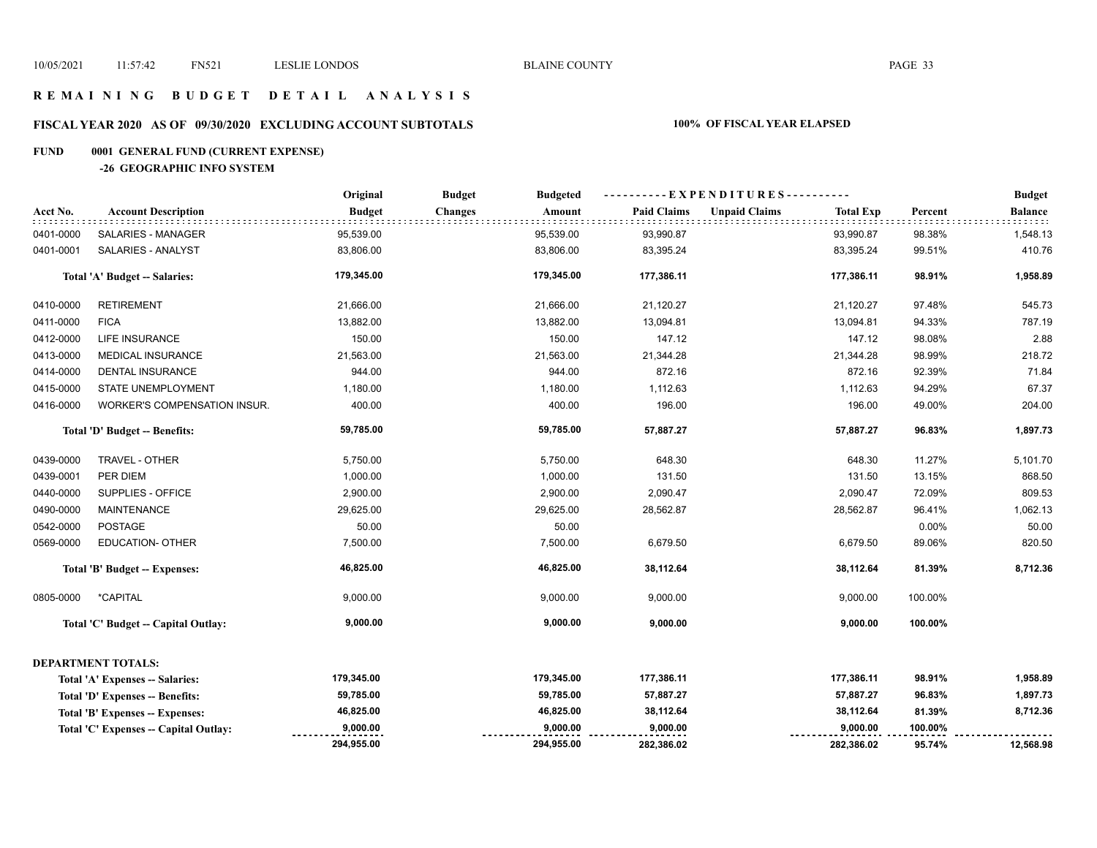## **R E M A I N I N G B U D G E T D E T A I L A N A L Y S I S**

# **FISCAL YEAR 2020 AS OF 09/30/2020 EXCLUDING ACCOUNT SUBTOTALS 100% OF FISCAL YEAR ELAPSED**

# **FUND 0001 GENERAL FUND (CURRENT EXPENSE)**

#### **-26 GEOGRAPHIC INFO SYSTEM**

|           |                                        | Original      | <b>Budget</b><br><b>Budgeted</b> |                    | ----------EXPENDITURES----------         |         | <b>Budget</b>  |
|-----------|----------------------------------------|---------------|----------------------------------|--------------------|------------------------------------------|---------|----------------|
| Acct No.  | <b>Account Description</b>             | <b>Budget</b> | <b>Changes</b><br>Amount         | <b>Paid Claims</b> | <b>Unpaid Claims</b><br><b>Total Exp</b> | Percent | <b>Balance</b> |
| 0401-0000 | SALARIES - MANAGER                     | 95,539.00     | 95,539.00                        | 93,990.87          | 93,990.87                                | 98.38%  | 1,548.13       |
| 0401-0001 | SALARIES - ANALYST                     | 83,806.00     | 83,806.00                        | 83,395.24          | 83,395.24                                | 99.51%  | 410.76         |
|           | Total 'A' Budget -- Salaries:          | 179,345.00    | 179,345.00                       | 177,386.11         | 177,386.11                               | 98.91%  | 1,958.89       |
| 0410-0000 | <b>RETIREMENT</b>                      | 21,666.00     | 21,666.00                        | 21,120.27          | 21,120.27                                | 97.48%  | 545.73         |
| 0411-0000 | <b>FICA</b>                            | 13,882.00     | 13,882.00                        | 13,094.81          | 13,094.81                                | 94.33%  | 787.19         |
| 0412-0000 | LIFE INSURANCE                         | 150.00        | 150.00                           | 147.12             | 147.12                                   | 98.08%  | 2.88           |
| 0413-0000 | MEDICAL INSURANCE                      | 21,563.00     | 21,563.00                        | 21,344.28          | 21,344.28                                | 98.99%  | 218.72         |
| 0414-0000 | <b>DENTAL INSURANCE</b>                | 944.00        | 944.00                           | 872.16             | 872.16                                   | 92.39%  | 71.84          |
| 0415-0000 | STATE UNEMPLOYMENT                     | 1,180.00      | 1,180.00                         | 1,112.63           | 1,112.63                                 | 94.29%  | 67.37          |
| 0416-0000 | WORKER'S COMPENSATION INSUR.           | 400.00        | 400.00                           | 196.00             | 196.00                                   | 49.00%  | 204.00         |
|           | Total 'D' Budget -- Benefits:          | 59,785.00     | 59,785.00                        | 57,887.27          | 57,887.27                                | 96.83%  | 1,897.73       |
| 0439-0000 | TRAVEL - OTHER                         | 5,750.00      | 5,750.00                         | 648.30             | 648.30                                   | 11.27%  | 5,101.70       |
| 0439-0001 | PER DIEM                               | 1,000.00      | 1,000.00                         | 131.50             | 131.50                                   | 13.15%  | 868.50         |
| 0440-0000 | SUPPLIES - OFFICE                      | 2,900.00      | 2,900.00                         | 2,090.47           | 2,090.47                                 | 72.09%  | 809.53         |
| 0490-0000 | <b>MAINTENANCE</b>                     | 29,625.00     | 29,625.00                        | 28,562.87          | 28,562.87                                | 96.41%  | 1,062.13       |
| 0542-0000 | <b>POSTAGE</b>                         | 50.00         | 50.00                            |                    |                                          | 0.00%   | 50.00          |
| 0569-0000 | <b>EDUCATION- OTHER</b>                | 7,500.00      | 7,500.00                         | 6,679.50           | 6,679.50                                 | 89.06%  | 820.50         |
|           | <b>Total 'B' Budget -- Expenses:</b>   | 46,825.00     | 46,825.00                        | 38,112.64          | 38,112.64                                | 81.39%  | 8,712.36       |
| 0805-0000 | *CAPITAL                               | 9,000.00      | 9,000.00                         | 9,000.00           | 9,000.00                                 | 100.00% |                |
|           | Total 'C' Budget -- Capital Outlay:    | 9,000.00      | 9,000.00                         | 9,000.00           | 9,000.00                                 | 100.00% |                |
|           | <b>DEPARTMENT TOTALS:</b>              |               |                                  |                    |                                          |         |                |
|           | Total 'A' Expenses -- Salaries:        | 179,345.00    | 179,345.00                       | 177,386.11         | 177,386.11                               | 98.91%  | 1,958.89       |
|           | <b>Total 'D' Expenses -- Benefits:</b> | 59,785.00     | 59,785.00                        | 57,887.27          | 57,887.27                                | 96.83%  | 1,897.73       |
|           | Total 'B' Expenses -- Expenses:        | 46,825.00     | 46,825.00                        | 38,112.64          | 38,112.64                                | 81.39%  | 8,712.36       |
|           | Total 'C' Expenses -- Capital Outlay:  | 9,000.00      | 9,000.00                         | 9,000.00           | 9,000.00                                 | 100.00% |                |
|           |                                        | 294,955.00    | 294,955.00                       | 282,386.02         | 282,386.02                               | 95.74%  | 12,568.98      |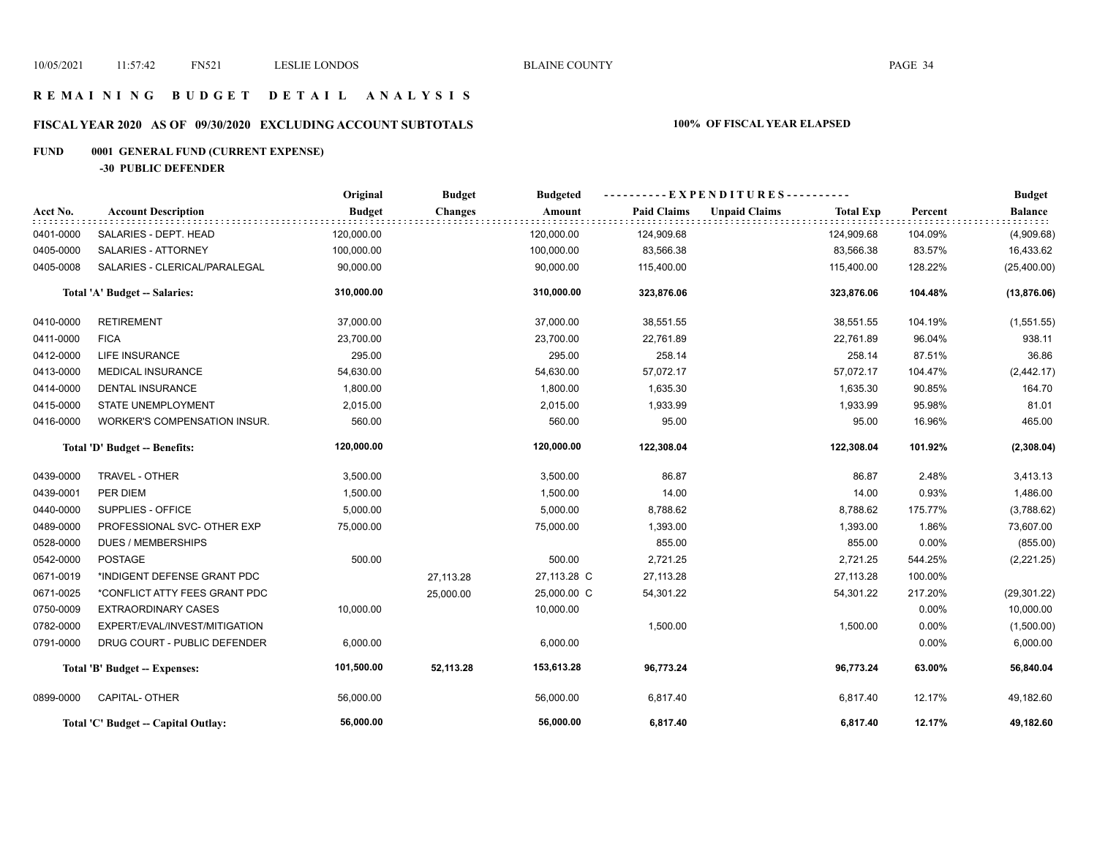## **R E M A I N I N G B U D G E T D E T A I L A N A L Y S I S**

# **FISCAL YEAR 2020 AS OF 09/30/2020 EXCLUDING ACCOUNT SUBTOTALS 100% OF FISCAL YEAR ELAPSED**

# **FUND 0001 GENERAL FUND (CURRENT EXPENSE)**

**-30 PUBLIC DEFENDER**

|           |                                     | Original      | <b>Budget</b>  | <b>Budgeted</b> | ----------EXPENDITURES---------- |                      |                  |          | <b>Budget</b>  |
|-----------|-------------------------------------|---------------|----------------|-----------------|----------------------------------|----------------------|------------------|----------|----------------|
| Acct No.  | <b>Account Description</b>          | <b>Budget</b> | <b>Changes</b> | Amount          | <b>Paid Claims</b>               | <b>Unpaid Claims</b> | <b>Total Exp</b> | Percent  | <b>Balance</b> |
| 0401-0000 | SALARIES - DEPT. HEAD               | 120,000.00    |                | 120,000.00      | 124,909.68                       |                      | 124,909.68       | 104.09%  | (4,909.68)     |
| 0405-0000 | SALARIES - ATTORNEY                 | 100,000.00    |                | 100,000.00      | 83,566.38                        |                      | 83,566.38        | 83.57%   | 16,433.62      |
| 0405-0008 | SALARIES - CLERICAL/PARALEGAL       | 90,000.00     |                | 90,000.00       | 115,400.00                       |                      | 115,400.00       | 128.22%  | (25,400.00)    |
|           | Total 'A' Budget -- Salaries:       | 310,000.00    |                | 310,000.00      | 323,876.06                       |                      | 323,876.06       | 104.48%  | (13, 876.06)   |
| 0410-0000 | <b>RETIREMENT</b>                   | 37,000.00     |                | 37,000.00       | 38,551.55                        |                      | 38,551.55        | 104.19%  | (1,551.55)     |
| 0411-0000 | <b>FICA</b>                         | 23,700.00     |                | 23,700.00       | 22,761.89                        |                      | 22,761.89        | 96.04%   | 938.11         |
| 0412-0000 | LIFE INSURANCE                      | 295.00        |                | 295.00          | 258.14                           |                      | 258.14           | 87.51%   | 36.86          |
| 0413-0000 | <b>MEDICAL INSURANCE</b>            | 54,630.00     |                | 54,630.00       | 57,072.17                        |                      | 57,072.17        | 104.47%  | (2, 442.17)    |
| 0414-0000 | <b>DENTAL INSURANCE</b>             | 1,800.00      |                | 1,800.00        | 1,635.30                         |                      | 1,635.30         | 90.85%   | 164.70         |
| 0415-0000 | <b>STATE UNEMPLOYMENT</b>           | 2,015.00      |                | 2,015.00        | 1,933.99                         |                      | 1,933.99         | 95.98%   | 81.01          |
| 0416-0000 | <b>WORKER'S COMPENSATION INSUR.</b> | 560.00        |                | 560.00          | 95.00                            |                      | 95.00            | 16.96%   | 465.00         |
|           | Total 'D' Budget -- Benefits:       | 120,000.00    |                | 120,000.00      | 122,308.04                       |                      | 122,308.04       | 101.92%  | (2,308.04)     |
| 0439-0000 | TRAVEL - OTHER                      | 3,500.00      |                | 3,500.00        | 86.87                            |                      | 86.87            | 2.48%    | 3,413.13       |
| 0439-0001 | PER DIEM                            | 1,500.00      |                | 1,500.00        | 14.00                            |                      | 14.00            | 0.93%    | 1,486.00       |
| 0440-0000 | SUPPLIES - OFFICE                   | 5,000.00      |                | 5,000.00        | 8,788.62                         |                      | 8,788.62         | 175.77%  | (3,788.62)     |
| 0489-0000 | PROFESSIONAL SVC- OTHER EXP         | 75,000.00     |                | 75,000.00       | 1,393.00                         |                      | 1,393.00         | 1.86%    | 73,607.00      |
| 0528-0000 | <b>DUES / MEMBERSHIPS</b>           |               |                |                 | 855.00                           |                      | 855.00           | $0.00\%$ | (855.00)       |
| 0542-0000 | <b>POSTAGE</b>                      | 500.00        |                | 500.00          | 2,721.25                         |                      | 2,721.25         | 544.25%  | (2,221.25)     |
| 0671-0019 | *INDIGENT DEFENSE GRANT PDC         |               | 27,113.28      | 27,113.28 C     | 27,113.28                        |                      | 27,113.28        | 100.00%  |                |
| 0671-0025 | *CONFLICT ATTY FEES GRANT PDC       |               | 25,000.00      | 25,000.00 C     | 54,301.22                        |                      | 54,301.22        | 217.20%  | (29, 301.22)   |
| 0750-0009 | <b>EXTRAORDINARY CASES</b>          | 10,000.00     |                | 10,000.00       |                                  |                      |                  | $0.00\%$ | 10,000.00      |
| 0782-0000 | EXPERT/EVAL/INVEST/MITIGATION       |               |                |                 | 1,500.00                         |                      | 1,500.00         | 0.00%    | (1,500.00)     |
| 0791-0000 | DRUG COURT - PUBLIC DEFENDER        | 6,000.00      |                | 6,000.00        |                                  |                      |                  | 0.00%    | 6,000.00       |
|           | Total 'B' Budget -- Expenses:       | 101,500.00    | 52,113.28      | 153,613.28      | 96,773.24                        |                      | 96,773.24        | 63.00%   | 56,840.04      |
| 0899-0000 | <b>CAPITAL- OTHER</b>               | 56,000.00     |                | 56,000.00       | 6,817.40                         |                      | 6,817.40         | 12.17%   | 49,182.60      |
|           | Total 'C' Budget -- Capital Outlay: | 56,000.00     |                | 56,000.00       | 6,817.40                         |                      | 6,817.40         | 12.17%   | 49,182.60      |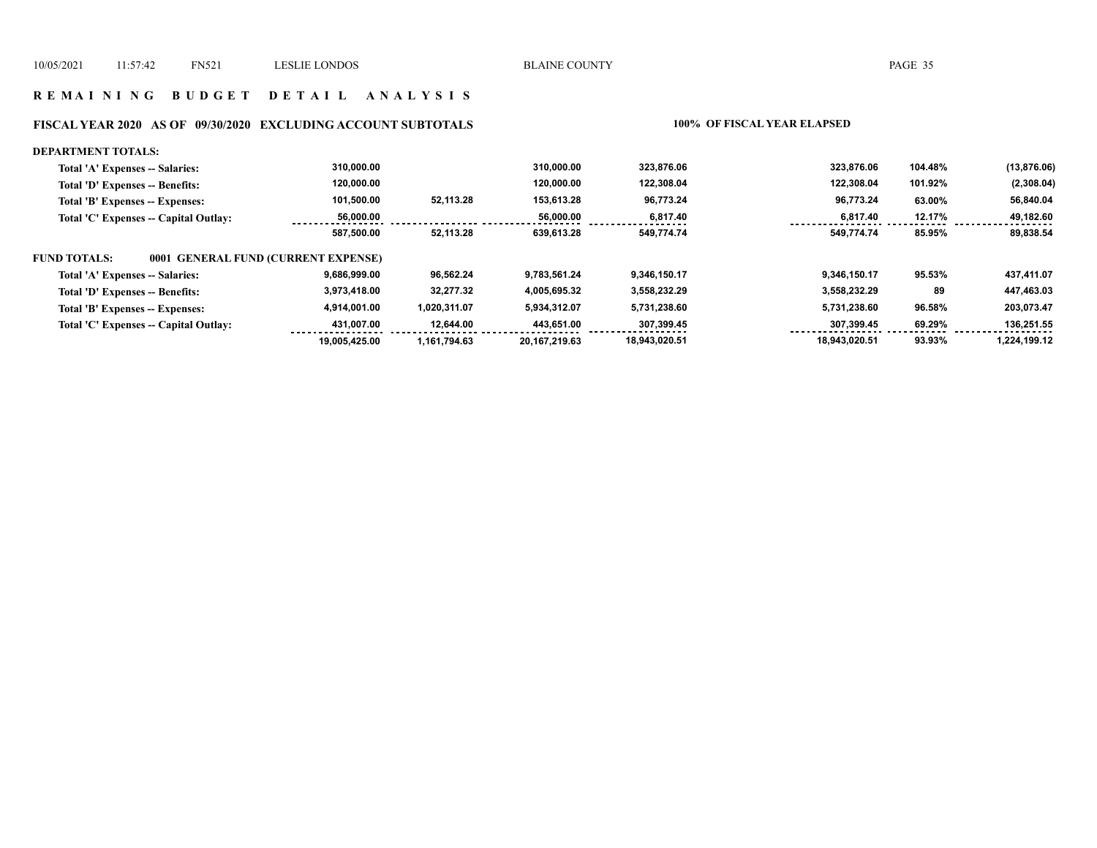## **R E M A I N I N G B U D G E T D E T A I L A N A L Y S I S**

# **FISCAL YEAR 2020 AS OF 09/30/2020 EXCLUDING ACCOUNT SUBTOTALS 100% OF FISCAL YEAR ELAPSED**

#### **DEPARTMENT TOTALS:**

| Total 'A' Expenses -- Salaries:                     | 310.000.00    |              | 310.000.00    | 323.876.06    | 323.876.06    | 104.48% | (13, 876.06) |
|-----------------------------------------------------|---------------|--------------|---------------|---------------|---------------|---------|--------------|
| Total 'D' Expenses -- Benefits:                     | 120.000.00    |              | 120.000.00    | 122,308.04    | 122.308.04    | 101.92% | (2,308.04)   |
| Total 'B' Expenses -- Expenses:                     | 101,500.00    | 52,113.28    | 153,613.28    | 96,773.24     | 96,773.24     | 63.00%  | 56,840.04    |
| Total 'C' Expenses -- Capital Outlay:               | 56.000.00     |              | 56.000.00     | 6.817.40      | 6.817.40      | 12.17%  | 49.182.60    |
|                                                     | 587.500.00    | 52.113.28    | 639.613.28    | 549,774.74    | 549,774.74    | 85.95%  | 89,838.54    |
| 0001 GENERAL FUND (CURRENT EXPENSE)<br>FUND TOTALS: |               |              |               |               |               |         |              |
| Total 'A' Expenses -- Salaries:                     | 9.686.999.00  | 96,562.24    | 9.783.561.24  | 9.346.150.17  | 9.346.150.17  | 95.53%  | 437,411.07   |
| Total 'D' Expenses -- Benefits:                     | 3,973,418.00  | 32.277.32    | 4,005,695.32  | 3,558,232.29  | 3,558,232.29  | 89      | 447,463.03   |
| Total 'B' Expenses -- Expenses:                     | 4,914,001.00  | 1,020,311.07 | 5,934,312.07  | 5,731,238.60  | 5,731,238.60  | 96.58%  | 203,073.47   |
| Total 'C' Expenses -- Capital Outlay:               | 431.007.00    | 12.644.00    | 443,651.00    | 307,399.45    | 307.399.45    | 69.29%  | 136,251.55   |
|                                                     | 19.005.425.00 | 1.161.794.63 | 20.167.219.63 | 18.943.020.51 | 18.943.020.51 | 93.93%  | 1.224.199.12 |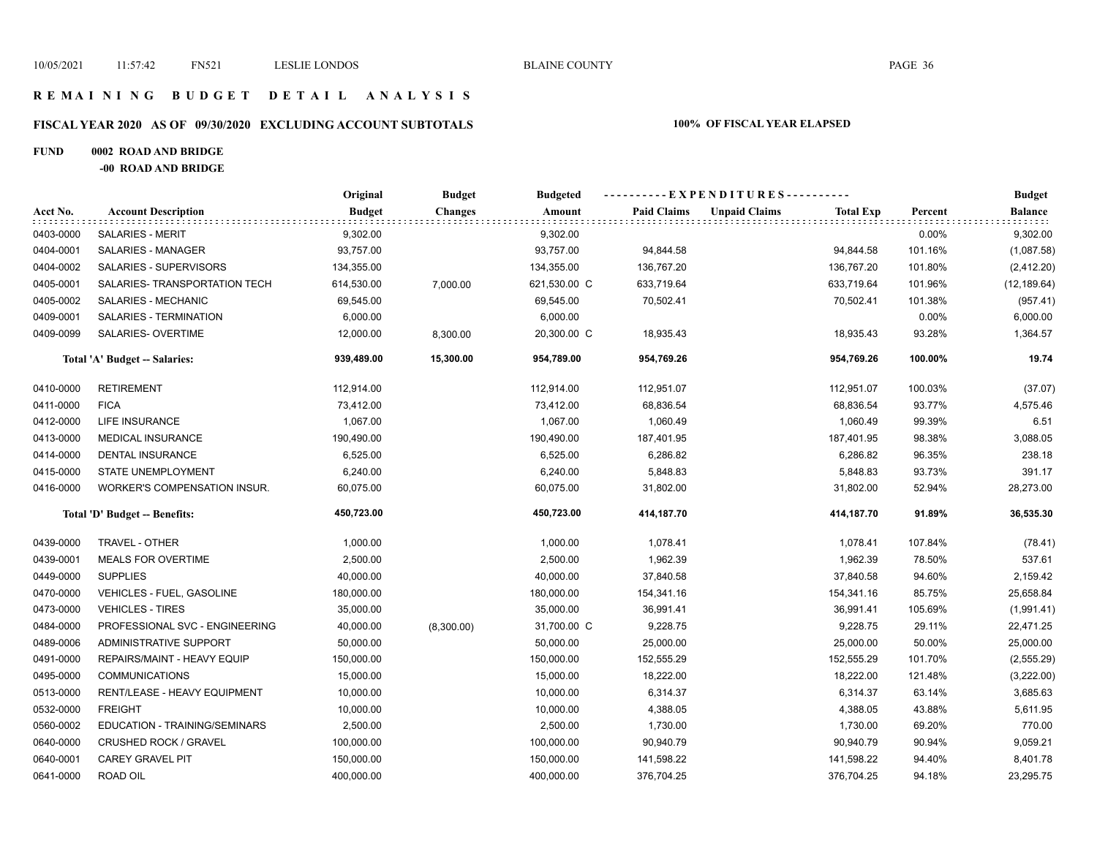## **R E M A I N I N G B U D G E T D E T A I L A N A L Y S I S**

# **FISCAL YEAR 2020 AS OF 09/30/2020 EXCLUDING ACCOUNT SUBTOTALS 100% OF FISCAL YEAR ELAPSED**

### **FUND 0002 ROAD AND BRIDGE**

**-00 ROAD AND BRIDGE**

|           |                                     | Original      | <b>Budget</b>  | <b>Budgeted</b> | ---------- EXPENDITURES---------- |                      |                  |         | <b>Budget</b>            |
|-----------|-------------------------------------|---------------|----------------|-----------------|-----------------------------------|----------------------|------------------|---------|--------------------------|
| Acct No.  | <b>Account Description</b>          | <b>Budget</b> | <b>Changes</b> | Amount          | <b>Paid Claims</b>                | <b>Unpaid Claims</b> | <b>Total Exp</b> | Percent | <b>Balance</b><br>popolo |
| 0403-0000 | <b>SALARIES - MERIT</b>             | 9,302.00      |                | 9,302.00        |                                   |                      |                  | 0.00%   | 9,302.00                 |
| 0404-0001 | SALARIES - MANAGER                  | 93,757.00     |                | 93,757.00       | 94,844.58                         |                      | 94,844.58        | 101.16% | (1,087.58)               |
| 0404-0002 | SALARIES - SUPERVISORS              | 134,355.00    |                | 134,355.00      | 136,767.20                        |                      | 136,767.20       | 101.80% | (2, 412.20)              |
| 0405-0001 | SALARIES- TRANSPORTATION TECH       | 614,530.00    | 7,000.00       | 621,530.00 C    | 633,719.64                        |                      | 633,719.64       | 101.96% | (12, 189.64)             |
| 0405-0002 | SALARIES - MECHANIC                 | 69,545.00     |                | 69,545.00       | 70,502.41                         |                      | 70,502.41        | 101.38% | (957.41)                 |
| 0409-0001 | SALARIES - TERMINATION              | 6,000.00      |                | 6,000.00        |                                   |                      |                  | 0.00%   | 6,000.00                 |
| 0409-0099 | SALARIES- OVERTIME                  | 12,000.00     | 8,300.00       | 20,300.00 C     | 18,935.43                         |                      | 18,935.43        | 93.28%  | 1,364.57                 |
|           | Total 'A' Budget -- Salaries:       | 939,489.00    | 15,300.00      | 954,789.00      | 954,769.26                        |                      | 954,769.26       | 100.00% | 19.74                    |
| 0410-0000 | <b>RETIREMENT</b>                   | 112,914.00    |                | 112,914.00      | 112,951.07                        |                      | 112,951.07       | 100.03% | (37.07)                  |
| 0411-0000 | <b>FICA</b>                         | 73,412.00     |                | 73,412.00       | 68,836.54                         |                      | 68,836.54        | 93.77%  | 4,575.46                 |
| 0412-0000 | LIFE INSURANCE                      | 1,067.00      |                | 1,067.00        | 1,060.49                          |                      | 1,060.49         | 99.39%  | 6.51                     |
| 0413-0000 | <b>MEDICAL INSURANCE</b>            | 190,490.00    |                | 190,490.00      | 187,401.95                        |                      | 187,401.95       | 98.38%  | 3,088.05                 |
| 0414-0000 | <b>DENTAL INSURANCE</b>             | 6,525.00      |                | 6,525.00        | 6,286.82                          |                      | 6,286.82         | 96.35%  | 238.18                   |
| 0415-0000 | STATE UNEMPLOYMENT                  | 6,240.00      |                | 6,240.00        | 5,848.83                          |                      | 5,848.83         | 93.73%  | 391.17                   |
| 0416-0000 | <b>WORKER'S COMPENSATION INSUR.</b> | 60,075.00     |                | 60,075.00       | 31,802.00                         |                      | 31,802.00        | 52.94%  | 28,273.00                |
|           | Total 'D' Budget -- Benefits:       | 450,723.00    |                | 450,723.00      | 414,187.70                        |                      | 414,187.70       | 91.89%  | 36,535.30                |
| 0439-0000 | TRAVEL - OTHER                      | 1,000.00      |                | 1,000.00        | 1,078.41                          |                      | 1,078.41         | 107.84% | (78.41)                  |
| 0439-0001 | <b>MEALS FOR OVERTIME</b>           | 2,500.00      |                | 2,500.00        | 1,962.39                          |                      | 1,962.39         | 78.50%  | 537.61                   |
| 0449-0000 | <b>SUPPLIES</b>                     | 40,000.00     |                | 40,000.00       | 37,840.58                         |                      | 37,840.58        | 94.60%  | 2,159.42                 |
| 0470-0000 | VEHICLES - FUEL, GASOLINE           | 180,000.00    |                | 180,000.00      | 154,341.16                        |                      | 154,341.16       | 85.75%  | 25,658.84                |
| 0473-0000 | <b>VEHICLES - TIRES</b>             | 35,000.00     |                | 35,000.00       | 36,991.41                         |                      | 36,991.41        | 105.69% | (1,991.41)               |
| 0484-0000 | PROFESSIONAL SVC - ENGINEERING      | 40,000.00     | (8,300.00)     | 31,700.00 C     | 9,228.75                          |                      | 9,228.75         | 29.11%  | 22,471.25                |
| 0489-0006 | ADMINISTRATIVE SUPPORT              | 50,000.00     |                | 50,000.00       | 25,000.00                         |                      | 25,000.00        | 50.00%  | 25,000.00                |
| 0491-0000 | REPAIRS/MAINT - HEAVY EQUIP         | 150,000.00    |                | 150,000.00      | 152,555.29                        |                      | 152,555.29       | 101.70% | (2, 555.29)              |
| 0495-0000 | <b>COMMUNICATIONS</b>               | 15,000.00     |                | 15,000.00       | 18,222.00                         |                      | 18,222.00        | 121.48% | (3,222.00)               |
| 0513-0000 | RENT/LEASE - HEAVY EQUIPMENT        | 10,000.00     |                | 10,000.00       | 6,314.37                          |                      | 6,314.37         | 63.14%  | 3,685.63                 |
| 0532-0000 | <b>FREIGHT</b>                      | 10,000.00     |                | 10,000.00       | 4,388.05                          |                      | 4,388.05         | 43.88%  | 5,611.95                 |
| 0560-0002 | EDUCATION - TRAINING/SEMINARS       | 2,500.00      |                | 2,500.00        | 1,730.00                          |                      | 1,730.00         | 69.20%  | 770.00                   |
| 0640-0000 | <b>CRUSHED ROCK / GRAVEL</b>        | 100,000.00    |                | 100,000.00      | 90,940.79                         |                      | 90,940.79        | 90.94%  | 9,059.21                 |
| 0640-0001 | <b>CAREY GRAVEL PIT</b>             | 150,000.00    |                | 150,000.00      | 141,598.22                        |                      | 141,598.22       | 94.40%  | 8,401.78                 |
| 0641-0000 | ROAD OIL                            | 400,000.00    |                | 400,000.00      | 376,704.25                        |                      | 376,704.25       | 94.18%  | 23,295.75                |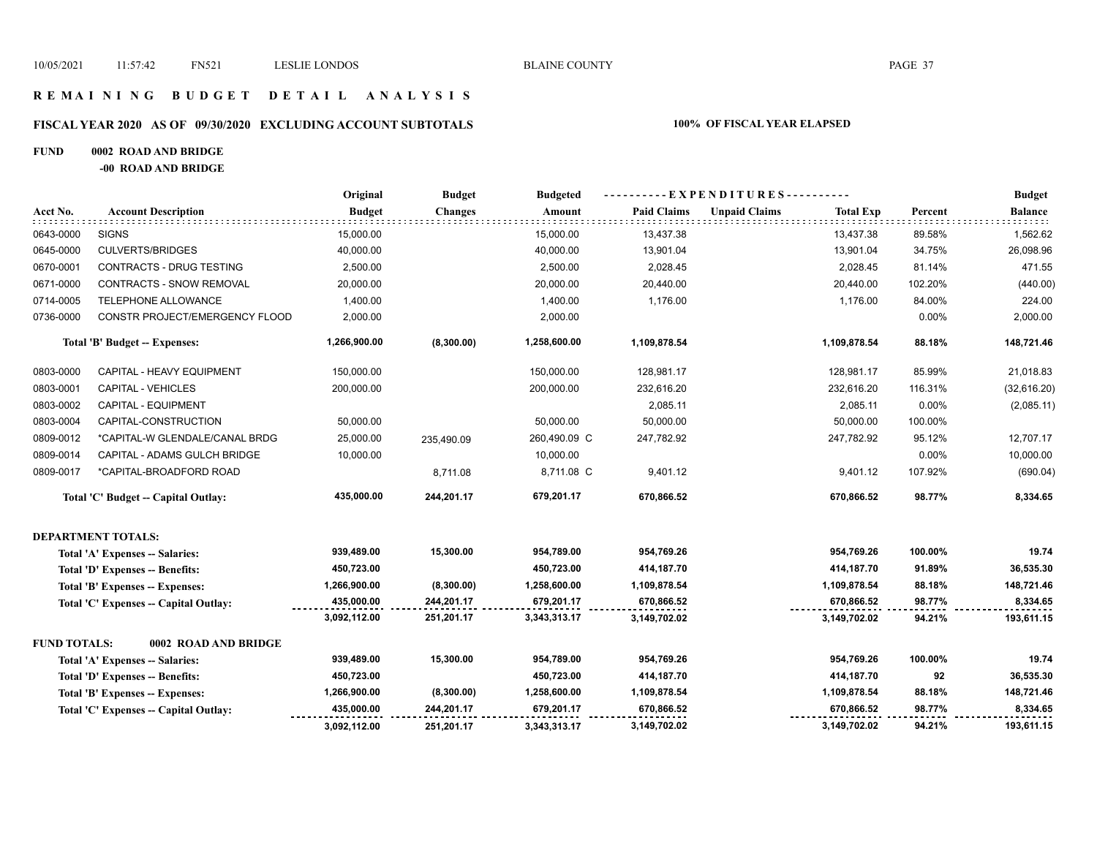## **R E M A I N I N G B U D G E T D E T A I L A N A L Y S I S**

## **FISCAL YEAR 2020 AS OF 09/30/2020 EXCLUDING ACCOUNT SUBTOTALS 100% OF FISCAL YEAR ELAPSED**

#### **FUND 0002 ROAD AND BRIDGE**

**-00 ROAD AND BRIDGE**

|                     |                                       | Original      | <b>Budget</b>  | <b>Budgeted</b> |                    | ----------EXPENDITURES----------         |         | <b>Budget</b>  |
|---------------------|---------------------------------------|---------------|----------------|-----------------|--------------------|------------------------------------------|---------|----------------|
| Acct No.            | <b>Account Description</b>            | <b>Budget</b> | <b>Changes</b> | Amount          | <b>Paid Claims</b> | <b>Unpaid Claims</b><br><b>Total Exp</b> | Percent | <b>Balance</b> |
| 0643-0000           | <b>SIGNS</b>                          | 15,000.00     |                | 15,000.00       | 13,437.38          | 13,437.38                                | 89.58%  | 1,562.62       |
| 0645-0000           | <b>CULVERTS/BRIDGES</b>               | 40,000.00     |                | 40,000.00       | 13,901.04          | 13,901.04                                | 34.75%  | 26,098.96      |
| 0670-0001           | <b>CONTRACTS - DRUG TESTING</b>       | 2,500.00      |                | 2,500.00        | 2,028.45           | 2,028.45                                 | 81.14%  | 471.55         |
| 0671-0000           | <b>CONTRACTS - SNOW REMOVAL</b>       | 20,000.00     |                | 20,000.00       | 20,440.00          | 20,440.00                                | 102.20% | (440.00)       |
| 0714-0005           | TELEPHONE ALLOWANCE                   | 1,400.00      |                | 1,400.00        | 1,176.00           | 1,176.00                                 | 84.00%  | 224.00         |
| 0736-0000           | CONSTR PROJECT/EMERGENCY FLOOD        | 2,000.00      |                | 2,000.00        |                    |                                          | 0.00%   | 2,000.00       |
|                     | Total 'B' Budget -- Expenses:         | 1,266,900.00  | (8,300.00)     | 1,258,600.00    | 1,109,878.54       | 1,109,878.54                             | 88.18%  | 148,721.46     |
| 0803-0000           | CAPITAL - HEAVY EQUIPMENT             | 150,000.00    |                | 150,000.00      | 128,981.17         | 128,981.17                               | 85.99%  | 21,018.83      |
| 0803-0001           | CAPITAL - VEHICLES                    | 200,000.00    |                | 200,000.00      | 232,616.20         | 232,616.20                               | 116.31% | (32,616.20)    |
| 0803-0002           | <b>CAPITAL - EQUIPMENT</b>            |               |                |                 | 2,085.11           | 2,085.11                                 | 0.00%   | (2,085.11)     |
| 0803-0004           | CAPITAL-CONSTRUCTION                  | 50,000.00     |                | 50,000.00       | 50,000.00          | 50,000.00                                | 100.00% |                |
| 0809-0012           | *CAPITAL-W GLENDALE/CANAL BRDG        | 25,000.00     | 235,490.09     | 260,490.09 C    | 247,782.92         | 247,782.92                               | 95.12%  | 12,707.17      |
| 0809-0014           | CAPITAL - ADAMS GULCH BRIDGE          | 10,000.00     |                | 10,000.00       |                    |                                          | 0.00%   | 10,000.00      |
| 0809-0017           | *CAPITAL-BROADFORD ROAD               |               | 8,711.08       | 8,711.08 C      | 9,401.12           | 9,401.12                                 | 107.92% | (690.04)       |
|                     | Total 'C' Budget -- Capital Outlay:   | 435,000.00    | 244,201.17     | 679,201.17      | 670,866.52         | 670,866.52                               | 98.77%  | 8,334.65       |
|                     | <b>DEPARTMENT TOTALS:</b>             |               |                |                 |                    |                                          |         |                |
|                     | Total 'A' Expenses -- Salaries:       | 939,489.00    | 15,300.00      | 954,789.00      | 954,769.26         | 954,769.26                               | 100.00% | 19.74          |
|                     | Total 'D' Expenses -- Benefits:       | 450,723.00    |                | 450,723.00      | 414,187.70         | 414,187.70                               | 91.89%  | 36,535.30      |
|                     | Total 'B' Expenses -- Expenses:       | 1,266,900.00  | (8,300.00)     | 1,258,600.00    | 1,109,878.54       | 1,109,878.54                             | 88.18%  | 148,721.46     |
|                     | Total 'C' Expenses -- Capital Outlay: | 435,000.00    | 244,201.17     | 679,201.17      | 670,866.52         | 670,866.52                               | 98.77%  | 8,334.65       |
|                     |                                       | 3,092,112.00  | 251,201.17     | 3,343,313.17    | 3,149,702.02       | 3,149,702.02                             | 94.21%  | 193,611.15     |
| <b>FUND TOTALS:</b> | 0002 ROAD AND BRIDGE                  |               |                |                 |                    |                                          |         |                |
|                     | Total 'A' Expenses -- Salaries:       | 939,489.00    | 15,300.00      | 954,789.00      | 954,769.26         | 954,769.26                               | 100.00% | 19.74          |
|                     | Total 'D' Expenses -- Benefits:       | 450,723.00    |                | 450,723.00      | 414,187.70         | 414,187.70                               | 92      | 36,535.30      |
|                     | Total 'B' Expenses -- Expenses:       | 1,266,900.00  | (8,300.00)     | 1,258,600.00    | 1,109,878.54       | 1,109,878.54                             | 88.18%  | 148,721.46     |
|                     | Total 'C' Expenses -- Capital Outlay: | 435,000.00    | 244,201.17     | 679,201.17      | 670,866.52         | 670,866.52                               | 98.77%  | 8,334.65       |
|                     |                                       | 3,092,112.00  | 251,201.17     | 3,343,313.17    | 3,149,702.02       | 3,149,702.02                             | 94.21%  | 193,611.15     |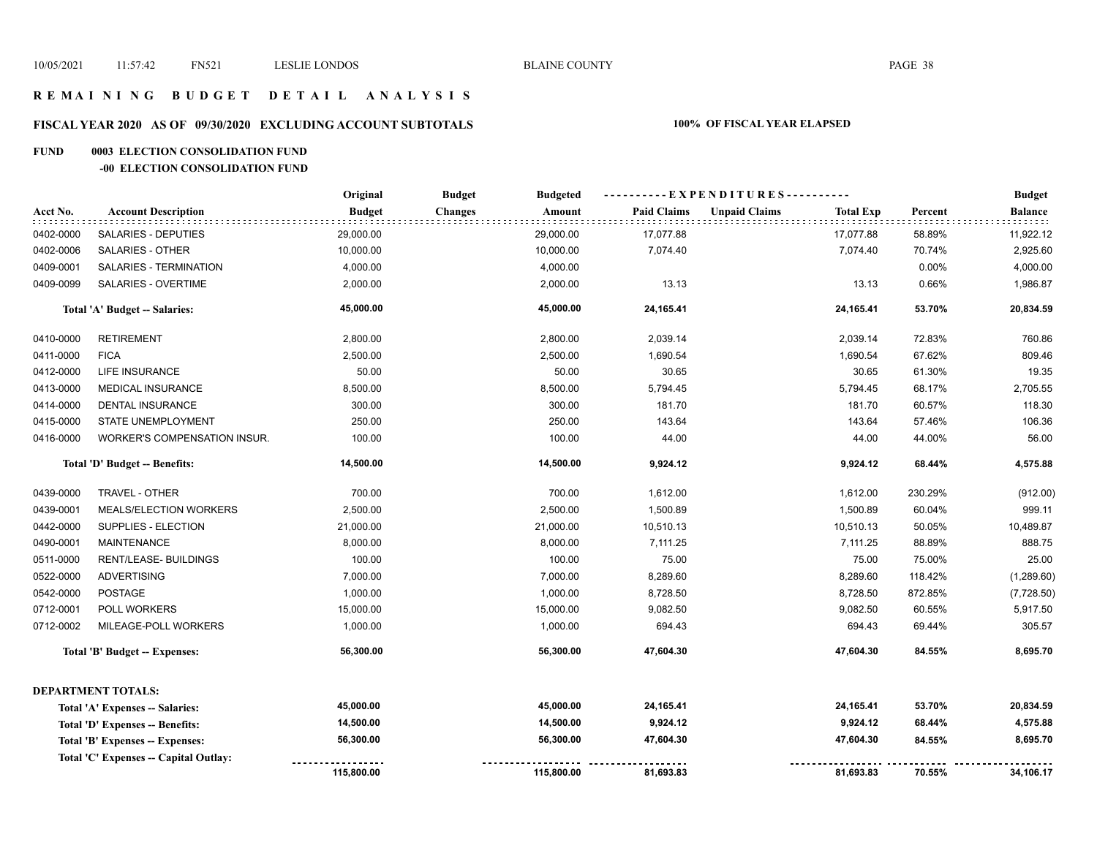## **R E M A I N I N G B U D G E T D E T A I L A N A L Y S I S**

## **FISCAL YEAR 2020 AS OF 09/30/2020 EXCLUDING ACCOUNT SUBTOTALS 100% OF FISCAL YEAR ELAPSED**

#### **FUND 0003 ELECTION CONSOLIDATION FUND**

#### **-00 ELECTION CONSOLIDATION FUND**

|           |                                       | Original      | <b>Budget</b><br><b>Budgeted</b> |                    |                                          |         | <b>Budget</b>  |
|-----------|---------------------------------------|---------------|----------------------------------|--------------------|------------------------------------------|---------|----------------|
| Acct No.  | <b>Account Description</b>            | <b>Budget</b> | <b>Changes</b><br>Amount         | <b>Paid Claims</b> | <b>Unpaid Claims</b><br><b>Total Exp</b> | Percent | <b>Balance</b> |
| 0402-0000 | SALARIES - DEPUTIES                   | 29,000.00     | 29,000.00                        | 17,077.88          | 17,077.88                                | 58.89%  | 11,922.12      |
| 0402-0006 | SALARIES - OTHER                      | 10,000.00     | 10,000.00                        | 7,074.40           | 7,074.40                                 | 70.74%  | 2,925.60       |
| 0409-0001 | SALARIES - TERMINATION                | 4,000.00      | 4,000.00                         |                    |                                          | 0.00%   | 4,000.00       |
| 0409-0099 | SALARIES - OVERTIME                   | 2,000.00      | 2,000.00                         | 13.13              | 13.13                                    | 0.66%   | 1,986.87       |
|           | Total 'A' Budget -- Salaries:         | 45,000.00     | 45,000.00                        | 24,165.41          | 24,165.41                                | 53.70%  | 20,834.59      |
| 0410-0000 | <b>RETIREMENT</b>                     | 2,800.00      | 2,800.00                         | 2,039.14           | 2,039.14                                 | 72.83%  | 760.86         |
| 0411-0000 | <b>FICA</b>                           | 2,500.00      | 2,500.00                         | 1,690.54           | 1,690.54                                 | 67.62%  | 809.46         |
| 0412-0000 | <b>LIFE INSURANCE</b>                 | 50.00         | 50.00                            | 30.65              | 30.65                                    | 61.30%  | 19.35          |
| 0413-0000 | MEDICAL INSURANCE                     | 8,500.00      | 8,500.00                         | 5,794.45           | 5,794.45                                 | 68.17%  | 2,705.55       |
| 0414-0000 | DENTAL INSURANCE                      | 300.00        | 300.00                           | 181.70             | 181.70                                   | 60.57%  | 118.30         |
| 0415-0000 | STATE UNEMPLOYMENT                    | 250.00        | 250.00                           | 143.64             | 143.64                                   | 57.46%  | 106.36         |
| 0416-0000 | WORKER'S COMPENSATION INSUR.          | 100.00        | 100.00                           | 44.00              | 44.00                                    | 44.00%  | 56.00          |
|           | Total 'D' Budget -- Benefits:         | 14,500.00     | 14,500.00                        | 9,924.12           | 9,924.12                                 | 68.44%  | 4,575.88       |
| 0439-0000 | TRAVEL - OTHER                        | 700.00        | 700.00                           | 1,612.00           | 1,612.00                                 | 230.29% | (912.00)       |
| 0439-0001 | <b>MEALS/ELECTION WORKERS</b>         | 2,500.00      | 2,500.00                         | 1,500.89           | 1,500.89                                 | 60.04%  | 999.11         |
| 0442-0000 | SUPPLIES - ELECTION                   | 21,000.00     | 21,000.00                        | 10,510.13          | 10,510.13                                | 50.05%  | 10,489.87      |
| 0490-0001 | <b>MAINTENANCE</b>                    | 8,000.00      | 8,000.00                         | 7,111.25           | 7,111.25                                 | 88.89%  | 888.75         |
| 0511-0000 | RENT/LEASE- BUILDINGS                 | 100.00        | 100.00                           | 75.00              | 75.00                                    | 75.00%  | 25.00          |
| 0522-0000 | <b>ADVERTISING</b>                    | 7,000.00      | 7,000.00                         | 8,289.60           | 8,289.60                                 | 118.42% | (1,289.60)     |
| 0542-0000 | <b>POSTAGE</b>                        | 1,000.00      | 1,000.00                         | 8,728.50           | 8,728.50                                 | 872.85% | (7,728.50)     |
| 0712-0001 | POLL WORKERS                          | 15,000.00     | 15,000.00                        | 9,082.50           | 9,082.50                                 | 60.55%  | 5,917.50       |
| 0712-0002 | MILEAGE-POLL WORKERS                  | 1,000.00      | 1,000.00                         | 694.43             | 694.43                                   | 69.44%  | 305.57         |
|           | Total 'B' Budget -- Expenses:         | 56,300.00     | 56,300.00                        | 47,604.30          | 47,604.30                                | 84.55%  | 8,695.70       |
|           | <b>DEPARTMENT TOTALS:</b>             |               |                                  |                    |                                          |         |                |
|           | Total 'A' Expenses -- Salaries:       | 45,000.00     | 45,000.00                        | 24,165.41          | 24,165.41                                | 53.70%  | 20,834.59      |
|           | Total 'D' Expenses -- Benefits:       | 14,500.00     | 14,500.00                        | 9,924.12           | 9,924.12                                 | 68.44%  | 4,575.88       |
|           | Total 'B' Expenses -- Expenses:       | 56,300.00     | 56,300.00                        | 47,604.30          | 47,604.30                                | 84.55%  | 8,695.70       |
|           | Total 'C' Expenses -- Capital Outlay: |               |                                  |                    |                                          |         |                |
|           |                                       | 115,800.00    | 115,800.00                       | 81,693.83          | 81,693.83                                | 70.55%  | 34,106.17      |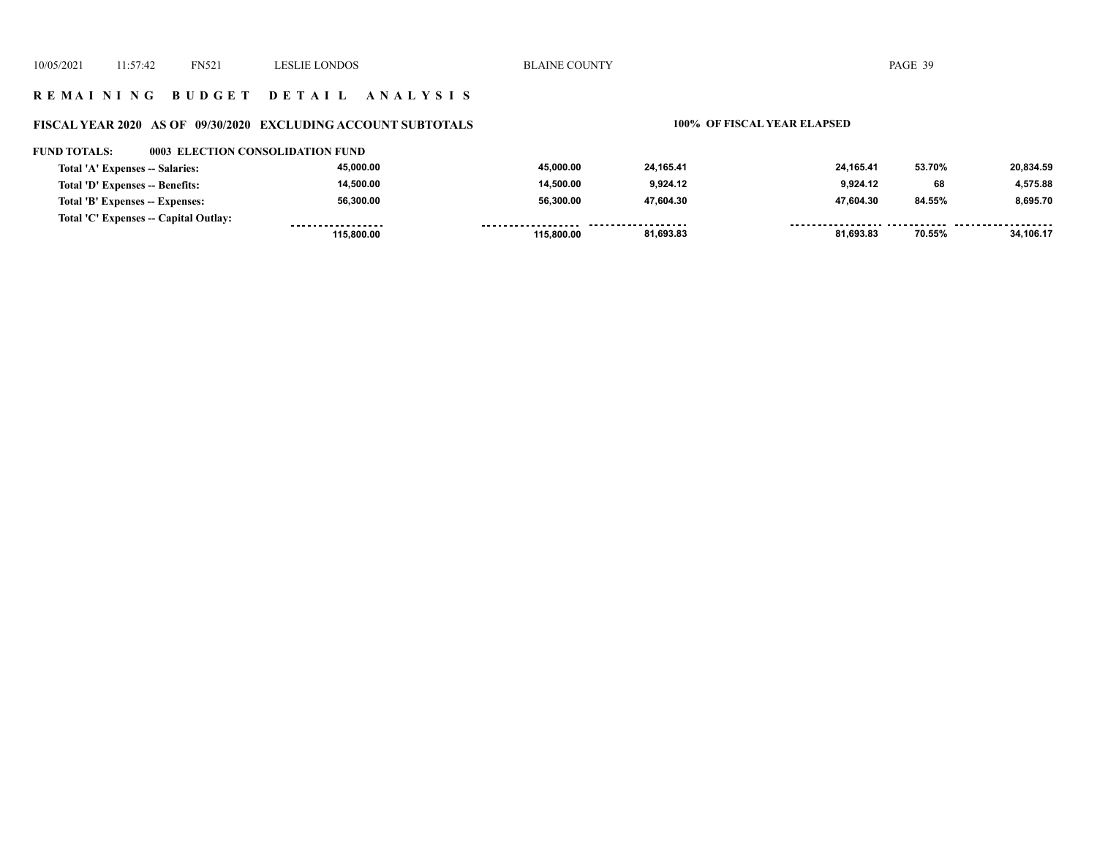# **R E M A I N I N G B U D G E T D E T A I L A N A L Y S I S**

## **FISCAL YEAR 2020 AS OF 09/30/2020 EXCLUDING ACCOUNT SUBTOTALS 100% OF FISCAL YEAR ELAPSED**

#### **FUND TOTALS: 0003 ELECTION CONSOLIDATION FUND**

| Total 'A' Expenses -- Salaries:       | 45.000.00  | 45.000.00  | 24.165.41 | 24.165.41 | 53.70% | 20.834.59 |
|---------------------------------------|------------|------------|-----------|-----------|--------|-----------|
| Total 'D' Expenses -- Benefits:       | 14.500.00  | 14.500.00  | 9,924.12  | 9.924.12  | 68     | 4.575.88  |
| Total 'B' Expenses -- Expenses:       | 56.300.00  | 56,300.00  | 47,604.30 | 47.604.30 | 84.55% | 8,695.70  |
| Total 'C' Expenses -- Capital Outlay: |            | --------   | .         |           |        |           |
|                                       | 115,800,00 | 115.800.00 | 81,693.83 | 81,693.83 | 70.55% | 34,106.17 |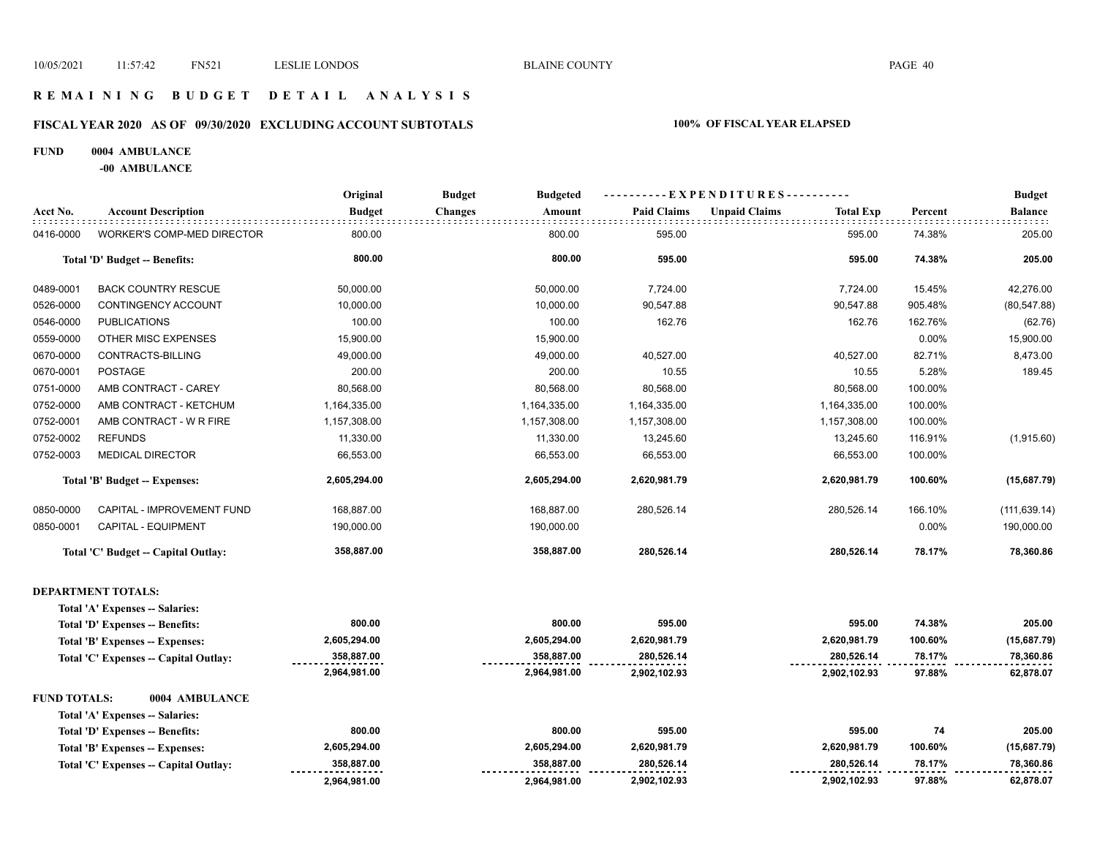## **R E M A I N I N G B U D G E T D E T A I L A N A L Y S I S**

# **FISCAL YEAR 2020 AS OF 09/30/2020 EXCLUDING ACCOUNT SUBTOTALS 100% OF FISCAL YEAR ELAPSED**

#### **FUND 0004 AMBULANCE**

**-00 AMBULANCE**

|                     |                                       | Original      | <b>Budget</b><br><b>Budgeted</b> |                    | ----EXPENDITURES----------               |         | <b>Budget</b>  |
|---------------------|---------------------------------------|---------------|----------------------------------|--------------------|------------------------------------------|---------|----------------|
| Acct No.            | <b>Account Description</b>            | <b>Budget</b> | <b>Changes</b><br>Amount         | <b>Paid Claims</b> | <b>Unpaid Claims</b><br><b>Total Exp</b> | Percent | <b>Balance</b> |
| 0416-0000           | <b>WORKER'S COMP-MED DIRECTOR</b>     | 800.00        | 800.00                           | 595.00             | 595.00                                   | 74.38%  | 205.00         |
|                     | Total 'D' Budget -- Benefits:         | 800.00        | 800.00                           | 595.00             | 595.00                                   | 74.38%  | 205.00         |
| 0489-0001           | <b>BACK COUNTRY RESCUE</b>            | 50,000.00     | 50,000.00                        | 7,724.00           | 7,724.00                                 | 15.45%  | 42,276.00      |
| 0526-0000           | CONTINGENCY ACCOUNT                   | 10,000.00     | 10,000.00                        | 90,547.88          | 90,547.88                                | 905.48% | (80, 547.88)   |
| 0546-0000           | <b>PUBLICATIONS</b>                   | 100.00        | 100.00                           | 162.76             | 162.76                                   | 162.76% | (62.76)        |
| 0559-0000           | OTHER MISC EXPENSES                   | 15,900.00     | 15,900.00                        |                    |                                          | 0.00%   | 15,900.00      |
| 0670-0000           | CONTRACTS-BILLING                     | 49,000.00     | 49,000.00                        | 40,527.00          | 40,527.00                                | 82.71%  | 8,473.00       |
| 0670-0001           | <b>POSTAGE</b>                        | 200.00        | 200.00                           | 10.55              | 10.55                                    | 5.28%   | 189.45         |
| 0751-0000           | AMB CONTRACT - CAREY                  | 80,568.00     | 80,568.00                        | 80,568.00          | 80,568.00                                | 100.00% |                |
| 0752-0000           | AMB CONTRACT - KETCHUM                | 1,164,335.00  | 1,164,335.00                     | 1,164,335.00       | 1,164,335.00                             | 100.00% |                |
| 0752-0001           | AMB CONTRACT - W R FIRE               | 1,157,308.00  | 1,157,308.00                     | 1,157,308.00       | 1,157,308.00                             | 100.00% |                |
| 0752-0002           | <b>REFUNDS</b>                        | 11,330.00     | 11,330.00                        | 13,245.60          | 13,245.60                                | 116.91% | (1,915.60)     |
| 0752-0003           | <b>MEDICAL DIRECTOR</b>               | 66,553.00     | 66,553.00                        | 66,553.00          | 66,553.00                                | 100.00% |                |
|                     | Total 'B' Budget -- Expenses:         | 2,605,294.00  | 2,605,294.00                     | 2,620,981.79       | 2,620,981.79                             | 100.60% | (15,687.79)    |
| 0850-0000           | CAPITAL - IMPROVEMENT FUND            | 168,887.00    | 168,887.00                       | 280,526.14         | 280,526.14                               | 166.10% | (111, 639.14)  |
| 0850-0001           | CAPITAL - EQUIPMENT                   | 190,000.00    | 190,000.00                       |                    |                                          | 0.00%   | 190,000.00     |
|                     | Total 'C' Budget -- Capital Outlay:   | 358,887.00    | 358,887.00                       | 280,526.14         | 280,526.14                               | 78.17%  | 78,360.86      |
|                     | <b>DEPARTMENT TOTALS:</b>             |               |                                  |                    |                                          |         |                |
|                     | Total 'A' Expenses -- Salaries:       |               |                                  |                    |                                          |         |                |
|                     | Total 'D' Expenses -- Benefits:       | 800.00        | 800.00                           | 595.00             | 595.00                                   | 74.38%  | 205.00         |
|                     | Total 'B' Expenses -- Expenses:       | 2,605,294.00  | 2,605,294.00                     | 2,620,981.79       | 2,620,981.79                             | 100.60% | (15,687.79)    |
|                     | Total 'C' Expenses -- Capital Outlay: | 358,887.00    | 358,887.00                       | 280,526.14         | 280,526.14                               | 78.17%  | 78,360.86      |
|                     |                                       | 2,964,981.00  | 2,964,981.00                     | 2,902,102.93       | 2,902,102.93                             | 97.88%  | 62,878.07      |
| <b>FUND TOTALS:</b> | 0004 AMBULANCE                        |               |                                  |                    |                                          |         |                |
|                     | Total 'A' Expenses -- Salaries:       |               |                                  |                    |                                          |         |                |
|                     | Total 'D' Expenses -- Benefits:       | 800.00        | 800.00                           | 595.00             | 595.00                                   | 74      | 205.00         |
|                     | Total 'B' Expenses -- Expenses:       | 2,605,294.00  | 2,605,294.00                     | 2,620,981.79       | 2,620,981.79                             | 100.60% | (15,687.79)    |
|                     | Total 'C' Expenses -- Capital Outlay: | 358,887.00    | 358,887.00                       | 280,526.14         | 280,526.14                               | 78.17%  | 78,360.86      |
|                     |                                       | 2,964,981.00  | 2,964,981.00                     | 2,902,102.93       | 2,902,102.93                             | 97.88%  | 62,878.07      |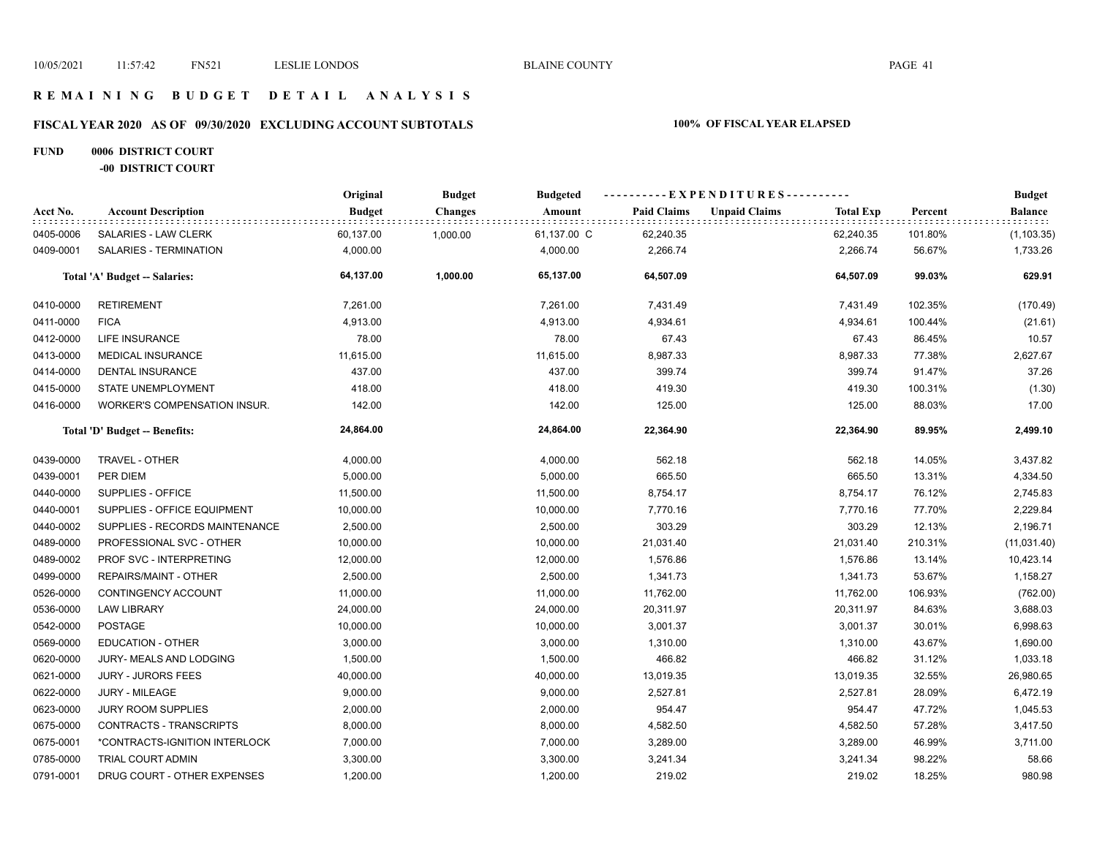## **R E M A I N I N G B U D G E T D E T A I L A N A L Y S I S**

# **FISCAL YEAR 2020 AS OF 09/30/2020 EXCLUDING ACCOUNT SUBTOTALS 100% OF FISCAL YEAR ELAPSED**

## **FUND 0006 DISTRICT COURT -00 DISTRICT COURT**

|           |                                | Original      | <b>Budget</b>  | <b>Budgeted</b> |                    | ----------EXPENDITURES----------         |         | <b>Budget</b>  |
|-----------|--------------------------------|---------------|----------------|-----------------|--------------------|------------------------------------------|---------|----------------|
| Acct No.  | <b>Account Description</b>     | <b>Budget</b> | <b>Changes</b> | Amount          | <b>Paid Claims</b> | <b>Unpaid Claims</b><br><b>Total Exp</b> | Percent | <b>Balance</b> |
| 0405-0006 | SALARIES - LAW CLERK           | 60,137.00     | 1,000.00       | 61,137.00 C     | 62,240.35          | 62,240.35                                | 101.80% | (1, 103.35)    |
| 0409-0001 | <b>SALARIES - TERMINATION</b>  | 4,000.00      |                | 4,000.00        | 2,266.74           | 2,266.74                                 | 56.67%  | 1,733.26       |
|           | Total 'A' Budget -- Salaries:  | 64,137.00     | 1,000.00       | 65,137.00       | 64,507.09          | 64,507.09                                | 99.03%  | 629.91         |
| 0410-0000 | <b>RETIREMENT</b>              | 7,261.00      |                | 7,261.00        | 7,431.49           | 7,431.49                                 | 102.35% | (170.49)       |
| 0411-0000 | <b>FICA</b>                    | 4,913.00      |                | 4,913.00        | 4,934.61           | 4,934.61                                 | 100.44% | (21.61)        |
| 0412-0000 | <b>LIFE INSURANCE</b>          | 78.00         |                | 78.00           | 67.43              | 67.43                                    | 86.45%  | 10.57          |
| 0413-0000 | <b>MEDICAL INSURANCE</b>       | 11,615.00     |                | 11,615.00       | 8,987.33           | 8,987.33                                 | 77.38%  | 2,627.67       |
| 0414-0000 | <b>DENTAL INSURANCE</b>        | 437.00        |                | 437.00          | 399.74             | 399.74                                   | 91.47%  | 37.26          |
| 0415-0000 | STATE UNEMPLOYMENT             | 418.00        |                | 418.00          | 419.30             | 419.30                                   | 100.31% | (1.30)         |
| 0416-0000 | WORKER'S COMPENSATION INSUR.   | 142.00        |                | 142.00          | 125.00             | 125.00                                   | 88.03%  | 17.00          |
|           | Total 'D' Budget -- Benefits:  | 24,864.00     |                | 24,864.00       | 22,364.90          | 22,364.90                                | 89.95%  | 2,499.10       |
| 0439-0000 | TRAVEL - OTHER                 | 4,000.00      |                | 4,000.00        | 562.18             | 562.18                                   | 14.05%  | 3,437.82       |
| 0439-0001 | PER DIEM                       | 5,000.00      |                | 5,000.00        | 665.50             | 665.50                                   | 13.31%  | 4,334.50       |
| 0440-0000 | SUPPLIES - OFFICE              | 11,500.00     |                | 11,500.00       | 8,754.17           | 8,754.17                                 | 76.12%  | 2,745.83       |
| 0440-0001 | SUPPLIES - OFFICE EQUIPMENT    | 10,000.00     |                | 10,000.00       | 7,770.16           | 7,770.16                                 | 77.70%  | 2,229.84       |
| 0440-0002 | SUPPLIES - RECORDS MAINTENANCE | 2,500.00      |                | 2,500.00        | 303.29             | 303.29                                   | 12.13%  | 2,196.71       |
| 0489-0000 | PROFESSIONAL SVC - OTHER       | 10,000.00     |                | 10,000.00       | 21,031.40          | 21,031.40                                | 210.31% | (11,031.40)    |
| 0489-0002 | PROF SVC - INTERPRETING        | 12,000.00     |                | 12,000.00       | 1,576.86           | 1,576.86                                 | 13.14%  | 10,423.14      |
| 0499-0000 | REPAIRS/MAINT - OTHER          | 2,500.00      |                | 2,500.00        | 1,341.73           | 1,341.73                                 | 53.67%  | 1,158.27       |
| 0526-0000 | CONTINGENCY ACCOUNT            | 11,000.00     |                | 11,000.00       | 11,762.00          | 11,762.00                                | 106.93% | (762.00)       |
| 0536-0000 | <b>LAW LIBRARY</b>             | 24,000.00     |                | 24,000.00       | 20,311.97          | 20,311.97                                | 84.63%  | 3,688.03       |
| 0542-0000 | <b>POSTAGE</b>                 | 10,000.00     |                | 10,000.00       | 3,001.37           | 3,001.37                                 | 30.01%  | 6,998.63       |
| 0569-0000 | <b>EDUCATION - OTHER</b>       | 3,000.00      |                | 3,000.00        | 1,310.00           | 1,310.00                                 | 43.67%  | 1,690.00       |
| 0620-0000 | JURY- MEALS AND LODGING        | 1,500.00      |                | 1,500.00        | 466.82             | 466.82                                   | 31.12%  | 1,033.18       |
| 0621-0000 | <b>JURY - JURORS FEES</b>      | 40,000.00     |                | 40,000.00       | 13,019.35          | 13,019.35                                | 32.55%  | 26,980.65      |
| 0622-0000 | <b>JURY - MILEAGE</b>          | 9,000.00      |                | 9,000.00        | 2,527.81           | 2,527.81                                 | 28.09%  | 6,472.19       |
| 0623-0000 | <b>JURY ROOM SUPPLIES</b>      | 2,000.00      |                | 2,000.00        | 954.47             | 954.47                                   | 47.72%  | 1,045.53       |
| 0675-0000 | CONTRACTS - TRANSCRIPTS        | 8,000.00      |                | 8,000.00        | 4,582.50           | 4,582.50                                 | 57.28%  | 3,417.50       |
| 0675-0001 | *CONTRACTS-IGNITION INTERLOCK  | 7,000.00      |                | 7,000.00        | 3,289.00           | 3,289.00                                 | 46.99%  | 3,711.00       |
| 0785-0000 | <b>TRIAL COURT ADMIN</b>       | 3,300.00      |                | 3,300.00        | 3,241.34           | 3,241.34                                 | 98.22%  | 58.66          |
| 0791-0001 | DRUG COURT - OTHER EXPENSES    | 1,200.00      |                | 1,200.00        | 219.02             | 219.02                                   | 18.25%  | 980.98         |
|           |                                |               |                |                 |                    |                                          |         |                |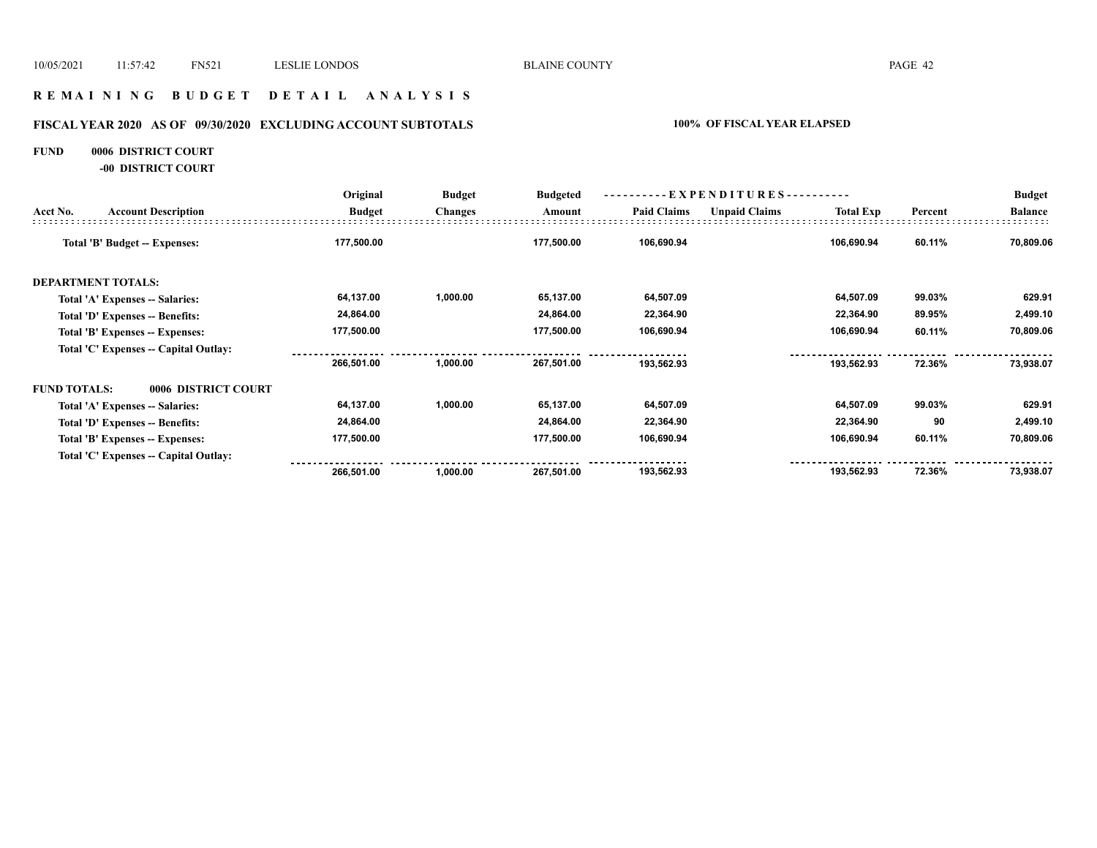## **R E M A I N I N G B U D G E T D E T A I L A N A L Y S I S**

# **FISCAL YEAR 2020 AS OF 09/30/2020 EXCLUDING ACCOUNT SUBTOTALS 100% OF FISCAL YEAR ELAPSED**

#### **FUND 0006 DISTRICT COURT**

**-00 DISTRICT COURT**

|                     |                                       | Original      | <b>Budget</b>  | <b>Budgeted</b> |                    | ----------EXPENDITURES---------- |                  |         | <b>Budget</b>  |
|---------------------|---------------------------------------|---------------|----------------|-----------------|--------------------|----------------------------------|------------------|---------|----------------|
| Acct No.            | <b>Account Description</b>            | <b>Budget</b> | <b>Changes</b> | Amount          | <b>Paid Claims</b> | <b>Unpaid Claims</b>             | <b>Total Exp</b> | Percent | <b>Balance</b> |
|                     | <b>Total 'B' Budget -- Expenses:</b>  | 177,500.00    |                | 177,500.00      | 106,690.94         |                                  | 106,690.94       | 60.11%  | 70,809.06      |
|                     | <b>DEPARTMENT TOTALS:</b>             |               |                |                 |                    |                                  |                  |         |                |
|                     | Total 'A' Expenses -- Salaries:       | 64,137.00     | 1,000.00       | 65,137.00       | 64,507.09          |                                  | 64,507.09        | 99.03%  | 629.91         |
|                     | Total 'D' Expenses -- Benefits:       | 24,864.00     |                | 24,864.00       | 22,364.90          |                                  | 22,364.90        | 89.95%  | 2,499.10       |
|                     | Total 'B' Expenses -- Expenses:       | 177,500.00    |                | 177,500.00      | 106,690.94         |                                  | 106,690.94       | 60.11%  | 70,809.06      |
|                     | Total 'C' Expenses -- Capital Outlay: |               |                |                 |                    |                                  |                  |         |                |
|                     |                                       | 266,501.00    | 1,000.00       | 267,501.00      | 193,562.93         |                                  | 193,562.93       | 72.36%  | 73,938.07      |
| <b>FUND TOTALS:</b> | 0006 DISTRICT COURT                   |               |                |                 |                    |                                  |                  |         |                |
|                     | Total 'A' Expenses -- Salaries:       | 64,137.00     | 1,000.00       | 65,137.00       | 64,507.09          |                                  | 64,507.09        | 99.03%  | 629.91         |
|                     | Total 'D' Expenses -- Benefits:       | 24,864.00     |                | 24,864.00       | 22,364.90          |                                  | 22,364.90        | 90      | 2,499.10       |
|                     | Total 'B' Expenses -- Expenses:       | 177,500.00    |                | 177,500.00      | 106,690.94         |                                  | 106,690.94       | 60.11%  | 70,809.06      |
|                     | Total 'C' Expenses -- Capital Outlay: |               |                |                 |                    |                                  |                  |         |                |
|                     |                                       | 266,501.00    | 1,000.00       | 267,501.00      | 193,562.93         |                                  | 193,562.93       | 72.36%  | 73,938.07      |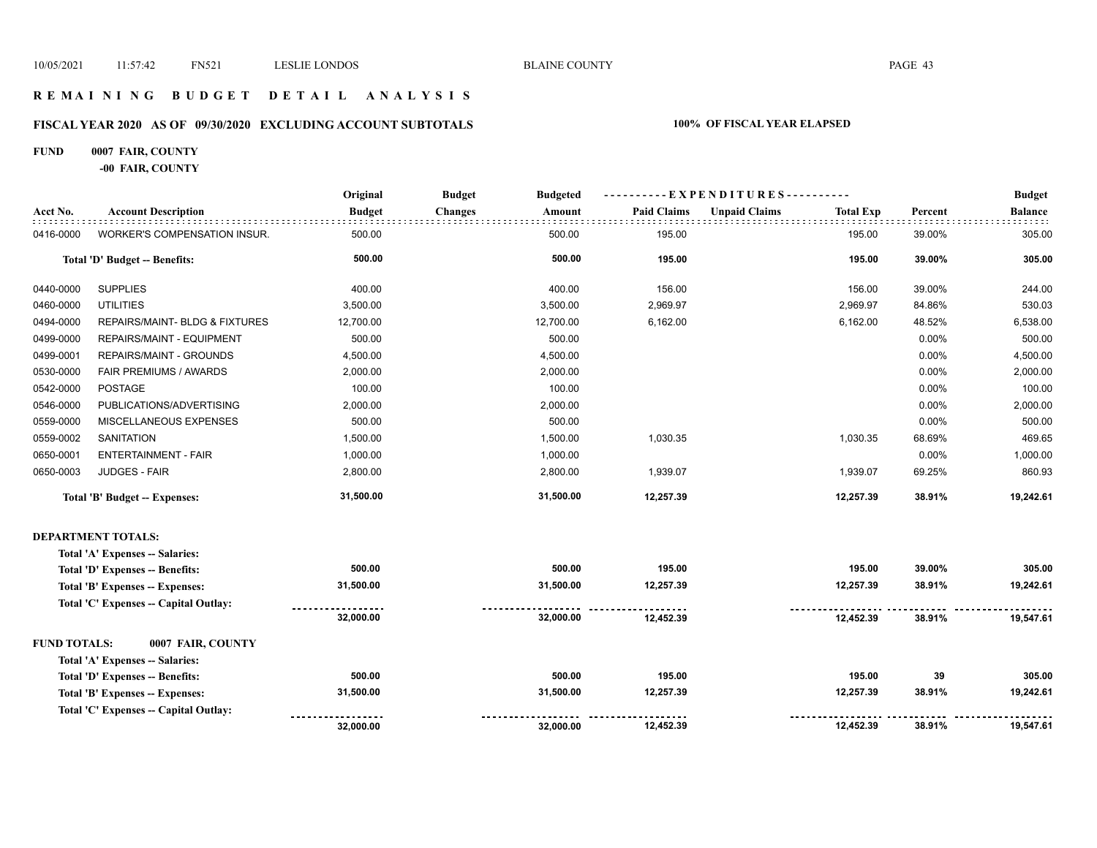## **R E M A I N I N G B U D G E T D E T A I L A N A L Y S I S**

# **FISCAL YEAR 2020 AS OF 09/30/2020 EXCLUDING ACCOUNT SUBTOTALS 100% OF FISCAL YEAR ELAPSED**

## **FUND 0007 FAIR, COUNTY**

**-00 FAIR, COUNTY**

|           |                                           | Original      | <b>Budget</b>  | <b>Budgeted</b> |                    | - EXPENDITURES---------- |                  |         | <b>Budget</b>  |
|-----------|-------------------------------------------|---------------|----------------|-----------------|--------------------|--------------------------|------------------|---------|----------------|
| Acct No.  | <b>Account Description</b>                | <b>Budget</b> | <b>Changes</b> | Amount          | <b>Paid Claims</b> | <b>Unpaid Claims</b>     | <b>Total Exp</b> | Percent | <b>Balance</b> |
| 0416-0000 | WORKER'S COMPENSATION INSUR.              | 500.00        |                | 500.00          | 195.00             |                          | 195.00           | 39.00%  | 305.00         |
|           | Total 'D' Budget -- Benefits:             | 500.00        |                | 500.00          | 195.00             |                          | 195.00           | 39.00%  | 305.00         |
| 0440-0000 | <b>SUPPLIES</b>                           | 400.00        |                | 400.00          | 156.00             |                          | 156.00           | 39.00%  | 244.00         |
| 0460-0000 | <b>UTILITIES</b>                          | 3,500.00      |                | 3,500.00        | 2,969.97           |                          | 2,969.97         | 84.86%  | 530.03         |
| 0494-0000 | <b>REPAIRS/MAINT- BLDG &amp; FIXTURES</b> | 12,700.00     |                | 12,700.00       | 6,162.00           |                          | 6,162.00         | 48.52%  | 6,538.00       |
| 0499-0000 | REPAIRS/MAINT - EQUIPMENT                 | 500.00        |                | 500.00          |                    |                          |                  | 0.00%   | 500.00         |
| 0499-0001 | <b>REPAIRS/MAINT - GROUNDS</b>            | 4,500.00      |                | 4,500.00        |                    |                          |                  | 0.00%   | 4,500.00       |
| 0530-0000 | FAIR PREMIUMS / AWARDS                    | 2,000.00      |                | 2,000.00        |                    |                          |                  | 0.00%   | 2,000.00       |
| 0542-0000 | <b>POSTAGE</b>                            | 100.00        |                | 100.00          |                    |                          |                  | 0.00%   | 100.00         |
| 0546-0000 | PUBLICATIONS/ADVERTISING                  | 2,000.00      |                | 2,000.00        |                    |                          |                  | 0.00%   | 2,000.00       |
| 0559-0000 | MISCELLANEOUS EXPENSES                    | 500.00        |                | 500.00          |                    |                          |                  | 0.00%   | 500.00         |
| 0559-0002 | <b>SANITATION</b>                         | 1,500.00      |                | 1,500.00        | 1,030.35           |                          | 1,030.35         | 68.69%  | 469.65         |
| 0650-0001 | <b>ENTERTAINMENT - FAIR</b>               | 1,000.00      |                | 1,000.00        |                    |                          |                  | 0.00%   | 1,000.00       |
| 0650-0003 | <b>JUDGES - FAIR</b>                      | 2,800.00      |                | 2,800.00        | 1,939.07           |                          | 1,939.07         | 69.25%  | 860.93         |
|           | Total 'B' Budget -- Expenses:             | 31,500.00     |                | 31,500.00       | 12,257.39          |                          | 12,257.39        | 38.91%  | 19,242.61      |
|           | <b>DEPARTMENT TOTALS:</b>                 |               |                |                 |                    |                          |                  |         |                |
|           | Total 'A' Expenses -- Salaries:           |               |                |                 |                    |                          |                  |         |                |
|           | Total 'D' Expenses -- Benefits:           | 500.00        |                | 500.00          | 195.00             |                          | 195.00           | 39.00%  | 305.00         |
|           | Total 'B' Expenses -- Expenses:           | 31,500.00     |                | 31,500.00       | 12,257.39          |                          | 12,257.39        | 38.91%  | 19,242.61      |
|           | Total 'C' Expenses -- Capital Outlay:     |               |                |                 |                    |                          |                  |         |                |
|           |                                           | 32,000.00     |                | 32,000.00       | 12,452.39          |                          | 12,452.39        | 38.91%  | 19,547.61      |

| <b>FUND TOTALS:</b>             | 0007 FAIR, COUNTY                     |           |                    |           |           |        |           |
|---------------------------------|---------------------------------------|-----------|--------------------|-----------|-----------|--------|-----------|
| Total 'A' Expenses -- Salaries: |                                       |           |                    |           |           |        |           |
| Total 'D' Expenses -- Benefits: |                                       | 500.00    | 500.00             | 195.00    | 195.00    | 39     | 305.00    |
| Total 'B' Expenses -- Expenses: |                                       | 31,500.00 | 31.500.00          | 12.257.39 | 12.257.39 | 38.91% | 19.242.61 |
|                                 | Total 'C' Expenses -- Capital Outlay: |           | ------------------ |           |           |        |           |
|                                 |                                       | 32.000.00 | 32.000.00          | 12.452.39 | 12.452.39 | 38.91% | 19.547.61 |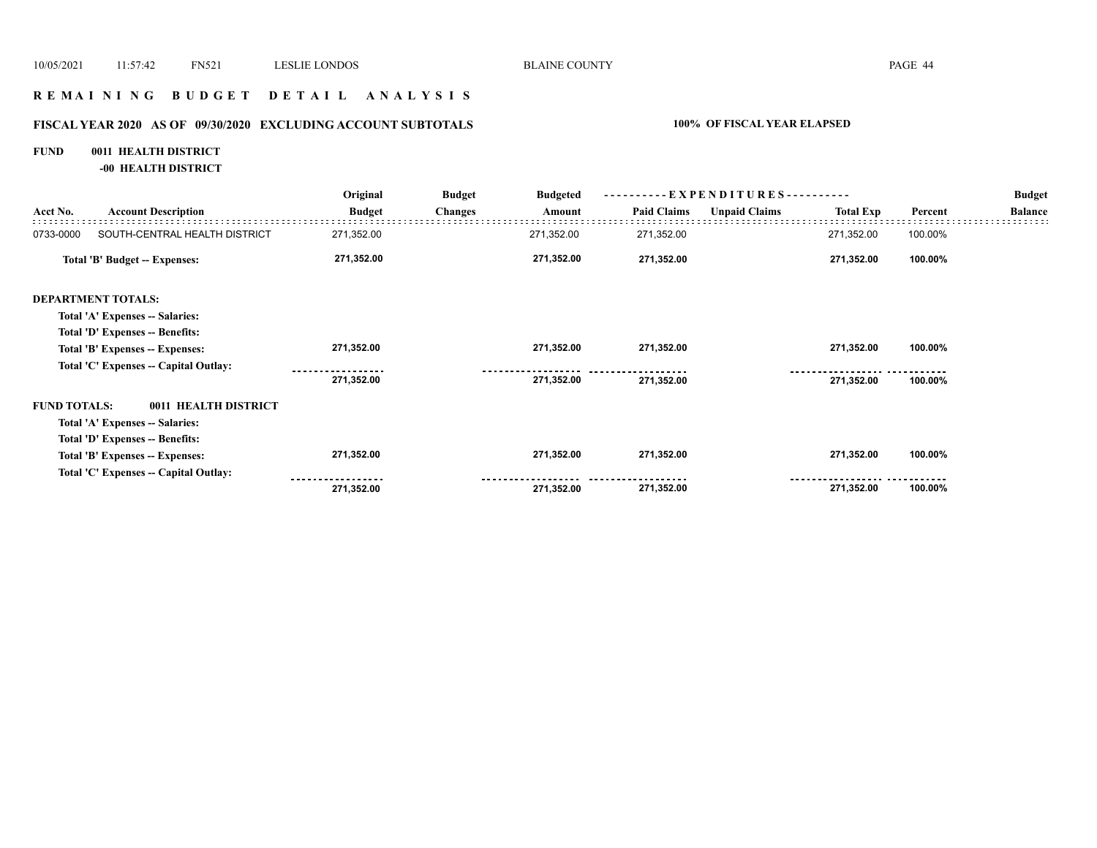## **R E M A I N I N G B U D G E T D E T A I L A N A L Y S I S**

# **FISCAL YEAR 2020 AS OF 09/30/2020 EXCLUDING ACCOUNT SUBTOTALS 100% OF FISCAL YEAR ELAPSED**

# **FUND 0011 HEALTH DISTRICT**

**-00 HEALTH DISTRICT**

|                     |                                       | Original      | <b>Budget</b>  | <b>Budgeted</b> |                    | - EXPENDITURES---------- |                  |         | <b>Budget</b>  |
|---------------------|---------------------------------------|---------------|----------------|-----------------|--------------------|--------------------------|------------------|---------|----------------|
| Acct No.            | <b>Account Description</b>            | <b>Budget</b> | <b>Changes</b> | Amount          | <b>Paid Claims</b> | <b>Unpaid Claims</b>     | <b>Total Exp</b> | Percent | <b>Balance</b> |
| 0733-0000           | SOUTH-CENTRAL HEALTH DISTRICT         | 271,352.00    |                | 271,352.00      | 271,352.00         |                          | 271,352.00       | 100.00% |                |
|                     | <b>Total 'B' Budget -- Expenses:</b>  | 271,352.00    |                | 271,352.00      | 271,352.00         |                          | 271,352.00       | 100.00% |                |
|                     | <b>DEPARTMENT TOTALS:</b>             |               |                |                 |                    |                          |                  |         |                |
|                     | Total 'A' Expenses -- Salaries:       |               |                |                 |                    |                          |                  |         |                |
|                     | Total 'D' Expenses -- Benefits:       |               |                |                 |                    |                          |                  |         |                |
|                     | Total 'B' Expenses -- Expenses:       | 271,352.00    |                | 271,352.00      | 271,352.00         |                          | 271,352.00       | 100.00% |                |
|                     | Total 'C' Expenses -- Capital Outlay: |               |                |                 |                    |                          |                  |         |                |
|                     |                                       | 271,352.00    |                | 271,352.00      | 271,352.00         |                          | 271,352.00       | 100.00% |                |
| <b>FUND TOTALS:</b> | 0011 HEALTH DISTRICT                  |               |                |                 |                    |                          |                  |         |                |
|                     | Total 'A' Expenses -- Salaries:       |               |                |                 |                    |                          |                  |         |                |
|                     | Total 'D' Expenses -- Benefits:       |               |                |                 |                    |                          |                  |         |                |
|                     | Total 'B' Expenses -- Expenses:       | 271,352.00    |                | 271,352.00      | 271,352.00         |                          | 271,352.00       | 100.00% |                |
|                     | Total 'C' Expenses -- Capital Outlay: | ------------- |                |                 |                    |                          |                  |         |                |
|                     |                                       | 271,352.00    |                | 271,352.00      | 271,352.00         |                          | 271,352.00       | 100.00% |                |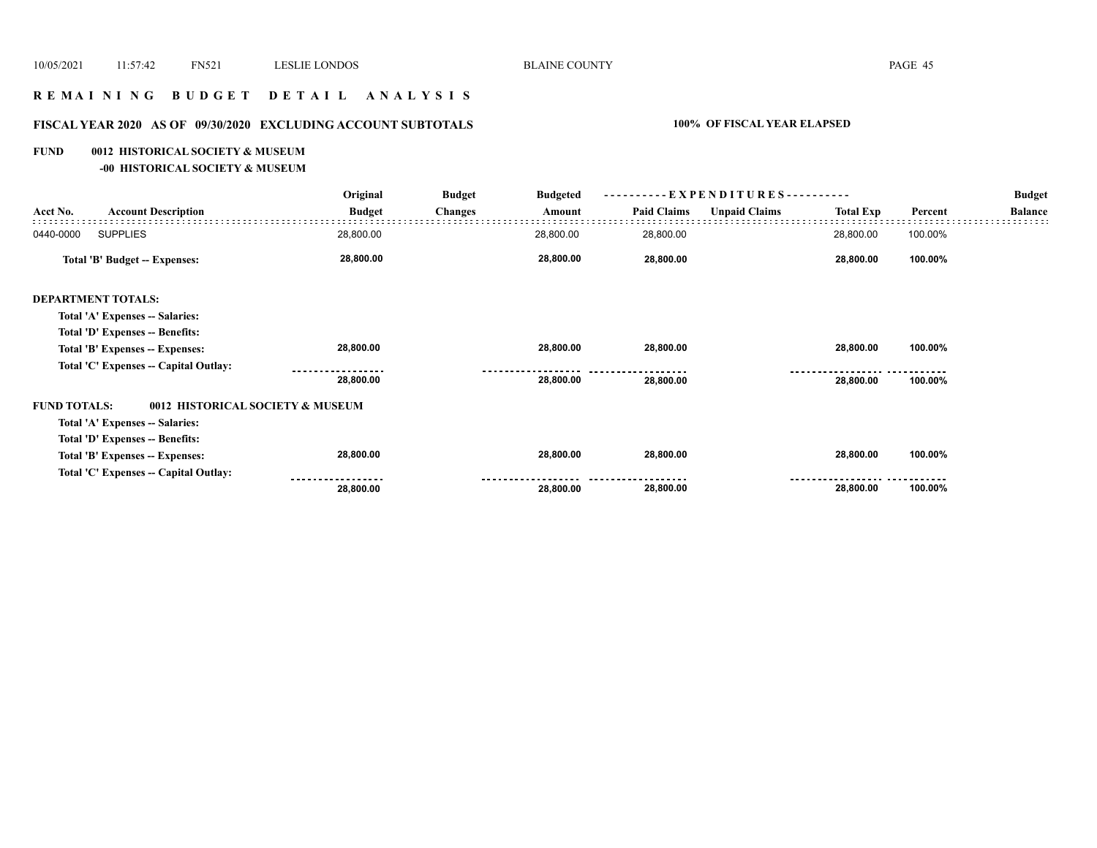# **R E M A I N I N G B U D G E T D E T A I L A N A L Y S I S**

# **FISCAL YEAR 2020 AS OF 09/30/2020 EXCLUDING ACCOUNT SUBTOTALS 100% OF FISCAL YEAR ELAPSED**

#### **FUND 0012 HISTORICAL SOCIETY & MUSEUM**

**-00 HISTORICAL SOCIETY & MUSEUM**

|                     |                                       | Original                         | <b>Budget</b>  | <b>Budgeted</b> | $-EXPENDITURES$ --------- |                      |                  | <b>Budget</b> |                |
|---------------------|---------------------------------------|----------------------------------|----------------|-----------------|---------------------------|----------------------|------------------|---------------|----------------|
| Acct No.            | <b>Account Description</b>            | <b>Budget</b>                    | <b>Changes</b> | Amount          | <b>Paid Claims</b>        | <b>Unpaid Claims</b> | <b>Total Exp</b> | Percent       | <b>Balance</b> |
| 0440-0000           | <b>SUPPLIES</b>                       | 28,800.00                        |                | 28,800.00       | 28,800.00                 |                      | 28,800.00        | 100.00%       |                |
|                     | Total 'B' Budget -- Expenses:         | 28,800.00                        |                | 28,800.00       | 28,800.00                 |                      | 28,800.00        | 100.00%       |                |
|                     | <b>DEPARTMENT TOTALS:</b>             |                                  |                |                 |                           |                      |                  |               |                |
|                     | Total 'A' Expenses -- Salaries:       |                                  |                |                 |                           |                      |                  |               |                |
|                     | Total 'D' Expenses -- Benefits:       |                                  |                |                 |                           |                      |                  |               |                |
|                     | Total 'B' Expenses -- Expenses:       | 28,800.00                        |                | 28,800.00       | 28,800.00                 |                      | 28,800.00        | 100.00%       |                |
|                     | Total 'C' Expenses -- Capital Outlay: |                                  |                |                 |                           |                      |                  |               |                |
|                     |                                       | 28,800.00                        |                | 28,800.00       | 28,800.00                 |                      | 28,800.00        | 100.00%       |                |
| <b>FUND TOTALS:</b> |                                       | 0012 HISTORICAL SOCIETY & MUSEUM |                |                 |                           |                      |                  |               |                |
|                     | Total 'A' Expenses -- Salaries:       |                                  |                |                 |                           |                      |                  |               |                |
|                     | Total 'D' Expenses -- Benefits:       |                                  |                |                 |                           |                      |                  |               |                |
|                     | Total 'B' Expenses -- Expenses:       | 28,800.00                        |                | 28,800.00       | 28,800.00                 |                      | 28,800.00        | 100.00%       |                |
|                     | Total 'C' Expenses -- Capital Outlay: | 28,800.00                        |                | 28,800.00       | 28,800.00                 |                      | 28,800.00        | 100.00%       |                |
|                     |                                       |                                  |                |                 |                           |                      |                  |               |                |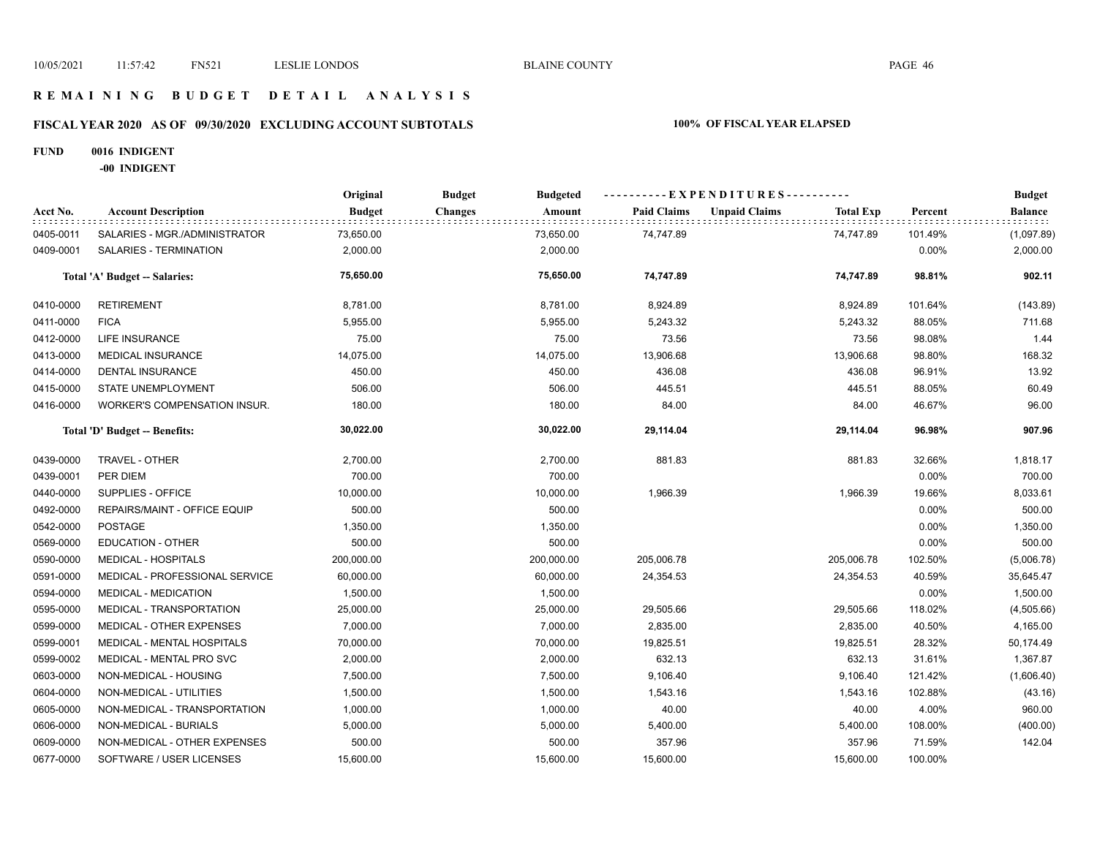## **R E M A I N I N G B U D G E T D E T A I L A N A L Y S I S**

# **FISCAL YEAR 2020 AS OF 09/30/2020 EXCLUDING ACCOUNT SUBTOTALS 100% OF FISCAL YEAR ELAPSED**

#### **FUND 0016 INDIGENT**

**-00 INDIGENT**

|           |                                     | Original      | <b>Budget</b><br><b>Budgeted</b> |                    | ----------EXPENDITURES----------         |         | <b>Budget</b>  |
|-----------|-------------------------------------|---------------|----------------------------------|--------------------|------------------------------------------|---------|----------------|
| Acct No.  | <b>Account Description</b>          | <b>Budget</b> | <b>Changes</b><br>Amount         | <b>Paid Claims</b> | <b>Unpaid Claims</b><br><b>Total Exp</b> | Percent | <b>Balance</b> |
| 0405-0011 | SALARIES - MGR./ADMINISTRATOR       | 73,650.00     | 73,650.00                        | 74,747.89          | 74,747.89                                | 101.49% | (1,097.89)     |
| 0409-0001 | SALARIES - TERMINATION              | 2,000.00      | 2,000.00                         |                    |                                          | 0.00%   | 2,000.00       |
|           | Total 'A' Budget -- Salaries:       | 75,650.00     | 75,650.00                        | 74,747.89          | 74,747.89                                | 98.81%  | 902.11         |
| 0410-0000 | <b>RETIREMENT</b>                   | 8,781.00      | 8,781.00                         | 8,924.89           | 8,924.89                                 | 101.64% | (143.89)       |
| 0411-0000 | <b>FICA</b>                         | 5,955.00      | 5,955.00                         | 5,243.32           | 5,243.32                                 | 88.05%  | 711.68         |
| 0412-0000 | LIFE INSURANCE                      | 75.00         | 75.00                            | 73.56              | 73.56                                    | 98.08%  | 1.44           |
| 0413-0000 | MEDICAL INSURANCE                   | 14,075.00     | 14,075.00                        | 13,906.68          | 13,906.68                                | 98.80%  | 168.32         |
| 0414-0000 | <b>DENTAL INSURANCE</b>             | 450.00        | 450.00                           | 436.08             | 436.08                                   | 96.91%  | 13.92          |
| 0415-0000 | STATE UNEMPLOYMENT                  | 506.00        | 506.00                           | 445.51             | 445.51                                   | 88.05%  | 60.49          |
| 0416-0000 | <b>WORKER'S COMPENSATION INSUR.</b> | 180.00        | 180.00                           | 84.00              | 84.00                                    | 46.67%  | 96.00          |
|           | Total 'D' Budget -- Benefits:       | 30,022.00     | 30,022.00                        | 29,114.04          | 29,114.04                                | 96.98%  | 907.96         |
| 0439-0000 | TRAVEL - OTHER                      | 2,700.00      | 2,700.00                         | 881.83             | 881.83                                   | 32.66%  | 1,818.17       |
| 0439-0001 | PER DIEM                            | 700.00        | 700.00                           |                    |                                          | 0.00%   | 700.00         |
| 0440-0000 | SUPPLIES - OFFICE                   | 10,000.00     | 10,000.00                        | 1,966.39           | 1,966.39                                 | 19.66%  | 8,033.61       |
| 0492-0000 | REPAIRS/MAINT - OFFICE EQUIP        | 500.00        | 500.00                           |                    |                                          | 0.00%   | 500.00         |
| 0542-0000 | <b>POSTAGE</b>                      | 1,350.00      | 1,350.00                         |                    |                                          | 0.00%   | 1,350.00       |
| 0569-0000 | <b>EDUCATION - OTHER</b>            | 500.00        | 500.00                           |                    |                                          | 0.00%   | 500.00         |
| 0590-0000 | <b>MEDICAL - HOSPITALS</b>          | 200,000.00    | 200,000.00                       | 205,006.78         | 205,006.78                               | 102.50% | (5,006.78)     |
| 0591-0000 | MEDICAL - PROFESSIONAL SERVICE      | 60,000.00     | 60,000.00                        | 24,354.53          | 24,354.53                                | 40.59%  | 35,645.47      |
| 0594-0000 | MEDICAL - MEDICATION                | 1,500.00      | 1,500.00                         |                    |                                          | 0.00%   | 1,500.00       |
| 0595-0000 | MEDICAL - TRANSPORTATION            | 25,000.00     | 25,000.00                        | 29,505.66          | 29,505.66                                | 118.02% | (4,505.66)     |
| 0599-0000 | MEDICAL - OTHER EXPENSES            | 7,000.00      | 7,000.00                         | 2,835.00           | 2,835.00                                 | 40.50%  | 4,165.00       |
| 0599-0001 | MEDICAL - MENTAL HOSPITALS          | 70,000.00     | 70,000.00                        | 19,825.51          | 19,825.51                                | 28.32%  | 50,174.49      |
| 0599-0002 | MEDICAL - MENTAL PRO SVC            | 2,000.00      | 2,000.00                         | 632.13             | 632.13                                   | 31.61%  | 1,367.87       |
| 0603-0000 | NON-MEDICAL - HOUSING               | 7,500.00      | 7,500.00                         | 9,106.40           | 9,106.40                                 | 121.42% | (1,606.40)     |
| 0604-0000 | NON-MEDICAL - UTILITIES             | 1,500.00      | 1,500.00                         | 1,543.16           | 1,543.16                                 | 102.88% | (43.16)        |
| 0605-0000 | NON-MEDICAL - TRANSPORTATION        | 1,000.00      | 1,000.00                         | 40.00              | 40.00                                    | 4.00%   | 960.00         |
| 0606-0000 | NON-MEDICAL - BURIALS               | 5,000.00      | 5,000.00                         | 5,400.00           | 5,400.00                                 | 108.00% | (400.00)       |
| 0609-0000 | NON-MEDICAL - OTHER EXPENSES        | 500.00        | 500.00                           | 357.96             | 357.96                                   | 71.59%  | 142.04         |
| 0677-0000 | SOFTWARE / USER LICENSES            | 15,600.00     | 15,600.00                        | 15,600.00          | 15,600.00                                | 100.00% |                |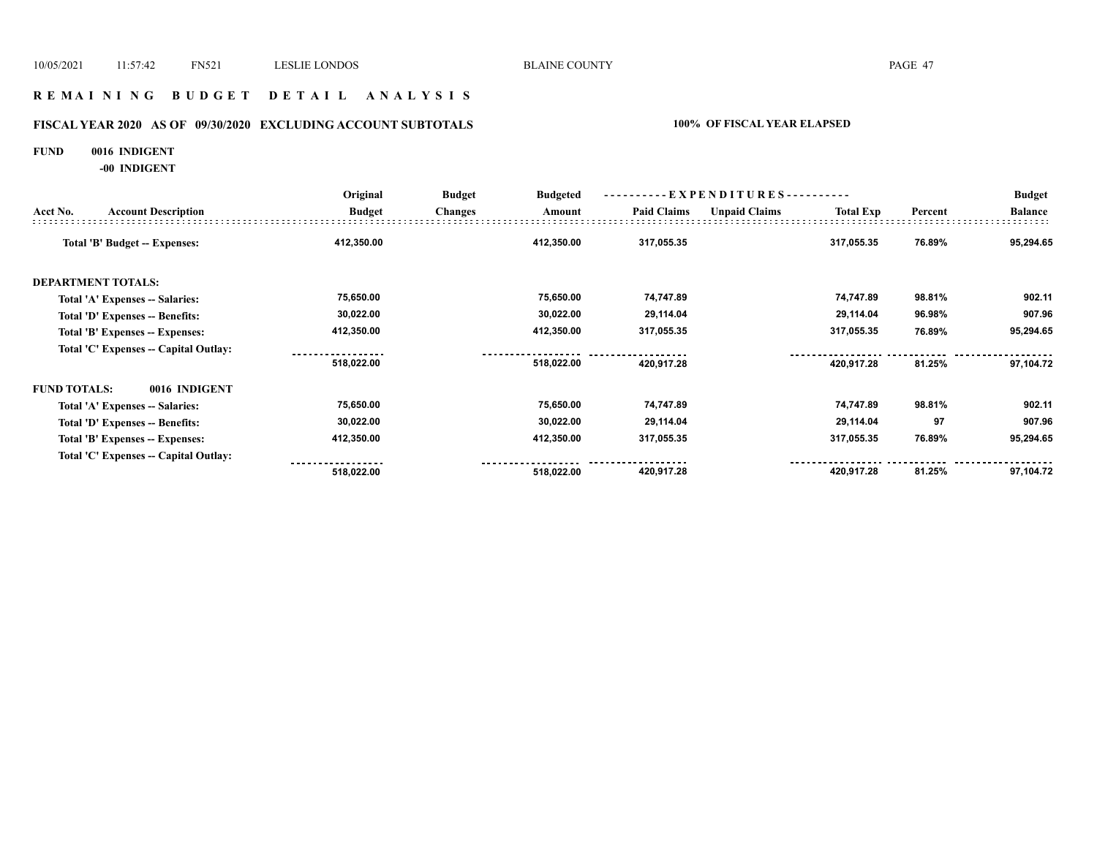## **R E M A I N I N G B U D G E T D E T A I L A N A L Y S I S**

# **FISCAL YEAR 2020 AS OF 09/30/2020 EXCLUDING ACCOUNT SUBTOTALS 100% OF FISCAL YEAR ELAPSED**

#### **FUND 0016 INDIGENT**

**-00 INDIGENT**

|                     |                                       | Original      | <b>Budget</b><br><b>Budgeted</b> |                    | ----------EXPENDITURES---------- |                  |         | <b>Budget</b>  |
|---------------------|---------------------------------------|---------------|----------------------------------|--------------------|----------------------------------|------------------|---------|----------------|
| Acct No.            | <b>Account Description</b>            | <b>Budget</b> | <b>Changes</b><br>Amount         | <b>Paid Claims</b> | <b>Unpaid Claims</b>             | <b>Total Exp</b> | Percent | <b>Balance</b> |
|                     | Total 'B' Budget -- Expenses:         | 412,350.00    | 412,350.00                       | 317,055.35         |                                  | 317,055.35       | 76.89%  | 95,294.65      |
|                     | <b>DEPARTMENT TOTALS:</b>             |               |                                  |                    |                                  |                  |         |                |
|                     | Total 'A' Expenses -- Salaries:       | 75,650.00     | 75,650.00                        | 74,747.89          |                                  | 74,747.89        | 98.81%  | 902.11         |
|                     | Total 'D' Expenses -- Benefits:       | 30,022.00     | 30,022.00                        | 29,114.04          |                                  | 29,114.04        | 96.98%  | 907.96         |
|                     | Total 'B' Expenses -- Expenses:       | 412,350.00    | 412,350.00                       | 317,055.35         |                                  | 317,055.35       | 76.89%  | 95,294.65      |
|                     | Total 'C' Expenses -- Capital Outlay: |               |                                  |                    |                                  |                  |         |                |
|                     |                                       | 518,022.00    | 518,022.00                       | 420,917.28         |                                  | 420,917.28       | 81.25%  | 97,104.72      |
| <b>FUND TOTALS:</b> | 0016 INDIGENT                         |               |                                  |                    |                                  |                  |         |                |
|                     | Total 'A' Expenses -- Salaries:       | 75,650.00     | 75,650.00                        | 74,747.89          |                                  | 74,747.89        | 98.81%  | 902.11         |
|                     | Total 'D' Expenses -- Benefits:       | 30,022.00     | 30,022.00                        | 29,114.04          |                                  | 29,114.04        | 97      | 907.96         |
|                     | Total 'B' Expenses -- Expenses:       | 412,350.00    | 412,350.00                       | 317,055.35         |                                  | 317,055.35       | 76.89%  | 95,294.65      |
|                     | Total 'C' Expenses -- Capital Outlay: |               |                                  |                    |                                  |                  |         |                |
|                     |                                       | 518,022.00    | 518,022.00                       | 420,917.28         |                                  | 420,917.28       | 81.25%  | 97,104.72      |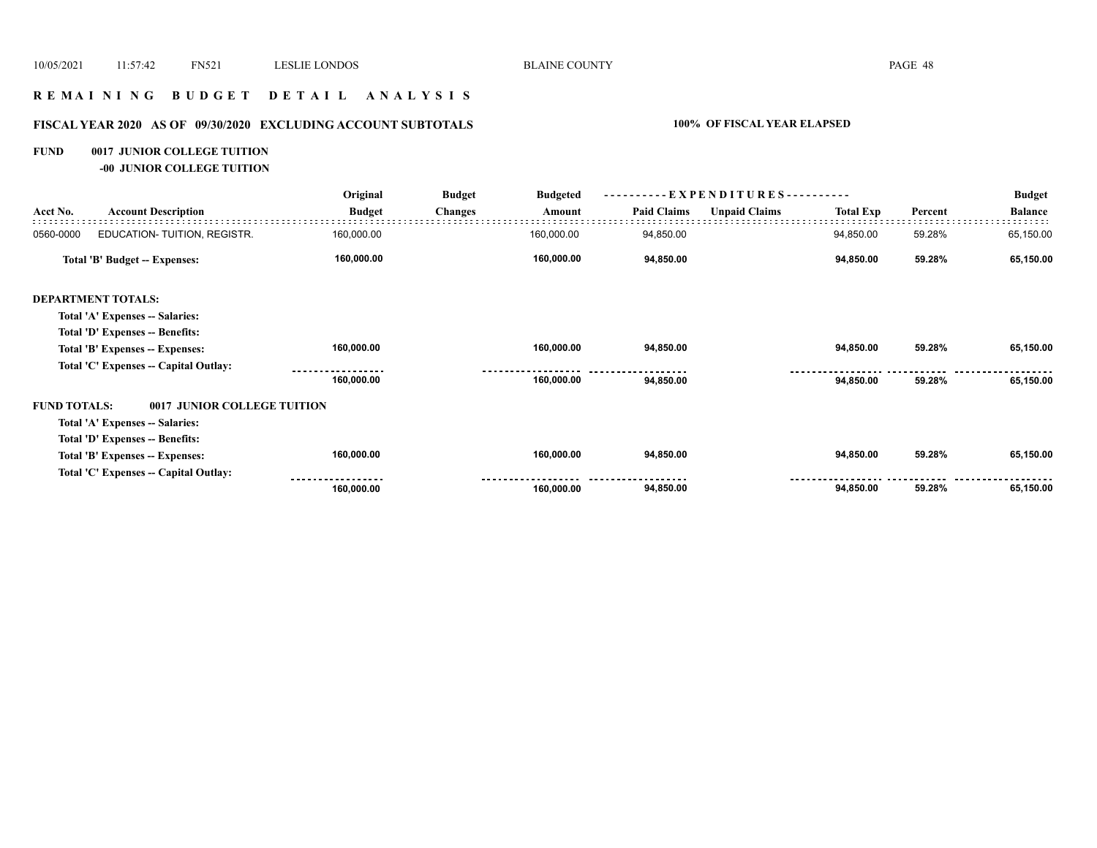## **R E M A I N I N G B U D G E T D E T A I L A N A L Y S I S**

# **FISCAL YEAR 2020 AS OF 09/30/2020 EXCLUDING ACCOUNT SUBTOTALS 100% OF FISCAL YEAR ELAPSED**

## **FUND 0017 JUNIOR COLLEGE TUITION**

**-00 JUNIOR COLLEGE TUITION**

|                     |                                       | Original      | <b>Budget</b>  | EXPENDITURES---<br><b>Budgeted</b> |                    |                      |                  | <b>Budget</b> |                |
|---------------------|---------------------------------------|---------------|----------------|------------------------------------|--------------------|----------------------|------------------|---------------|----------------|
| Acct No.            | <b>Account Description</b>            | <b>Budget</b> | <b>Changes</b> | Amount                             | <b>Paid Claims</b> | <b>Unpaid Claims</b> | <b>Total Exp</b> | Percent       | <b>Balance</b> |
| 0560-0000           | EDUCATION-TUITION, REGISTR.           | 160,000.00    |                | 160,000.00                         | 94,850.00          |                      | 94,850.00        | 59.28%        | 65,150.00      |
|                     | <b>Total 'B' Budget -- Expenses:</b>  | 160,000.00    |                | 160,000.00                         | 94,850.00          |                      | 94,850.00        | 59.28%        | 65,150.00      |
|                     | <b>DEPARTMENT TOTALS:</b>             |               |                |                                    |                    |                      |                  |               |                |
|                     | Total 'A' Expenses -- Salaries:       |               |                |                                    |                    |                      |                  |               |                |
|                     | Total 'D' Expenses -- Benefits:       |               |                |                                    |                    |                      |                  |               |                |
|                     | Total 'B' Expenses -- Expenses:       | 160,000.00    |                | 160,000.00                         | 94,850.00          |                      | 94,850.00        | 59.28%        | 65,150.00      |
|                     | Total 'C' Expenses -- Capital Outlay: |               |                |                                    |                    |                      |                  |               |                |
|                     |                                       | 160,000.00    |                | 160,000.00                         | 94,850.00          |                      | 94,850.00        | 59.28%        | 65,150.00      |
| <b>FUND TOTALS:</b> | 0017 JUNIOR COLLEGE TUITION           |               |                |                                    |                    |                      |                  |               |                |
|                     | Total 'A' Expenses -- Salaries:       |               |                |                                    |                    |                      |                  |               |                |
|                     | Total 'D' Expenses -- Benefits:       |               |                |                                    |                    |                      |                  |               |                |
|                     | Total 'B' Expenses -- Expenses:       | 160,000.00    |                | 160,000.00                         | 94,850.00          |                      | 94,850.00        | 59.28%        | 65,150.00      |
|                     | Total 'C' Expenses -- Capital Outlay: |               |                |                                    |                    |                      |                  |               |                |
|                     |                                       | 160,000.00    |                | 160,000.00                         | 94,850.00          |                      | 94,850.00        | 59.28%        | 65,150.00      |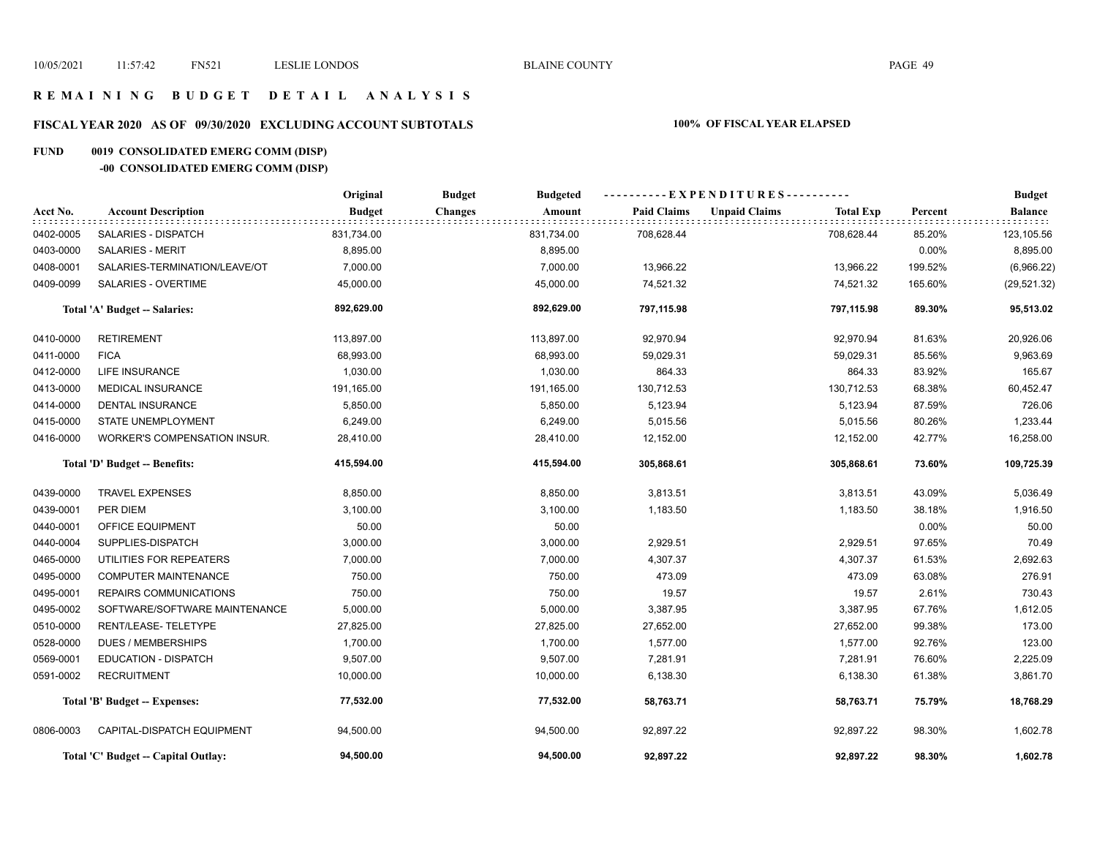## **R E M A I N I N G B U D G E T D E T A I L A N A L Y S I S**

# **FISCAL YEAR 2020 AS OF 09/30/2020 EXCLUDING ACCOUNT SUBTOTALS 100% OF FISCAL YEAR ELAPSED**

# **FUND 0019 CONSOLIDATED EMERG COMM (DISP)**

# **-00 CONSOLIDATED EMERG COMM (DISP)**

|           |                                     | Original      | <b>Budget</b><br><b>Budgeted</b> | ----------EXPENDITURES---------- |                                          |         | <b>Budget</b>  |
|-----------|-------------------------------------|---------------|----------------------------------|----------------------------------|------------------------------------------|---------|----------------|
| Acct No.  | <b>Account Description</b>          | <b>Budget</b> | <b>Changes</b><br>Amount         | <b>Paid Claims</b>               | <b>Unpaid Claims</b><br><b>Total Exp</b> | Percent | <b>Balance</b> |
| 0402-0005 | SALARIES - DISPATCH                 | 831,734.00    | 831,734.00                       | 708,628.44                       | 708,628.44                               | 85.20%  | 123,105.56     |
| 0403-0000 | <b>SALARIES - MERIT</b>             | 8,895.00      | 8,895.00                         |                                  |                                          | 0.00%   | 8,895.00       |
| 0408-0001 | SALARIES-TERMINATION/LEAVE/OT       | 7,000.00      | 7,000.00                         | 13,966.22                        | 13,966.22                                | 199.52% | (6,966.22)     |
| 0409-0099 | SALARIES - OVERTIME                 | 45,000.00     | 45,000.00                        | 74,521.32                        | 74,521.32                                | 165.60% | (29, 521.32)   |
|           | Total 'A' Budget -- Salaries:       | 892,629.00    | 892,629.00                       | 797,115.98                       | 797,115.98                               | 89.30%  | 95,513.02      |
| 0410-0000 | <b>RETIREMENT</b>                   | 113,897.00    | 113,897.00                       | 92,970.94                        | 92,970.94                                | 81.63%  | 20,926.06      |
| 0411-0000 | <b>FICA</b>                         | 68,993.00     | 68,993.00                        | 59,029.31                        | 59,029.31                                | 85.56%  | 9,963.69       |
| 0412-0000 | <b>LIFE INSURANCE</b>               | 1,030.00      | 1,030.00                         | 864.33                           | 864.33                                   | 83.92%  | 165.67         |
| 0413-0000 | <b>MEDICAL INSURANCE</b>            | 191,165.00    | 191,165.00                       | 130,712.53                       | 130,712.53                               | 68.38%  | 60,452.47      |
| 0414-0000 | <b>DENTAL INSURANCE</b>             | 5,850.00      | 5,850.00                         | 5,123.94                         | 5,123.94                                 | 87.59%  | 726.06         |
| 0415-0000 | STATE UNEMPLOYMENT                  | 6,249.00      | 6,249.00                         | 5,015.56                         | 5,015.56                                 | 80.26%  | 1,233.44       |
| 0416-0000 | <b>WORKER'S COMPENSATION INSUR.</b> | 28,410.00     | 28,410.00                        | 12,152.00                        | 12,152.00                                | 42.77%  | 16,258.00      |
|           | Total 'D' Budget -- Benefits:       | 415,594.00    | 415,594.00                       | 305,868.61                       | 305,868.61                               | 73.60%  | 109,725.39     |
| 0439-0000 | <b>TRAVEL EXPENSES</b>              | 8,850.00      | 8,850.00                         | 3,813.51                         | 3,813.51                                 | 43.09%  | 5,036.49       |
| 0439-0001 | PER DIEM                            | 3,100.00      | 3,100.00                         | 1,183.50                         | 1,183.50                                 | 38.18%  | 1,916.50       |
| 0440-0001 | <b>OFFICE EQUIPMENT</b>             | 50.00         | 50.00                            |                                  |                                          | 0.00%   | 50.00          |
| 0440-0004 | SUPPLIES-DISPATCH                   | 3,000.00      | 3,000.00                         | 2,929.51                         | 2,929.51                                 | 97.65%  | 70.49          |
| 0465-0000 | UTILITIES FOR REPEATERS             | 7,000.00      | 7,000.00                         | 4,307.37                         | 4,307.37                                 | 61.53%  | 2,692.63       |
| 0495-0000 | <b>COMPUTER MAINTENANCE</b>         | 750.00        | 750.00                           | 473.09                           | 473.09                                   | 63.08%  | 276.91         |
| 0495-0001 | REPAIRS COMMUNICATIONS              | 750.00        | 750.00                           | 19.57                            | 19.57                                    | 2.61%   | 730.43         |
| 0495-0002 | SOFTWARE/SOFTWARE MAINTENANCE       | 5,000.00      | 5,000.00                         | 3,387.95                         | 3,387.95                                 | 67.76%  | 1,612.05       |
| 0510-0000 | RENT/LEASE-TELETYPE                 | 27,825.00     | 27,825.00                        | 27,652.00                        | 27,652.00                                | 99.38%  | 173.00         |
| 0528-0000 | DUES / MEMBERSHIPS                  | 1,700.00      | 1,700.00                         | 1,577.00                         | 1,577.00                                 | 92.76%  | 123.00         |
| 0569-0001 | <b>EDUCATION - DISPATCH</b>         | 9,507.00      | 9,507.00                         | 7,281.91                         | 7,281.91                                 | 76.60%  | 2,225.09       |
| 0591-0002 | <b>RECRUITMENT</b>                  | 10,000.00     | 10,000.00                        | 6,138.30                         | 6,138.30                                 | 61.38%  | 3,861.70       |
|           | Total 'B' Budget -- Expenses:       | 77,532.00     | 77,532.00                        | 58,763.71                        | 58,763.71                                | 75.79%  | 18,768.29      |
| 0806-0003 | CAPITAL-DISPATCH EQUIPMENT          | 94,500.00     | 94,500.00                        | 92,897.22                        | 92,897.22                                | 98.30%  | 1,602.78       |
|           | Total 'C' Budget -- Capital Outlay: | 94,500.00     | 94,500.00                        | 92.897.22                        | 92.897.22                                | 98.30%  | 1,602.78       |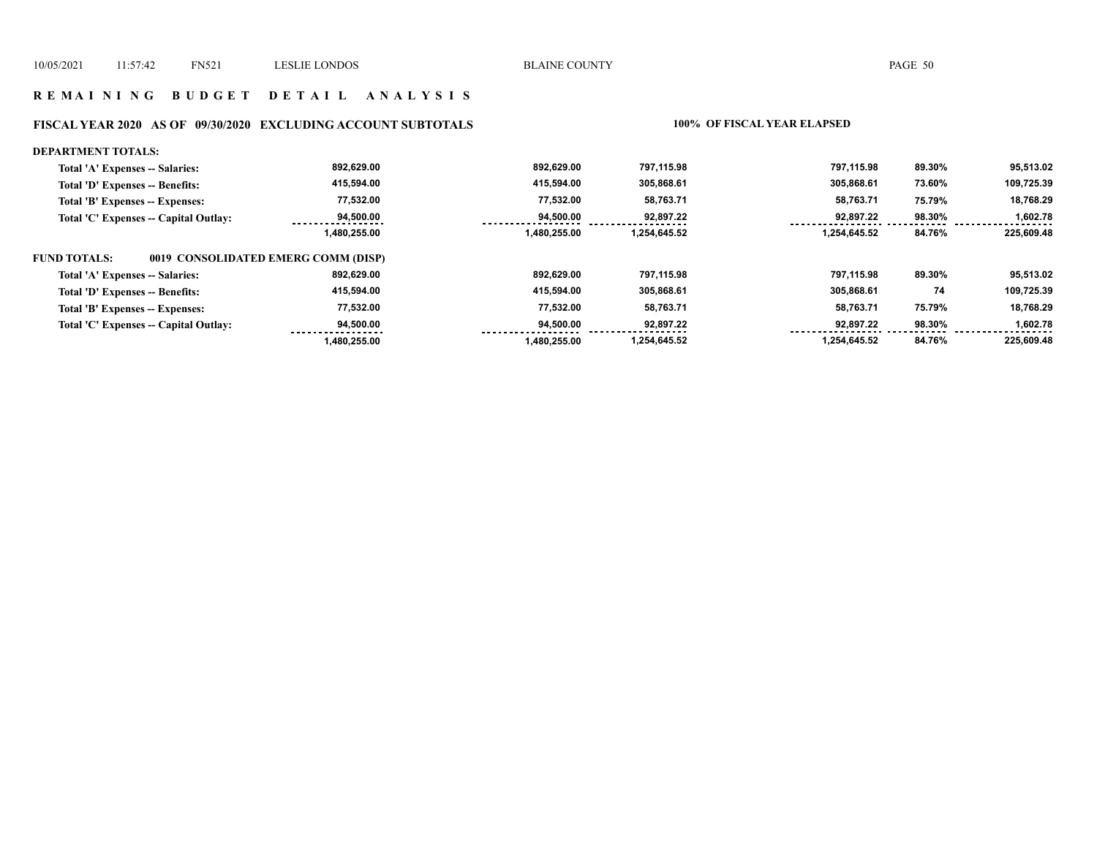#### **R E M A I N I N G B U D G E T D E T A I L A N A L Y S I S**

#### **FISCAL YEAR 2020 AS OF 09/30/2020 EXCLUDING ACCOUNT SUBTOTALS 100% OF FISCAL YEAR ELAPSED**

#### **DEPARTMENT TOTALS: 892,629.00 892,629.00 797,115.98 797,115.98 89.30% 95,513.02 Total 'A' Expenses -- Salaries: 415,594.00 109,725.39 Total 'D' Expenses -- Benefits: 415,594.00 305,868.61 305,868.61 73.60% 77,532.00 77,532.00 58,763.71 58,763.71 18,768.29 Total 'B' Expenses -- Expenses: 75.79% 94,500.00 98.30% Total 'C' Expenses -- Capital Outlay: 94,500.00 92,897.22 92,897.22 1,602.78**   $\frac{1}{2}$  **1,480,255.00 1,480,255.00 1,254,645.52 1,254,645.52 84.76% 225,609.48 FUND TOTALS: 0019 CONSOLIDATED EMERG COMM (DISP)Total 'A' Expenses -- Salaries: 892,629.00 892,629.00 797,115.98 797,115.98 89.30% 95,513.02 415,594.00 415,594.00 305,868.61 74 109,725.39 Total 'D' Expenses -- Benefits: 305,868.61 77,532.00 77,532.00 58,763.71 58,763.71 18,768.29 Total 'B' Expenses -- Expenses: 75.79% Total 'C' Expenses -- Capital Outlay: 94,500.00 94,500.00 92,897.22 92,897.22 98.30% 1,602.78**  <u>. . . . . . . .</u>  **1,480,255.00 1,480,255.00 1,254,645.52 1,254,645.52 84.76% 225,609.48**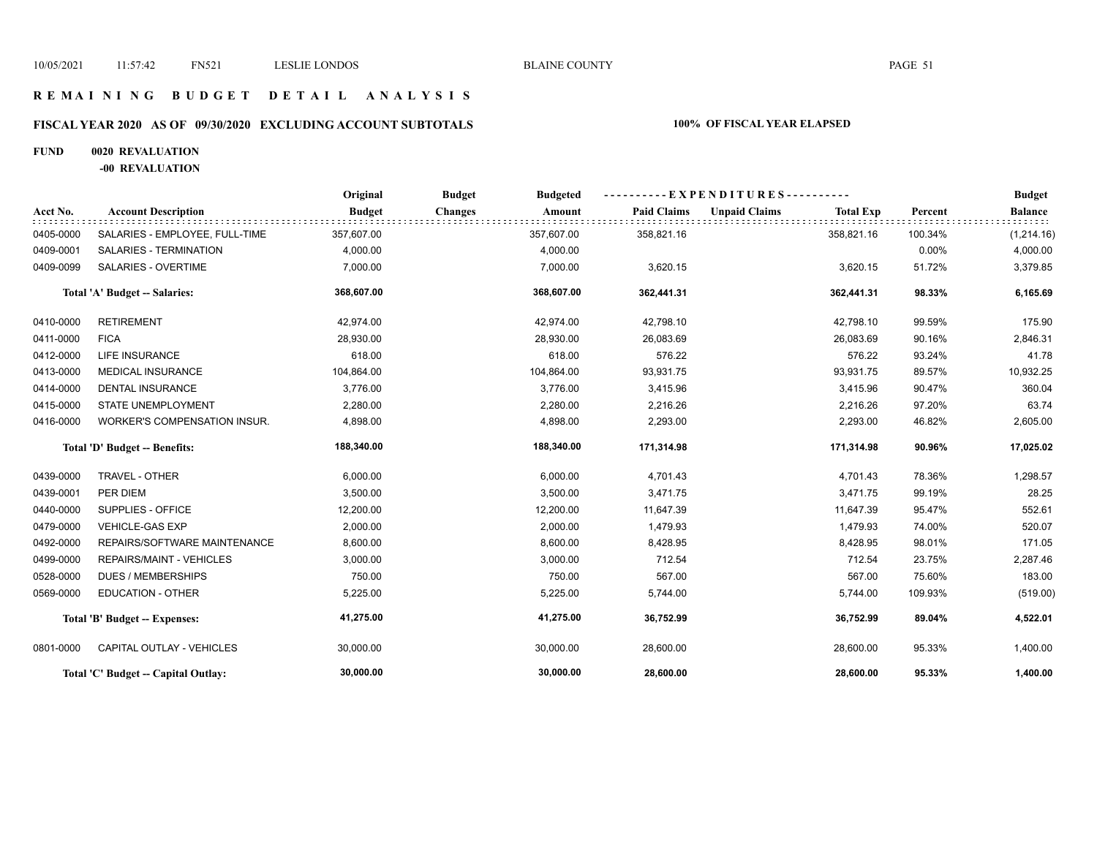## **R E M A I N I N G B U D G E T D E T A I L A N A L Y S I S**

# **FISCAL YEAR 2020 AS OF 09/30/2020 EXCLUDING ACCOUNT SUBTOTALS 100% OF FISCAL YEAR ELAPSED**

## **FUND 0020 REVALUATION**

**-00 REVALUATION**

|           |                                     | Original      | <b>Budget</b><br><b>Budgeted</b> |                    | $-EXPENDITURES$ ---------                |         | <b>Budget</b>  |
|-----------|-------------------------------------|---------------|----------------------------------|--------------------|------------------------------------------|---------|----------------|
| Acct No.  | <b>Account Description</b>          | <b>Budget</b> | <b>Changes</b><br>Amount         | <b>Paid Claims</b> | <b>Unpaid Claims</b><br><b>Total Exp</b> | Percent | <b>Balance</b> |
| 0405-0000 | SALARIES - EMPLOYEE, FULL-TIME      | 357,607.00    | 357,607.00                       | 358,821.16         | 358,821.16                               | 100.34% | (1,214.16)     |
| 0409-0001 | <b>SALARIES - TERMINATION</b>       | 4,000.00      | 4,000.00                         |                    |                                          | 0.00%   | 4,000.00       |
| 0409-0099 | <b>SALARIES - OVERTIME</b>          | 7,000.00      | 7,000.00                         | 3,620.15           | 3,620.15                                 | 51.72%  | 3,379.85       |
|           | Total 'A' Budget -- Salaries:       | 368,607.00    | 368,607.00                       | 362,441.31         | 362,441.31                               | 98.33%  | 6,165.69       |
| 0410-0000 | <b>RETIREMENT</b>                   | 42,974.00     | 42,974.00                        | 42,798.10          | 42,798.10                                | 99.59%  | 175.90         |
| 0411-0000 | <b>FICA</b>                         | 28,930.00     | 28,930.00                        | 26,083.69          | 26,083.69                                | 90.16%  | 2,846.31       |
| 0412-0000 | LIFE INSURANCE                      | 618.00        | 618.00                           | 576.22             | 576.22                                   | 93.24%  | 41.78          |
| 0413-0000 | <b>MEDICAL INSURANCE</b>            | 104,864.00    | 104,864.00                       | 93,931.75          | 93,931.75                                | 89.57%  | 10,932.25      |
| 0414-0000 | <b>DENTAL INSURANCE</b>             | 3,776.00      | 3,776.00                         | 3,415.96           | 3,415.96                                 | 90.47%  | 360.04         |
| 0415-0000 | <b>STATE UNEMPLOYMENT</b>           | 2,280.00      | 2,280.00                         | 2,216.26           | 2,216.26                                 | 97.20%  | 63.74          |
| 0416-0000 | <b>WORKER'S COMPENSATION INSUR.</b> | 4,898.00      | 4,898.00                         | 2,293.00           | 2,293.00                                 | 46.82%  | 2,605.00       |
|           | Total 'D' Budget -- Benefits:       | 188,340.00    | 188,340.00                       | 171,314.98         | 171,314.98                               | 90.96%  | 17,025.02      |
| 0439-0000 | TRAVEL - OTHER                      | 6,000.00      | 6,000.00                         | 4,701.43           | 4,701.43                                 | 78.36%  | 1,298.57       |
| 0439-0001 | PER DIEM                            | 3,500.00      | 3,500.00                         | 3,471.75           | 3,471.75                                 | 99.19%  | 28.25          |
| 0440-0000 | SUPPLIES - OFFICE                   | 12,200.00     | 12,200.00                        | 11,647.39          | 11,647.39                                | 95.47%  | 552.61         |
| 0479-0000 | <b>VEHICLE-GAS EXP</b>              | 2,000.00      | 2,000.00                         | 1,479.93           | 1,479.93                                 | 74.00%  | 520.07         |
| 0492-0000 | REPAIRS/SOFTWARE MAINTENANCE        | 8,600.00      | 8,600.00                         | 8,428.95           | 8,428.95                                 | 98.01%  | 171.05         |
| 0499-0000 | <b>REPAIRS/MAINT - VEHICLES</b>     | 3,000.00      | 3,000.00                         | 712.54             | 712.54                                   | 23.75%  | 2,287.46       |
| 0528-0000 | <b>DUES / MEMBERSHIPS</b>           | 750.00        | 750.00                           | 567.00             | 567.00                                   | 75.60%  | 183.00         |
| 0569-0000 | <b>EDUCATION - OTHER</b>            | 5,225.00      | 5,225.00                         | 5,744.00           | 5,744.00                                 | 109.93% | (519.00)       |
|           | Total 'B' Budget -- Expenses:       | 41,275.00     | 41,275.00                        | 36,752.99          | 36,752.99                                | 89.04%  | 4,522.01       |
| 0801-0000 | CAPITAL OUTLAY - VEHICLES           | 30,000.00     | 30,000.00                        | 28,600.00          | 28,600.00                                | 95.33%  | 1,400.00       |
|           | Total 'C' Budget -- Capital Outlay: | 30,000.00     | 30,000.00                        | 28,600.00          | 28,600.00                                | 95.33%  | 1,400.00       |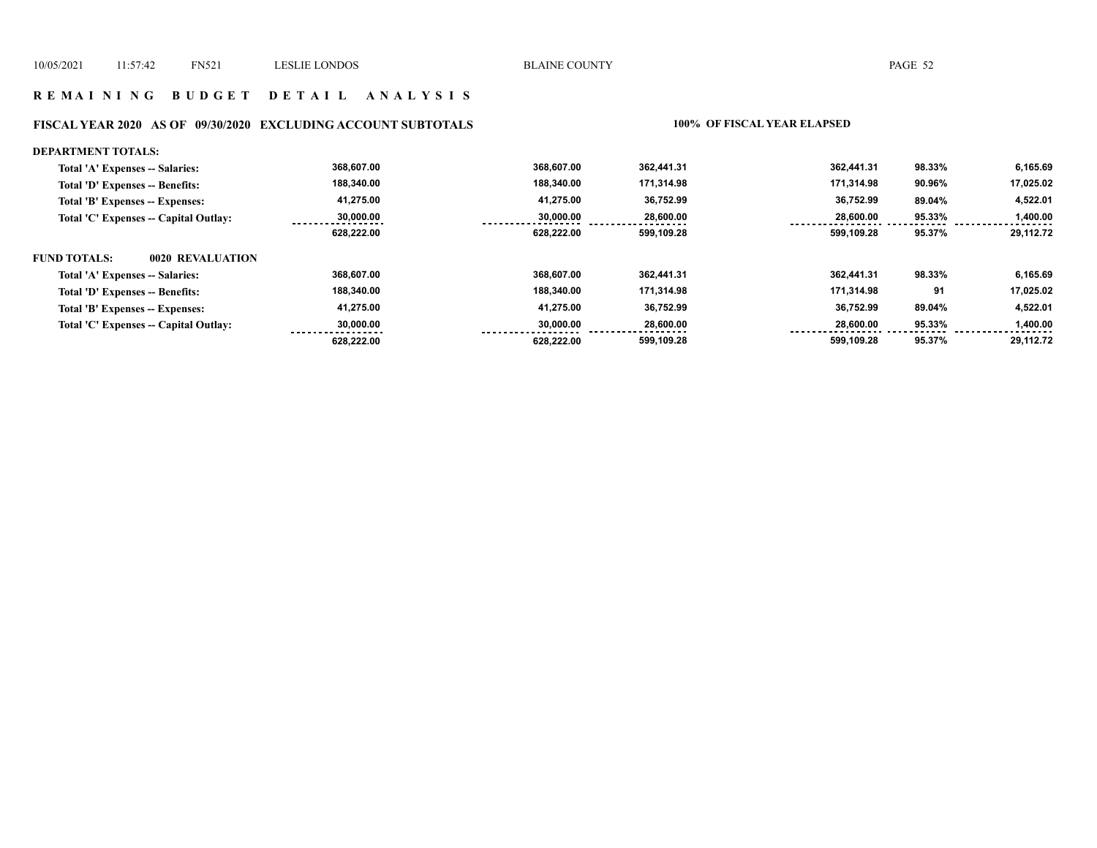#### **R E M A I N I N G B U D G E T D E T A I L A N A L Y S I S**

#### **FISCAL YEAR 2020 AS OF 09/30/2020 EXCLUDING ACCOUNT SUBTOTALS 100% OF FISCAL YEAR ELAPSED**

#### **DEPARTMENT TOTALS: 368,607.00 368,607.00 362,441.31 362,441.31 98.33% 6,165.69 Total 'A' Expenses -- Salaries: 188,340.00 17,025.02 Total 'D' Expenses -- Benefits: 188,340.00 171,314.98 171,314.98 90.96% 41,275.00 41,275.00 36,752.99 36,752.99 4,522.01 Total 'B' Expenses -- Expenses: 89.04% 28,600.00 30,000.00 30,000.00 28,600.00 95.33% Total 'C' Expenses -- Capital Outlay: 1,400.00**   $- - - - - -$  **628,222.00 628,222.00 599,109.28 599,109.28 95.37% 29,112.72 FUND TOTALS: 0020 REVALUATIONTotal 'A' Expenses -- Salaries: 368,607.00 368,607.00 362,441.31 362,441.31 98.33% 6,165.69 188,340.00 188,340.00 171,314.98 171,314.98 17,025.02 Total 'D' Expenses -- Benefits: 91 41,275.00 41,275.00 36,752.99 36,752.99 4,522.01 Total 'B' Expenses -- Expenses: 89.04% 28,600.00 Total 'C' Expenses -- Capital Outlay: 30,000.00 30,000.00 28,600.00 95.33% 1,400.00**   $22222222$  **628,222.00 628,222.00 599,109.28 599,109.28 95.37% 29,112.72**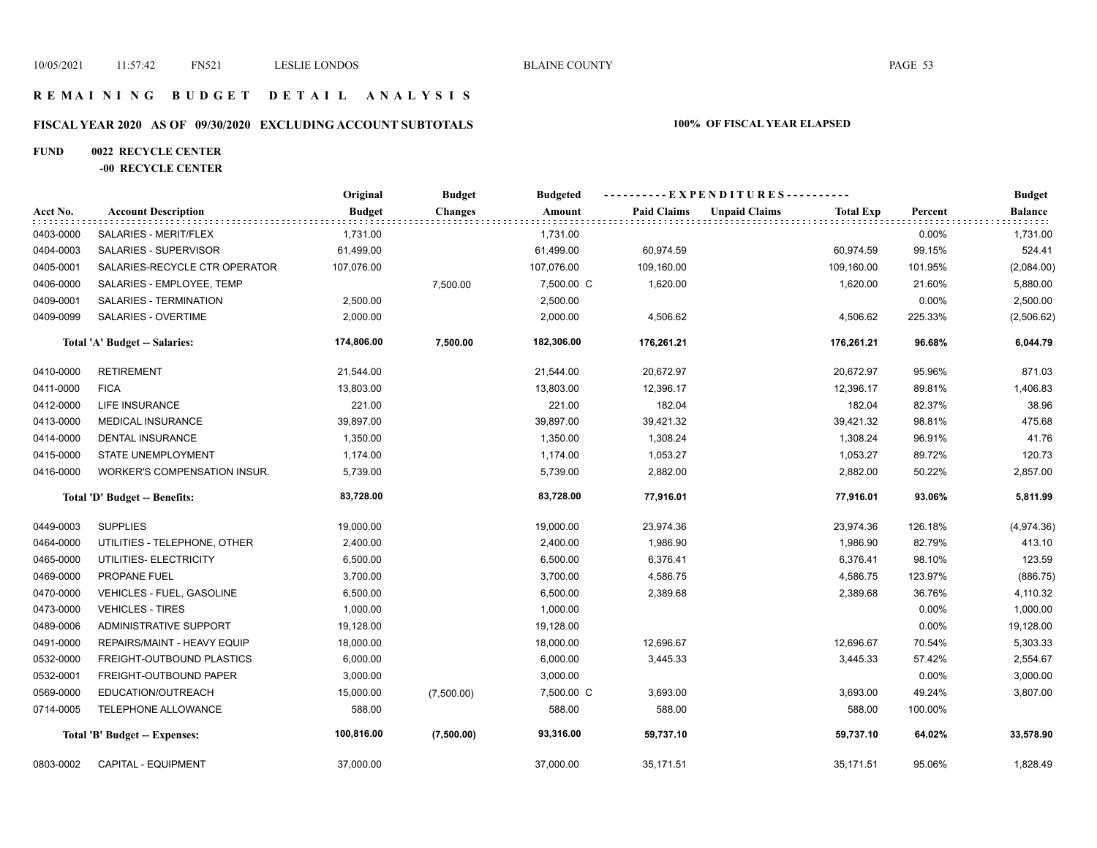## **R E M A I N I N G B U D G E T D E T A I L A N A L Y S I S**

# **FISCAL YEAR 2020 AS OF 09/30/2020 EXCLUDING ACCOUNT SUBTOTALS 100% OF FISCAL YEAR ELAPSED**

#### **FUND 0022 RECYCLE CENTER**

#### **-00 RECYCLE CENTER**

|           |                               | Original      | <b>Budget</b> | <b>Budgeted</b> | ----------EXPENDITURES---------- |                      |                  |          | <b>Budget</b>      |
|-----------|-------------------------------|---------------|---------------|-----------------|----------------------------------|----------------------|------------------|----------|--------------------|
| Acct No.  | <b>Account Description</b>    | <b>Budget</b> | Changes       | Amount          | <b>Paid Claims</b>               | <b>Unpaid Claims</b> | <b>Total Exp</b> | Percent  | Balance<br>iddidd. |
| 0403-0000 | SALARIES - MERIT/FLEX         | 1,731.00      |               | 1,731.00        |                                  |                      |                  | $0.00\%$ | 1,731.00           |
| 0404-0003 | SALARIES - SUPERVISOR         | 61,499.00     |               | 61,499.00       | 60,974.59                        |                      | 60,974.59        | 99.15%   | 524.41             |
| 0405-0001 | SALARIES-RECYCLE CTR OPERATOR | 107,076.00    |               | 107,076.00      | 109,160.00                       |                      | 109,160.00       | 101.95%  | (2,084.00)         |
| 0406-0000 | SALARIES - EMPLOYEE, TEMP     |               | 7,500.00      | 7,500.00 C      | 1,620.00                         |                      | 1,620.00         | 21.60%   | 5,880.00           |
| 0409-0001 | SALARIES - TERMINATION        | 2,500.00      |               | 2,500.00        |                                  |                      |                  | 0.00%    | 2,500.00           |
| 0409-0099 | SALARIES - OVERTIME           | 2,000.00      |               | 2,000.00        | 4,506.62                         |                      | 4,506.62         | 225.33%  | (2,506.62)         |
|           | Total 'A' Budget -- Salaries: | 174,806.00    | 7,500.00      | 182,306.00      | 176,261.21                       |                      | 176,261.21       | 96.68%   | 6,044.79           |
| 0410-0000 | <b>RETIREMENT</b>             | 21,544.00     |               | 21,544.00       | 20,672.97                        |                      | 20,672.97        | 95.96%   | 871.03             |
| 0411-0000 | <b>FICA</b>                   | 13,803.00     |               | 13,803.00       | 12,396.17                        |                      | 12,396.17        | 89.81%   | 1,406.83           |
| 0412-0000 | LIFE INSURANCE                | 221.00        |               | 221.00          | 182.04                           |                      | 182.04           | 82.37%   | 38.96              |
| 0413-0000 | <b>MEDICAL INSURANCE</b>      | 39,897.00     |               | 39,897.00       | 39,421.32                        |                      | 39,421.32        | 98.81%   | 475.68             |
| 0414-0000 | <b>DENTAL INSURANCE</b>       | 1,350.00      |               | 1,350.00        | 1,308.24                         |                      | 1,308.24         | 96.91%   | 41.76              |
| 0415-0000 | STATE UNEMPLOYMENT            | 1,174.00      |               | 1,174.00        | 1,053.27                         |                      | 1,053.27         | 89.72%   | 120.73             |
| 0416-0000 | WORKER'S COMPENSATION INSUR.  | 5,739.00      |               | 5,739.00        | 2,882.00                         |                      | 2,882.00         | 50.22%   | 2,857.00           |
|           | Total 'D' Budget -- Benefits: | 83,728.00     |               | 83,728.00       | 77,916.01                        |                      | 77,916.01        | 93.06%   | 5,811.99           |
| 0449-0003 | <b>SUPPLIES</b>               | 19,000.00     |               | 19,000.00       | 23,974.36                        |                      | 23,974.36        | 126.18%  | (4,974.36)         |
| 0464-0000 | UTILITIES - TELEPHONE, OTHER  | 2,400.00      |               | 2,400.00        | 1,986.90                         |                      | 1,986.90         | 82.79%   | 413.10             |
| 0465-0000 | UTILITIES- ELECTRICITY        | 6,500.00      |               | 6,500.00        | 6,376.41                         |                      | 6,376.41         | 98.10%   | 123.59             |
| 0469-0000 | PROPANE FUEL                  | 3,700.00      |               | 3,700.00        | 4,586.75                         |                      | 4,586.75         | 123.97%  | (886.75)           |
| 0470-0000 | VEHICLES - FUEL, GASOLINE     | 6,500.00      |               | 6,500.00        | 2,389.68                         |                      | 2,389.68         | 36.76%   | 4,110.32           |
| 0473-0000 | <b>VEHICLES - TIRES</b>       | 1,000.00      |               | 1,000.00        |                                  |                      |                  | 0.00%    | 1,000.00           |
| 0489-0006 | <b>ADMINISTRATIVE SUPPORT</b> | 19,128.00     |               | 19,128.00       |                                  |                      |                  | 0.00%    | 19,128.00          |
| 0491-0000 | REPAIRS/MAINT - HEAVY EQUIP   | 18,000.00     |               | 18,000.00       | 12,696.67                        |                      | 12,696.67        | 70.54%   | 5,303.33           |
| 0532-0000 | FREIGHT-OUTBOUND PLASTICS     | 6,000.00      |               | 6,000.00        | 3,445.33                         |                      | 3,445.33         | 57.42%   | 2,554.67           |
| 0532-0001 | <b>FREIGHT-OUTBOUND PAPER</b> | 3,000.00      |               | 3,000.00        |                                  |                      |                  | 0.00%    | 3,000.00           |
| 0569-0000 | EDUCATION/OUTREACH            | 15,000.00     | (7,500.00)    | 7,500.00 C      | 3,693.00                         |                      | 3,693.00         | 49.24%   | 3,807.00           |
| 0714-0005 | TELEPHONE ALLOWANCE           | 588.00        |               | 588.00          | 588.00                           |                      | 588.00           | 100.00%  |                    |
|           | Total 'B' Budget -- Expenses: | 100,816.00    | (7,500.00)    | 93,316.00       | 59,737.10                        |                      | 59,737.10        | 64.02%   | 33,578.90          |
| 0803-0002 | <b>CAPITAL - EQUIPMENT</b>    | 37,000.00     |               | 37,000.00       | 35,171.51                        |                      | 35,171.51        | 95.06%   | 1,828.49           |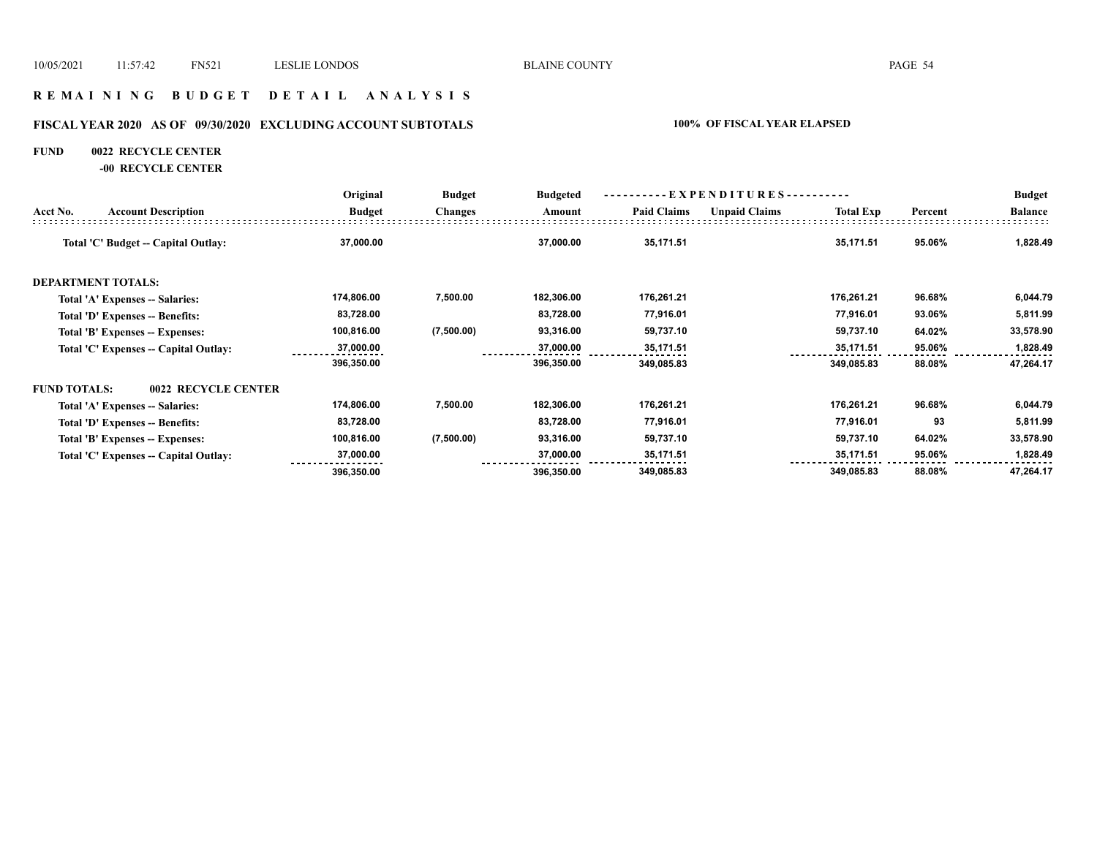## **R E M A I N I N G B U D G E T D E T A I L A N A L Y S I S**

# **FISCAL YEAR 2020 AS OF 09/30/2020 EXCLUDING ACCOUNT SUBTOTALS 100% OF FISCAL YEAR ELAPSED**

#### **FUND 0022 RECYCLE CENTER**

**-00 RECYCLE CENTER**

|                     |                                       | Original      | <b>Budget</b><br><b>Changes</b> | <b>Budgeted</b> | $-EXPENDITURES$ --------- |                      |                  |         | <b>Budget</b>  |
|---------------------|---------------------------------------|---------------|---------------------------------|-----------------|---------------------------|----------------------|------------------|---------|----------------|
| Acct No.            | <b>Account Description</b>            | <b>Budget</b> |                                 | Amount          | <b>Paid Claims</b>        | <b>Unpaid Claims</b> | <b>Total Exp</b> | Percent | <b>Balance</b> |
|                     | Total 'C' Budget -- Capital Outlay:   | 37,000.00     |                                 | 37,000.00       | 35,171.51                 |                      | 35,171.51        | 95.06%  | 1,828.49       |
|                     | <b>DEPARTMENT TOTALS:</b>             |               |                                 |                 |                           |                      |                  |         |                |
|                     | Total 'A' Expenses -- Salaries:       | 174,806.00    | 7,500.00                        | 182,306.00      | 176,261.21                |                      | 176,261.21       | 96.68%  | 6,044.79       |
|                     | Total 'D' Expenses -- Benefits:       | 83,728.00     |                                 | 83,728.00       | 77,916.01                 |                      | 77,916.01        | 93.06%  | 5,811.99       |
|                     | Total 'B' Expenses -- Expenses:       | 100,816.00    | (7,500.00)                      | 93,316.00       | 59,737.10                 |                      | 59,737.10        | 64.02%  | 33,578.90      |
|                     | Total 'C' Expenses -- Capital Outlay: | 37,000.00     |                                 | 37,000.00       | 35,171.51                 |                      | 35,171.51        | 95.06%  | 1,828.49       |
|                     |                                       | 396,350.00    |                                 | 396,350.00      | 349,085.83                |                      | 349,085.83       | 88.08%  | 47,264.17      |
| <b>FUND TOTALS:</b> | 0022 RECYCLE CENTER                   |               |                                 |                 |                           |                      |                  |         |                |
|                     | Total 'A' Expenses -- Salaries:       | 174,806.00    | 7,500.00                        | 182,306.00      | 176,261.21                |                      | 176,261.21       | 96.68%  | 6,044.79       |
|                     | Total 'D' Expenses -- Benefits:       | 83,728.00     |                                 | 83,728.00       | 77,916.01                 |                      | 77,916.01        | 93      | 5,811.99       |
|                     | Total 'B' Expenses -- Expenses:       | 100,816.00    | (7,500.00)                      | 93,316.00       | 59,737.10                 |                      | 59,737.10        | 64.02%  | 33,578.90      |
|                     | Total 'C' Expenses -- Capital Outlay: | 37,000.00     |                                 | 37,000.00       | 35,171.51                 |                      | 35,171.51        | 95.06%  | 1,828.49       |
|                     |                                       | 396,350.00    |                                 | 396,350.00      | 349,085.83                |                      | 349,085.83       | 88.08%  | 47,264.17      |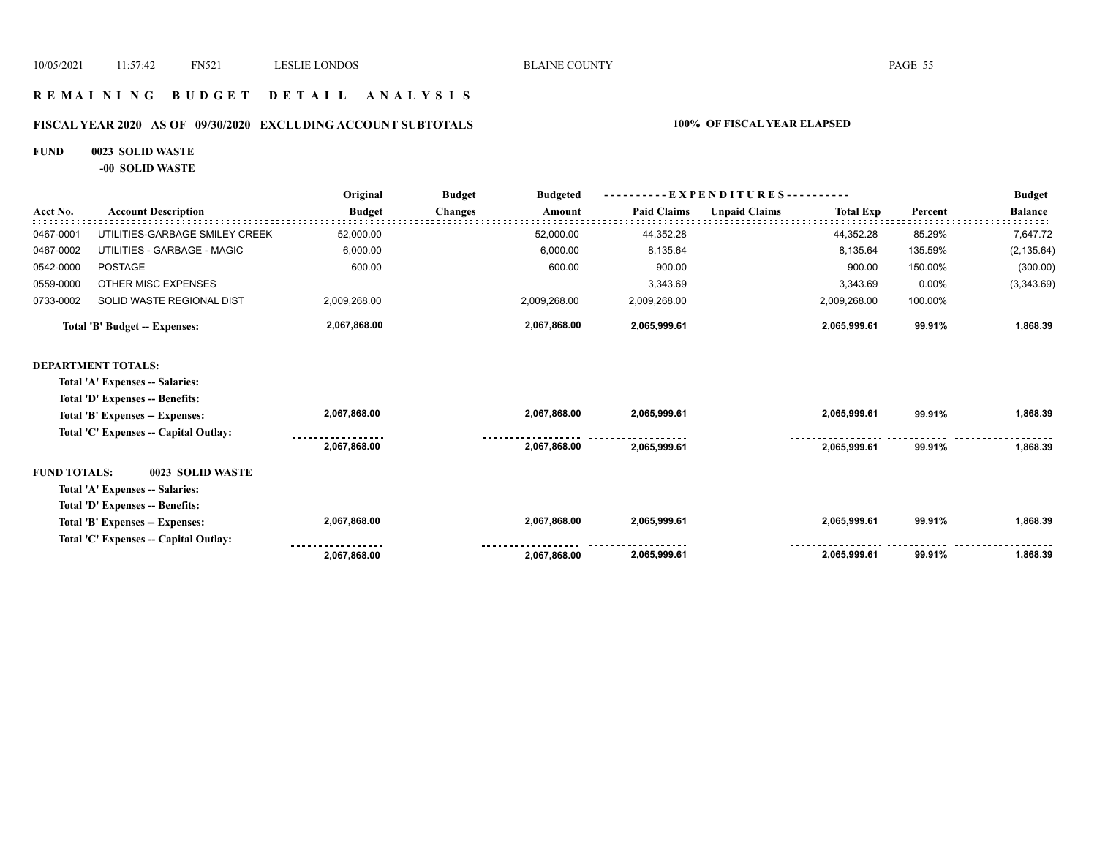# **R E M A I N I N G B U D G E T D E T A I L A N A L Y S I S**

# **FISCAL YEAR 2020 AS OF 09/30/2020 EXCLUDING ACCOUNT SUBTOTALS 100% OF FISCAL YEAR ELAPSED**

## **FUND 0023 SOLID WASTE**

**-00 SOLID WASTE**

|                     |                                       | Original      | <b>Budget</b><br><b>Budgeted</b> | $-EXPENDITURES$ --------- |                      |                  |         | <b>Budget</b>  |
|---------------------|---------------------------------------|---------------|----------------------------------|---------------------------|----------------------|------------------|---------|----------------|
| Acct No.            | <b>Account Description</b>            | <b>Budget</b> | <b>Changes</b><br>Amount         | <b>Paid Claims</b>        | <b>Unpaid Claims</b> | <b>Total Exp</b> | Percent | <b>Balance</b> |
| 0467-0001           | UTILITIES-GARBAGE SMILEY CREEK        | 52,000.00     | 52,000.00                        | 44,352.28                 |                      | 44,352.28        | 85.29%  | 7,647.72       |
| 0467-0002           | UTILITIES - GARBAGE - MAGIC           | 6,000.00      | 6,000.00                         | 8,135.64                  |                      | 8,135.64         | 135.59% | (2, 135.64)    |
| 0542-0000           | <b>POSTAGE</b>                        | 600.00        | 600.00                           | 900.00                    |                      | 900.00           | 150.00% | (300.00)       |
| 0559-0000           | OTHER MISC EXPENSES                   |               |                                  | 3,343.69                  |                      | 3,343.69         | 0.00%   | (3,343.69)     |
| 0733-0002           | SOLID WASTE REGIONAL DIST             | 2,009,268.00  | 2,009,268.00                     | 2,009,268.00              |                      | 2,009,268.00     | 100.00% |                |
|                     | <b>Total 'B' Budget -- Expenses:</b>  | 2,067,868.00  | 2,067,868.00                     | 2,065,999.61              |                      | 2,065,999.61     | 99.91%  | 1,868.39       |
|                     | <b>DEPARTMENT TOTALS:</b>             |               |                                  |                           |                      |                  |         |                |
|                     | Total 'A' Expenses -- Salaries:       |               |                                  |                           |                      |                  |         |                |
|                     | Total 'D' Expenses -- Benefits:       |               |                                  |                           |                      |                  |         |                |
|                     | Total 'B' Expenses -- Expenses:       | 2,067,868.00  | 2,067,868.00                     | 2,065,999.61              |                      | 2,065,999.61     | 99.91%  | 1,868.39       |
|                     | Total 'C' Expenses -- Capital Outlay: |               |                                  |                           |                      |                  |         |                |
|                     |                                       | 2,067,868.00  | 2,067,868.00                     | 2,065,999.61              |                      | 2,065,999.61     | 99.91%  | 1,868.39       |
| <b>FUND TOTALS:</b> | 0023 SOLID WASTE                      |               |                                  |                           |                      |                  |         |                |
|                     | Total 'A' Expenses -- Salaries:       |               |                                  |                           |                      |                  |         |                |
|                     | Total 'D' Expenses -- Benefits:       |               |                                  |                           |                      |                  |         |                |
|                     | Total 'B' Expenses -- Expenses:       | 2,067,868.00  | 2,067,868.00                     | 2,065,999.61              |                      | 2,065,999.61     | 99.91%  | 1,868.39       |
|                     | Total 'C' Expenses - Capital Outlay:  |               |                                  |                           |                      |                  |         |                |
|                     |                                       | 2,067,868.00  | 2,067,868.00                     | 2,065,999.61              |                      | 2,065,999.61     | 99.91%  | 1,868.39       |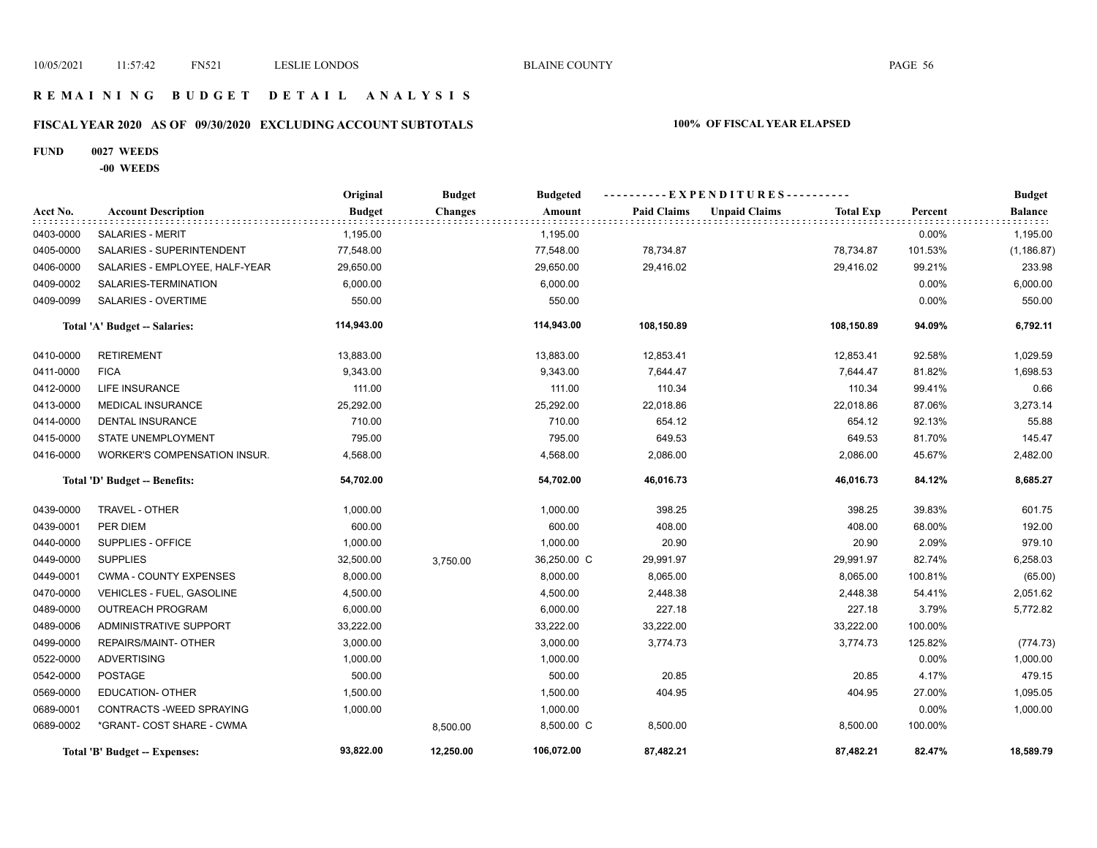## **R E M A I N I N G B U D G E T D E T A I L A N A L Y S I S**

# **FISCAL YEAR 2020 AS OF 09/30/2020 EXCLUDING ACCOUNT SUBTOTALS 100% OF FISCAL YEAR ELAPSED**

#### **FUND 0027 WEEDS**

**-00 WEEDS**

|           |                                     | Original      | <b>Budget</b>  | <b>Budgeted</b> | ----------EXPENDITURES---------- |                      |                  |         | <b>Budget</b>  |
|-----------|-------------------------------------|---------------|----------------|-----------------|----------------------------------|----------------------|------------------|---------|----------------|
| Acct No.  | <b>Account Description</b>          | <b>Budget</b> | <b>Changes</b> | Amount          | <b>Paid Claims</b>               | <b>Unpaid Claims</b> | <b>Total Exp</b> | Percent | <b>Balance</b> |
| 0403-0000 | <b>SALARIES - MERIT</b>             | 1,195.00      |                | 1,195.00        |                                  |                      |                  | 0.00%   | 1,195.00       |
| 0405-0000 | SALARIES - SUPERINTENDENT           | 77,548.00     |                | 77,548.00       | 78,734.87                        |                      | 78,734.87        | 101.53% | (1, 186.87)    |
| 0406-0000 | SALARIES - EMPLOYEE, HALF-YEAR      | 29,650.00     |                | 29,650.00       | 29,416.02                        |                      | 29,416.02        | 99.21%  | 233.98         |
| 0409-0002 | SALARIES-TERMINATION                | 6,000.00      |                | 6,000.00        |                                  |                      |                  | 0.00%   | 6,000.00       |
| 0409-0099 | SALARIES - OVERTIME                 | 550.00        |                | 550.00          |                                  |                      |                  | 0.00%   | 550.00         |
|           | Total 'A' Budget -- Salaries:       | 114,943.00    |                | 114,943.00      | 108,150.89                       |                      | 108,150.89       | 94.09%  | 6,792.11       |
| 0410-0000 | <b>RETIREMENT</b>                   | 13,883.00     |                | 13,883.00       | 12,853.41                        |                      | 12,853.41        | 92.58%  | 1,029.59       |
| 0411-0000 | <b>FICA</b>                         | 9,343.00      |                | 9,343.00        | 7,644.47                         |                      | 7,644.47         | 81.82%  | 1,698.53       |
| 0412-0000 | <b>LIFE INSURANCE</b>               | 111.00        |                | 111.00          | 110.34                           |                      | 110.34           | 99.41%  | 0.66           |
| 0413-0000 | <b>MEDICAL INSURANCE</b>            | 25,292.00     |                | 25,292.00       | 22,018.86                        |                      | 22,018.86        | 87.06%  | 3,273.14       |
| 0414-0000 | <b>DENTAL INSURANCE</b>             | 710.00        |                | 710.00          | 654.12                           |                      | 654.12           | 92.13%  | 55.88          |
| 0415-0000 | STATE UNEMPLOYMENT                  | 795.00        |                | 795.00          | 649.53                           |                      | 649.53           | 81.70%  | 145.47         |
| 0416-0000 | <b>WORKER'S COMPENSATION INSUR.</b> | 4,568.00      |                | 4,568.00        | 2,086.00                         |                      | 2,086.00         | 45.67%  | 2,482.00       |
|           | Total 'D' Budget -- Benefits:       | 54,702.00     |                | 54,702.00       | 46,016.73                        |                      | 46,016.73        | 84.12%  | 8,685.27       |
| 0439-0000 | TRAVEL - OTHER                      | 1,000.00      |                | 1,000.00        | 398.25                           |                      | 398.25           | 39.83%  | 601.75         |
| 0439-0001 | PER DIEM                            | 600.00        |                | 600.00          | 408.00                           |                      | 408.00           | 68.00%  | 192.00         |
| 0440-0000 | SUPPLIES - OFFICE                   | 1,000.00      |                | 1,000.00        | 20.90                            |                      | 20.90            | 2.09%   | 979.10         |
| 0449-0000 | <b>SUPPLIES</b>                     | 32,500.00     | 3,750.00       | 36,250.00 C     | 29,991.97                        |                      | 29,991.97        | 82.74%  | 6,258.03       |
| 0449-0001 | <b>CWMA - COUNTY EXPENSES</b>       | 8,000.00      |                | 8,000.00        | 8,065.00                         |                      | 8,065.00         | 100.81% | (65.00)        |
| 0470-0000 | VEHICLES - FUEL, GASOLINE           | 4,500.00      |                | 4,500.00        | 2,448.38                         |                      | 2,448.38         | 54.41%  | 2,051.62       |
| 0489-0000 | <b>OUTREACH PROGRAM</b>             | 6,000.00      |                | 6,000.00        | 227.18                           |                      | 227.18           | 3.79%   | 5,772.82       |
| 0489-0006 | <b>ADMINISTRATIVE SUPPORT</b>       | 33,222.00     |                | 33,222.00       | 33,222.00                        |                      | 33,222.00        | 100.00% |                |
| 0499-0000 | REPAIRS/MAINT- OTHER                | 3,000.00      |                | 3,000.00        | 3,774.73                         |                      | 3,774.73         | 125.82% | (774.73)       |
| 0522-0000 | <b>ADVERTISING</b>                  | 1,000.00      |                | 1,000.00        |                                  |                      |                  | 0.00%   | 1,000.00       |
| 0542-0000 | <b>POSTAGE</b>                      | 500.00        |                | 500.00          | 20.85                            |                      | 20.85            | 4.17%   | 479.15         |
| 0569-0000 | <b>EDUCATION- OTHER</b>             | 1,500.00      |                | 1,500.00        | 404.95                           |                      | 404.95           | 27.00%  | 1,095.05       |
| 0689-0001 | CONTRACTS - WEED SPRAYING           | 1,000.00      |                | 1,000.00        |                                  |                      |                  | 0.00%   | 1,000.00       |
| 0689-0002 | *GRANT- COST SHARE - CWMA           |               | 8,500.00       | 8,500.00 C      | 8,500.00                         |                      | 8,500.00         | 100.00% |                |
|           | Total 'B' Budget -- Expenses:       | 93,822.00     | 12,250.00      | 106,072.00      | 87,482.21                        |                      | 87,482.21        | 82.47%  | 18,589.79      |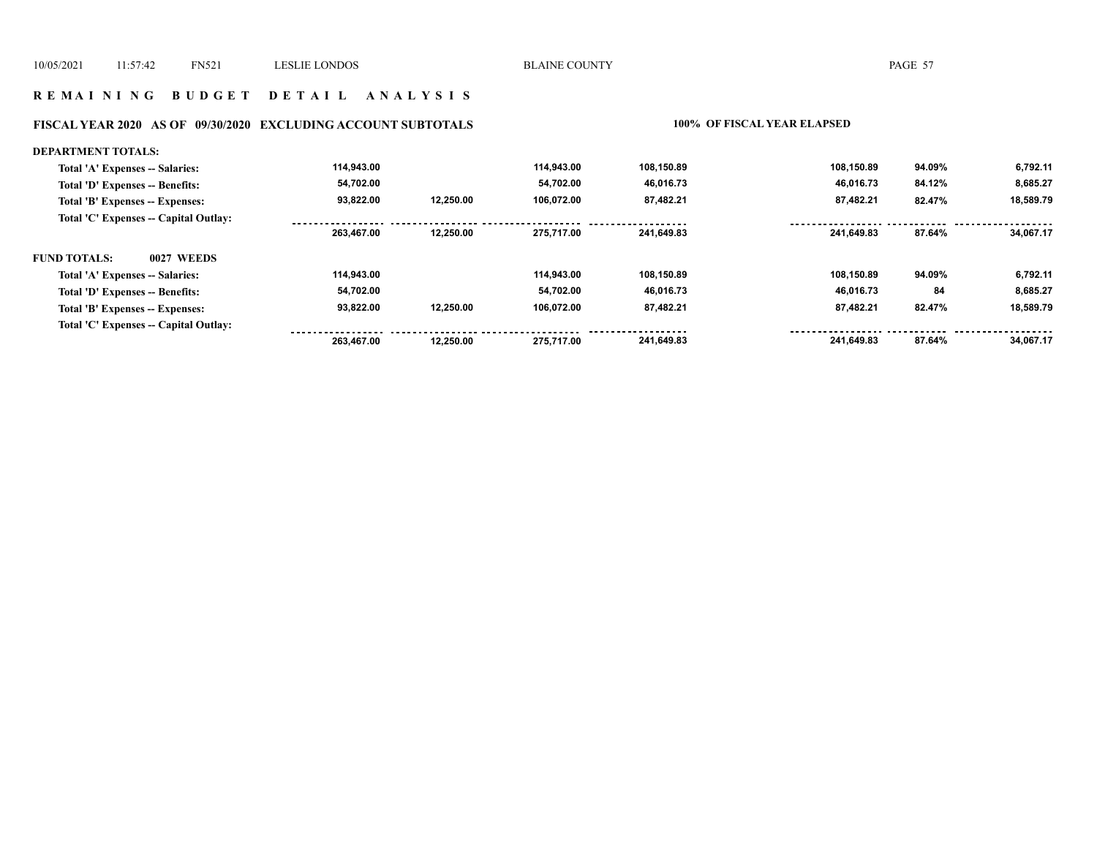## **R E M A I N I N G B U D G E T D E T A I L A N A L Y S I S**

# **FISCAL YEAR 2020 AS OF 09/30/2020 EXCLUDING ACCOUNT SUBTOTALS 100% OF FISCAL YEAR ELAPSED**

| <b>DEPARTMENT TOTALS:</b>                |            |           |            |            |            |        |           |
|------------------------------------------|------------|-----------|------------|------------|------------|--------|-----------|
| Total 'A' Expenses -- Salaries:          | 114,943.00 |           | 114.943.00 | 108,150.89 | 108,150.89 | 94.09% | 6,792.11  |
| Total 'D' Expenses -- Benefits:          | 54,702.00  |           | 54.702.00  | 46,016.73  | 46.016.73  | 84.12% | 8,685.27  |
| Total 'B' Expenses -- Expenses:          | 93,822.00  | 12.250.00 | 106.072.00 | 87,482.21  | 87,482.21  | 82.47% | 18,589.79 |
| Total 'C' Expenses -- Capital Outlay:    |            |           |            |            |            |        |           |
|                                          | 263,467.00 | 12.250.00 | 275.717.00 | 241,649.83 | 241.649.83 | 87.64% | 34.067.17 |
| <b>0027 WEEDS</b><br><b>FUND TOTALS:</b> |            |           |            |            |            |        |           |
| Total 'A' Expenses -- Salaries:          | 114,943.00 |           | 114,943.00 | 108,150.89 | 108,150.89 | 94.09% | 6,792.11  |
| Total 'D' Expenses -- Benefits:          | 54,702.00  |           | 54.702.00  | 46,016.73  | 46,016.73  | 84     | 8,685.27  |
| Total 'B' Expenses -- Expenses:          | 93.822.00  | 12,250.00 | 106.072.00 | 87,482.21  | 87.482.21  | 82.47% | 18,589.79 |
| Total 'C' Expenses -- Capital Outlay:    |            |           |            |            |            |        |           |
|                                          | 263.467.00 | 12.250.00 | 275.717.00 | 241,649.83 | 241.649.83 | 87.64% | 34,067.17 |
|                                          |            |           |            |            |            |        |           |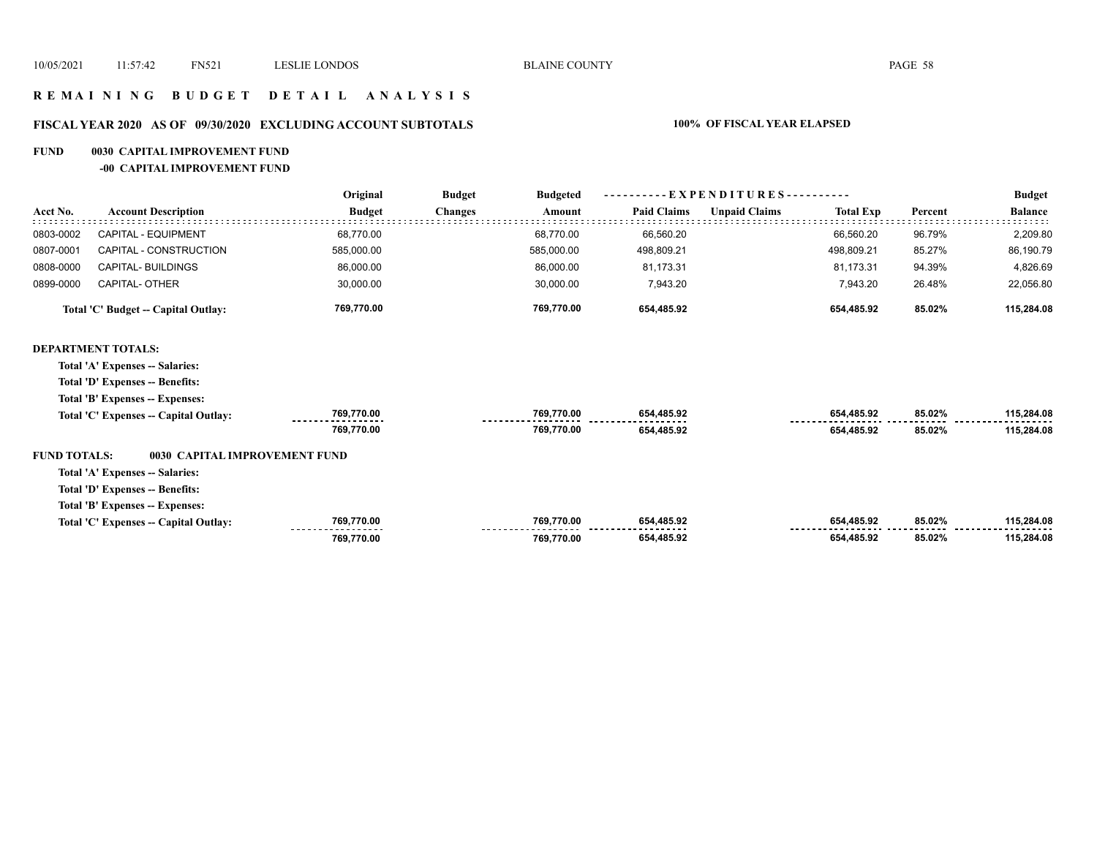## **R E M A I N I N G B U D G E T D E T A I L A N A L Y S I S**

# **FISCAL YEAR 2020 AS OF 09/30/2020 EXCLUDING ACCOUNT SUBTOTALS 100% OF FISCAL YEAR ELAPSED**

#### **FUND 0030 CAPITAL IMPROVEMENT FUND**

#### **-00 CAPITAL IMPROVEMENT FUND**

|                     |                                       | Original      | <b>Budget</b><br><b>Budgeted</b> |                    | - EXPENDITURES---------- |                  |         | <b>Budget</b>  |
|---------------------|---------------------------------------|---------------|----------------------------------|--------------------|--------------------------|------------------|---------|----------------|
| Acct No.            | <b>Account Description</b>            | <b>Budget</b> | <b>Changes</b><br>Amount         | <b>Paid Claims</b> | <b>Unpaid Claims</b>     | <b>Total Exp</b> | Percent | <b>Balance</b> |
| 0803-0002           | CAPITAL - EQUIPMENT                   | 68,770.00     | 68,770.00                        | 66,560.20          |                          | 66,560.20        | 96.79%  | 2,209.80       |
| 0807-0001           | CAPITAL - CONSTRUCTION                | 585,000.00    | 585,000.00                       | 498,809.21         |                          | 498,809.21       | 85.27%  | 86,190.79      |
| 0808-0000           | CAPITAL- BUILDINGS                    | 86,000.00     | 86,000.00                        | 81,173.31          |                          | 81,173.31        | 94.39%  | 4,826.69       |
| 0899-0000           | <b>CAPITAL- OTHER</b>                 | 30,000.00     | 30,000.00                        | 7,943.20           |                          | 7,943.20         | 26.48%  | 22,056.80      |
|                     | Total 'C' Budget -- Capital Outlay:   | 769,770.00    | 769,770.00                       | 654,485.92         |                          | 654,485.92       | 85.02%  | 115,284.08     |
|                     | <b>DEPARTMENT TOTALS:</b>             |               |                                  |                    |                          |                  |         |                |
|                     | Total 'A' Expenses -- Salaries:       |               |                                  |                    |                          |                  |         |                |
|                     | Total 'D' Expenses -- Benefits:       |               |                                  |                    |                          |                  |         |                |
|                     | Total 'B' Expenses -- Expenses:       |               |                                  |                    |                          |                  |         |                |
|                     | Total 'C' Expenses -- Capital Outlay: | 769,770.00    | 769,770.00                       | 654,485.92         |                          | 654,485.92       | 85.02%  | 115,284.08     |
|                     |                                       | 769,770.00    | 769,770.00                       | 654,485.92         |                          | 654,485.92       | 85.02%  | 115,284.08     |
| <b>FUND TOTALS:</b> | 0030 CAPITAL IMPROVEMENT FUND         |               |                                  |                    |                          |                  |         |                |
|                     | Total 'A' Expenses -- Salaries:       |               |                                  |                    |                          |                  |         |                |
|                     | Total 'D' Expenses -- Benefits:       |               |                                  |                    |                          |                  |         |                |
|                     | Total 'B' Expenses -- Expenses:       |               |                                  |                    |                          |                  |         |                |
|                     | Total 'C' Expenses - Capital Outlay:  | 769,770.00    | 769,770.00                       | 654,485.92         |                          | 654,485.92       | 85.02%  | 115,284.08     |
|                     |                                       | 769,770.00    | 769,770.00                       | 654,485.92         |                          | 654,485.92       | 85.02%  | 115,284.08     |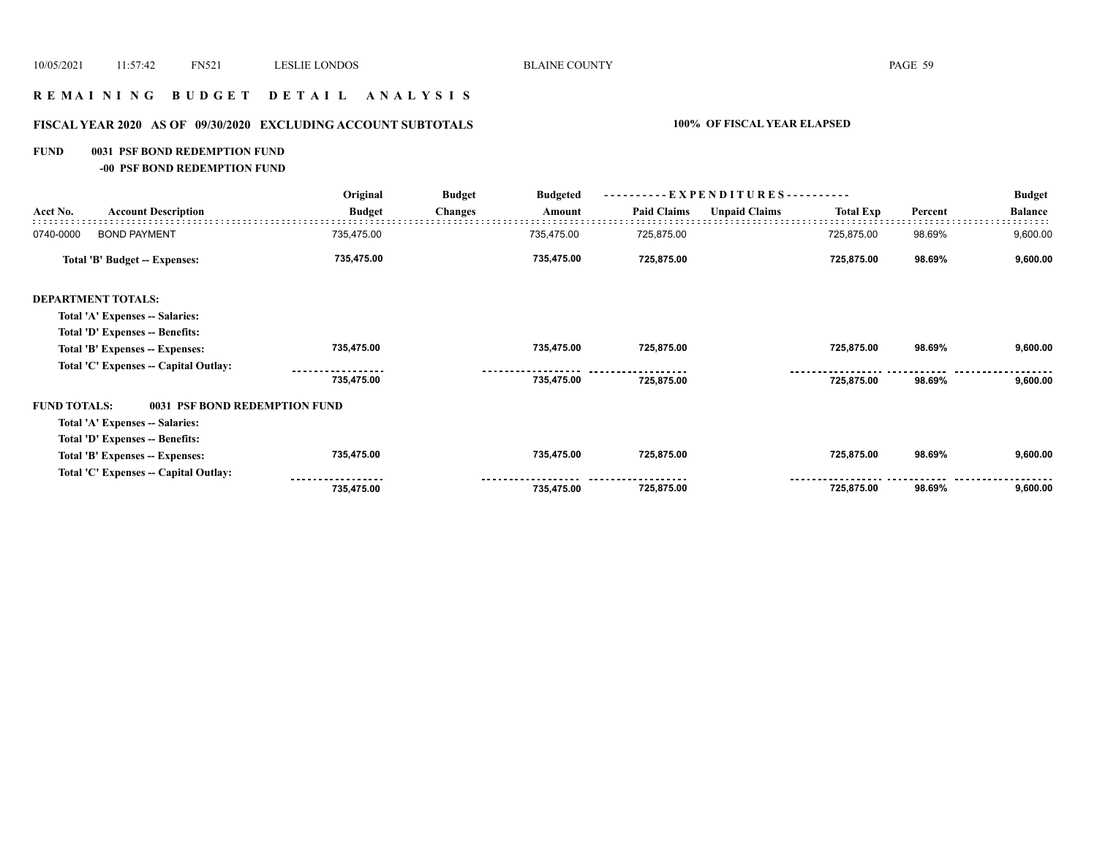# **R E M A I N I N G B U D G E T D E T A I L A N A L Y S I S**

# **FISCAL YEAR 2020 AS OF 09/30/2020 EXCLUDING ACCOUNT SUBTOTALS 100% OF FISCAL YEAR ELAPSED**

#### **FUND 0031 PSF BOND REDEMPTION FUND**

**-00 PSF BOND REDEMPTION FUND**

|                     |                                       | Original      | <b>Budget</b><br><b>Budgeted</b> | - EXPENDITURES---------- |                    |                      |                  | <b>Budget</b> |                |
|---------------------|---------------------------------------|---------------|----------------------------------|--------------------------|--------------------|----------------------|------------------|---------------|----------------|
| Acct No.            | <b>Account Description</b>            | <b>Budget</b> | <b>Changes</b>                   | Amount                   | <b>Paid Claims</b> | <b>Unpaid Claims</b> | <b>Total Exp</b> | Percent       | <b>Balance</b> |
| 0740-0000           | <b>BOND PAYMENT</b>                   | 735,475.00    |                                  | 735,475.00               | 725,875.00         |                      | 725,875.00       | 98.69%        | 9,600.00       |
|                     | Total 'B' Budget -- Expenses:         | 735,475.00    |                                  | 735,475.00               | 725,875.00         |                      | 725,875.00       | 98.69%        | 9,600.00       |
|                     | <b>DEPARTMENT TOTALS:</b>             |               |                                  |                          |                    |                      |                  |               |                |
|                     | Total 'A' Expenses -- Salaries:       |               |                                  |                          |                    |                      |                  |               |                |
|                     | Total 'D' Expenses -- Benefits:       |               |                                  |                          |                    |                      |                  |               |                |
|                     | Total 'B' Expenses -- Expenses:       | 735,475.00    |                                  | 735,475.00               | 725,875.00         |                      | 725,875.00       | 98.69%        | 9,600.00       |
|                     | Total 'C' Expenses -- Capital Outlay: |               |                                  |                          |                    |                      |                  |               |                |
|                     |                                       | 735,475.00    |                                  | 735,475.00               | 725,875.00         |                      | 725,875.00       | 98.69%        | 9,600.00       |
| <b>FUND TOTALS:</b> | 0031 PSF BOND REDEMPTION FUND         |               |                                  |                          |                    |                      |                  |               |                |
|                     | Total 'A' Expenses -- Salaries:       |               |                                  |                          |                    |                      |                  |               |                |
|                     | Total 'D' Expenses -- Benefits:       |               |                                  |                          |                    |                      |                  |               |                |
|                     | Total 'B' Expenses -- Expenses:       | 735,475.00    |                                  | 735,475.00               | 725,875.00         |                      | 725,875.00       | 98.69%        | 9,600.00       |
|                     | Total 'C' Expenses -- Capital Outlay: |               |                                  |                          |                    |                      |                  |               |                |
|                     |                                       | 735,475.00    |                                  | 735,475.00               | 725,875.00         |                      | 725,875.00       | 98.69%        | 9,600.00       |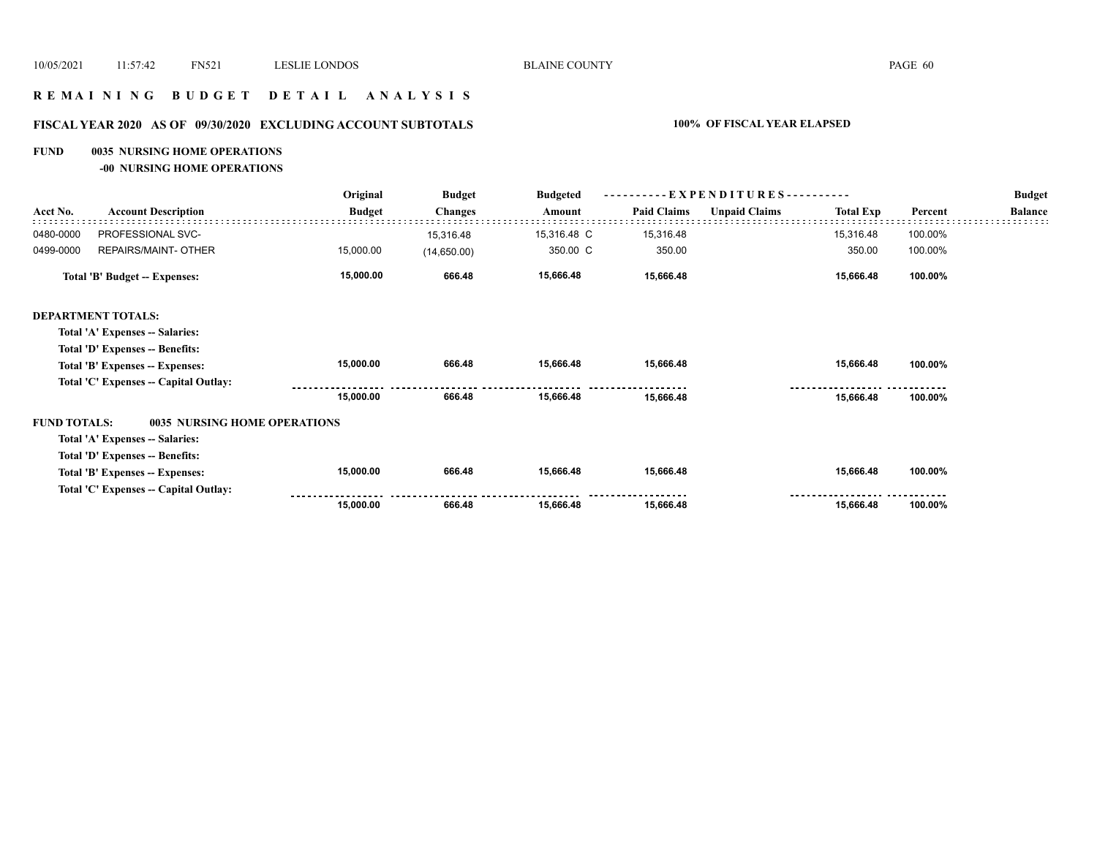## **R E M A I N I N G B U D G E T D E T A I L A N A L Y S I S**

# **FISCAL YEAR 2020 AS OF 09/30/2020 EXCLUDING ACCOUNT SUBTOTALS 100% OF FISCAL YEAR ELAPSED**

#### **FUND 0035 NURSING HOME OPERATIONS**

**-00 NURSING HOME OPERATIONS**

|                     |                                       | Original      | <b>Budget</b>  | <b>Budgeted</b> | EXPENDITURES---------- |                      |                  |         | <b>Budget</b>  |
|---------------------|---------------------------------------|---------------|----------------|-----------------|------------------------|----------------------|------------------|---------|----------------|
| Acct No.            | <b>Account Description</b>            | <b>Budget</b> | <b>Changes</b> | Amount          | <b>Paid Claims</b>     | <b>Unpaid Claims</b> | <b>Total Exp</b> | Percent | <b>Balance</b> |
| 0480-0000           | PROFESSIONAL SVC-                     |               | 15,316.48      | 15,316.48 C     | 15,316.48              |                      | 15,316.48        | 100.00% |                |
| 0499-0000           | REPAIRS/MAINT- OTHER                  | 15,000.00     | (14,650.00)    | 350.00 C        | 350.00                 |                      | 350.00           | 100.00% |                |
|                     | <b>Total 'B' Budget -- Expenses:</b>  | 15,000.00     | 666.48         | 15,666.48       | 15,666.48              |                      | 15,666.48        | 100.00% |                |
|                     | <b>DEPARTMENT TOTALS:</b>             |               |                |                 |                        |                      |                  |         |                |
|                     | Total 'A' Expenses -- Salaries:       |               |                |                 |                        |                      |                  |         |                |
|                     | Total 'D' Expenses -- Benefits:       |               |                |                 |                        |                      |                  |         |                |
|                     | Total 'B' Expenses -- Expenses:       | 15,000.00     | 666.48         | 15,666.48       | 15,666.48              |                      | 15,666.48        | 100.00% |                |
|                     | Total 'C' Expenses -- Capital Outlay: |               |                |                 |                        |                      |                  |         |                |
|                     |                                       | 15,000.00     | 666.48         | 15,666.48       | 15,666.48              |                      | 15,666.48        | 100.00% |                |
| <b>FUND TOTALS:</b> | <b>0035 NURSING HOME OPERATIONS</b>   |               |                |                 |                        |                      |                  |         |                |
|                     | Total 'A' Expenses -- Salaries:       |               |                |                 |                        |                      |                  |         |                |
|                     | Total 'D' Expenses -- Benefits:       |               |                |                 |                        |                      |                  |         |                |
|                     | Total 'B' Expenses -- Expenses:       | 15,000.00     | 666.48         | 15,666.48       | 15,666.48              |                      | 15,666.48        | 100.00% |                |
|                     | Total 'C' Expenses -- Capital Outlay: |               |                |                 |                        |                      |                  |         |                |
|                     |                                       | 15,000.00     | 666.48         | 15,666.48       | 15,666.48              |                      | 15,666.48        | 100.00% |                |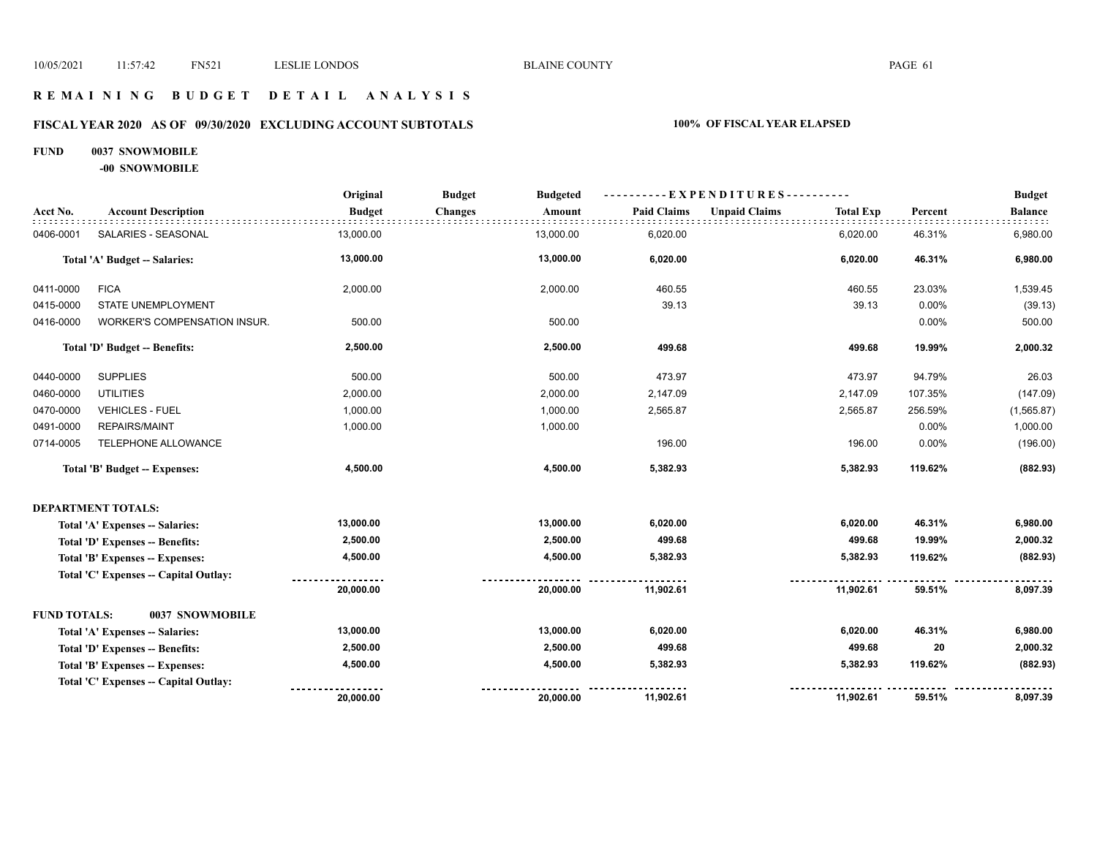## **R E M A I N I N G B U D G E T D E T A I L A N A L Y S I S**

# **FISCAL YEAR 2020 AS OF 09/30/2020 EXCLUDING ACCOUNT SUBTOTALS 100% OF FISCAL YEAR ELAPSED**

#### **FUND 0037 SNOWMOBILE**

**-00 SNOWMOBILE**

|                     |                                       | Original      | <b>Budget</b><br><b>Budgeted</b> |                    | ----------EXPENDITURES----------         |         | <b>Budget</b>  |
|---------------------|---------------------------------------|---------------|----------------------------------|--------------------|------------------------------------------|---------|----------------|
| Acct No.            | <b>Account Description</b>            | <b>Budget</b> | <b>Changes</b><br>Amount         | <b>Paid Claims</b> | <b>Unpaid Claims</b><br><b>Total Exp</b> | Percent | <b>Balance</b> |
| 0406-0001           | SALARIES - SEASONAL                   | 13,000.00     | 13,000.00                        | 6,020.00           | 6,020.00                                 | 46.31%  | 6,980.00       |
|                     | Total 'A' Budget -- Salaries:         | 13,000.00     | 13,000.00                        | 6,020.00           | 6,020.00                                 | 46.31%  | 6,980.00       |
| 0411-0000           | <b>FICA</b>                           | 2,000.00      | 2,000.00                         | 460.55             | 460.55                                   | 23.03%  | 1,539.45       |
| 0415-0000           | STATE UNEMPLOYMENT                    |               |                                  | 39.13              | 39.13                                    | 0.00%   | (39.13)        |
| 0416-0000           | <b>WORKER'S COMPENSATION INSUR.</b>   | 500.00        | 500.00                           |                    |                                          | 0.00%   | 500.00         |
|                     | Total 'D' Budget -- Benefits:         | 2,500.00      | 2,500.00                         | 499.68             | 499.68                                   | 19.99%  | 2,000.32       |
| 0440-0000           | <b>SUPPLIES</b>                       | 500.00        | 500.00                           | 473.97             | 473.97                                   | 94.79%  | 26.03          |
| 0460-0000           | <b>UTILITIES</b>                      | 2,000.00      | 2,000.00                         | 2,147.09           | 2,147.09                                 | 107.35% | (147.09)       |
| 0470-0000           | <b>VEHICLES - FUEL</b>                | 1,000.00      | 1,000.00                         | 2,565.87           | 2,565.87                                 | 256.59% | (1,565.87)     |
| 0491-0000           | <b>REPAIRS/MAINT</b>                  | 1,000.00      | 1,000.00                         |                    |                                          | 0.00%   | 1,000.00       |
| 0714-0005           | TELEPHONE ALLOWANCE                   |               |                                  | 196.00             | 196.00                                   | 0.00%   | (196.00)       |
|                     | Total 'B' Budget -- Expenses:         | 4,500.00      | 4,500.00                         | 5,382.93           | 5,382.93                                 | 119.62% | (882.93)       |
|                     | <b>DEPARTMENT TOTALS:</b>             |               |                                  |                    |                                          |         |                |
|                     | Total 'A' Expenses -- Salaries:       | 13,000.00     | 13,000.00                        | 6,020.00           | 6,020.00                                 | 46.31%  | 6,980.00       |
|                     | Total 'D' Expenses -- Benefits:       | 2,500.00      | 2,500.00                         | 499.68             | 499.68                                   | 19.99%  | 2,000.32       |
|                     | Total 'B' Expenses -- Expenses:       | 4,500.00      | 4,500.00                         | 5,382.93           | 5,382.93                                 | 119.62% | (882.93)       |
|                     | Total 'C' Expenses -- Capital Outlay: |               |                                  |                    |                                          |         |                |
|                     |                                       | 20,000.00     | 20,000.00                        | 11,902.61          | 11,902.61                                | 59.51%  | 8,097.39       |
| <b>FUND TOTALS:</b> | 0037 SNOWMOBILE                       |               |                                  |                    |                                          |         |                |
|                     | Total 'A' Expenses -- Salaries:       | 13,000.00     | 13,000.00                        | 6,020.00           | 6,020.00                                 | 46.31%  | 6,980.00       |
|                     | Total 'D' Expenses -- Benefits:       | 2,500.00      | 2,500.00                         | 499.68             | 499.68                                   | 20      | 2,000.32       |
|                     | Total 'B' Expenses -- Expenses:       | 4,500.00      | 4,500.00                         | 5,382.93           | 5,382.93                                 | 119.62% | (882.93)       |
|                     | Total 'C' Expenses -- Capital Outlay: |               |                                  |                    |                                          |         |                |
|                     |                                       | 20,000.00     | 20,000.00                        | 11,902.61          | 11,902.61                                | 59.51%  | 8,097.39       |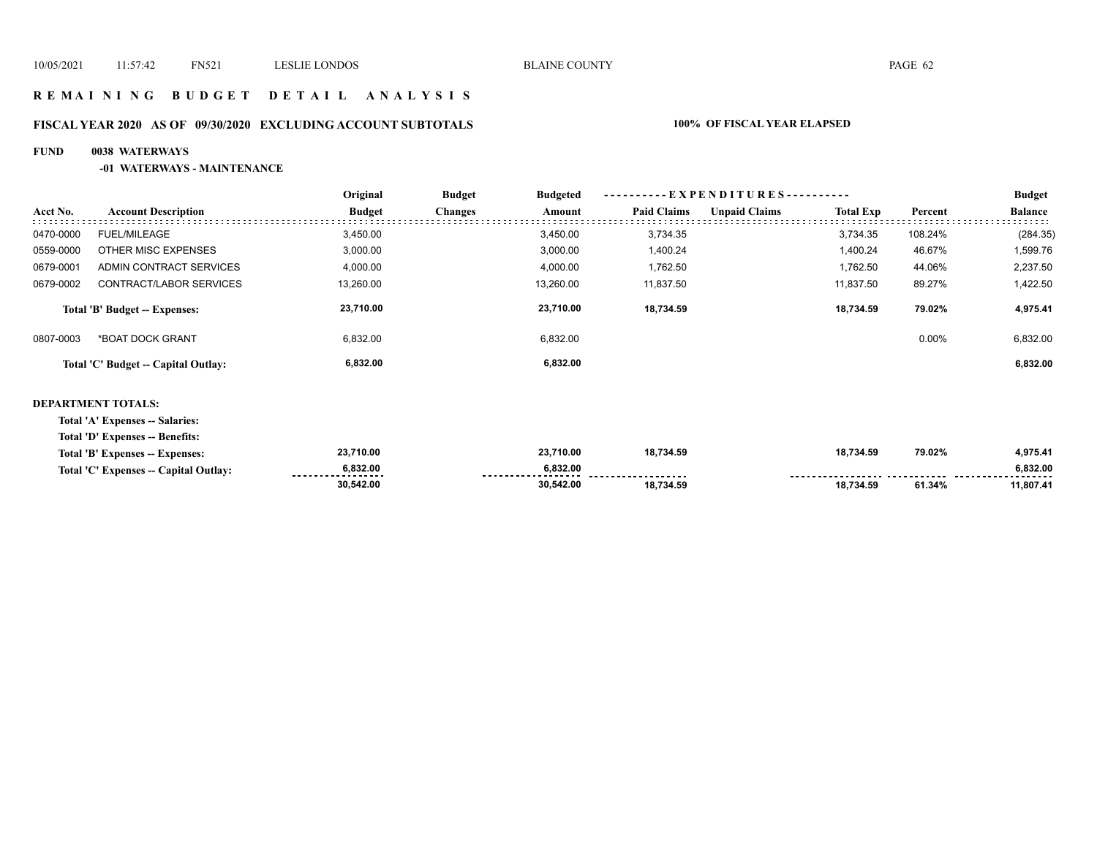## **R E M A I N I N G B U D G E T D E T A I L A N A L Y S I S**

# **FISCAL YEAR 2020 AS OF 09/30/2020 EXCLUDING ACCOUNT SUBTOTALS 100% OF FISCAL YEAR ELAPSED**

#### **FUND 0038 WATERWAYS**

#### **-01 WATERWAYS - MAINTENANCE**

|           |                                     | Original      | <b>Budget</b>  | <b>Budgeted</b> |                    | - EXPENDITURES---------- |                  |          |                |
|-----------|-------------------------------------|---------------|----------------|-----------------|--------------------|--------------------------|------------------|----------|----------------|
| Acct No.  | <b>Account Description</b>          | <b>Budget</b> | <b>Changes</b> | Amount          | <b>Paid Claims</b> | <b>Unpaid Claims</b>     | <b>Total Exp</b> | Percent  | <b>Balance</b> |
| 0470-0000 | FUEL/MILEAGE                        | 3,450.00      |                | 3.450.00        | 3,734.35           |                          | 3,734.35         | 108.24%  | (284.35)       |
| 0559-0000 | OTHER MISC EXPENSES                 | 3,000.00      |                | 3.000.00        | 1.400.24           |                          | 1.400.24         | 46.67%   | 1,599.76       |
| 0679-0001 | ADMIN CONTRACT SERVICES             | 4,000.00      |                | 4,000.00        | 1,762.50           |                          | 1,762.50         | 44.06%   | 2,237.50       |
| 0679-0002 | CONTRACT/LABOR SERVICES             | 13,260.00     |                | 13.260.00       | 11,837.50          |                          | 11.837.50        | 89.27%   | 1,422.50       |
|           | Total 'B' Budget -- Expenses:       | 23,710.00     |                | 23.710.00       | 18,734.59          |                          | 18.734.59        | 79.02%   | 4,975.41       |
| 0807-0003 | *BOAT DOCK GRANT                    | 6,832.00      |                | 6,832.00        |                    |                          |                  | $0.00\%$ | 6,832.00       |
|           | Total 'C' Budget -- Capital Outlay: | 6,832.00      |                | 6,832.00        |                    |                          |                  |          | 6,832.00       |
|           |                                     |               |                |                 |                    |                          |                  |          |                |

#### **DEPARTMENT TOTALS:**

**Total 'A' Expenses -- Salaries:**

**Total 'D' Expenses -- Benefits:**

| Total 'B' Expenses -- Expenses:       | 23,710.00    | 23,710.00 | 18.734.59 | 18,734.59                      | 79.02% | 4,975.41      |
|---------------------------------------|--------------|-----------|-----------|--------------------------------|--------|---------------|
| Total 'C' Expenses -- Capital Outlay: | 6,832.00<br> | 6.832.00  |           | ------------------ ----------- |        | 6.832.00<br>. |
|                                       | 30.542.00    | 30.542.00 | 18.734.59 | 18.734.59                      | 61.34% | 1,807.41      |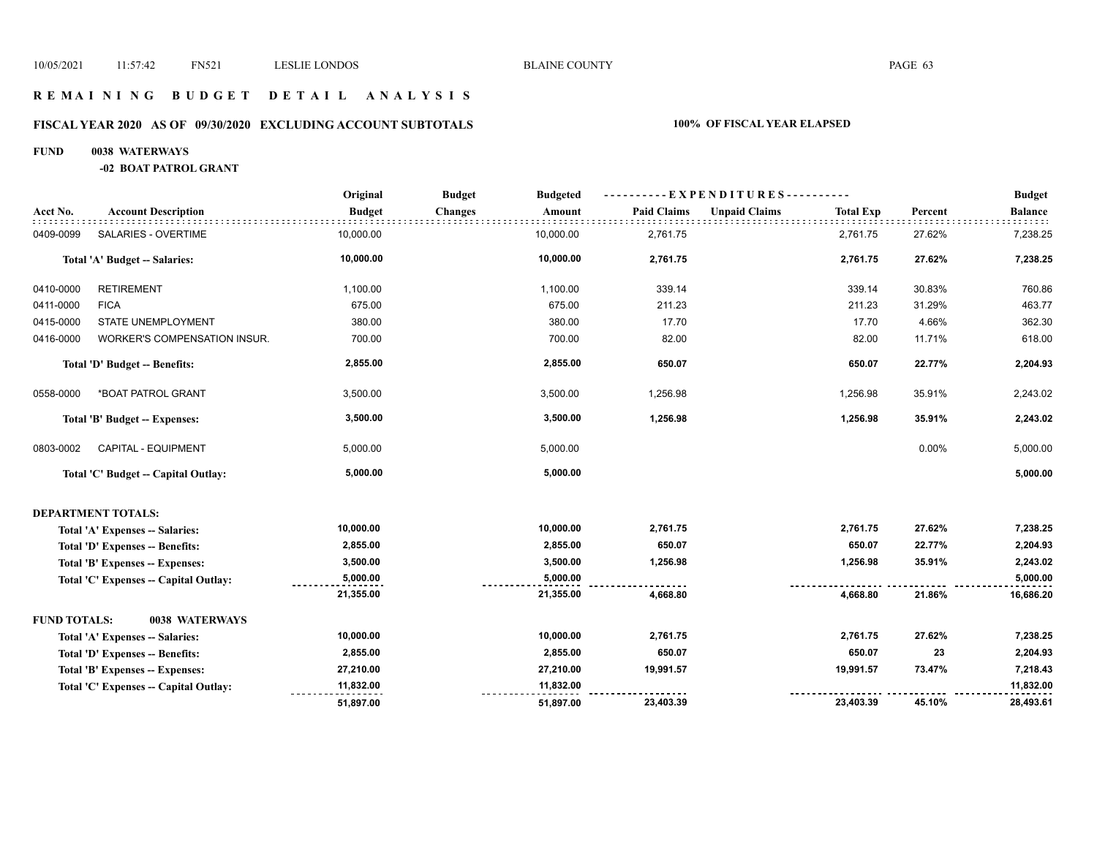## **R E M A I N I N G B U D G E T D E T A I L A N A L Y S I S**

# **FISCAL YEAR 2020 AS OF 09/30/2020 EXCLUDING ACCOUNT SUBTOTALS 100% OF FISCAL YEAR ELAPSED**

#### **FUND 0038 WATERWAYS**

**-02 BOAT PATROL GRANT**

|                     |                                      | Original      | <b>Budget</b><br><b>Budgeted</b> |                    | ----------EXPENDITURES----------         |         | <b>Budget</b>  |
|---------------------|--------------------------------------|---------------|----------------------------------|--------------------|------------------------------------------|---------|----------------|
| Acct No.            | <b>Account Description</b>           | <b>Budget</b> | <b>Changes</b><br>Amount         | <b>Paid Claims</b> | <b>Unpaid Claims</b><br><b>Total Exp</b> | Percent | <b>Balance</b> |
| 0409-0099           | SALARIES - OVERTIME                  | 10,000.00     | 10,000.00                        | 2,761.75           | 2,761.75                                 | 27.62%  | 7,238.25       |
|                     | Total 'A' Budget -- Salaries:        | 10,000.00     | 10,000.00                        | 2,761.75           | 2,761.75                                 | 27.62%  | 7,238.25       |
| 0410-0000           | <b>RETIREMENT</b>                    | 1,100.00      | 1,100.00                         | 339.14             | 339.14                                   | 30.83%  | 760.86         |
| 0411-0000           | <b>FICA</b>                          | 675.00        | 675.00                           | 211.23             | 211.23                                   | 31.29%  | 463.77         |
| 0415-0000           | STATE UNEMPLOYMENT                   | 380.00        | 380.00                           | 17.70              | 17.70                                    | 4.66%   | 362.30         |
| 0416-0000           | WORKER'S COMPENSATION INSUR.         | 700.00        | 700.00                           | 82.00              | 82.00                                    | 11.71%  | 618.00         |
|                     | Total 'D' Budget -- Benefits:        | 2,855.00      | 2,855.00                         | 650.07             | 650.07                                   | 22.77%  | 2,204.93       |
| 0558-0000           | *BOAT PATROL GRANT                   | 3,500.00      | 3,500.00                         | 1,256.98           | 1,256.98                                 | 35.91%  | 2,243.02       |
|                     | Total 'B' Budget -- Expenses:        | 3,500.00      | 3,500.00                         | 1,256.98           | 1,256.98                                 | 35.91%  | 2,243.02       |
| 0803-0002           | CAPITAL - EQUIPMENT                  | 5,000.00      | 5,000.00                         |                    |                                          | 0.00%   | 5,000.00       |
|                     | Total 'C' Budget -- Capital Outlay:  | 5,000.00      | 5,000.00                         |                    |                                          |         | 5,000.00       |
|                     | <b>DEPARTMENT TOTALS:</b>            |               |                                  |                    |                                          |         |                |
|                     | Total 'A' Expenses -- Salaries:      | 10,000.00     | 10,000.00                        | 2,761.75           | 2,761.75                                 | 27.62%  | 7,238.25       |
|                     | Total 'D' Expenses -- Benefits:      | 2,855.00      | 2,855.00                         | 650.07             | 650.07                                   | 22.77%  | 2,204.93       |
|                     | Total 'B' Expenses -- Expenses:      | 3,500.00      | 3,500.00                         | 1,256.98           | 1,256.98                                 | 35.91%  | 2,243.02       |
|                     | Total 'C' Expenses - Capital Outlay: | 5,000.00      | 5,000.00                         |                    |                                          |         | 5,000.00       |
|                     |                                      | 21,355.00     | 21,355.00                        | 4,668.80           | 4,668.80                                 | 21.86%  | 16,686.20      |
| <b>FUND TOTALS:</b> | 0038 WATERWAYS                       |               |                                  |                    |                                          |         |                |
|                     | Total 'A' Expenses -- Salaries:      | 10,000.00     | 10,000.00                        | 2,761.75           | 2,761.75                                 | 27.62%  | 7,238.25       |
|                     | Total 'D' Expenses -- Benefits:      | 2,855.00      | 2,855.00                         | 650.07             | 650.07                                   | 23      | 2,204.93       |
|                     | Total 'B' Expenses -- Expenses:      | 27,210.00     | 27,210.00                        | 19,991.57          | 19,991.57                                | 73.47%  | 7,218.43       |
|                     | Total 'C' Expenses - Capital Outlay: | 11,832.00     | 11,832.00                        |                    |                                          |         | 11,832.00      |
|                     |                                      | 51,897.00     | 51,897.00                        | 23,403.39          | 23,403.39                                | 45.10%  | 28,493.61      |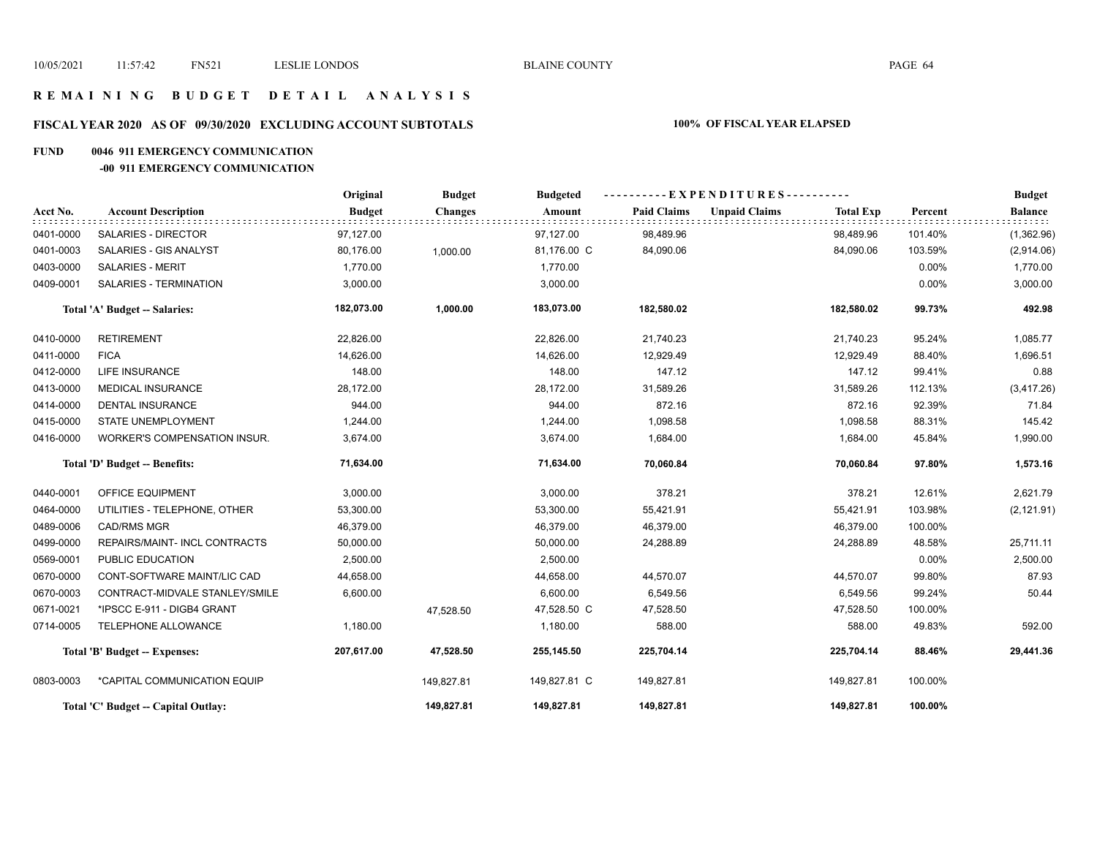# **R E M A I N I N G B U D G E T D E T A I L A N A L Y S I S**

# **FISCAL YEAR 2020 AS OF 09/30/2020 EXCLUDING ACCOUNT SUBTOTALS 100% OF FISCAL YEAR ELAPSED**

#### **FUND 0046 911 EMERGENCY COMMUNICATION**

#### **-00 911 EMERGENCY COMMUNICATION**

|           |                                     | Original      | <b>Budget</b>  | <b>Budgeted</b> |                    | ----------EXPENDITURES---------- |                  |          | <b>Budget</b>  |
|-----------|-------------------------------------|---------------|----------------|-----------------|--------------------|----------------------------------|------------------|----------|----------------|
| Acct No.  | <b>Account Description</b>          | <b>Budget</b> | <b>Changes</b> | Amount          | <b>Paid Claims</b> | <b>Unpaid Claims</b>             | <b>Total Exp</b> | Percent  | <b>Balance</b> |
| 0401-0000 | SALARIES - DIRECTOR                 | 97,127.00     |                | 97,127.00       | 98,489.96          |                                  | 98,489.96        | 101.40%  | (1,362.96)     |
| 0401-0003 | SALARIES - GIS ANALYST              | 80,176.00     | 1.000.00       | 81,176.00 C     | 84,090.06          |                                  | 84,090.06        | 103.59%  | (2,914.06)     |
| 0403-0000 | <b>SALARIES - MERIT</b>             | 1,770.00      |                | 1,770.00        |                    |                                  |                  | 0.00%    | 1,770.00       |
| 0409-0001 | SALARIES - TERMINATION              | 3,000.00      |                | 3,000.00        |                    |                                  |                  | 0.00%    | 3,000.00       |
|           | Total 'A' Budget -- Salaries:       | 182,073.00    | 1,000.00       | 183,073.00      | 182,580.02         |                                  | 182,580.02       | 99.73%   | 492.98         |
| 0410-0000 | <b>RETIREMENT</b>                   | 22,826.00     |                | 22,826.00       | 21,740.23          |                                  | 21,740.23        | 95.24%   | 1,085.77       |
| 0411-0000 | <b>FICA</b>                         | 14,626.00     |                | 14,626.00       | 12,929.49          |                                  | 12,929.49        | 88.40%   | 1,696.51       |
| 0412-0000 | <b>LIFE INSURANCE</b>               | 148.00        |                | 148.00          | 147.12             |                                  | 147.12           | 99.41%   | 0.88           |
| 0413-0000 | <b>MEDICAL INSURANCE</b>            | 28,172.00     |                | 28,172.00       | 31,589.26          |                                  | 31,589.26        | 112.13%  | (3,417.26)     |
| 0414-0000 | <b>DENTAL INSURANCE</b>             | 944.00        |                | 944.00          | 872.16             |                                  | 872.16           | 92.39%   | 71.84          |
| 0415-0000 | STATE UNEMPLOYMENT                  | 1,244.00      |                | 1,244.00        | 1,098.58           |                                  | 1,098.58         | 88.31%   | 145.42         |
| 0416-0000 | <b>WORKER'S COMPENSATION INSUR.</b> | 3,674.00      |                | 3,674.00        | 1,684.00           |                                  | 1,684.00         | 45.84%   | 1,990.00       |
|           | Total 'D' Budget -- Benefits:       | 71,634.00     |                | 71,634.00       | 70,060.84          |                                  | 70,060.84        | 97.80%   | 1,573.16       |
| 0440-0001 | OFFICE EQUIPMENT                    | 3,000.00      |                | 3,000.00        | 378.21             |                                  | 378.21           | 12.61%   | 2,621.79       |
| 0464-0000 | UTILITIES - TELEPHONE, OTHER        | 53,300.00     |                | 53,300.00       | 55,421.91          |                                  | 55,421.91        | 103.98%  | (2, 121.91)    |
| 0489-0006 | <b>CAD/RMS MGR</b>                  | 46,379.00     |                | 46,379.00       | 46,379.00          |                                  | 46,379.00        | 100.00%  |                |
| 0499-0000 | REPAIRS/MAINT- INCL CONTRACTS       | 50,000.00     |                | 50,000.00       | 24,288.89          |                                  | 24,288.89        | 48.58%   | 25,711.11      |
| 0569-0001 | PUBLIC EDUCATION                    | 2,500.00      |                | 2,500.00        |                    |                                  |                  | $0.00\%$ | 2,500.00       |
| 0670-0000 | CONT-SOFTWARE MAINT/LIC CAD         | 44,658.00     |                | 44,658.00       | 44,570.07          |                                  | 44,570.07        | 99.80%   | 87.93          |
| 0670-0003 | CONTRACT-MIDVALE STANLEY/SMILE      | 6,600.00      |                | 6,600.00        | 6,549.56           |                                  | 6,549.56         | 99.24%   | 50.44          |
| 0671-0021 | *IPSCC E-911 - DIGB4 GRANT          |               | 47,528.50      | 47,528.50 C     | 47,528.50          |                                  | 47,528.50        | 100.00%  |                |
| 0714-0005 | TELEPHONE ALLOWANCE                 | 1,180.00      |                | 1,180.00        | 588.00             |                                  | 588.00           | 49.83%   | 592.00         |
|           | Total 'B' Budget -- Expenses:       | 207,617.00    | 47,528.50      | 255,145.50      | 225,704.14         |                                  | 225,704.14       | 88.46%   | 29,441.36      |
| 0803-0003 | *CAPITAL COMMUNICATION EQUIP        |               | 149,827.81     | 149,827.81 C    | 149,827.81         |                                  | 149,827.81       | 100.00%  |                |
|           | Total 'C' Budget -- Capital Outlay: |               | 149,827.81     | 149,827.81      | 149,827.81         |                                  | 149,827.81       | 100.00%  |                |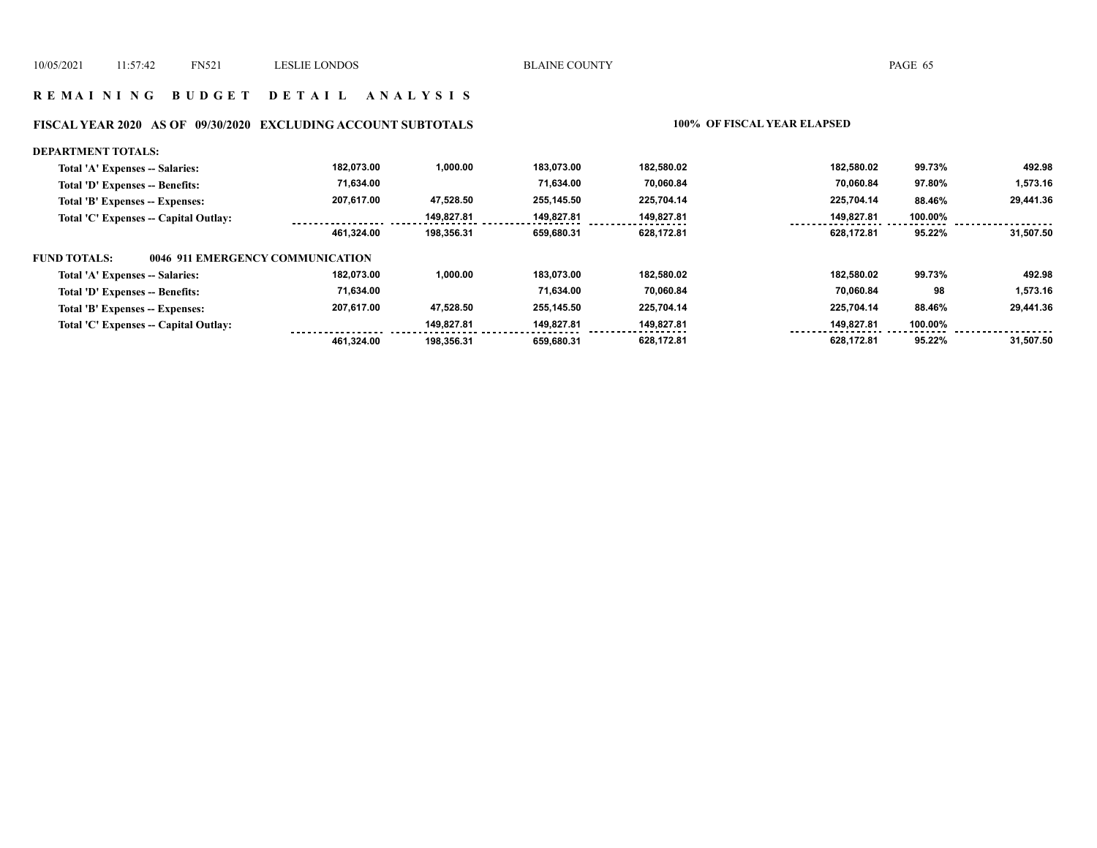## **R E M A I N I N G B U D G E T D E T A I L A N A L Y S I S**

# **FISCAL YEAR 2020 AS OF 09/30/2020 EXCLUDING ACCOUNT SUBTOTALS 100% OF FISCAL YEAR ELAPSED**

| <b>DEPARTMENT TOTALS:</b>                               |            |            |            |            |            |         |           |
|---------------------------------------------------------|------------|------------|------------|------------|------------|---------|-----------|
| Total 'A' Expenses -- Salaries:                         | 182.073.00 | 1,000.00   | 183.073.00 | 182.580.02 | 182.580.02 | 99.73%  | 492.98    |
| Total 'D' Expenses -- Benefits:                         | 71,634.00  |            | 71.634.00  | 70.060.84  | 70.060.84  | 97.80%  | 1,573.16  |
| Total 'B' Expenses -- Expenses:                         | 207.617.00 | 47.528.50  | 255.145.50 | 225.704.14 | 225.704.14 | 88.46%  | 29,441.36 |
| Total 'C' Expenses -- Capital Outlay:                   |            | 149.827.81 | 149.827.81 | 149,827.81 | 149,827.81 | 100.00% |           |
|                                                         | 461.324.00 | 198.356.31 | 659.680.31 | 628,172.81 | 628.172.81 | 95.22%  | 31,507.50 |
| <b>FUND TOTALS:</b><br>0046 911 EMERGENCY COMMUNICATION |            |            |            |            |            |         |           |
| Total 'A' Expenses -- Salaries:                         | 182,073.00 | 1,000.00   | 183.073.00 | 182,580.02 | 182.580.02 | 99.73%  | 492.98    |
| Total 'D' Expenses -- Benefits:                         | 71,634.00  |            | 71.634.00  | 70,060.84  | 70.060.84  | 98      | 1,573.16  |
| Total 'B' Expenses -- Expenses:                         | 207.617.00 | 47.528.50  | 255.145.50 | 225.704.14 | 225.704.14 | 88.46%  | 29,441.36 |
| Total 'C' Expenses -- Capital Outlay:                   |            | 149.827.81 | 149.827.81 | 149.827.81 | 149,827.81 | 100.00% |           |
|                                                         | 461.324.00 | 198.356.31 | 659.680.31 | 628,172.81 | 628.172.81 | 95.22%  | 31.507.50 |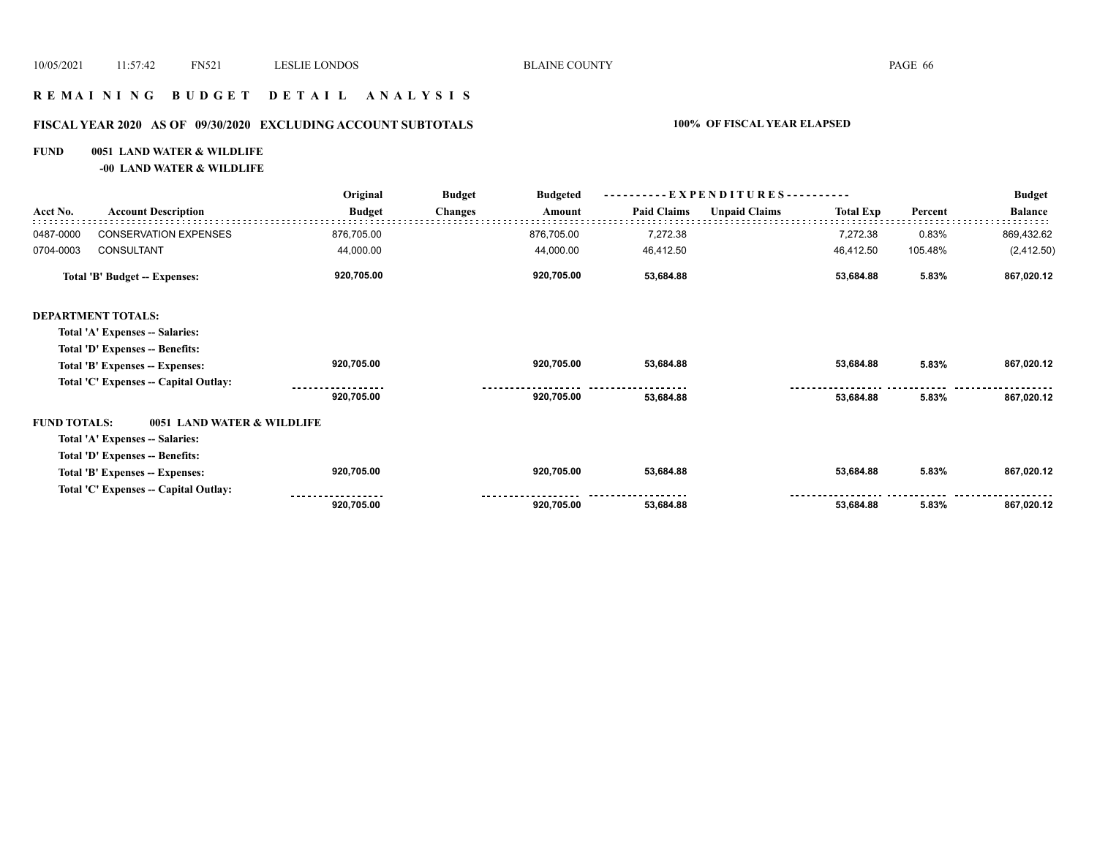## **R E M A I N I N G B U D G E T D E T A I L A N A L Y S I S**

# **FISCAL YEAR 2020 AS OF 09/30/2020 EXCLUDING ACCOUNT SUBTOTALS 100% OF FISCAL YEAR ELAPSED**

#### **FUND 0051 LAND WATER & WILDLIFE**

**-00 LAND WATER & WILDLIFE**

|                     |                                       | Original      | <b>Budget</b><br><b>Budgeted</b> | -EXPENDITURES--    |                      |                  |         | <b>Budget</b>  |
|---------------------|---------------------------------------|---------------|----------------------------------|--------------------|----------------------|------------------|---------|----------------|
| Acct No.            | <b>Account Description</b>            | <b>Budget</b> | <b>Changes</b><br>Amount         | <b>Paid Claims</b> | <b>Unpaid Claims</b> | <b>Total Exp</b> | Percent | <b>Balance</b> |
| 0487-0000           | <b>CONSERVATION EXPENSES</b>          | 876,705.00    | 876,705.00                       | 7,272.38           |                      | 7,272.38         | 0.83%   | 869,432.62     |
| 0704-0003           | CONSULTANT                            | 44,000.00     | 44,000.00                        | 46,412.50          |                      | 46,412.50        | 105.48% | (2, 412.50)    |
|                     | Total 'B' Budget -- Expenses:         | 920,705.00    | 920,705.00                       | 53,684.88          |                      | 53,684.88        | 5.83%   | 867,020.12     |
|                     | <b>DEPARTMENT TOTALS:</b>             |               |                                  |                    |                      |                  |         |                |
|                     | Total 'A' Expenses -- Salaries:       |               |                                  |                    |                      |                  |         |                |
|                     | Total 'D' Expenses -- Benefits:       |               |                                  |                    |                      |                  |         |                |
|                     | Total 'B' Expenses -- Expenses:       | 920,705.00    | 920,705.00                       | 53,684.88          |                      | 53,684.88        | 5.83%   | 867,020.12     |
|                     | Total 'C' Expenses -- Capital Outlay: |               |                                  |                    |                      |                  |         |                |
|                     |                                       | 920,705.00    | 920,705.00                       | 53,684.88          |                      | 53,684.88        | 5.83%   | 867,020.12     |
| <b>FUND TOTALS:</b> | 0051 LAND WATER & WILDLIFE            |               |                                  |                    |                      |                  |         |                |
|                     | Total 'A' Expenses -- Salaries:       |               |                                  |                    |                      |                  |         |                |
|                     | Total 'D' Expenses -- Benefits:       |               |                                  |                    |                      |                  |         |                |
|                     | Total 'B' Expenses -- Expenses:       | 920,705.00    | 920,705.00                       | 53,684.88          |                      | 53,684.88        | 5.83%   | 867,020.12     |
|                     | Total 'C' Expenses -- Capital Outlay: |               |                                  |                    |                      |                  |         |                |
|                     |                                       | 920,705.00    | 920,705.00                       | 53,684.88          |                      | 53,684.88        | 5.83%   | 867,020.12     |